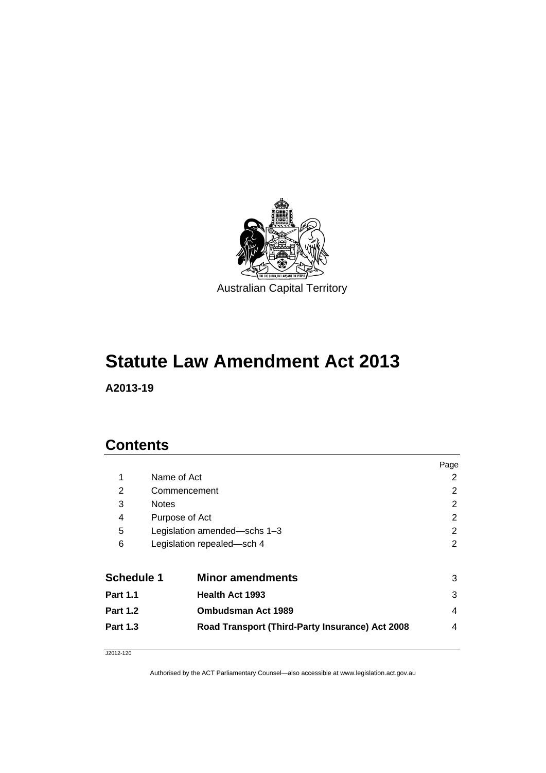

**A2013-19** 

## **Contents**

| 1<br>Name of Act<br>2<br>2<br>2<br>Commencement<br>2<br>3<br><b>Notes</b><br>2<br>4<br>Purpose of Act<br>5<br>2<br>Legislation amended-schs 1-3<br>6<br>2<br>Legislation repealed-sch 4<br><b>Schedule 1</b><br><b>Minor amendments</b><br>3<br>3<br><b>Health Act 1993</b><br><b>Part 1.1</b><br><b>Ombudsman Act 1989</b><br>4<br><b>Part 1.2</b><br>Road Transport (Third-Party Insurance) Act 2008<br><b>Part 1.3</b><br>4 |  | Page |
|--------------------------------------------------------------------------------------------------------------------------------------------------------------------------------------------------------------------------------------------------------------------------------------------------------------------------------------------------------------------------------------------------------------------------------|--|------|
|                                                                                                                                                                                                                                                                                                                                                                                                                                |  |      |
|                                                                                                                                                                                                                                                                                                                                                                                                                                |  |      |
|                                                                                                                                                                                                                                                                                                                                                                                                                                |  |      |
|                                                                                                                                                                                                                                                                                                                                                                                                                                |  |      |
|                                                                                                                                                                                                                                                                                                                                                                                                                                |  |      |
|                                                                                                                                                                                                                                                                                                                                                                                                                                |  |      |
|                                                                                                                                                                                                                                                                                                                                                                                                                                |  |      |
|                                                                                                                                                                                                                                                                                                                                                                                                                                |  |      |
|                                                                                                                                                                                                                                                                                                                                                                                                                                |  |      |
|                                                                                                                                                                                                                                                                                                                                                                                                                                |  |      |
|                                                                                                                                                                                                                                                                                                                                                                                                                                |  |      |

J2012-120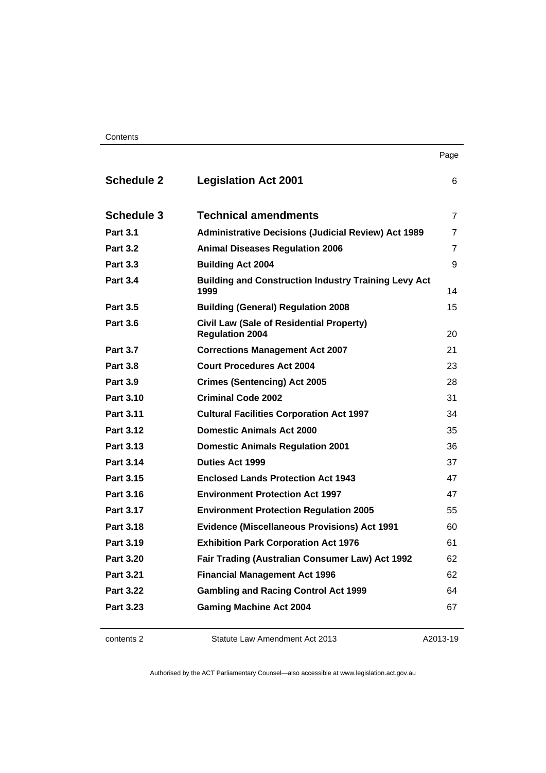| <b>Schedule 2</b> | <b>Legislation Act 2001</b>                                               | 6              |
|-------------------|---------------------------------------------------------------------------|----------------|
| <b>Schedule 3</b> | <b>Technical amendments</b>                                               | $\overline{7}$ |
| <b>Part 3.1</b>   | <b>Administrative Decisions (Judicial Review) Act 1989</b>                | 7              |
| <b>Part 3.2</b>   | <b>Animal Diseases Regulation 2006</b>                                    | 7              |
| <b>Part 3.3</b>   | <b>Building Act 2004</b>                                                  | 9              |
| <b>Part 3.4</b>   | <b>Building and Construction Industry Training Levy Act</b><br>1999       | 14             |
| <b>Part 3.5</b>   | <b>Building (General) Regulation 2008</b>                                 | 15             |
| <b>Part 3.6</b>   | <b>Civil Law (Sale of Residential Property)</b><br><b>Regulation 2004</b> | 20             |
| <b>Part 3.7</b>   | <b>Corrections Management Act 2007</b>                                    | 21             |
| <b>Part 3.8</b>   | <b>Court Procedures Act 2004</b>                                          | 23             |
| <b>Part 3.9</b>   | <b>Crimes (Sentencing) Act 2005</b>                                       | 28             |
| Part 3.10         | <b>Criminal Code 2002</b>                                                 | 31             |
| Part 3.11         | <b>Cultural Facilities Corporation Act 1997</b>                           | 34             |
| Part 3.12         | <b>Domestic Animals Act 2000</b>                                          | 35             |
| Part 3.13         | <b>Domestic Animals Regulation 2001</b>                                   | 36             |
| Part 3.14         | <b>Duties Act 1999</b>                                                    | 37             |
| <b>Part 3.15</b>  | <b>Enclosed Lands Protection Act 1943</b>                                 | 47             |
| Part 3.16         | <b>Environment Protection Act 1997</b>                                    | 47             |
| Part 3.17         | <b>Environment Protection Regulation 2005</b>                             | 55             |
| <b>Part 3.18</b>  | <b>Evidence (Miscellaneous Provisions) Act 1991</b>                       | 60             |
| Part 3.19         | <b>Exhibition Park Corporation Act 1976</b>                               | 61             |
| <b>Part 3.20</b>  | Fair Trading (Australian Consumer Law) Act 1992                           | 62             |
| <b>Part 3.21</b>  | <b>Financial Management Act 1996</b>                                      | 62             |
| <b>Part 3.22</b>  | <b>Gambling and Racing Control Act 1999</b>                               | 64             |
| Part 3.23         | <b>Gaming Machine Act 2004</b>                                            | 67             |
|                   |                                                                           |                |

| contents 2 |  |
|------------|--|
|------------|--|

A2013-19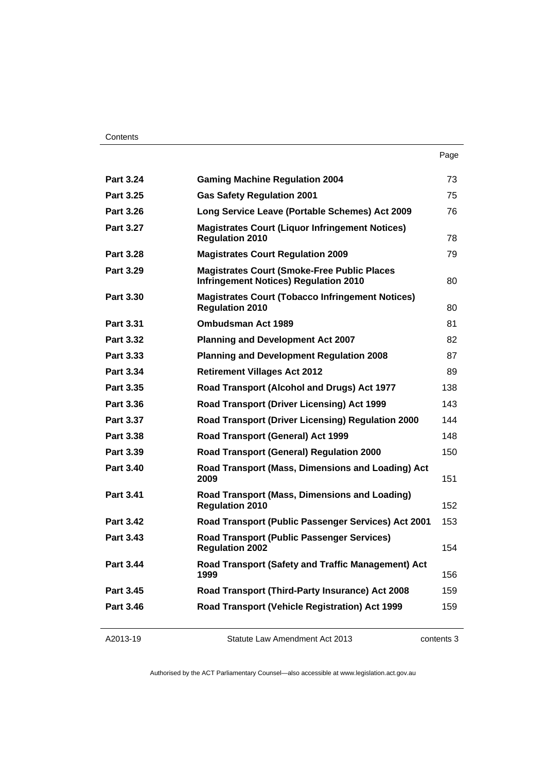| . .<br>× | ۰.<br>× |
|----------|---------|

| <b>Part 3.24</b> | <b>Gaming Machine Regulation 2004</b>                                                               | 73  |
|------------------|-----------------------------------------------------------------------------------------------------|-----|
| <b>Part 3.25</b> | <b>Gas Safety Regulation 2001</b>                                                                   | 75  |
| <b>Part 3.26</b> | Long Service Leave (Portable Schemes) Act 2009                                                      | 76  |
| <b>Part 3.27</b> | <b>Magistrates Court (Liquor Infringement Notices)</b><br><b>Regulation 2010</b>                    | 78  |
| <b>Part 3.28</b> | <b>Magistrates Court Regulation 2009</b>                                                            | 79  |
| <b>Part 3.29</b> | <b>Magistrates Court (Smoke-Free Public Places)</b><br><b>Infringement Notices) Regulation 2010</b> | 80  |
| <b>Part 3.30</b> | <b>Magistrates Court (Tobacco Infringement Notices)</b><br><b>Regulation 2010</b>                   | 80  |
| Part 3.31        | <b>Ombudsman Act 1989</b>                                                                           | 81  |
| <b>Part 3.32</b> | <b>Planning and Development Act 2007</b>                                                            | 82  |
| Part 3.33        | <b>Planning and Development Regulation 2008</b>                                                     | 87  |
| Part 3.34        | <b>Retirement Villages Act 2012</b>                                                                 | 89  |
| <b>Part 3.35</b> | Road Transport (Alcohol and Drugs) Act 1977                                                         | 138 |
| <b>Part 3.36</b> | Road Transport (Driver Licensing) Act 1999                                                          | 143 |
| Part 3.37        | Road Transport (Driver Licensing) Regulation 2000                                                   | 144 |
| Part 3.38        | Road Transport (General) Act 1999                                                                   | 148 |
| Part 3.39        | <b>Road Transport (General) Regulation 2000</b>                                                     | 150 |
| <b>Part 3.40</b> | Road Transport (Mass, Dimensions and Loading) Act<br>2009                                           | 151 |
| <b>Part 3.41</b> | Road Transport (Mass, Dimensions and Loading)<br><b>Regulation 2010</b>                             | 152 |
| <b>Part 3.42</b> | Road Transport (Public Passenger Services) Act 2001                                                 | 153 |
| <b>Part 3.43</b> | <b>Road Transport (Public Passenger Services)</b><br><b>Regulation 2002</b>                         | 154 |
| <b>Part 3.44</b> | Road Transport (Safety and Traffic Management) Act<br>1999                                          | 156 |
| <b>Part 3.45</b> | Road Transport (Third-Party Insurance) Act 2008                                                     | 159 |
| <b>Part 3.46</b> | Road Transport (Vehicle Registration) Act 1999                                                      | 159 |
|                  |                                                                                                     |     |

| A2013-19 |  |
|----------|--|
|----------|--|

contents 3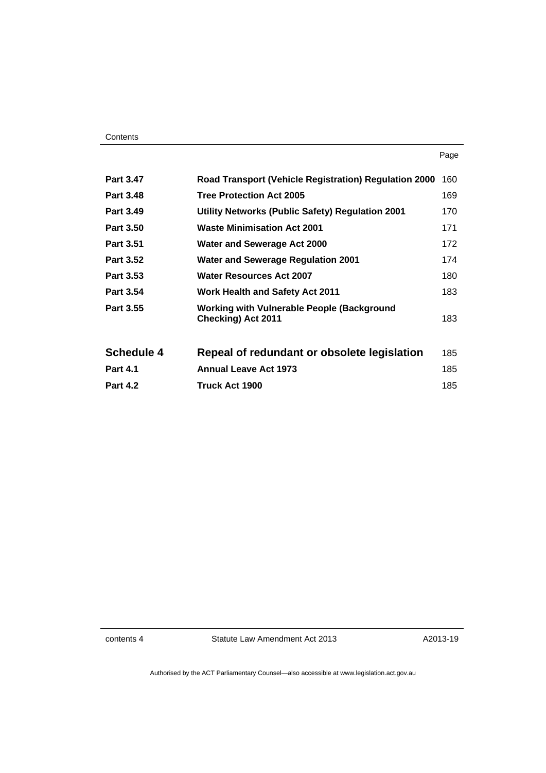| <b>Part 3.47</b>  | <b>Road Transport (Vehicle Registration) Regulation 2000</b>                   | 160 |
|-------------------|--------------------------------------------------------------------------------|-----|
| <b>Part 3.48</b>  | <b>Tree Protection Act 2005</b>                                                | 169 |
| Part 3.49         | Utility Networks (Public Safety) Regulation 2001                               | 170 |
| <b>Part 3.50</b>  | <b>Waste Minimisation Act 2001</b>                                             | 171 |
| <b>Part 3.51</b>  | <b>Water and Sewerage Act 2000</b>                                             | 172 |
| <b>Part 3.52</b>  | <b>Water and Sewerage Regulation 2001</b>                                      | 174 |
| <b>Part 3.53</b>  | <b>Water Resources Act 2007</b>                                                | 180 |
| <b>Part 3.54</b>  | <b>Work Health and Safety Act 2011</b>                                         | 183 |
| Part 3.55         | <b>Working with Vulnerable People (Background</b><br><b>Checking) Act 2011</b> | 183 |
| <b>Schedule 4</b> | Repeal of redundant or obsolete legislation                                    | 185 |
| <b>Part 4.1</b>   | <b>Annual Leave Act 1973</b>                                                   | 185 |
| <b>Part 4.2</b>   | Truck Act 1900                                                                 | 185 |

contents 4 Statute Law Amendment Act 2013

A2013-19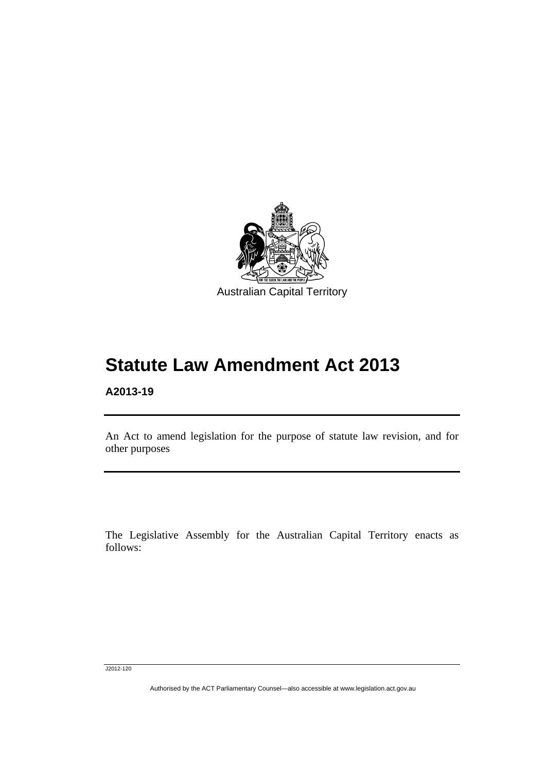

## **A2013-19**

l

An Act to amend legislation for the purpose of statute law revision, and for other purposes

The Legislative Assembly for the Australian Capital Territory enacts as follows:

J2012-120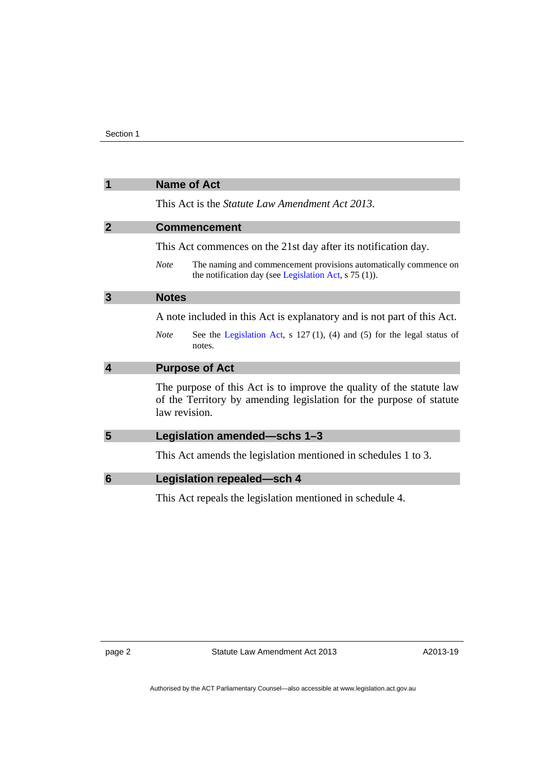<span id="page-5-3"></span><span id="page-5-2"></span><span id="page-5-1"></span><span id="page-5-0"></span>

|                 | <b>Name of Act</b>                                                                                                                                           |
|-----------------|--------------------------------------------------------------------------------------------------------------------------------------------------------------|
|                 | This Act is the <i>Statute Law Amendment Act 2013</i> .                                                                                                      |
| $\overline{2}$  | <b>Commencement</b>                                                                                                                                          |
|                 | This Act commences on the 21st day after its notification day.                                                                                               |
|                 | <b>Note</b><br>The naming and commencement provisions automatically commence on<br>the notification day (see Legislation Act, s 75 (1)).                     |
| 3               | <b>Notes</b>                                                                                                                                                 |
|                 | A note included in this Act is explanatory and is not part of this Act.                                                                                      |
|                 | See the Legislation Act, $s$ 127(1), (4) and (5) for the legal status of<br><b>Note</b><br>notes.                                                            |
| 4               | <b>Purpose of Act</b>                                                                                                                                        |
|                 | The purpose of this Act is to improve the quality of the statute law<br>of the Territory by amending legislation for the purpose of statute<br>law revision. |
| 5               | Legislation amended-schs 1-3                                                                                                                                 |
|                 | This Act amends the legislation mentioned in schedules 1 to 3.                                                                                               |
| $6\phantom{1}6$ | <b>Legislation repealed-sch 4</b>                                                                                                                            |
|                 | This Act repeals the legislation mentioned in schedule 4.                                                                                                    |

<span id="page-5-5"></span><span id="page-5-4"></span>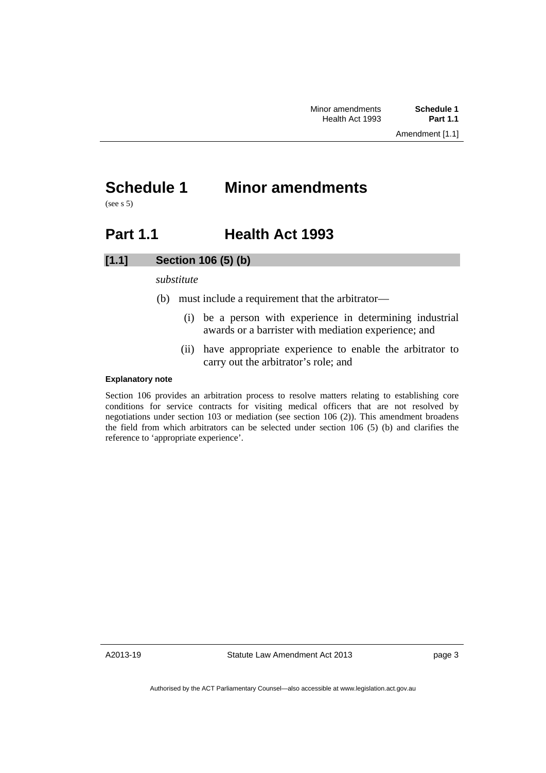## <span id="page-6-0"></span>**Schedule 1 Minor amendments**

(see s 5)

## <span id="page-6-1"></span>**Part 1.1 Health Act 1993**

## **[1.1] Section 106 (5) (b)**

## *substitute*

- (b) must include a requirement that the arbitrator—
	- (i) be a person with experience in determining industrial awards or a barrister with mediation experience; and
	- (ii) have appropriate experience to enable the arbitrator to carry out the arbitrator's role; and

### **Explanatory note**

Section 106 provides an arbitration process to resolve matters relating to establishing core conditions for service contracts for visiting medical officers that are not resolved by negotiations under section 103 or mediation (see section 106 (2)). This amendment broadens the field from which arbitrators can be selected under section 106 (5) (b) and clarifies the reference to 'appropriate experience'.

A2013-19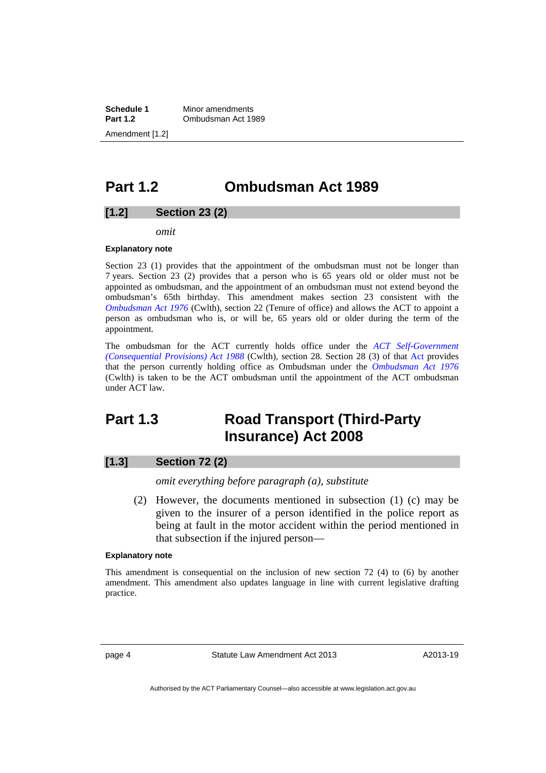**Schedule 1** Minor amendments<br>**Part 1.2 Combudsman Act 19 Part 1.2** Ombudsman Act 1989 Amendment [1.2]

## <span id="page-7-0"></span>**Part 1.2 Ombudsman Act 1989**

## **[1.2] Section 23 (2)**

*omit* 

#### **Explanatory note**

Section 23 (1) provides that the appointment of the ombudsman must not be longer than 7 years. Section 23 (2) provides that a person who is 65 years old or older must not be appointed as ombudsman, and the appointment of an ombudsman must not extend beyond the ombudsman's 65th birthday. This amendment makes section 23 consistent with the *[Ombudsman Act 1976](http://www.comlaw.gov.au/Details/C2012C00609)* (Cwlth), section 22 (Tenure of office) and allows the ACT to appoint a person as ombudsman who is, or will be, 65 years old or older during the term of the appointment.

The ombudsman for the ACT currently holds office under the *[ACT Self-Government](http://www.comlaw.gov.au/Details/C2004C00956)  [\(Consequential Provisions\) Act 1988](http://www.comlaw.gov.au/Details/C2004C00956)* (Cwlth), section 28. Section 28 (3) of that [Act](http://www.comlaw.gov.au/Details/C2004C00956) provides that the person currently holding office as Ombudsman under the *[Ombudsman Act 1976](http://www.comlaw.gov.au/Details/C2012C00609)* (Cwlth) is taken to be the ACT ombudsman until the appointment of the ACT ombudsman under ACT law.

## <span id="page-7-1"></span>**Part 1.3 Road Transport (Third-Party Insurance) Act 2008**

## **[1.3] Section 72 (2)**

*omit everything before paragraph (a), substitute* 

 (2) However, the documents mentioned in subsection (1) (c) may be given to the insurer of a person identified in the police report as being at fault in the motor accident within the period mentioned in that subsection if the injured person—

#### **Explanatory note**

This amendment is consequential on the inclusion of new section 72 (4) to (6) by another amendment. This amendment also updates language in line with current legislative drafting practice.

page 4 Statute Law Amendment Act 2013

A2013-19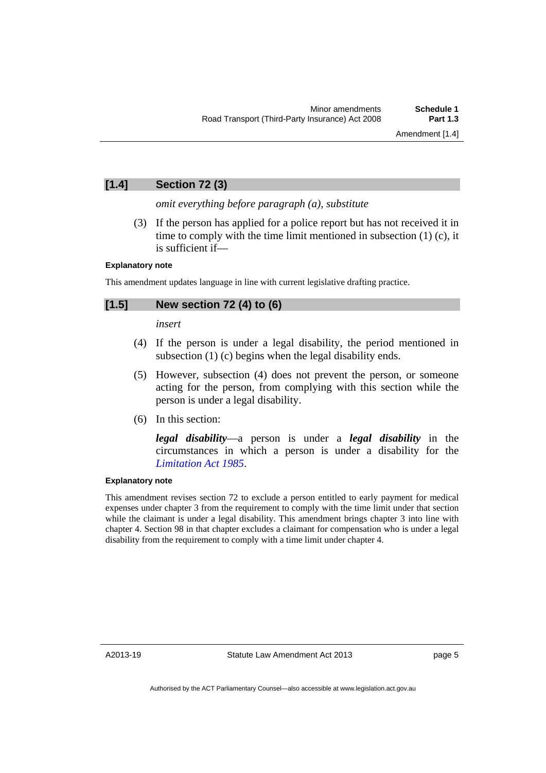## **[1.4] Section 72 (3)**

*omit everything before paragraph (a), substitute* 

 (3) If the person has applied for a police report but has not received it in time to comply with the time limit mentioned in subsection (1) (c), it is sufficient if—

### **Explanatory note**

This amendment updates language in line with current legislative drafting practice.

## **[1.5] New section 72 (4) to (6)**

*insert* 

- (4) If the person is under a legal disability, the period mentioned in subsection (1) (c) begins when the legal disability ends.
- (5) However, subsection (4) does not prevent the person, or someone acting for the person, from complying with this section while the person is under a legal disability.
- (6) In this section:

*legal disability*—a person is under a *legal disability* in the circumstances in which a person is under a disability for the *[Limitation Act 1985](http://www.legislation.act.gov.au/a/1985-66)*.

## **Explanatory note**

This amendment revises section 72 to exclude a person entitled to early payment for medical expenses under chapter 3 from the requirement to comply with the time limit under that section while the claimant is under a legal disability. This amendment brings chapter 3 into line with chapter 4. Section 98 in that chapter excludes a claimant for compensation who is under a legal disability from the requirement to comply with a time limit under chapter 4.

A2013-19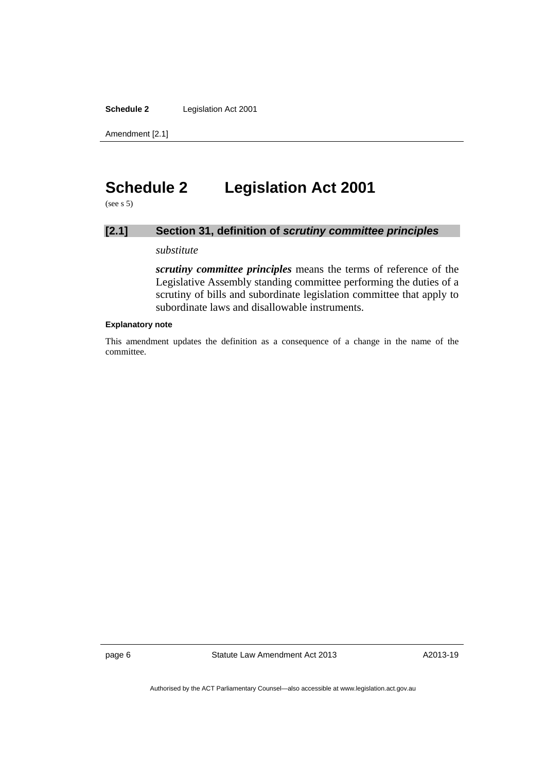**Schedule 2** Legislation Act 2001

Amendment [2.1]

## <span id="page-9-0"></span>**Schedule 2 Legislation Act 2001**

 $(see s 5)$ 

## **[2.1] Section 31, definition of** *scrutiny committee principles*

## *substitute*

*scrutiny committee principles* means the terms of reference of the Legislative Assembly standing committee performing the duties of a scrutiny of bills and subordinate legislation committee that apply to subordinate laws and disallowable instruments.

#### **Explanatory note**

This amendment updates the definition as a consequence of a change in the name of the committee.

page 6 Statute Law Amendment Act 2013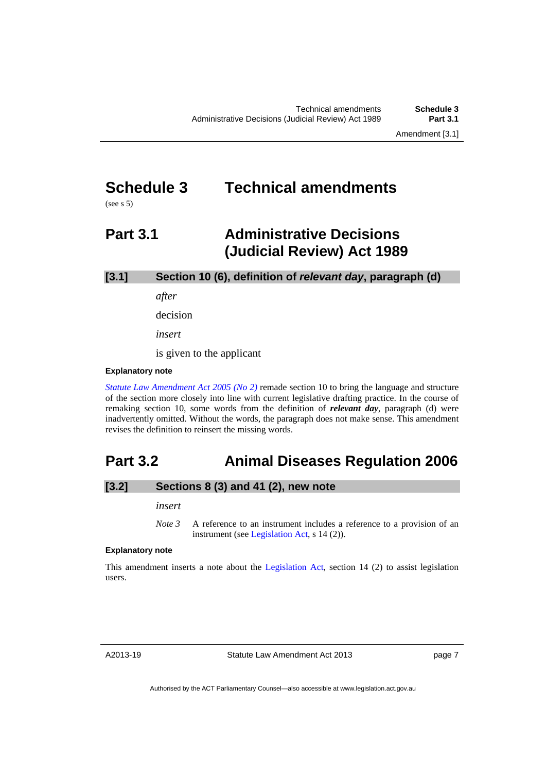## <span id="page-10-0"></span>**Schedule 3 Technical amendments**

(see s 5)

## <span id="page-10-1"></span>**Part 3.1 Administrative Decisions (Judicial Review) Act 1989**

**[3.1] Section 10 (6), definition of** *relevant day***, paragraph (d)**

*after* 

decision

*insert* 

is given to the applicant

#### **Explanatory note**

*[Statute Law Amendment Act 2005 \(No 2\)](http://www.legislation.act.gov.au/a/2005-62/default.asp)* remade section 10 to bring the language and structure of the section more closely into line with current legislative drafting practice. In the course of remaking section 10, some words from the definition of *relevant day*, paragraph (d) were inadvertently omitted. Without the words, the paragraph does not make sense. This amendment revises the definition to reinsert the missing words.

## <span id="page-10-2"></span>**Part 3.2 Animal Diseases Regulation 2006**

## **[3.2] Sections 8 (3) and 41 (2), new note**

#### *insert*

*Note 3* A reference to an instrument includes a reference to a provision of an instrument (see [Legislation Act,](http://www.legislation.act.gov.au/a/2001-14) s 14 (2)).

#### **Explanatory note**

This amendment inserts a note about the [Legislation Act,](http://www.legislation.act.gov.au/a/2001-14) section 14 (2) to assist legislation users.

A2013-19

page 7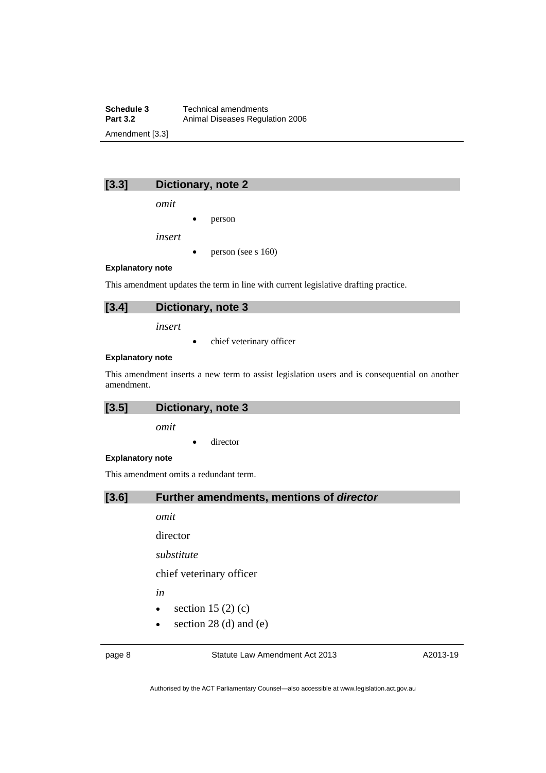**Schedule 3 Technical amendments**<br>**Part 3.2 Animal Diseases Regulary Part 3.2** Animal Diseases Regulation 2006 Amendment [3.3]

**[3.3] Dictionary, note 2** 

*omit* 

person

*insert* 

person (see s 160)

#### **Explanatory note**

This amendment updates the term in line with current legislative drafting practice.



*insert* 

• chief veterinary officer

#### **Explanatory note**

This amendment inserts a new term to assist legislation users and is consequential on another amendment.

**[3.5] Dictionary, note 3**

*omit* 

• director

#### **Explanatory note**

This amendment omits a redundant term.

## **[3.6] Further amendments, mentions of** *director*

*omit* 

director

*substitute* 

chief veterinary officer

*in* 

- $\bullet$  section 15 (2) (c)
- $\bullet$  section 28 (d) and (e)

page 8 Statute Law Amendment Act 2013

A2013-19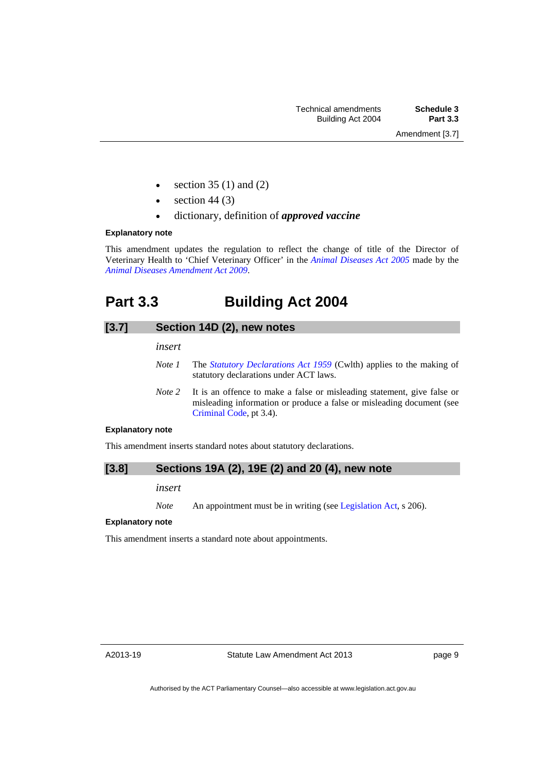- section 35 (1) and (2)
- section 44 (3)
- dictionary, definition of *approved vaccine*

#### **Explanatory note**

This amendment updates the regulation to reflect the change of title of the Director of Veterinary Health to 'Chief Veterinary Officer' in the *[Animal Diseases Act 2005](http://www.legislation.act.gov.au/a/2005-18)* made by the *[Animal Diseases Amendment Act 2009](http://www.legislation.act.gov.au/a/2009-14/default.asp)*.

## <span id="page-12-0"></span>**Part 3.3 Building Act 2004**

## **[3.7] Section 14D (2), new notes**

*insert* 

- *Note 1* The *[Statutory Declarations Act 1959](http://www.comlaw.gov.au/Series/C2004A07365)* (Cwlth) applies to the making of statutory declarations under ACT laws.
- *Note 2* It is an offence to make a false or misleading statement, give false or misleading information or produce a false or misleading document (see [Criminal Code](http://www.legislation.act.gov.au/a/2002-51), pt 3.4).

## **Explanatory note**

This amendment inserts standard notes about statutory declarations.

## **[3.8] Sections 19A (2), 19E (2) and 20 (4), new note**

*insert* 

*Note* An appointment must be in writing (see [Legislation Act](http://www.legislation.act.gov.au/a/2001-14), s 206).

### **Explanatory note**

This amendment inserts a standard note about appointments.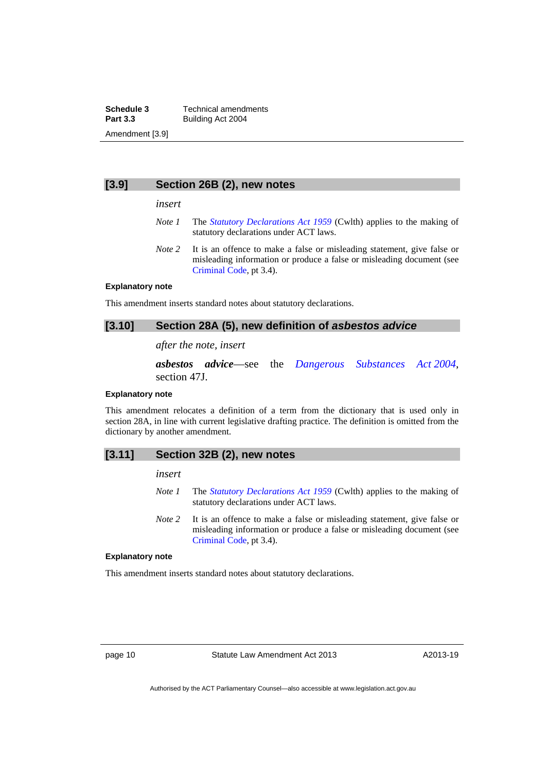**Schedule 3 Technical amendments**<br>**Part 3.3 Building Act 2004 Part 3.3** Building Act 2004 Amendment [3.9]

### **[3.9] Section 26B (2), new notes**

*insert* 

- *Note 1* The *[Statutory Declarations Act 1959](http://www.comlaw.gov.au/Series/C2004A07365)* (Cwlth) applies to the making of statutory declarations under ACT laws.
- *Note* 2 It is an offence to make a false or misleading statement, give false or misleading information or produce a false or misleading document (see [Criminal Code](http://www.legislation.act.gov.au/a/2002-51), pt 3.4).

#### **Explanatory note**

This amendment inserts standard notes about statutory declarations.

## [3.10] Section 28A (5), new definition of *asbestos advice*

### *after the note, insert*

*asbestos advice*—see the *[Dangerous Substances Act 2004](http://www.legislation.act.gov.au/a/2004-7)*, section 47J.

#### **Explanatory note**

This amendment relocates a definition of a term from the dictionary that is used only in section 28A, in line with current legislative drafting practice. The definition is omitted from the dictionary by another amendment.

#### **[3.11] Section 32B (2), new notes**

#### *insert*

- *Note 1* The *[Statutory Declarations Act 1959](http://www.comlaw.gov.au/Series/C2004A07365)* (Cwlth) applies to the making of statutory declarations under ACT laws.
- *Note 2* It is an offence to make a false or misleading statement, give false or misleading information or produce a false or misleading document (see [Criminal Code](http://www.legislation.act.gov.au/a/2002-51), pt 3.4).

#### **Explanatory note**

This amendment inserts standard notes about statutory declarations.

page 10 Statute Law Amendment Act 2013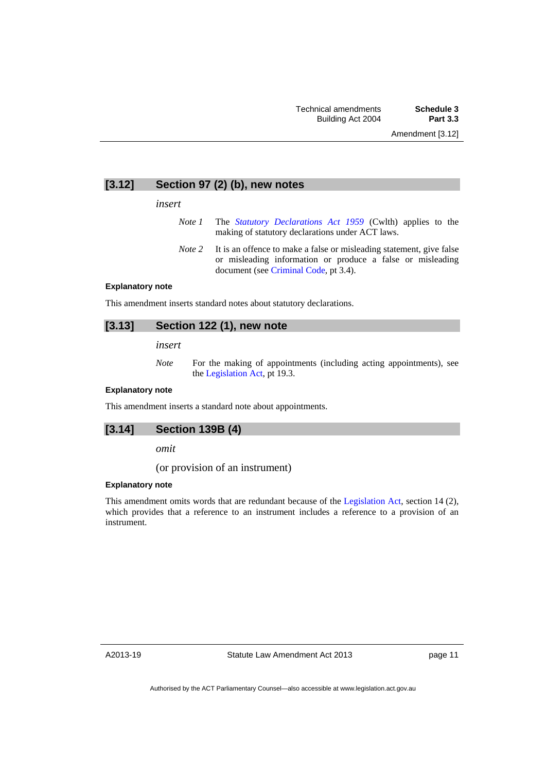## **[3.12] Section 97 (2) (b), new notes**

#### *insert*

- *Note 1* The *[Statutory Declarations Act 1959](http://www.comlaw.gov.au/Series/C2004A07365)* (Cwlth) applies to the making of statutory declarations under ACT laws.
- *Note* 2 It is an offence to make a false or misleading statement, give false or misleading information or produce a false or misleading document (see [Criminal Code,](http://www.legislation.act.gov.au/a/2002-51) pt 3.4).

#### **Explanatory note**

This amendment inserts standard notes about statutory declarations.

## **[3.13] Section 122 (1), new note**

*insert* 

*Note* For the making of appointments (including acting appointments), see the [Legislation Act,](http://www.legislation.act.gov.au/a/2001-14) pt 19.3.

#### **Explanatory note**

This amendment inserts a standard note about appointments.

### **[3.14] Section 139B (4)**

*omit* 

(or provision of an instrument)

#### **Explanatory note**

This amendment omits words that are redundant because of the [Legislation Act,](http://www.legislation.act.gov.au/a/2001-14) section 14 (2), which provides that a reference to an instrument includes a reference to a provision of an instrument.

A2013-19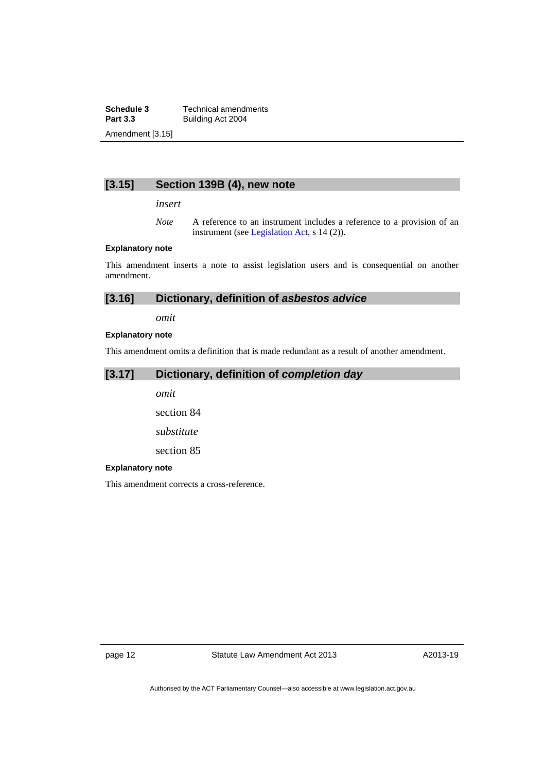**Schedule 3 Technical amendments**<br>**Part 3.3 Building Act 2004 Part 3.3** Building Act 2004 Amendment [3.15]

## **[3.15] Section 139B (4), new note**

*insert* 

*Note* A reference to an instrument includes a reference to a provision of an instrument (see [Legislation Act,](http://www.legislation.act.gov.au/a/2001-14) s 14 (2)).

### **Explanatory note**

This amendment inserts a note to assist legislation users and is consequential on another amendment.

| [3.16]<br>Dictionary, definition of asbestos advice |  |
|-----------------------------------------------------|--|
|-----------------------------------------------------|--|

*omit* 

### **Explanatory note**

This amendment omits a definition that is made redundant as a result of another amendment.

## **[3.17] Dictionary, definition of** *completion day*

*omit* 

section 84

*substitute* 

section 85

#### **Explanatory note**

This amendment corrects a cross-reference.

page 12 Statute Law Amendment Act 2013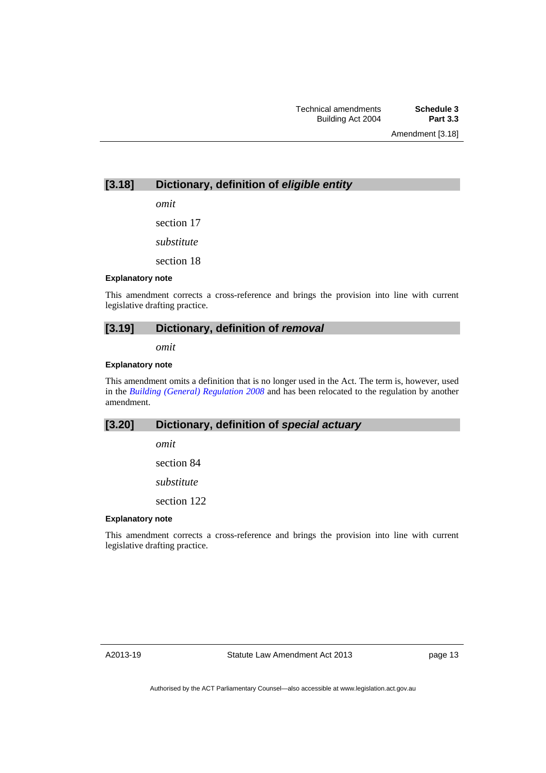Amendment [3.18]

## **[3.18] Dictionary, definition of** *eligible entity*

*omit* 

section 17

*substitute* 

section 18

#### **Explanatory note**

This amendment corrects a cross-reference and brings the provision into line with current legislative drafting practice.

## **[3.19] Dictionary, definition of** *removal*

*omit* 

#### **Explanatory note**

This amendment omits a definition that is no longer used in the Act. The term is, however, used in the *[Building \(General\) Regulation 2008](http://www.legislation.act.gov.au/sl/2008-3)* and has been relocated to the regulation by another amendment.

## **[3.20] Dictionary, definition of** *special actuary*

*omit* 

section 84

*substitute* 

section 122

#### **Explanatory note**

This amendment corrects a cross-reference and brings the provision into line with current legislative drafting practice.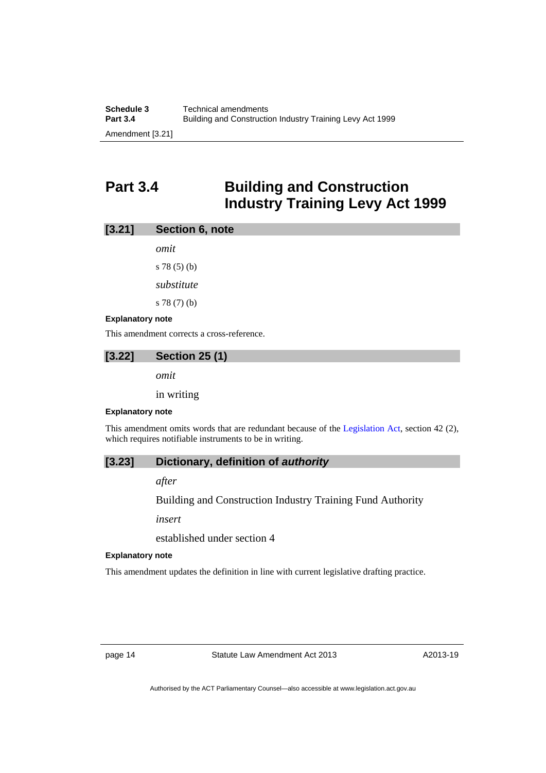## <span id="page-17-0"></span>**Part 3.4 Building and Construction Industry Training Levy Act 1999**

| [3.21] | Section 6, note |  |
|--------|-----------------|--|
|        |                 |  |

*omit*  s 78 (5) (b) *substitute*  s 78 (7) (b)

#### **Explanatory note**

This amendment corrects a cross-reference.

## **[3.22] Section 25 (1)**

*omit* 

in writing

#### **Explanatory note**

This amendment omits words that are redundant because of the [Legislation Act,](http://www.legislation.act.gov.au/a/2001-14) section 42 (2), which requires notifiable instruments to be in writing.

## **[3.23] Dictionary, definition of** *authority*

*after* 

Building and Construction Industry Training Fund Authority

*insert* 

established under section 4

#### **Explanatory note**

This amendment updates the definition in line with current legislative drafting practice.

page 14 Statute Law Amendment Act 2013

A2013-19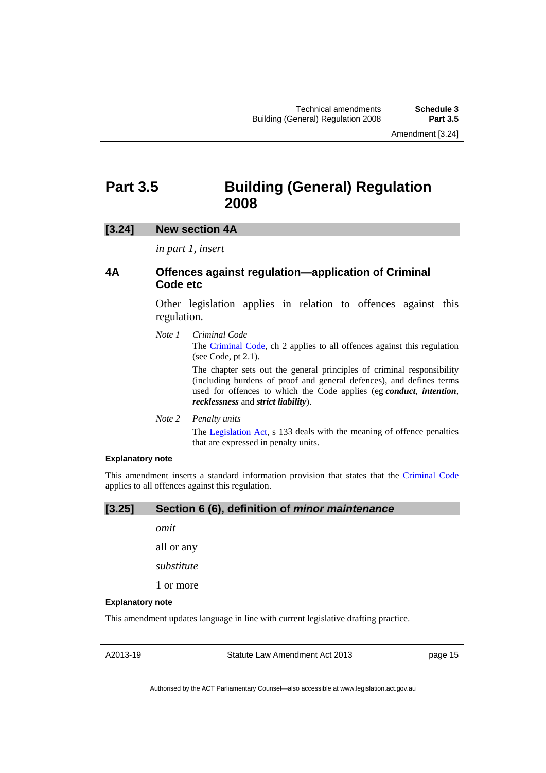## <span id="page-18-0"></span>**Part 3.5 Building (General) Regulation 2008**

## **[3.24] New section 4A**

*in part 1, insert* 

## **4A Offences against regulation—application of Criminal Code etc**

Other legislation applies in relation to offences against this regulation.

*Note 1 Criminal Code*

The [Criminal Code](http://www.legislation.act.gov.au/a/2002-51), ch 2 applies to all offences against this regulation (see Code, pt 2.1).

The chapter sets out the general principles of criminal responsibility (including burdens of proof and general defences), and defines terms used for offences to which the Code applies (eg *conduct*, *intention*, *recklessness* and *strict liability*).

*Note 2 Penalty units* 

The [Legislation Act](http://www.legislation.act.gov.au/a/2001-14), s 133 deals with the meaning of offence penalties that are expressed in penalty units.

#### **Explanatory note**

This amendment inserts a standard information provision that states that the [Criminal Code](http://www.legislation.act.gov.au/a/2002-51) applies to all offences against this regulation.

#### **[3.25] Section 6 (6), definition of** *minor maintenance*

*omit* 

all or any

*substitute* 

1 or more

#### **Explanatory note**

This amendment updates language in line with current legislative drafting practice.

A2013-19

Statute Law Amendment Act 2013

page 15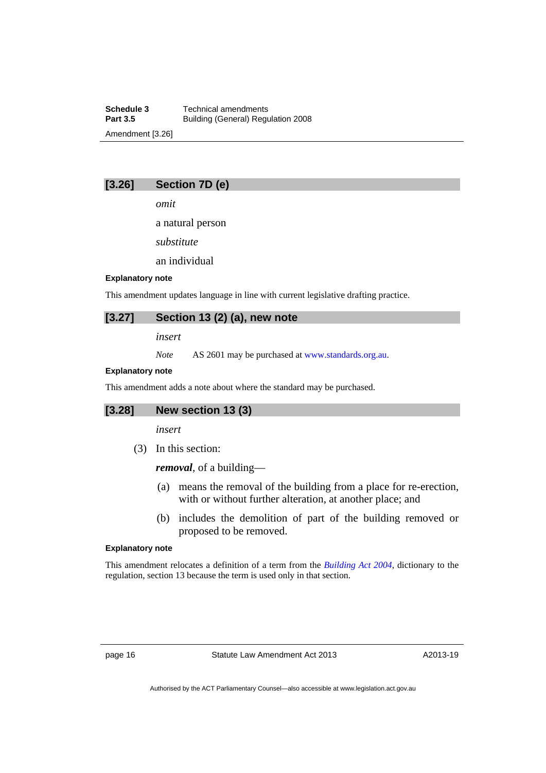**Schedule 3 Technical amendments**<br>**Part 3.5 Building (General) Regulary Part 3.5** Building (General) Regulation 2008 Amendment [3.26]

## **[3.26] Section 7D (e)**

*omit* 

a natural person

*substitute* 

an individual

### **Explanatory note**

This amendment updates language in line with current legislative drafting practice.

## **[3.27] Section 13 (2) (a), new note**

*insert* 

*Note* AS 2601 may be purchased at [www.standards.org.au.](http://www.standards.org.au/)

#### **Explanatory note**

This amendment adds a note about where the standard may be purchased.

## **[3.28] New section 13 (3)**

*insert* 

(3) In this section:

*removal*, of a building––

- (a) means the removal of the building from a place for re-erection, with or without further alteration, at another place; and
- (b) includes the demolition of part of the building removed or proposed to be removed.

#### **Explanatory note**

This amendment relocates a definition of a term from the *[Building Act 2004](http://www.legislation.act.gov.au/a/2004-11)*, dictionary to the regulation, section 13 because the term is used only in that section.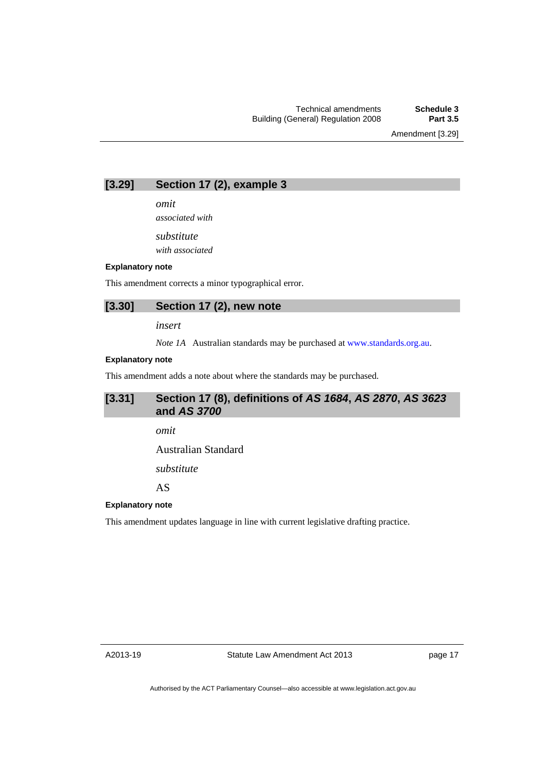Amendment [3.29]

## **[3.29] Section 17 (2), example 3**

*omit* 

*associated with* 

*substitute* 

*with associated* 

### **Explanatory note**

This amendment corrects a minor typographical error.

### **[3.30] Section 17 (2), new note**

*insert* 

*Note 1A* Australian standards may be purchased at [www.standards.org.au.](http://www.standards.org.au/)

#### **Explanatory note**

This amendment adds a note about where the standards may be purchased.

## **[3.31] Section 17 (8), definitions of** *AS 1684***,** *AS 2870***,** *AS 3623*  **and** *AS 3700*

*omit* 

Australian Standard

*substitute* 

AS

#### **Explanatory note**

This amendment updates language in line with current legislative drafting practice.

A2013-19

page 17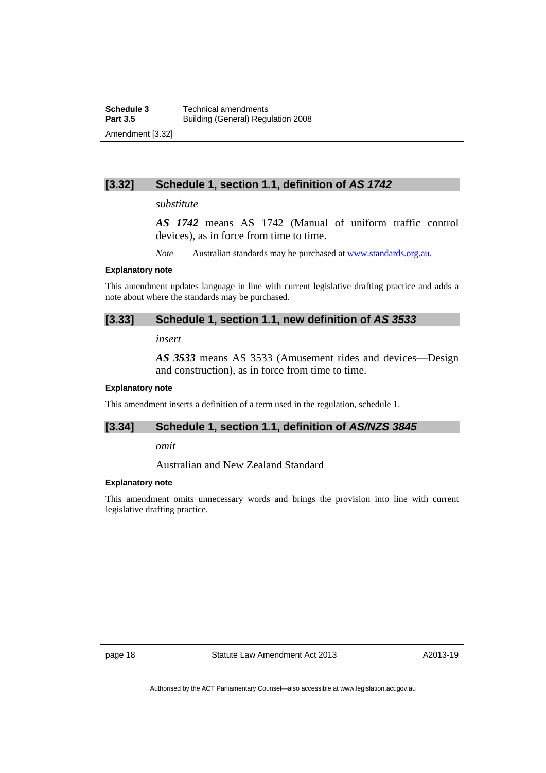## **[3.32] Schedule 1, section 1.1, definition of** *AS 1742*

#### *substitute*

*AS 1742* means AS 1742 (Manual of uniform traffic control devices), as in force from time to time.

*Note* Australian standards may be purchased at [www.standards.org.au.](http://www.standards.org.au/)

#### **Explanatory note**

This amendment updates language in line with current legislative drafting practice and adds a note about where the standards may be purchased.

## **[3.33] Schedule 1, section 1.1, new definition of** *AS 3533*

*insert* 

*AS 3533* means AS 3533 (Amusement rides and devices––Design and construction), as in force from time to time.

#### **Explanatory note**

This amendment inserts a definition of a term used in the regulation, schedule 1.

### **[3.34] Schedule 1, section 1.1, definition of** *AS/NZS 3845*

*omit* 

Australian and New Zealand Standard

#### **Explanatory note**

This amendment omits unnecessary words and brings the provision into line with current legislative drafting practice.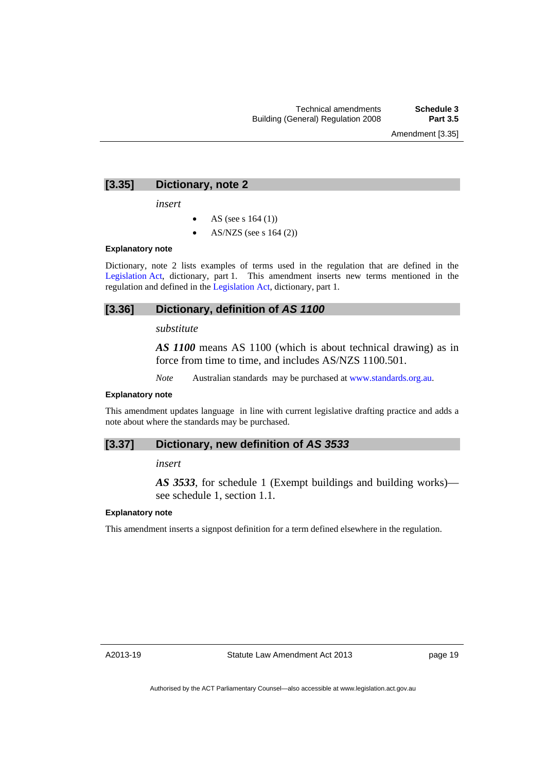### **[3.35] Dictionary, note 2**

*insert* 

- AS (see s 164 (1))
- AS/NZS (see s 164 (2))

## **Explanatory note**

Dictionary, note 2 lists examples of terms used in the regulation that are defined in the [Legislation Act,](http://www.legislation.act.gov.au/a/2001-14) dictionary, part 1. This amendment inserts new terms mentioned in the regulation and defined in the [Legislation Act](http://www.legislation.act.gov.au/a/2001-14), dictionary, part 1.

### **[3.36] Dictionary, definition of** *AS 1100*

## *substitute*

*AS 1100* means AS 1100 (which is about technical drawing) as in force from time to time, and includes AS/NZS 1100.501.

*Note* Australian standards may be purchased at [www.standards.org.au](http://www.standards.org.au/).

#### **Explanatory note**

This amendment updates language in line with current legislative drafting practice and adds a note about where the standards may be purchased.

#### **[3.37] Dictionary, new definition of** *AS 3533*

*insert* 

*AS 3533*, for schedule 1 (Exempt buildings and building works) see schedule 1, section 1.1.

#### **Explanatory note**

This amendment inserts a signpost definition for a term defined elsewhere in the regulation.

A2013-19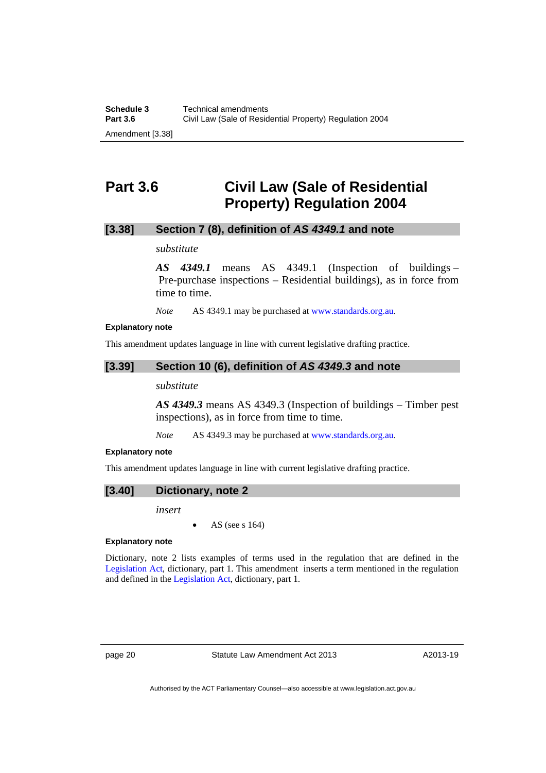## <span id="page-23-0"></span>**Part 3.6 Civil Law (Sale of Residential Property) Regulation 2004**

## **[3.38] Section 7 (8), definition of** *AS 4349.1* **and note**

### *substitute*

*AS 4349.1* means AS 4349.1 (Inspection of buildings – Pre-purchase inspections – Residential buildings), as in force from time to time.

*Note* AS 4349.1 may be purchased at [www.standards.org.au](http://www.standards.org.au/).

#### **Explanatory note**

This amendment updates language in line with current legislative drafting practice.

## **[3.39] Section 10 (6), definition of** *AS 4349.3* **and note**

#### *substitute*

*AS 4349.3* means AS 4349.3 (Inspection of buildings – Timber pest inspections), as in force from time to time.

*Note* AS 4349.3 may be purchased at [www.standards.org.au](http://www.standards.org.au/).

#### **Explanatory note**

This amendment updates language in line with current legislative drafting practice.

**[3.40] Dictionary, note 2** 

*insert* 

AS (see s 164)

## **Explanatory note**

Dictionary, note 2 lists examples of terms used in the regulation that are defined in the [Legislation Act](http://www.legislation.act.gov.au/a/2001-14), dictionary, part 1. This amendment inserts a term mentioned in the regulation and defined in the [Legislation Act](http://www.legislation.act.gov.au/a/2001-14), dictionary, part 1.

page 20 Statute Law Amendment Act 2013

A2013-19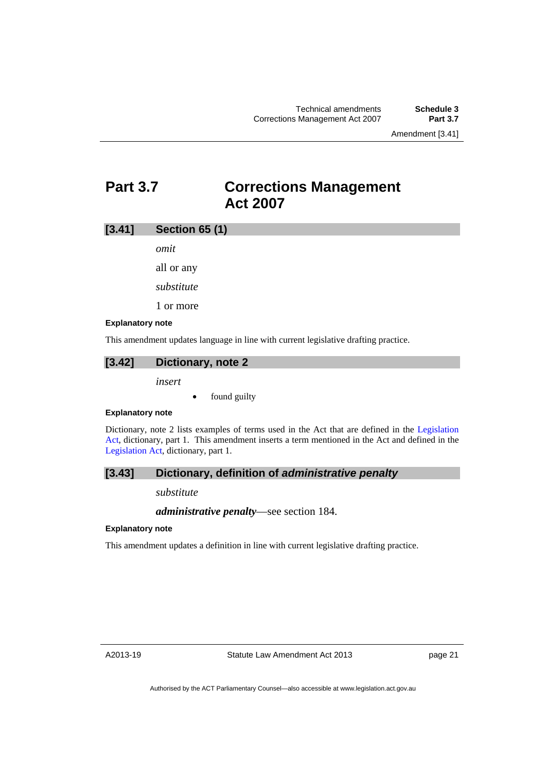## <span id="page-24-0"></span>**Part 3.7 Corrections Management Act 2007**

## **[3.41] Section 65 (1)**

*omit* 

all or any

*substitute* 

1 or more

#### **Explanatory note**

This amendment updates language in line with current legislative drafting practice.

## **[3.42] Dictionary, note 2**

*insert* 

found guilty

#### **Explanatory note**

Dictionary, note 2 lists examples of terms used in the Act that are defined in the [Legislation](http://www.legislation.act.gov.au/a/2001-14)  [Act,](http://www.legislation.act.gov.au/a/2001-14) dictionary, part 1. This amendment inserts a term mentioned in the Act and defined in the [Legislation Act,](http://www.legislation.act.gov.au/a/2001-14) dictionary, part 1.

## **[3.43] Dictionary, definition of** *administrative penalty*

#### *substitute*

*administrative penalty*—see section 184.

#### **Explanatory note**

This amendment updates a definition in line with current legislative drafting practice.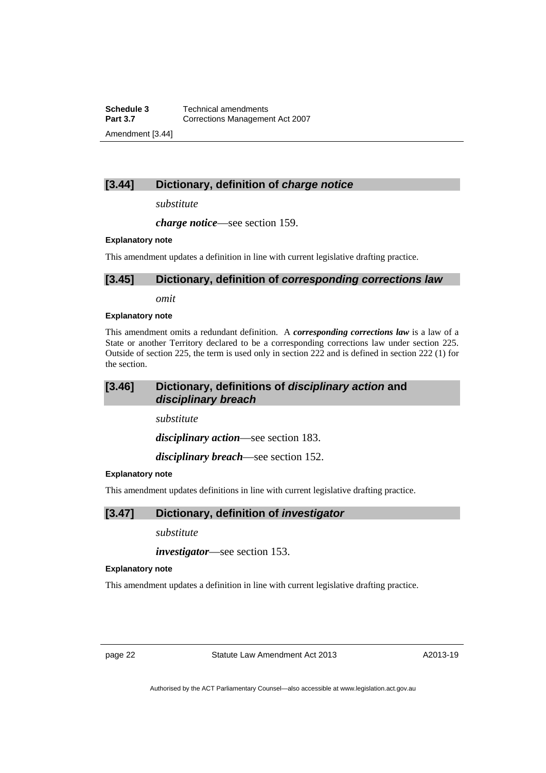**Schedule 3 Technical amendments**<br>**Part 3.7 Corrections Manageme Part 3.7** Corrections Management Act 2007 Amendment [3.44]

## **[3.44] Dictionary, definition of** *charge notice*

*substitute* 

*charge notice*—see section 159.

#### **Explanatory note**

This amendment updates a definition in line with current legislative drafting practice.

### **[3.45] Dictionary, definition of** *corresponding corrections law*

*omit* 

#### **Explanatory note**

This amendment omits a redundant definition. A *corresponding corrections law* is a law of a State or another Territory declared to be a corresponding corrections law under section 225. Outside of section 225, the term is used only in section 222 and is defined in section 222 (1) for the section.

## **[3.46] Dictionary, definitions of** *disciplinary action* **and**  *disciplinary breach*

*substitute* 

*disciplinary action*—see section 183.

*disciplinary breach*—see section 152.

#### **Explanatory note**

This amendment updates definitions in line with current legislative drafting practice.

## **[3.47] Dictionary, definition of** *investigator*

*substitute* 

*investigator*—see section 153.

#### **Explanatory note**

This amendment updates a definition in line with current legislative drafting practice.

page 22 Statute Law Amendment Act 2013

A2013-19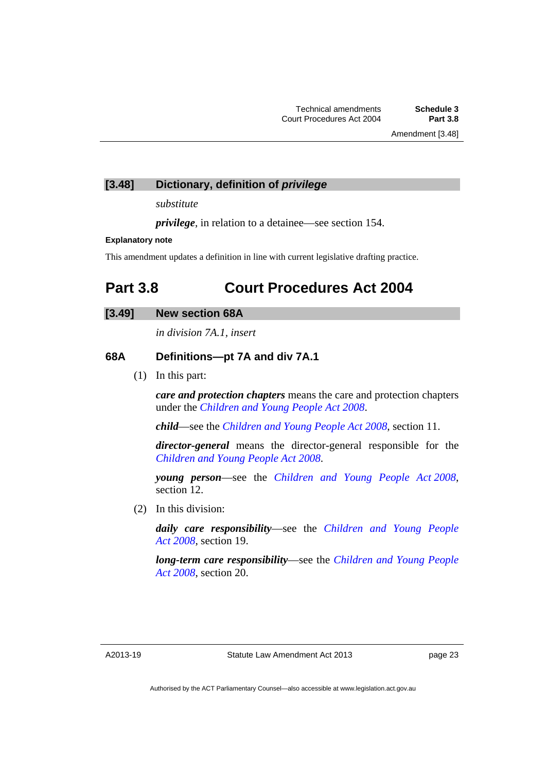## **[3.48] Dictionary, definition of** *privilege*

*substitute* 

*privilege*, in relation to a detainee—see section 154.

### **Explanatory note**

This amendment updates a definition in line with current legislative drafting practice.

## <span id="page-26-0"></span>**Part 3.8 Court Procedures Act 2004**

## **[3.49] New section 68A**

*in division 7A.1, insert* 

## **68A Definitions—pt 7A and div 7A.1**

(1) In this part:

*care and protection chapters* means the care and protection chapters under the *[Children and Young People Act 2008](http://www.legislation.act.gov.au/a/2008-19)*.

*child*—see the *[Children and Young People Act 2008](http://www.legislation.act.gov.au/a/2008-19)*, section 11.

*director-general* means the director-general responsible for the *[Children and Young People Act 2008](http://www.legislation.act.gov.au/a/2008-19)*.

*young person*—see the *[Children and Young People Act 2008](http://www.legislation.act.gov.au/a/2008-19)*, section 12.

(2) In this division:

*daily care responsibility*—see the *[Children and Young People](http://www.legislation.act.gov.au/a/2008-19)  [Act 2008](http://www.legislation.act.gov.au/a/2008-19)*, section 19.

*long-term care responsibility*—see the *[Children and Young People](http://www.legislation.act.gov.au/a/2008-19)  [Act 2008](http://www.legislation.act.gov.au/a/2008-19)*, section 20.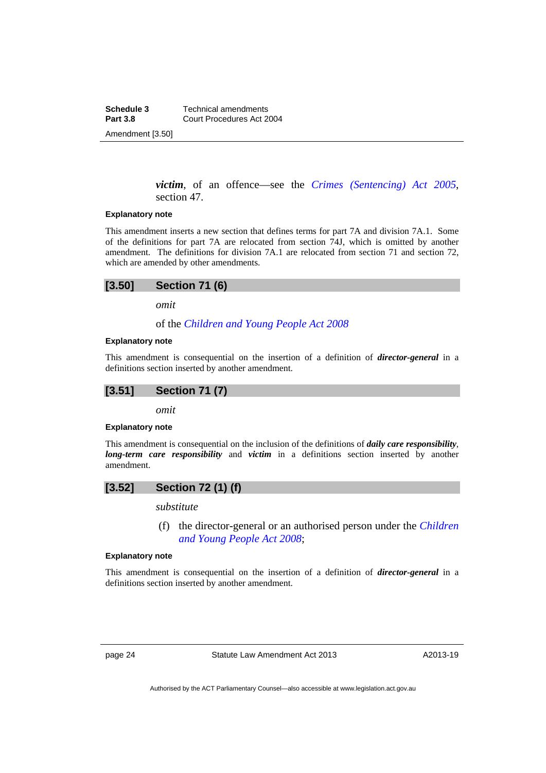**Schedule 3 Technical amendments**<br>**Part 3.8 Court Procedures Act 2 Part 3.8** Court Procedures Act 2004 Amendment [3.50]

> *victim*, of an offence—see the *[Crimes \(Sentencing\) Act 2005](http://www.legislation.act.gov.au/a/2005-58)*, section 47.

#### **Explanatory note**

This amendment inserts a new section that defines terms for part 7A and division 7A.1. Some of the definitions for part 7A are relocated from section 74J, which is omitted by another amendment. The definitions for division 7A.1 are relocated from section 71 and section 72, which are amended by other amendments.

## **[3.50] Section 71 (6)**

*omit* 

of the *[Children and Young People Act 2008](http://www.legislation.act.gov.au/a/2008-19)*

#### **Explanatory note**

This amendment is consequential on the insertion of a definition of *director-general* in a definitions section inserted by another amendment.



*omit* 

#### **Explanatory note**

This amendment is consequential on the inclusion of the definitions of *daily care responsibility*, *long-term care responsibility* and *victim* in a definitions section inserted by another amendment.

## **[3.52] Section 72 (1) (f)**

*substitute* 

 (f) the director-general or an authorised person under the *[Children](http://www.legislation.act.gov.au/a/2008-19)  [and Young People Act 2008](http://www.legislation.act.gov.au/a/2008-19)*;

#### **Explanatory note**

This amendment is consequential on the insertion of a definition of *director-general* in a definitions section inserted by another amendment.

page 24 Statute Law Amendment Act 2013

A2013-19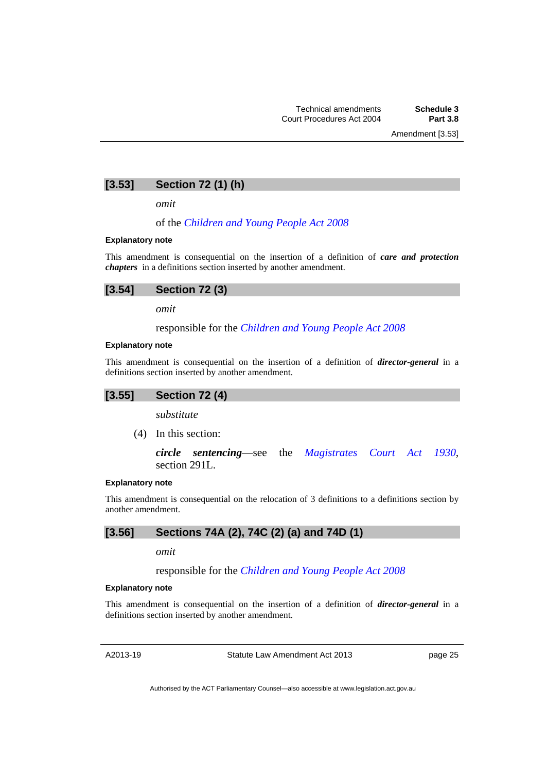Amendment [3.53]

## **[3.53] Section 72 (1) (h)**

*omit* 

#### of the *[Children and Young People Act 2008](http://www.legislation.act.gov.au/a/2008-19)*

#### **Explanatory note**

This amendment is consequential on the insertion of a definition of *care and protection chapters* in a definitions section inserted by another amendment.

| [3.54]<br><b>Section 72 (3)</b> |  |
|---------------------------------|--|
|---------------------------------|--|

*omit* 

responsible for the *[Children and Young People Act 2008](http://www.legislation.act.gov.au/a/2008-19)*

#### **Explanatory note**

This amendment is consequential on the insertion of a definition of *director-general* in a definitions section inserted by another amendment.

#### **[3.55] Section 72 (4)**

*substitute* 

(4) In this section:

*circle sentencing*—see the *[Magistrates Court Act 1930](http://www.legislation.act.gov.au/a/1930-21)*, section 291L.

#### **Explanatory note**

This amendment is consequential on the relocation of 3 definitions to a definitions section by another amendment.

## **[3.56] Sections 74A (2), 74C (2) (a) and 74D (1)**

*omit* 

responsible for the *[Children and Young People Act 2008](http://www.legislation.act.gov.au/a/2008-19)*

#### **Explanatory note**

This amendment is consequential on the insertion of a definition of *director-general* in a definitions section inserted by another amendment.

A2013-19

Statute Law Amendment Act 2013

page 25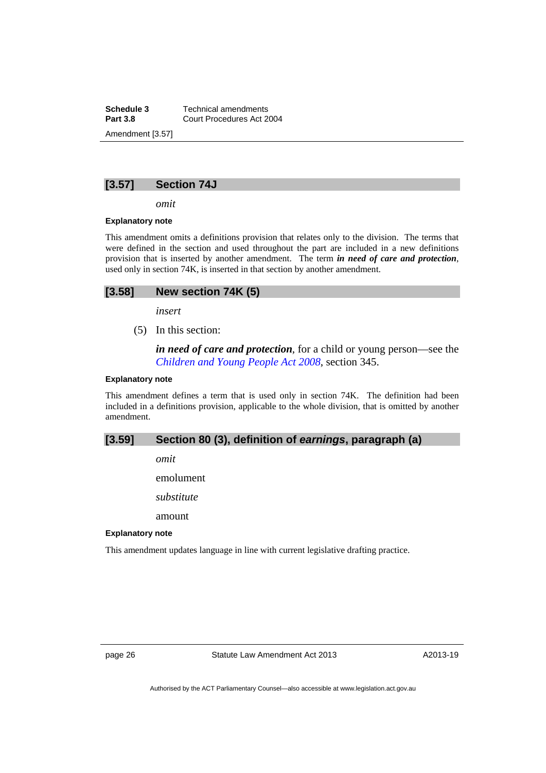**Schedule 3 Technical amendments**<br>**Part 3.8 Court Procedures Act 2 Part 3.8** Court Procedures Act 2004 Amendment [3.57]

## **[3.57] Section 74J**

*omit* 

#### **Explanatory note**

This amendment omits a definitions provision that relates only to the division. The terms that were defined in the section and used throughout the part are included in a new definitions provision that is inserted by another amendment. The term *in need of care and protection*, used only in section 74K, is inserted in that section by another amendment.

| [3.58]<br>New section 74K (5) |  |
|-------------------------------|--|
|-------------------------------|--|

*insert* 

(5) In this section:

*in need of care and protection*, for a child or young person—see the *[Children and Young People Act 2008](http://www.legislation.act.gov.au/a/2008-19)*, section 345.

#### **Explanatory note**

This amendment defines a term that is used only in section 74K. The definition had been included in a definitions provision, applicable to the whole division, that is omitted by another amendment.

## **[3.59] Section 80 (3), definition of** *earnings***, paragraph (a)**

*omit* 

emolument

*substitute* 

amount

#### **Explanatory note**

This amendment updates language in line with current legislative drafting practice.

page 26 Statute Law Amendment Act 2013

A2013-19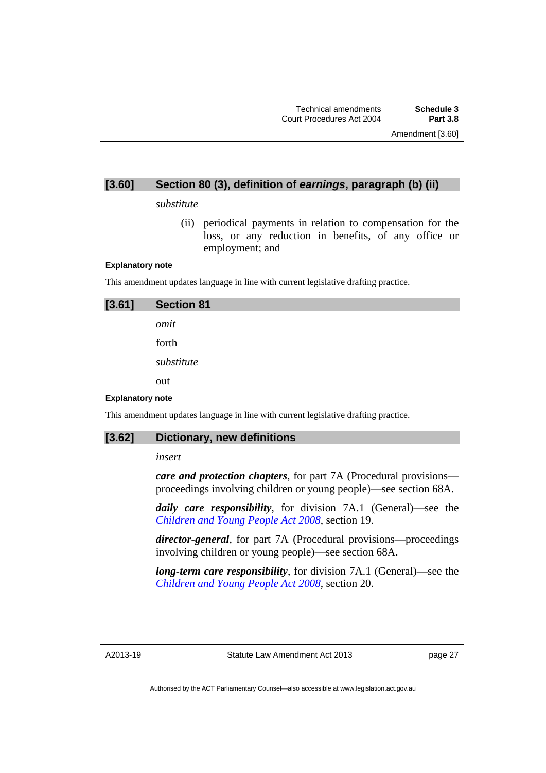## **[3.60] Section 80 (3), definition of** *earnings***, paragraph (b) (ii)**

#### *substitute*

(ii) periodical payments in relation to compensation for the loss, or any reduction in benefits, of any office or employment; and

#### **Explanatory note**

This amendment updates language in line with current legislative drafting practice.

| [3.61]                  | <b>Section 81</b> |
|-------------------------|-------------------|
|                         | omit              |
|                         | forth             |
|                         | substitute        |
|                         | out               |
| <b>Explanatory note</b> |                   |

This amendment updates language in line with current legislative drafting practice.

## **[3.62] Dictionary, new definitions**

#### *insert*

*care and protection chapters*, for part 7A (Procedural provisions proceedings involving children or young people)—see section 68A.

*daily care responsibility*, for division 7A.1 (General)—see the *[Children and Young People Act 2008](http://www.legislation.act.gov.au/a/2008-19)*, section 19.

*director-general*, for part 7A (Procedural provisions—proceedings involving children or young people)—see section 68A.

*long-term care responsibility*, for division 7A.1 (General)—see the *[Children and Young People Act 2008](http://www.legislation.act.gov.au/a/2008-19)*, section 20.

A2013-19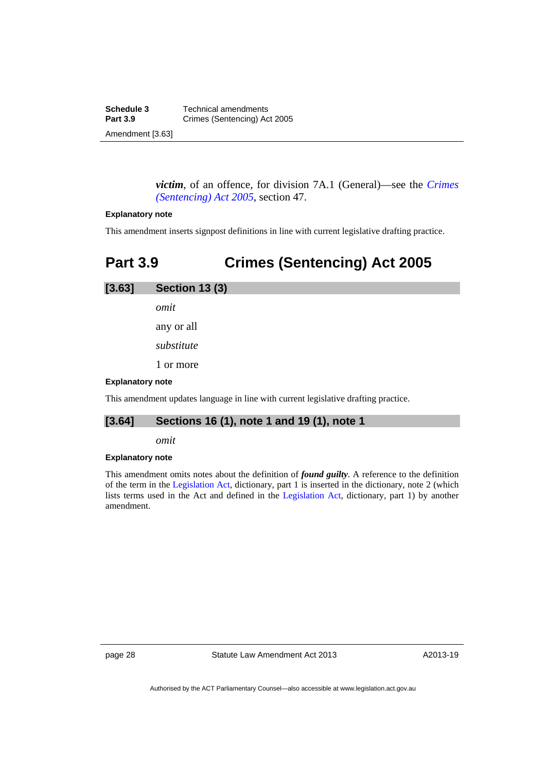**Schedule 3 Technical amendments**<br>**Part 3.9 Crimes (Sentencing)** Ac **Crimes (Sentencing) Act 2005** Amendment [3.63]

> *victim*, of an offence, for division 7A.1 (General)—see the *[Crimes](http://www.legislation.act.gov.au/a/2005-58)  [\(Sentencing\) Act 2005](http://www.legislation.act.gov.au/a/2005-58)*, section 47.

#### **Explanatory note**

This amendment inserts signpost definitions in line with current legislative drafting practice.

## <span id="page-31-0"></span>**Part 3.9 Crimes (Sentencing) Act 2005**

| [3.63] | <b>Section 13 (3)</b> |
|--------|-----------------------|
|        | omit                  |
|        | any or all            |
|        | substitute            |

1 or more

#### **Explanatory note**

This amendment updates language in line with current legislative drafting practice.

## **[3.64] Sections 16 (1), note 1 and 19 (1), note 1**

*omit* 

#### **Explanatory note**

This amendment omits notes about the definition of *found guilty*. A reference to the definition of the term in the [Legislation Act,](http://www.legislation.act.gov.au/a/2001-14) dictionary, part 1 is inserted in the dictionary, note 2 (which lists terms used in the Act and defined in the [Legislation Act,](http://www.legislation.act.gov.au/a/2001-14) dictionary, part 1) by another amendment.

page 28 Statute Law Amendment Act 2013

A2013-19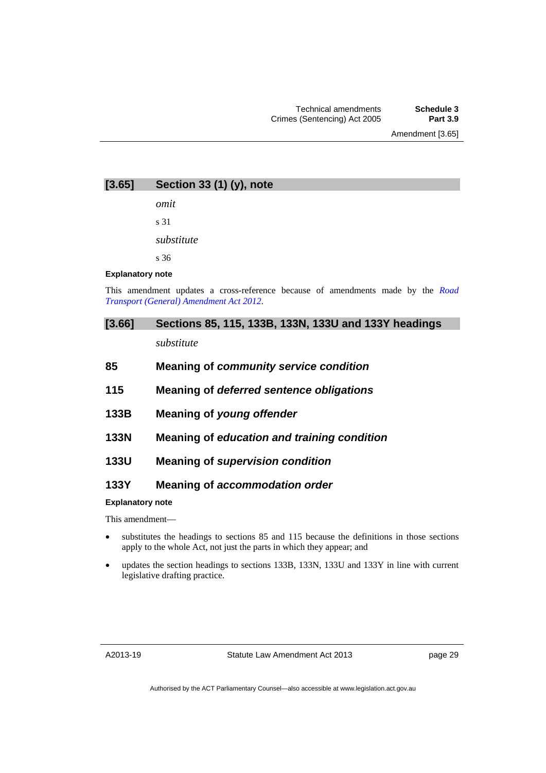**[3.65] Section 33 (1) (y), note** 

*omit* 

s 31

*substitute* 

s 36

#### **Explanatory note**

This amendment updates a cross-reference because of amendments made by the *[Road](http://www.legislation.act.gov.au/a/2012-7/default.asp)  [Transport \(General\) Amendment Act 2012](http://www.legislation.act.gov.au/a/2012-7/default.asp)*.

## **[3.66] Sections 85, 115, 133B, 133N, 133U and 133Y headings**

*substitute* 

| 85 | Meaning of community service condition |  |
|----|----------------------------------------|--|
|----|----------------------------------------|--|

- **115 Meaning of** *deferred sentence obligations*
- **133B Meaning of** *young offender*
- **133N Meaning of** *education and training condition*
- **133U Meaning of** *supervision condition*

## **133Y Meaning of** *accommodation order*

#### **Explanatory note**

This amendment—

- substitutes the headings to sections 85 and 115 because the definitions in those sections apply to the whole Act, not just the parts in which they appear; and
- updates the section headings to sections 133B, 133N, 133U and 133Y in line with current legislative drafting practice.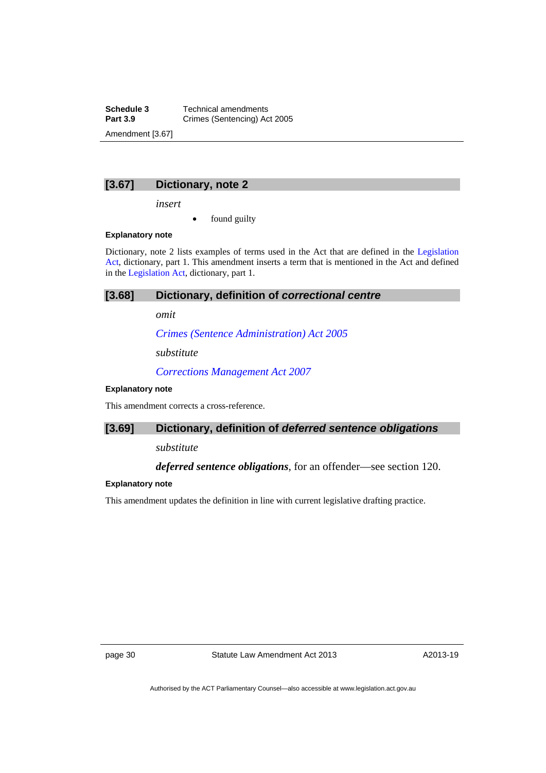**Schedule 3 Technical amendments**<br>**Part 3.9 Crimes (Sentencing)** Ac **Crimes (Sentencing) Act 2005** Amendment [3.67]

## **[3.67] Dictionary, note 2**

*insert* 

found guilty

#### **Explanatory note**

Dictionary, note 2 lists examples of terms used in the Act that are defined in the [Legislation](http://www.legislation.act.gov.au/a/2001-14)  [Act,](http://www.legislation.act.gov.au/a/2001-14) dictionary, part 1. This amendment inserts a term that is mentioned in the Act and defined in the [Legislation Act](http://www.legislation.act.gov.au/a/2001-14), dictionary, part 1.

## **[3.68] Dictionary, definition of** *correctional centre*

*omit* 

*[Crimes \(Sentence Administration\) Act 2005](http://www.legislation.act.gov.au/a/2005-59)*

*substitute*

*[Corrections Management Act 2007](http://www.legislation.act.gov.au/a/2007-15)*

#### **Explanatory note**

This amendment corrects a cross-reference.

## **[3.69] Dictionary, definition of** *deferred sentence obligations*

*substitute* 

## *deferred sentence obligations*, for an offender—see section 120.

#### **Explanatory note**

This amendment updates the definition in line with current legislative drafting practice.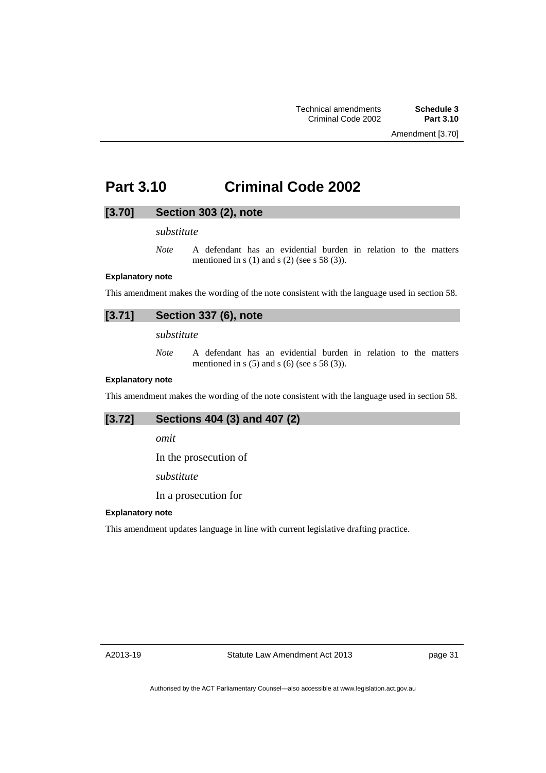## <span id="page-34-0"></span>**Part 3.10 Criminal Code 2002**

## **[3.70] Section 303 (2), note**

## *substitute*

*Note* A defendant has an evidential burden in relation to the matters mentioned in s  $(1)$  and s  $(2)$  (see s 58  $(3)$ ).

## **Explanatory note**

This amendment makes the wording of the note consistent with the language used in section 58.

## **[3.71] Section 337 (6), note**

*substitute* 

*Note* A defendant has an evidential burden in relation to the matters mentioned in s  $(5)$  and s  $(6)$  (see s 58  $(3)$ ).

#### **Explanatory note**

This amendment makes the wording of the note consistent with the language used in section 58.

| [3.72]<br>Sections 404 (3) and 407 (2) |
|----------------------------------------|
|----------------------------------------|

*omit* 

In the prosecution of

*substitute* 

In a prosecution for

#### **Explanatory note**

This amendment updates language in line with current legislative drafting practice.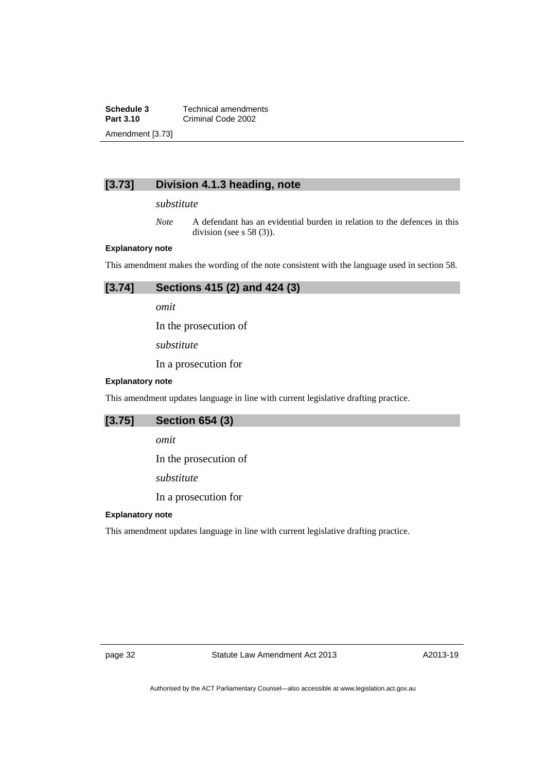**Schedule 3 Technical amendments**<br>**Part 3.10 Criminal Code 2002 Part 3.10** Criminal Code 2002 Amendment [3.73]

## **[3.73] Division 4.1.3 heading, note**

*substitute* 

*Note* A defendant has an evidential burden in relation to the defences in this division (see s 58 (3)).

#### **Explanatory note**

This amendment makes the wording of the note consistent with the language used in section 58.

| Sections 415 (2) and 424 (3)<br>[3.74] |
|----------------------------------------|
|----------------------------------------|

*omit* 

In the prosecution of

*substitute* 

In a prosecution for

#### **Explanatory note**

This amendment updates language in line with current legislative drafting practice.

## **[3.75] Section 654 (3)**

*omit* 

In the prosecution of

*substitute* 

In a prosecution for

### **Explanatory note**

This amendment updates language in line with current legislative drafting practice.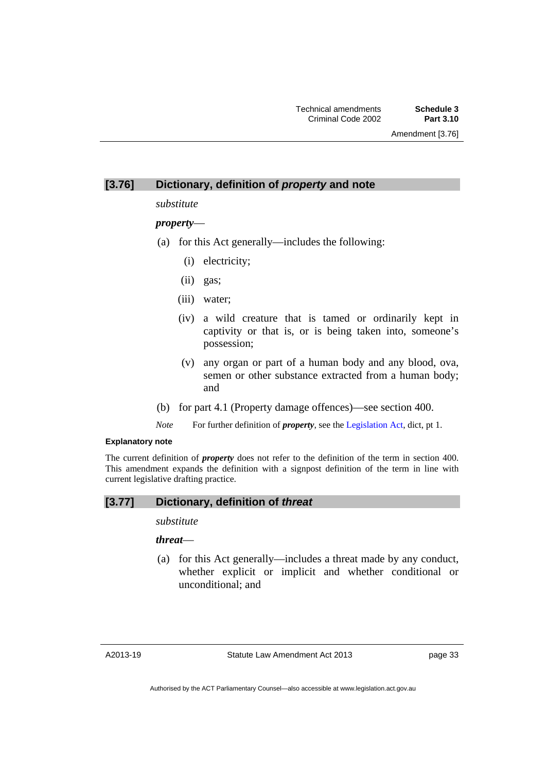# **[3.76] Dictionary, definition of** *property* **and note**

*substitute* 

# *property*—

- (a) for this Act generally—includes the following:
	- (i) electricity;
	- (ii) gas;
	- (iii) water;
	- (iv) a wild creature that is tamed or ordinarily kept in captivity or that is, or is being taken into, someone's possession;
	- (v) any organ or part of a human body and any blood, ova, semen or other substance extracted from a human body; and
- (b) for part 4.1 (Property damage offences)—see section 400.
- *Note* For further definition of *property*, see the [Legislation Act,](http://www.legislation.act.gov.au/a/2001-14) dict, pt 1.

### **Explanatory note**

The current definition of *property* does not refer to the definition of the term in section 400. This amendment expands the definition with a signpost definition of the term in line with current legislative drafting practice.

# **[3.77] Dictionary, definition of** *threat*

# *substitute*

# *threat*—

 (a) for this Act generally—includes a threat made by any conduct, whether explicit or implicit and whether conditional or unconditional; and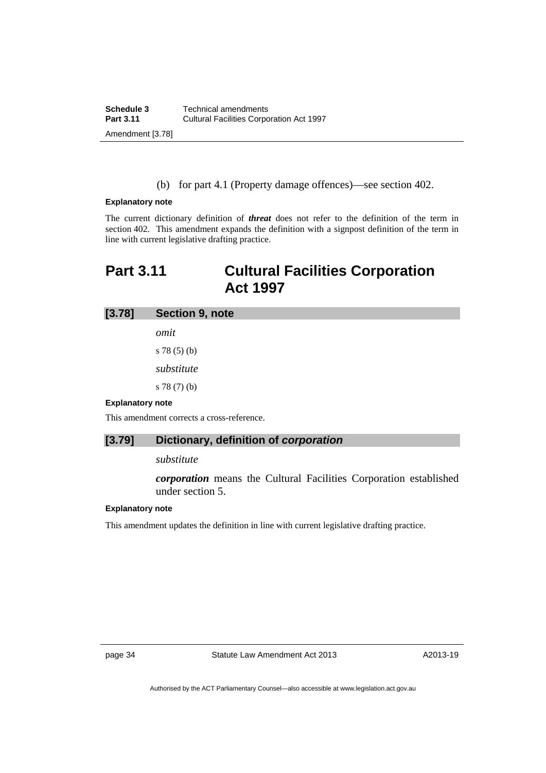(b) for part 4.1 (Property damage offences)—see section 402.

### **Explanatory note**

The current dictionary definition of *threat* does not refer to the definition of the term in section 402. This amendment expands the definition with a signpost definition of the term in line with current legislative drafting practice.

# **Part 3.11 Cultural Facilities Corporation Act 1997**

# **[3.78] Section 9, note**

*omit* 

s 78 (5) (b) *substitute* 

s 78 (7) (b)

### **Explanatory note**

This amendment corrects a cross-reference.

# **[3.79] Dictionary, definition of** *corporation*

### *substitute*

*corporation* means the Cultural Facilities Corporation established under section 5.

### **Explanatory note**

This amendment updates the definition in line with current legislative drafting practice.

page 34 Statute Law Amendment Act 2013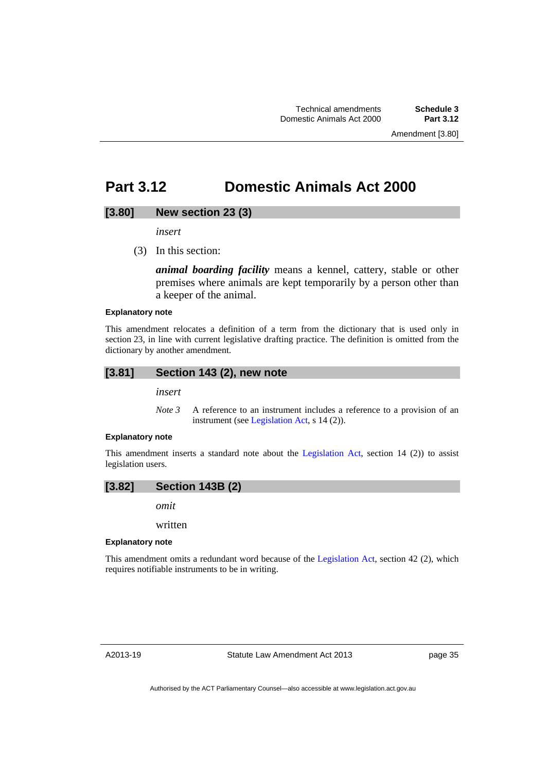# **Part 3.12 Domestic Animals Act 2000**

## **[3.80] New section 23 (3)**

*insert* 

(3) In this section:

*animal boarding facility* means a kennel, cattery, stable or other premises where animals are kept temporarily by a person other than a keeper of the animal.

### **Explanatory note**

This amendment relocates a definition of a term from the dictionary that is used only in section 23, in line with current legislative drafting practice. The definition is omitted from the dictionary by another amendment.

### **[3.81] Section 143 (2), new note**

*insert* 

*Note 3* A reference to an instrument includes a reference to a provision of an instrument (see [Legislation Act,](http://www.legislation.act.gov.au/a/2001-14) s 14 (2)).

### **Explanatory note**

This amendment inserts a standard note about the [Legislation Act,](http://www.legislation.act.gov.au/a/2001-14) section 14 (2)) to assist legislation users.



*omit* 

written

### **Explanatory note**

This amendment omits a redundant word because of the [Legislation Act,](http://www.legislation.act.gov.au/a/2001-14) section 42 (2), which requires notifiable instruments to be in writing.

page 35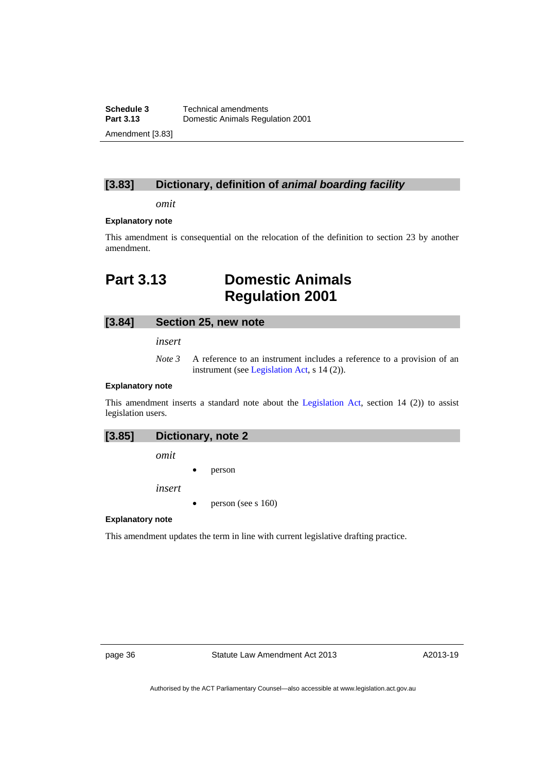**Schedule 3 Technical amendments**<br>**Part 3.13 Domestic Animals Regulary Part 3.13** Domestic Animals Regulation 2001 Amendment [3.83]

# **[3.83] Dictionary, definition of** *animal boarding facility*

*omit* 

### **Explanatory note**

This amendment is consequential on the relocation of the definition to section 23 by another amendment.

# **Part 3.13 Domestic Animals Regulation 2001**

## **[3.84] Section 25, new note**

*insert* 

*Note 3* A reference to an instrument includes a reference to a provision of an instrument (see [Legislation Act,](http://www.legislation.act.gov.au/a/2001-14) s 14 (2)).

### **Explanatory note**

This amendment inserts a standard note about the [Legislation Act,](http://www.legislation.act.gov.au/a/2001-14) section 14 (2)) to assist legislation users.

| [3.85] | Dictionary, note 2 |  |
|--------|--------------------|--|

*omit* 

person

*insert* 

person (see s 160)

### **Explanatory note**

This amendment updates the term in line with current legislative drafting practice.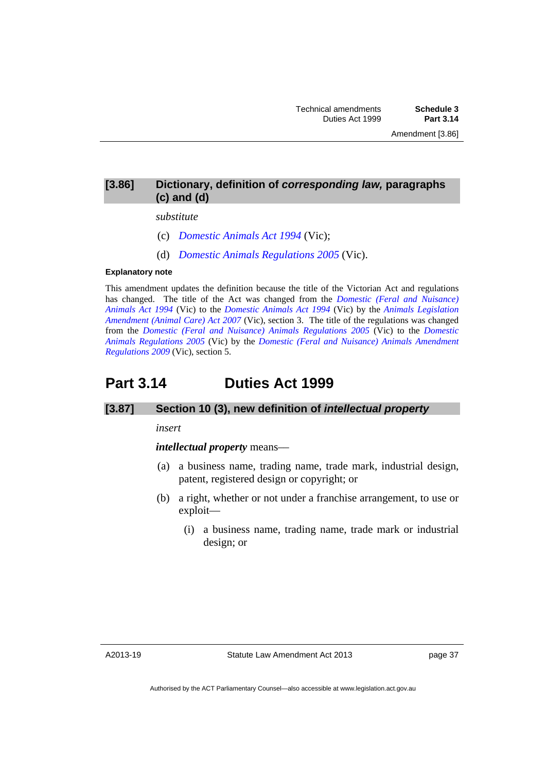# **[3.86] Dictionary, definition of** *corresponding law,* **paragraphs (c) and (d)**

### *substitute*

- (c) *[Domestic Animals Act 1994](http://www.legislation.vic.gov.au/)* (Vic);
- (d) *[Domestic Animals Regulations 2005](http://www.legislation.vic.gov.au/)* (Vic).

### **Explanatory note**

This amendment updates the definition because the title of the Victorian Act and regulations has changed. The title of the Act was changed from the *[Domestic \(Feral and Nuisance\)](http://www.legislation.vic.gov.au/)  [Animals Act 1994](http://www.legislation.vic.gov.au/)* (Vic) to the *[Domestic Animals Act 1994](http://www.legislation.vic.gov.au/)* (Vic) by the *[Animals Legislation](http://www.legislation.vic.gov.au/)  [Amendment \(Animal Care\) Act 2007](http://www.legislation.vic.gov.au/)* (Vic), section 3. The title of the regulations was changed from the *[Domestic \(Feral and Nuisance\) Animals Regulations 2005](http://www.legislation.vic.gov.au/)* (Vic) to the *[Domestic](http://www.legislation.vic.gov.au/)  [Animals Regulations 2005](http://www.legislation.vic.gov.au/)* (Vic) by the *[Domestic \(Feral and Nuisance\) Animals Amendment](http://www.legislation.vic.gov.au/)  [Regulations 2009](http://www.legislation.vic.gov.au/)* (Vic), section 5.

# **Part 3.14 Duties Act 1999**

# **[3.87] Section 10 (3), new definition of** *intellectual property*

### *insert*

## *intellectual property* means––

- (a) a business name, trading name, trade mark, industrial design, patent, registered design or copyright; or
- (b) a right, whether or not under a franchise arrangement, to use or exploit—
	- (i) a business name, trading name, trade mark or industrial design; or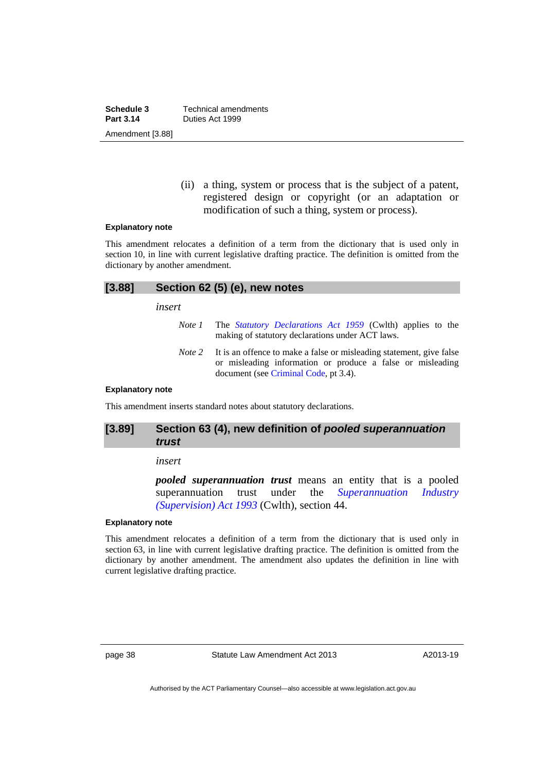**Schedule 3 Technical amendments**<br>**Part 3.14 Duties Act 1999 Part 3.14** Duties Act 1999 Amendment [3.88]

> (ii) a thing, system or process that is the subject of a patent, registered design or copyright (or an adaptation or modification of such a thing, system or process).

### **Explanatory note**

This amendment relocates a definition of a term from the dictionary that is used only in section 10, in line with current legislative drafting practice. The definition is omitted from the dictionary by another amendment.

| [3.88] | Section 62 (5) (e), new notes |                                                                                                                       |  |
|--------|-------------------------------|-----------------------------------------------------------------------------------------------------------------------|--|
|        | insert                        |                                                                                                                       |  |
|        | Note 1                        | The <i>Statutory Declarations Act 1959</i> (Cwlth) applies to the<br>making of statutory declarations under ACT laws. |  |

*Note 2* It is an offence to make a false or misleading statement, give false or misleading information or produce a false or misleading document (see [Criminal Code,](http://www.legislation.act.gov.au/a/2002-51) pt 3.4).

### **Explanatory note**

This amendment inserts standard notes about statutory declarations.

# **[3.89] Section 63 (4), new definition of** *pooled superannuation trust*

### *insert*

*pooled superannuation trust* means an entity that is a pooled superannuation trust under the *[Superannuation Industry](http://www.comlaw.gov.au/Details/C2013C00126)  [\(Supervision\) Act 1993](http://www.comlaw.gov.au/Details/C2013C00126)* (Cwlth), section 44.

## **Explanatory note**

This amendment relocates a definition of a term from the dictionary that is used only in section 63, in line with current legislative drafting practice. The definition is omitted from the dictionary by another amendment. The amendment also updates the definition in line with current legislative drafting practice.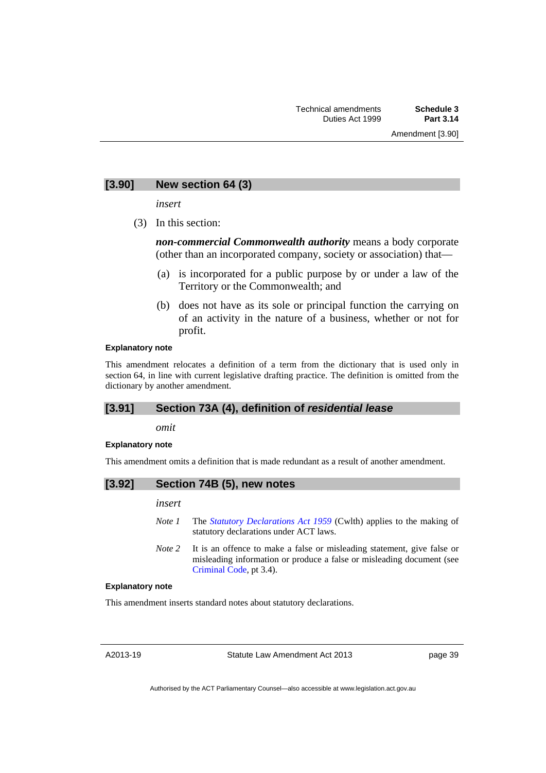# **[3.90] New section 64 (3)**

*insert* 

(3) In this section:

*non-commercial Commonwealth authority* means a body corporate (other than an incorporated company, society or association) that—

- (a) is incorporated for a public purpose by or under a law of the Territory or the Commonwealth; and
- (b) does not have as its sole or principal function the carrying on of an activity in the nature of a business, whether or not for profit.

### **Explanatory note**

This amendment relocates a definition of a term from the dictionary that is used only in section 64, in line with current legislative drafting practice. The definition is omitted from the dictionary by another amendment.

# **[3.91] Section 73A (4), definition of** *residential lease*

*omit* 

#### **Explanatory note**

This amendment omits a definition that is made redundant as a result of another amendment.

# **[3.92] Section 74B (5), new notes**

*insert* 

- *Note 1* The *[Statutory Declarations Act 1959](http://www.comlaw.gov.au/Series/C2004A07365)* (Cwlth) applies to the making of statutory declarations under ACT laws.
- *Note* 2 It is an offence to make a false or misleading statement, give false or misleading information or produce a false or misleading document (see [Criminal Code](http://www.legislation.act.gov.au/a/2002-51), pt 3.4).

### **Explanatory note**

This amendment inserts standard notes about statutory declarations.

A2013-19

page 39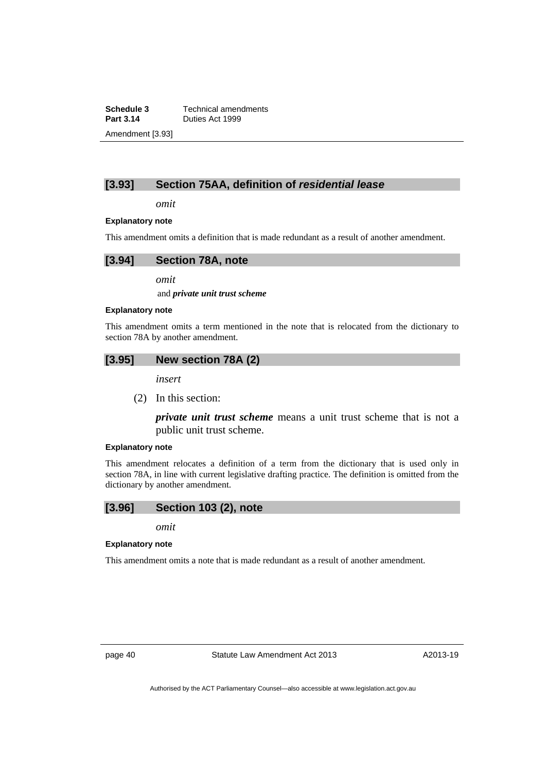**Schedule 3 Technical amendments**<br>**Part 3.14 Duties Act 1999 Part 3.14** Duties Act 1999 Amendment [3.93]

# **[3.93] Section 75AA, definition of** *residential lease*

*omit* 

### **Explanatory note**

This amendment omits a definition that is made redundant as a result of another amendment.

*omit* 

and *private unit trust scheme*

### **Explanatory note**

This amendment omits a term mentioned in the note that is relocated from the dictionary to section 78A by another amendment.

# **[3.95] New section 78A (2)**

*insert* 

(2) In this section:

*private unit trust scheme* means a unit trust scheme that is not a public unit trust scheme.

### **Explanatory note**

This amendment relocates a definition of a term from the dictionary that is used only in section 78A, in line with current legislative drafting practice. The definition is omitted from the dictionary by another amendment.

### **[3.96] Section 103 (2), note**

*omit* 

### **Explanatory note**

This amendment omits a note that is made redundant as a result of another amendment.

page 40 Statute Law Amendment Act 2013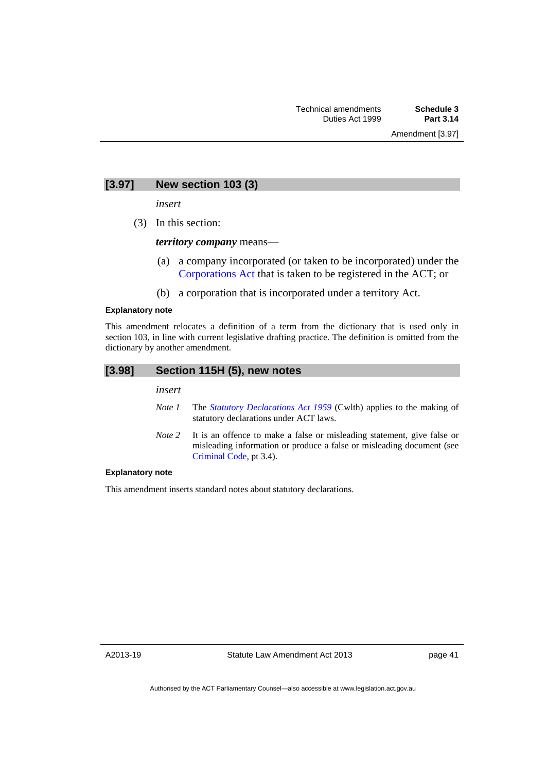# **[3.97] New section 103 (3)**

*insert* 

(3) In this section:

*territory company* means––

- (a) a company incorporated (or taken to be incorporated) under the [Corporations Act](http://www.comlaw.gov.au/Series/C2004A00818) that is taken to be registered in the ACT; or
- (b) a corporation that is incorporated under a territory Act.

### **Explanatory note**

This amendment relocates a definition of a term from the dictionary that is used only in section 103, in line with current legislative drafting practice. The definition is omitted from the dictionary by another amendment.

| [3.98] | Section 115H (5), new notes |                                                                             |  |  |  |
|--------|-----------------------------|-----------------------------------------------------------------------------|--|--|--|
|        | insert                      |                                                                             |  |  |  |
|        | Note 1                      | The <i>Statutory Declarations Act 1959</i> (Cwlth) applies to the making of |  |  |  |

statutory declarations under ACT laws.

*Note* 2 It is an offence to make a false or misleading statement, give false or misleading information or produce a false or misleading document (see [Criminal Code](http://www.legislation.act.gov.au/a/2002-51), pt 3.4).

### **Explanatory note**

This amendment inserts standard notes about statutory declarations.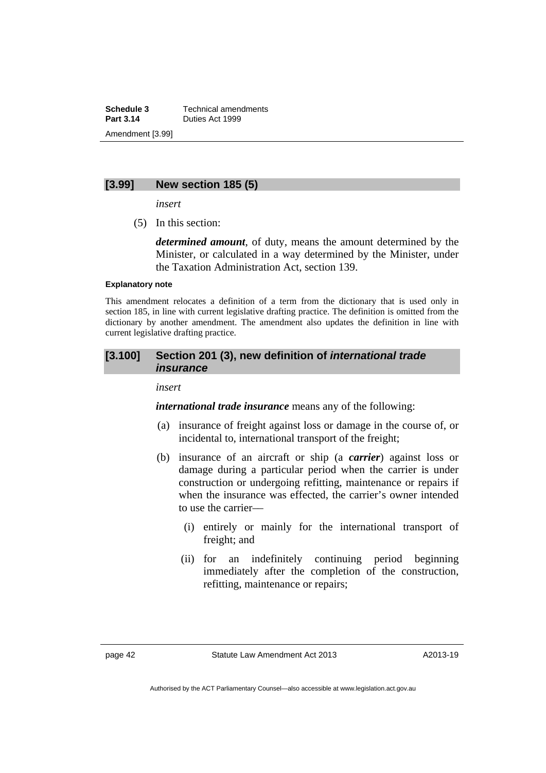**Schedule 3 Technical amendments**<br>**Part 3.14 Duties Act 1999 Part 3.14** Duties Act 1999 Amendment [3.99]

## **[3.99] New section 185 (5)**

*insert* 

(5) In this section:

*determined amount*, of duty, means the amount determined by the Minister, or calculated in a way determined by the Minister, under the Taxation Administration Act, section 139.

### **Explanatory note**

This amendment relocates a definition of a term from the dictionary that is used only in section 185, in line with current legislative drafting practice. The definition is omitted from the dictionary by another amendment. The amendment also updates the definition in line with current legislative drafting practice.

## **[3.100] Section 201 (3), new definition of** *international trade insurance*

# *insert*

*international trade insurance* means any of the following:

- (a) insurance of freight against loss or damage in the course of, or incidental to, international transport of the freight;
- (b) insurance of an aircraft or ship (a *carrier*) against loss or damage during a particular period when the carrier is under construction or undergoing refitting, maintenance or repairs if when the insurance was effected, the carrier's owner intended to use the carrier––
	- (i) entirely or mainly for the international transport of freight; and
	- (ii) for an indefinitely continuing period beginning immediately after the completion of the construction, refitting, maintenance or repairs;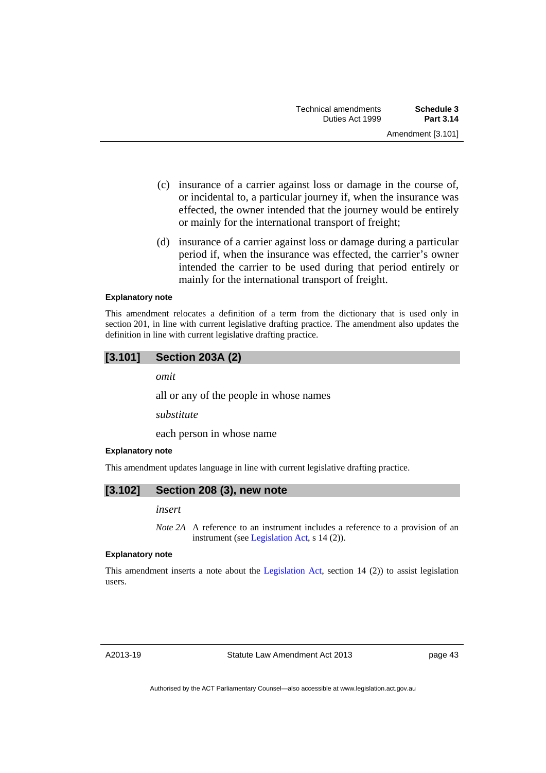- (c) insurance of a carrier against loss or damage in the course of, or incidental to, a particular journey if, when the insurance was effected, the owner intended that the journey would be entirely or mainly for the international transport of freight;
- (d) insurance of a carrier against loss or damage during a particular period if, when the insurance was effected, the carrier's owner intended the carrier to be used during that period entirely or mainly for the international transport of freight.

### **Explanatory note**

This amendment relocates a definition of a term from the dictionary that is used only in section 201, in line with current legislative drafting practice. The amendment also updates the definition in line with current legislative drafting practice.

# **[3.101] Section 203A (2)**

*omit* 

all or any of the people in whose names

*substitute* 

each person in whose name

### **Explanatory note**

This amendment updates language in line with current legislative drafting practice.

## **[3.102] Section 208 (3), new note**

### *insert*

*Note 2A* A reference to an instrument includes a reference to a provision of an instrument (see [Legislation Act,](http://www.legislation.act.gov.au/a/2001-14) s 14 (2)).

### **Explanatory note**

This amendment inserts a note about the [Legislation Act](http://www.legislation.act.gov.au/a/2001-14), section 14 (2)) to assist legislation users.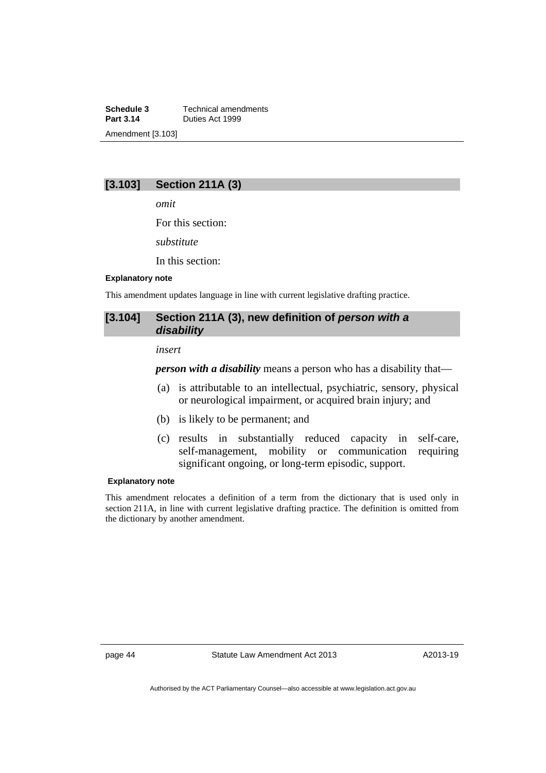**Schedule 3 Technical amendments**<br>**Part 3.14 Duties Act 1999 Part 3.14** Duties Act 1999 Amendment [3.103]

# **[3.103] Section 211A (3)**

*omit* 

For this section:

*substitute* 

In this section:

### **Explanatory note**

This amendment updates language in line with current legislative drafting practice.

# [3.104] Section 211A (3), new definition of *person with a disability*

### *insert*

*person with a disability* means a person who has a disability that—

- (a) is attributable to an intellectual, psychiatric, sensory, physical or neurological impairment, or acquired brain injury; and
- (b) is likely to be permanent; and
- (c) results in substantially reduced capacity in self-care, self-management, mobility or communication requiring significant ongoing, or long-term episodic, support.

### **Explanatory note**

This amendment relocates a definition of a term from the dictionary that is used only in section 211A, in line with current legislative drafting practice. The definition is omitted from the dictionary by another amendment.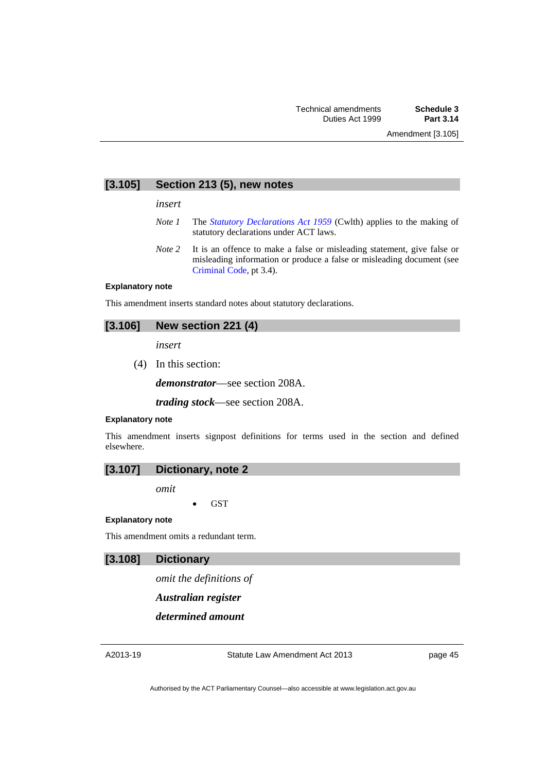### **[3.105] Section 213 (5), new notes**

*insert* 

- *Note 1* The *[Statutory Declarations Act 1959](http://www.comlaw.gov.au/Series/C2004A07365)* (Cwlth) applies to the making of statutory declarations under ACT laws.
- *Note* 2 It is an offence to make a false or misleading statement, give false or misleading information or produce a false or misleading document (see [Criminal Code](http://www.legislation.act.gov.au/a/2002-51), pt 3.4).

### **Explanatory note**

This amendment inserts standard notes about statutory declarations.

## **[3.106] New section 221 (4)**

*insert* 

(4) In this section:

*demonstrator*––see section 208A.

*trading stock*––see section 208A.

### **Explanatory note**

This amendment inserts signpost definitions for terms used in the section and defined elsewhere.



*omit* 

**GST** 

### **Explanatory note**

This amendment omits a redundant term.

# **[3.108] Dictionary**

*omit the definitions of* 

*Australian register*

*determined amount*

Statute Law Amendment Act 2013

page 45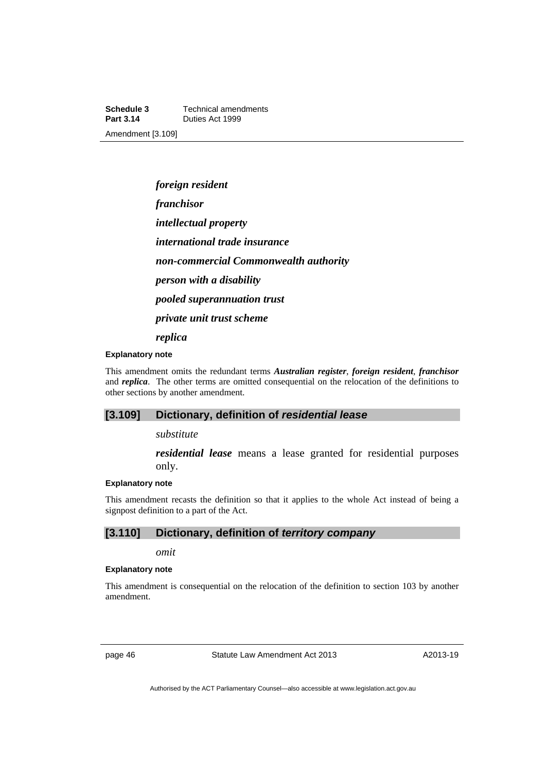**Schedule 3 Technical amendments**<br>**Part 3.14 Duties Act 1999 Part 3.14** Duties Act 1999 Amendment [3.109]

> *foreign resident franchisor intellectual property international trade insurance non-commercial Commonwealth authority person with a disability pooled superannuation trust private unit trust scheme replica*

#### **Explanatory note**

This amendment omits the redundant terms *Australian register*, *foreign resident*, *franchisor*  and *replica*. The other terms are omitted consequential on the relocation of the definitions to other sections by another amendment.

## **[3.109] Dictionary, definition of** *residential lease*

*substitute* 

*residential lease* means a lease granted for residential purposes only.

### **Explanatory note**

This amendment recasts the definition so that it applies to the whole Act instead of being a signpost definition to a part of the Act.

# **[3.110] Dictionary, definition of** *territory company*

*omit* 

### **Explanatory note**

This amendment is consequential on the relocation of the definition to section 103 by another amendment.

page 46 Statute Law Amendment Act 2013

A2013-19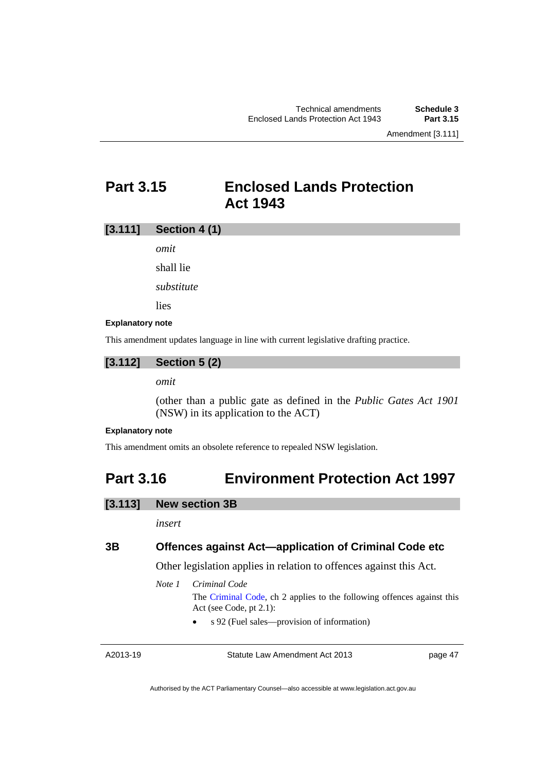# **Part 3.15 Enclosed Lands Protection Act 1943**

# **[3.111] Section 4 (1)**

*omit* 

shall lie

*substitute* 

lies

### **Explanatory note**

This amendment updates language in line with current legislative drafting practice.

# **[3.112] Section 5 (2)**

# *omit*

(other than a public gate as defined in the *Public Gates Act 1901* (NSW) in its application to the ACT)

### **Explanatory note**

This amendment omits an obsolete reference to repealed NSW legislation.

# **Part 3.16 Environment Protection Act 1997**

# **[3.113] New section 3B**

*insert* 

# **3B Offences against Act—application of Criminal Code etc**

Other legislation applies in relation to offences against this Act.

*Note 1 Criminal Code*

The [Criminal Code,](http://www.legislation.act.gov.au/a/2002-51) ch 2 applies to the following offences against this Act (see Code, pt 2.1):

s 92 (Fuel sales––provision of information)

A2013-19

Statute Law Amendment Act 2013

page 47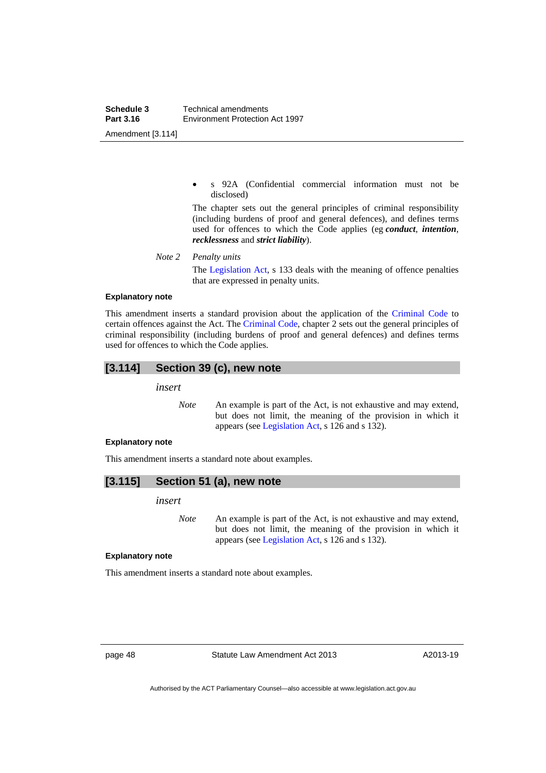s 92A (Confidential commercial information must not be disclosed)

The chapter sets out the general principles of criminal responsibility (including burdens of proof and general defences), and defines terms used for offences to which the Code applies (eg *conduct*, *intention*, *recklessness* and *strict liability*).

*Note 2 Penalty units* 

The [Legislation Act](http://www.legislation.act.gov.au/a/2001-14), s 133 deals with the meaning of offence penalties that are expressed in penalty units.

### **Explanatory note**

This amendment inserts a standard provision about the application of the [Criminal Code](http://www.legislation.act.gov.au/a/2002-51) to certain offences against the Act. The [Criminal Code,](http://www.legislation.act.gov.au/a/2002-51) chapter 2 sets out the general principles of criminal responsibility (including burdens of proof and general defences) and defines terms used for offences to which the Code applies.

## **[3.114] Section 39 (c), new note**

*insert* 

*Note* An example is part of the Act, is not exhaustive and may extend, but does not limit, the meaning of the provision in which it appears (see [Legislation Act,](http://www.legislation.act.gov.au/a/2001-14) s 126 and s 132).

#### **Explanatory note**

This amendment inserts a standard note about examples.

$$
[3.115]
$$
 Section 51 (a), new note

*insert* 

*Note* An example is part of the Act, is not exhaustive and may extend, but does not limit, the meaning of the provision in which it appears (see [Legislation Act,](http://www.legislation.act.gov.au/a/2001-14) s 126 and s 132).

#### **Explanatory note**

This amendment inserts a standard note about examples.

page 48 Statute Law Amendment Act 2013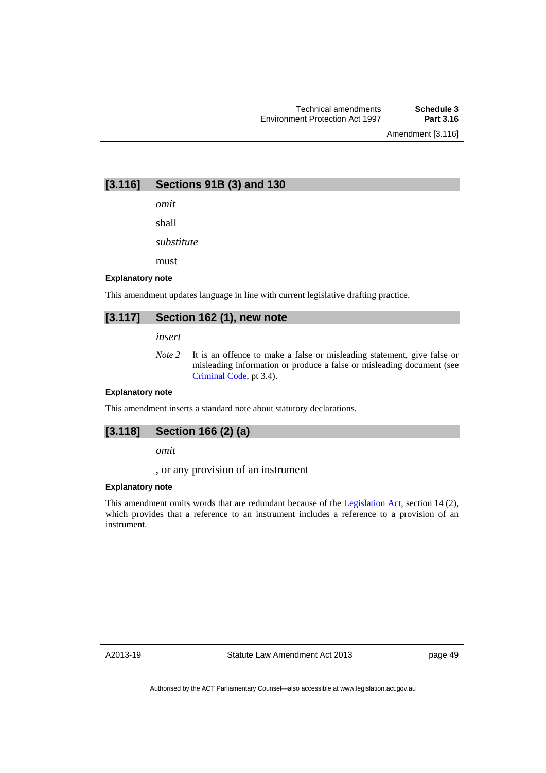Amendment [3.116]

**[3.116] Sections 91B (3) and 130** 

*omit* 

shall

*substitute* 

must

### **Explanatory note**

This amendment updates language in line with current legislative drafting practice.

# **[3.117] Section 162 (1), new note**

*insert* 

*Note 2* It is an offence to make a false or misleading statement, give false or misleading information or produce a false or misleading document (see [Criminal Code](http://www.legislation.act.gov.au/a/2002-51), pt 3.4).

### **Explanatory note**

This amendment inserts a standard note about statutory declarations.

# **[3.118] Section 166 (2) (a)**

*omit* 

, or any provision of an instrument

### **Explanatory note**

This amendment omits words that are redundant because of the [Legislation Act,](http://www.legislation.act.gov.au/a/2001-14) section 14 (2), which provides that a reference to an instrument includes a reference to a provision of an instrument.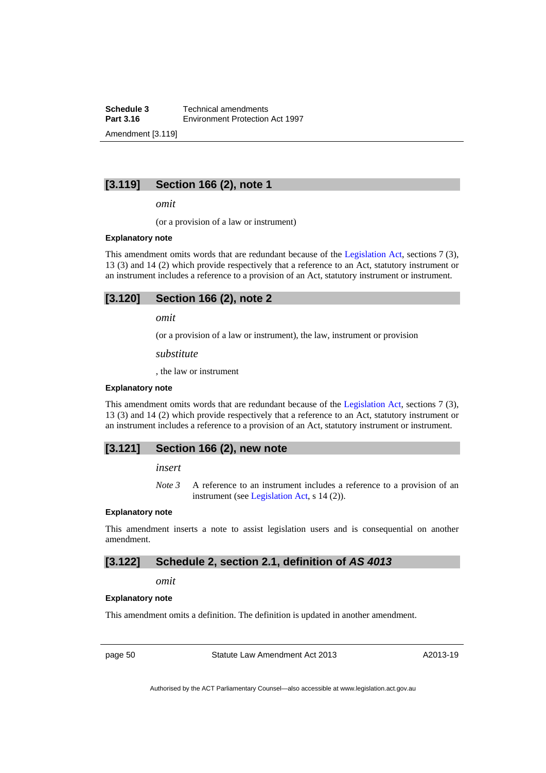**Schedule 3 Technical amendments**<br>**Part 3.16 Environment Protection Part 3.16** Environment Protection Act 1997 Amendment [3.119]

**[3.119] Section 166 (2), note 1** 

*omit* 

(or a provision of a law or instrument)

#### **Explanatory note**

This amendment omits words that are redundant because of the [Legislation Act](http://www.legislation.act.gov.au/a/2001-14), sections 7 (3), 13 (3) and 14 (2) which provide respectively that a reference to an Act, statutory instrument or an instrument includes a reference to a provision of an Act, statutory instrument or instrument.

| [3.120] | Section 166 (2), note 2 |  |  |  |
|---------|-------------------------|--|--|--|
|---------|-------------------------|--|--|--|

*omit* 

(or a provision of a law or instrument), the law, instrument or provision

*substitute* 

, the law or instrument

### **Explanatory note**

This amendment omits words that are redundant because of the [Legislation Act,](http://www.legislation.act.gov.au/a/2001-14) sections 7 (3), 13 (3) and 14 (2) which provide respectively that a reference to an Act, statutory instrument or an instrument includes a reference to a provision of an Act, statutory instrument or instrument.

## **[3.121] Section 166 (2), new note**

*insert* 

*Note 3* A reference to an instrument includes a reference to a provision of an instrument (see [Legislation Act,](http://www.legislation.act.gov.au/a/2001-14) s 14 (2)).

### **Explanatory note**

This amendment inserts a note to assist legislation users and is consequential on another amendment.

## **[3.122] Schedule 2, section 2.1, definition of** *AS 4013*

### *omit*

### **Explanatory note**

This amendment omits a definition. The definition is updated in another amendment.

page 50 Statute Law Amendment Act 2013

A2013-19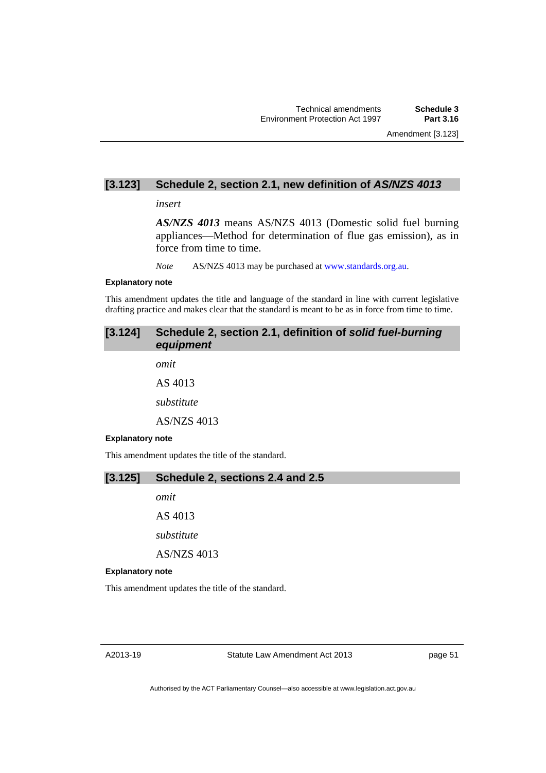# **[3.123] Schedule 2, section 2.1, new definition of** *AS/NZS 4013*

### *insert*

*AS/NZS 4013* means AS/NZS 4013 (Domestic solid fuel burning appliances—Method for determination of flue gas emission), as in force from time to time.

*Note* AS/NZS 4013 may be purchased at [www.standards.org.au.](http://www.standards.org.au/)

#### **Explanatory note**

This amendment updates the title and language of the standard in line with current legislative drafting practice and makes clear that the standard is meant to be as in force from time to time.

# **[3.124] Schedule 2, section 2.1, definition of** *solid fuel-burning equipment*

*omit* 

AS 4013

*substitute* 

AS/NZS 4013

### **Explanatory note**

This amendment updates the title of the standard.

# **[3.125] Schedule 2, sections 2.4 and 2.5**

*omit* 

AS 4013

*substitute* 

AS/NZS 4013

#### **Explanatory note**

This amendment updates the title of the standard.

page 51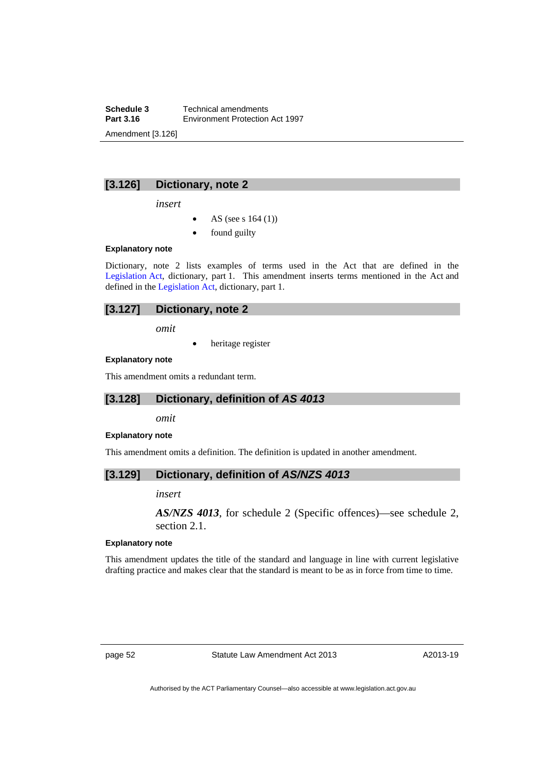**Schedule 3 Technical amendments**<br>**Part 3.16 Environment Protection Part 3.16** Environment Protection Act 1997 Amendment [3.126]

**[3.126] Dictionary, note 2** 

*insert* 

- AS (see s 164 (1))
- found guilty

### **Explanatory note**

Dictionary, note 2 lists examples of terms used in the Act that are defined in the [Legislation Act,](http://www.legislation.act.gov.au/a/2001-14) dictionary, part 1. This amendment inserts terms mentioned in the Act and defined in the [Legislation Act](http://www.legislation.act.gov.au/a/2001-14), dictionary, part 1.

# **[3.127] Dictionary, note 2**

*omit* 

heritage register

## **Explanatory note**

This amendment omits a redundant term.

## **[3.128] Dictionary, definition of** *AS 4013*

*omit* 

### **Explanatory note**

This amendment omits a definition. The definition is updated in another amendment.

## **[3.129] Dictionary, definition of** *AS/NZS 4013*

### *insert*

*AS/NZS 4013*, for schedule 2 (Specific offences)—see schedule 2, section 2.1.

### **Explanatory note**

This amendment updates the title of the standard and language in line with current legislative drafting practice and makes clear that the standard is meant to be as in force from time to time.

page 52 Statute Law Amendment Act 2013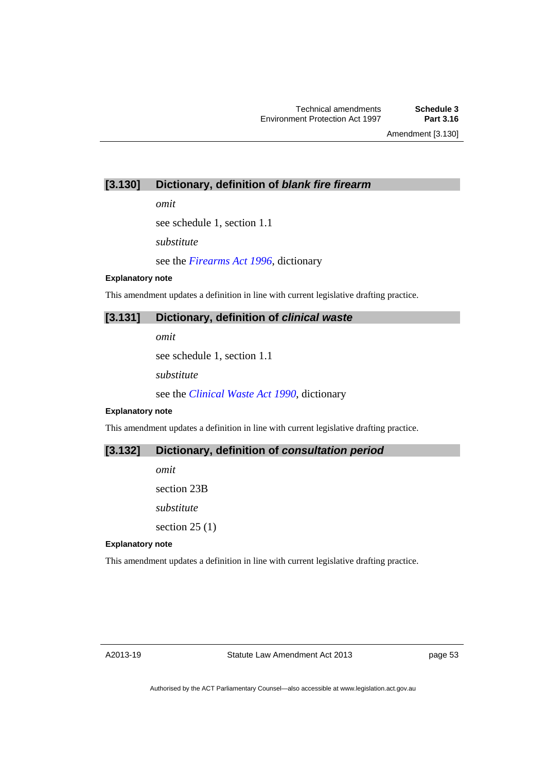Amendment [3.130]

# **[3.130] Dictionary, definition of** *blank fire firearm*

*omit* 

see schedule 1, section 1.1

*substitute* 

see the *[Firearms Act 1996](http://www.legislation.act.gov.au/a/1996-74)*, dictionary

### **Explanatory note**

This amendment updates a definition in line with current legislative drafting practice.

# **[3.131] Dictionary, definition of** *clinical waste*

*omit* 

see schedule 1, section 1.1

*substitute* 

see the *[Clinical Waste Act 1990](http://www.legislation.act.gov.au/a/1990-5)*, dictionary

### **Explanatory note**

This amendment updates a definition in line with current legislative drafting practice.

# **[3.132] Dictionary, definition of** *consultation period*

*omit*  section 23B *substitute*  section  $25(1)$ 

### **Explanatory note**

This amendment updates a definition in line with current legislative drafting practice.

page 53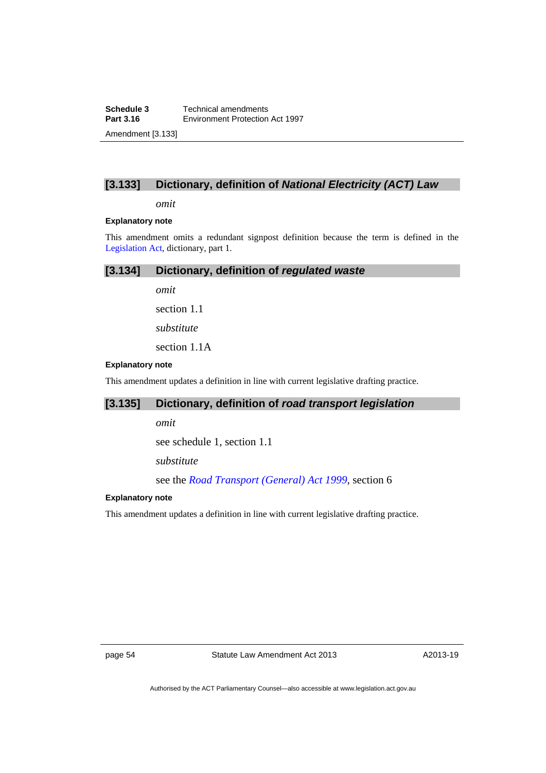# **[3.133] Dictionary, definition of** *National Electricity (ACT) Law*

*omit* 

### **Explanatory note**

This amendment omits a redundant signpost definition because the term is defined in the [Legislation Act,](http://www.legislation.act.gov.au/a/2001-14) dictionary, part 1.

# **[3.134] Dictionary, definition of** *regulated waste*

*omit* 

section 1.1

*substitute* 

section 1.1A

### **Explanatory note**

This amendment updates a definition in line with current legislative drafting practice.

# **[3.135] Dictionary, definition of** *road transport legislation*

*omit* 

see schedule 1, section 1.1

*substitute* 

see the *[Road Transport \(General\) Act 1999,](http://www.legislation.act.gov.au/a/1999-77)* section 6

### **Explanatory note**

This amendment updates a definition in line with current legislative drafting practice.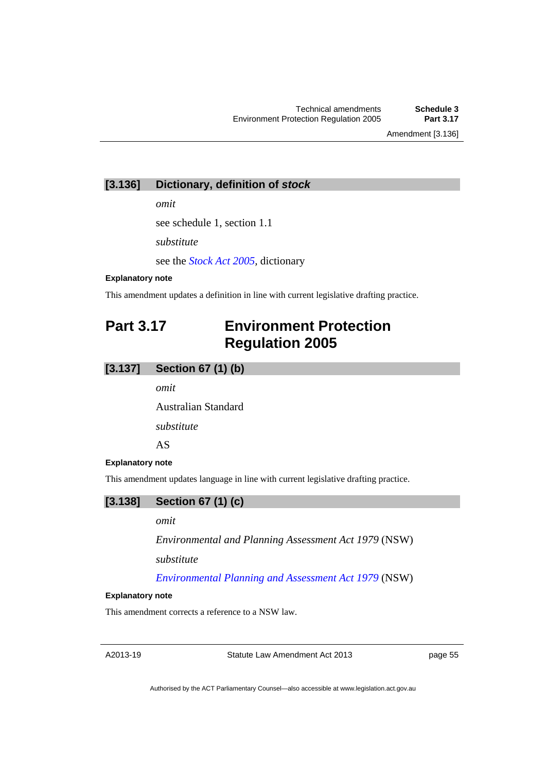Amendment [3.136]

# **[3.136] Dictionary, definition of** *stock*

*omit* 

see schedule 1, section 1.1

*substitute* 

see the *[Stock Act 2005](http://www.legislation.act.gov.au/a/2005-19),* dictionary

### **Explanatory note**

This amendment updates a definition in line with current legislative drafting practice.

# **Part 3.17 Environment Protection Regulation 2005**

# **[3.137] Section 67 (1) (b)**

*omit* 

Australian Standard

*substitute* 

AS

#### **Explanatory note**

This amendment updates language in line with current legislative drafting practice.



## *omit*

*Environmental and Planning Assessment Act 1979* (NSW)

*substitute* 

*[Environmental Planning and Assessment Act 1979](http://www.legislation.nsw.gov.au/maintop/view/inforce/act+203+1979+cd+0+N)* (NSW)

#### **Explanatory note**

This amendment corrects a reference to a NSW law.

A2013-19

Statute Law Amendment Act 2013

page 55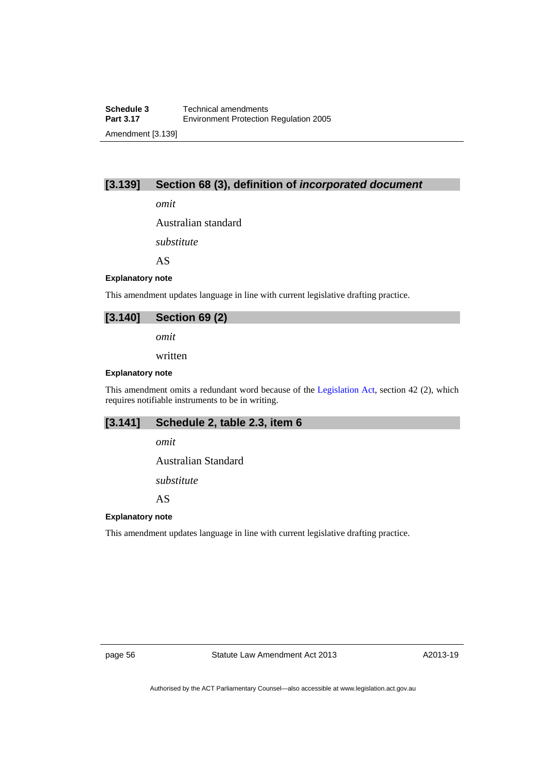# **[3.139] Section 68 (3), definition of** *incorporated document*

*omit* 

Australian standard

*substitute* 

AS

#### **Explanatory note**

This amendment updates language in line with current legislative drafting practice.

# **[3.140] Section 69 (2)**

*omit* 

written

#### **Explanatory note**

This amendment omits a redundant word because of the [Legislation Act,](http://www.legislation.act.gov.au/a/2001-14) section 42 (2), which requires notifiable instruments to be in writing.

### **[3.141] Schedule 2, table 2.3, item 6**

*omit* 

Australian Standard

*substitute* 

AS

# **Explanatory note**

This amendment updates language in line with current legislative drafting practice.

page 56 Statute Law Amendment Act 2013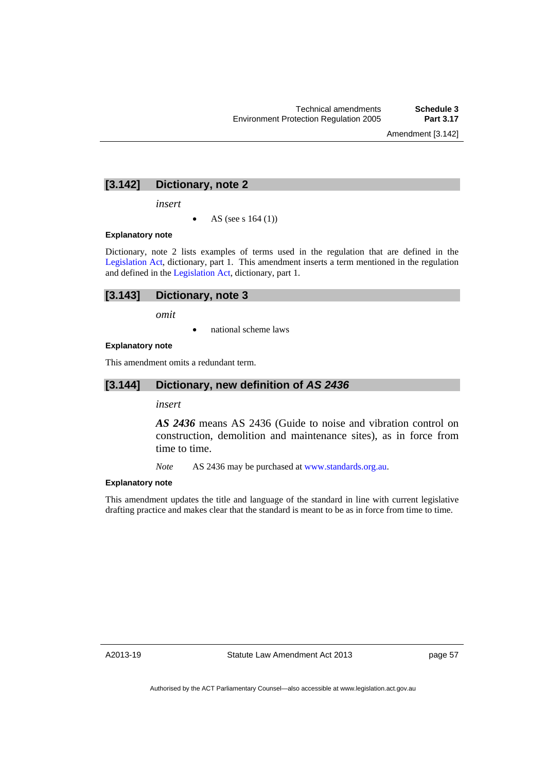Amendment [3.142]

# **[3.142] Dictionary, note 2**

*insert* 

AS (see s 164 (1))

### **Explanatory note**

Dictionary, note 2 lists examples of terms used in the regulation that are defined in the [Legislation Act](http://www.legislation.act.gov.au/a/2001-14), dictionary, part 1. This amendment inserts a term mentioned in the regulation and defined in the [Legislation Act](http://www.legislation.act.gov.au/a/2001-14), dictionary, part 1.

## **[3.143] Dictionary, note 3**

*omit* 

national scheme laws

### **Explanatory note**

This amendment omits a redundant term.

## **[3.144] Dictionary, new definition of** *AS 2436*

*insert* 

*AS 2436* means AS 2436 (Guide to noise and vibration control on construction, demolition and maintenance sites), as in force from time to time.

*Note* AS 2436 may be purchased at [www.standards.org.au.](http://www.standards.org.au/)

### **Explanatory note**

This amendment updates the title and language of the standard in line with current legislative drafting practice and makes clear that the standard is meant to be as in force from time to time.

A2013-19

page 57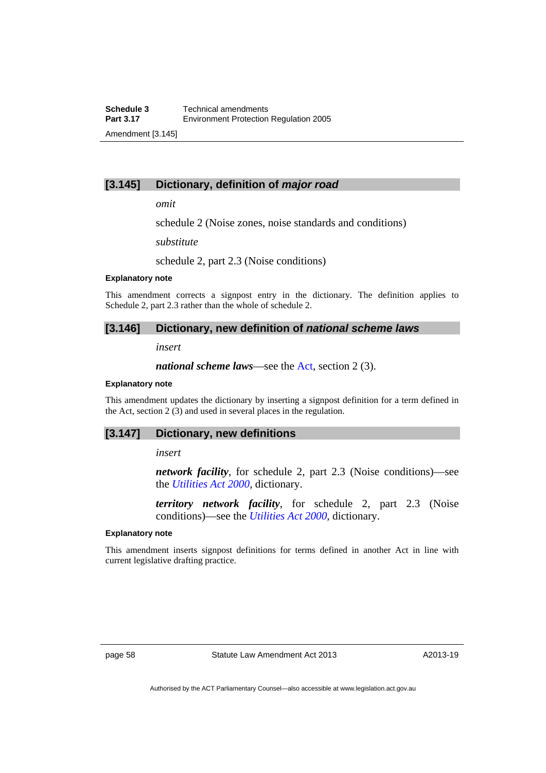# **[3.145] Dictionary, definition of** *major road*

*omit* 

schedule 2 (Noise zones, noise standards and conditions)

*substitute* 

schedule 2, part 2.3 (Noise conditions)

### **Explanatory note**

This amendment corrects a signpost entry in the dictionary. The definition applies to Schedule 2, part 2.3 rather than the whole of schedule 2.

# **[3.146] Dictionary, new definition of** *national scheme laws*

*insert* 

*national scheme laws*––see the [Act](http://www.legislation.act.gov.au/a/1997-92/default.asp), section 2 (3).

### **Explanatory note**

This amendment updates the dictionary by inserting a signpost definition for a term defined in the Act, section 2 (3) and used in several places in the regulation.

### **[3.147] Dictionary, new definitions**

### *insert*

*network facility*, for schedule 2, part 2.3 (Noise conditions)—see the *[Utilities Act 2000](http://www.legislation.act.gov.au/a/2000-65)*, dictionary.

*territory network facility*, for schedule 2, part 2.3 (Noise conditions)—see the *[Utilities Act 2000](http://www.legislation.act.gov.au/a/2000-65)*, dictionary.

#### **Explanatory note**

This amendment inserts signpost definitions for terms defined in another Act in line with current legislative drafting practice.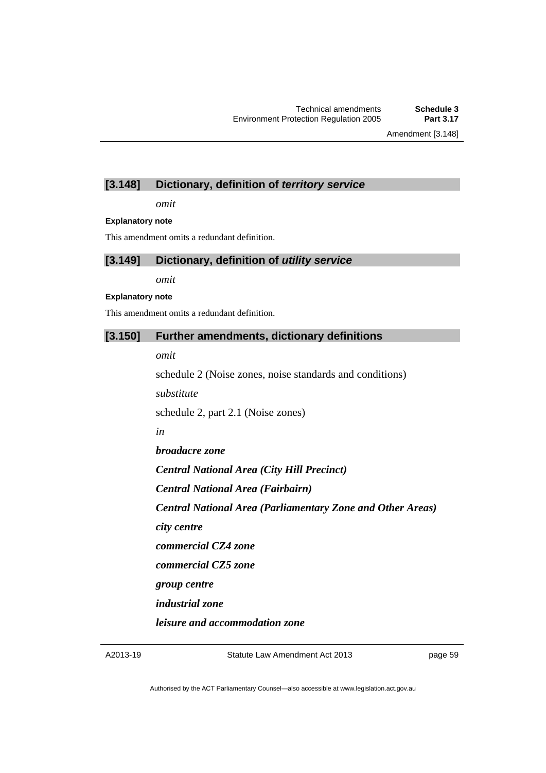Amendment [3.148]

# **[3.148] Dictionary, definition of** *territory service*

*omit* 

### **Explanatory note**

This amendment omits a redundant definition.

# **[3.149] Dictionary, definition of** *utility service*

*omit* 

### **Explanatory note**

This amendment omits a redundant definition.

# **[3.150] Further amendments, dictionary definitions**

*omit* 

schedule 2 (Noise zones, noise standards and conditions) *substitute* 

schedule 2, part 2.1 (Noise zones)

*in* 

*broadacre zone* 

*Central National Area (City Hill Precinct)* 

*Central National Area (Fairbairn)* 

*Central National Area (Parliamentary Zone and Other Areas)* 

*city centre* 

*commercial CZ4 zone* 

*commercial CZ5 zone* 

*group centre* 

*industrial zone* 

*leisure and accommodation zone* 

A2013-19

page 59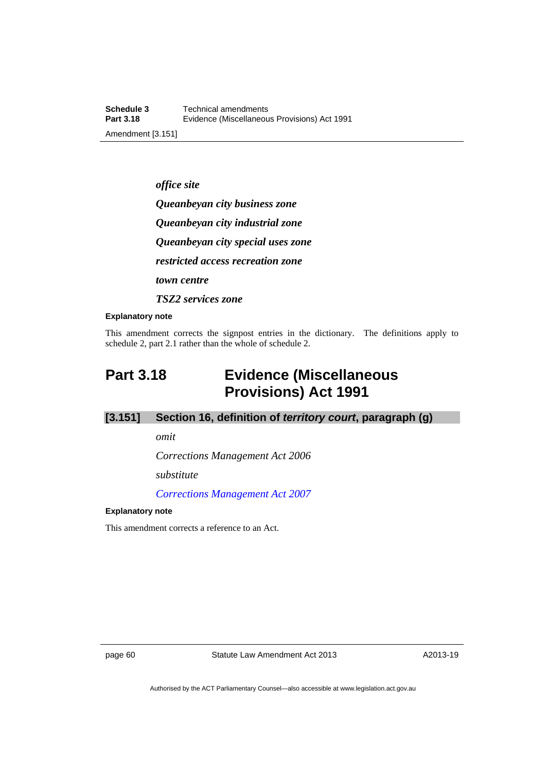*office site Queanbeyan city business zone Queanbeyan city industrial zone Queanbeyan city special uses zone restricted access recreation zone town centre TSZ2 services zone* 

#### **Explanatory note**

This amendment corrects the signpost entries in the dictionary. The definitions apply to schedule 2, part 2.1 rather than the whole of schedule 2.

# **Part 3.18 Evidence (Miscellaneous Provisions) Act 1991**

# **[3.151] Section 16, definition of** *territory court***, paragraph (g)**

*omit* 

*Corrections Management Act 2006* 

*substitute* 

*[Corrections Management Act 2007](http://www.legislation.act.gov.au/a/2007-15)*

### **Explanatory note**

This amendment corrects a reference to an Act.

page 60 Statute Law Amendment Act 2013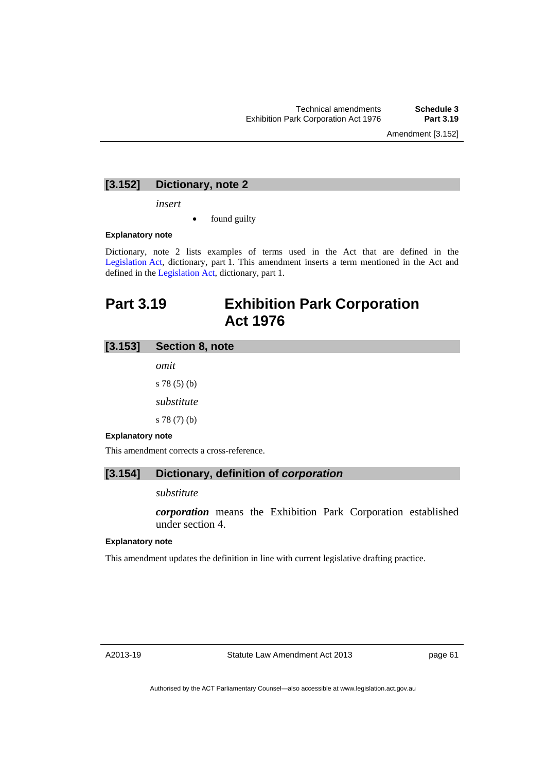Amendment [3.152]

# **[3.152] Dictionary, note 2**

*insert* 

found guilty

### **Explanatory note**

Dictionary, note 2 lists examples of terms used in the Act that are defined in the [Legislation Act,](http://www.legislation.act.gov.au/a/2001-14) dictionary, part 1. This amendment inserts a term mentioned in the Act and defined in the [Legislation Act](http://www.legislation.act.gov.au/a/2001-14), dictionary, part 1.

# **Part 3.19 Exhibition Park Corporation Act 1976**

# **[3.153] Section 8, note**

*omit*  s 78 (5) (b) *substitute*  s 78 (7) (b)

### **Explanatory note**

This amendment corrects a cross-reference.

# **[3.154] Dictionary, definition of** *corporation*

### *substitute*

*corporation* means the Exhibition Park Corporation established under section 4.

### **Explanatory note**

This amendment updates the definition in line with current legislative drafting practice.

A2013-19

page 61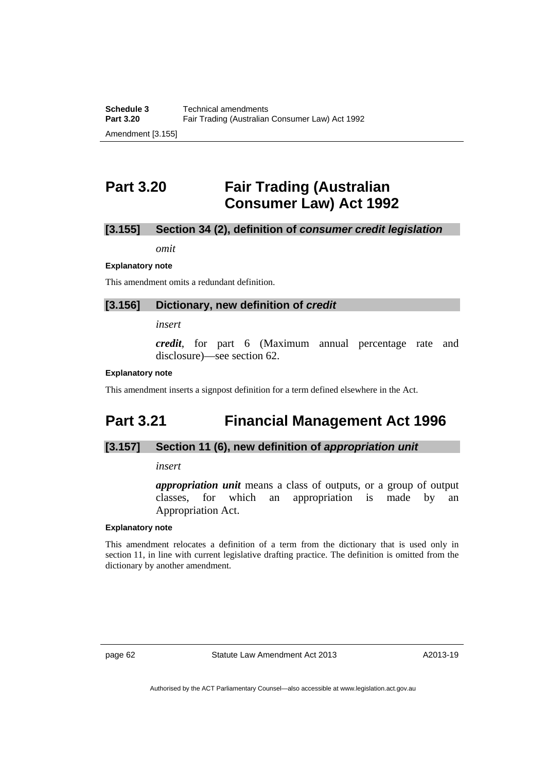# **Part 3.20 Fair Trading (Australian Consumer Law) Act 1992**

# **[3.155] Section 34 (2), definition of** *consumer credit legislation*

*omit* 

### **Explanatory note**

This amendment omits a redundant definition.

### **[3.156] Dictionary, new definition of** *credit*

*insert* 

*credit*, for part 6 (Maximum annual percentage rate and disclosure)—see section 62.

### **Explanatory note**

This amendment inserts a signpost definition for a term defined elsewhere in the Act.

# **Part 3.21 Financial Management Act 1996**

# **[3.157] Section 11 (6), new definition of** *appropriation unit*

### *insert*

*appropriation unit* means a class of outputs, or a group of output classes, for which an appropriation is made by an Appropriation Act.

### **Explanatory note**

This amendment relocates a definition of a term from the dictionary that is used only in section 11, in line with current legislative drafting practice. The definition is omitted from the dictionary by another amendment.

page 62 Statute Law Amendment Act 2013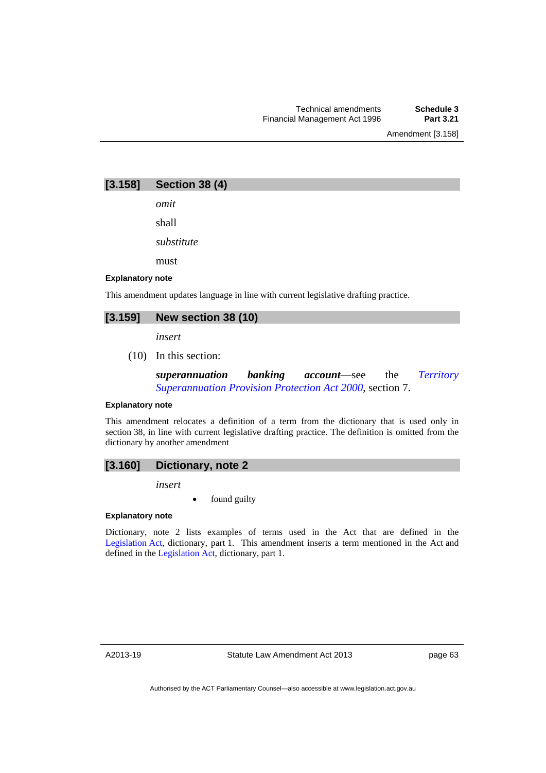Amendment [3.158]

# **[3.158] Section 38 (4)**

*omit* 

shall

*substitute* 

must

### **Explanatory note**

This amendment updates language in line with current legislative drafting practice.

# **[3.159] New section 38 (10)**

*insert* 

(10) In this section:

*superannuation banking account*—see the *[Territory](http://www.legislation.act.gov.au/a/2000-21)  [Superannuation Provision Protection Act 2000](http://www.legislation.act.gov.au/a/2000-21)*, section 7.

#### **Explanatory note**

This amendment relocates a definition of a term from the dictionary that is used only in section 38, in line with current legislative drafting practice. The definition is omitted from the dictionary by another amendment

# **[3.160] Dictionary, note 2**

*insert* 

found guilty

### **Explanatory note**

Dictionary, note 2 lists examples of terms used in the Act that are defined in the [Legislation Act,](http://www.legislation.act.gov.au/a/2001-14) dictionary, part 1. This amendment inserts a term mentioned in the Act and defined in the [Legislation Act](http://www.legislation.act.gov.au/a/2001-14), dictionary, part 1.

A2013-19

page 63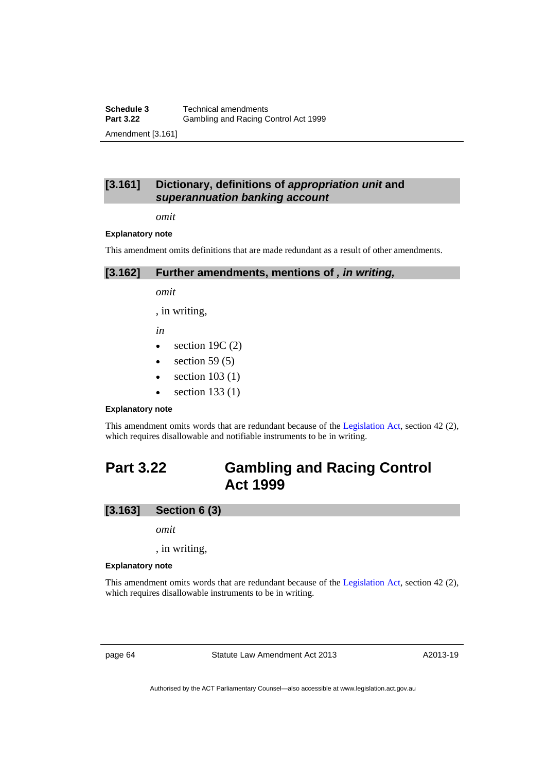**Schedule 3 Technical amendments**<br>**Part 3.22 Gambling and Racing C Part 3.22** Gambling and Racing Control Act 1999 Amendment [3.161]

# **[3.161] Dictionary, definitions of** *appropriation unit* **and** *superannuation banking account*

*omit* 

#### **Explanatory note**

This amendment omits definitions that are made redundant as a result of other amendments.

| [3.162]<br>Further amendments, mentions of, in writing, |
|---------------------------------------------------------|
|---------------------------------------------------------|

*omit* 

, in writing,

*in* 

- $\bullet$  section 19C (2)
- $\bullet$  section 59 (5)
- $\bullet$  section 103 (1)
- $\bullet$  section 133 (1)

### **Explanatory note**

This amendment omits words that are redundant because of the [Legislation Act,](http://www.legislation.act.gov.au/a/2001-14) section 42 (2), which requires disallowable and notifiable instruments to be in writing.

# **Part 3.22 Gambling and Racing Control Act 1999**

## **[3.163] Section 6 (3)**

*omit* 

, in writing,

#### **Explanatory note**

This amendment omits words that are redundant because of the [Legislation Act,](http://www.legislation.act.gov.au/a/2001-14) section 42 (2), which requires disallowable instruments to be in writing.

page 64 Statute Law Amendment Act 2013

A2013-19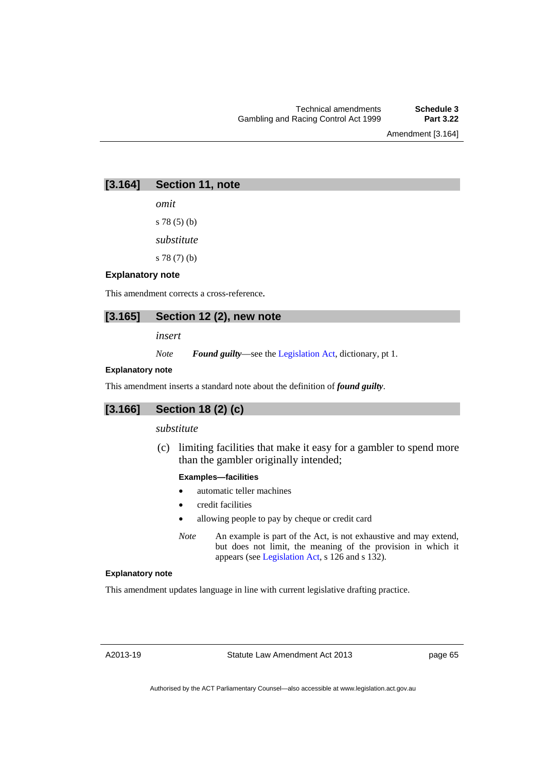Amendment [3.164]

# **[3.164] Section 11, note**

*omit* 

s 78 (5) (b)

*substitute* 

s 78 (7) (b)

### **Explanatory note**

This amendment corrects a cross-reference*.* 

# **[3.165] Section 12 (2), new note**

*insert* 

*Note Found guilty*—see the [Legislation Act,](http://www.legislation.act.gov.au/a/2001-14) dictionary, pt 1.

### **Explanatory note**

This amendment inserts a standard note about the definition of *found guilty*.

# **[3.166] Section 18 (2) (c)**

### *substitute*

 (c) limiting facilities that make it easy for a gambler to spend more than the gambler originally intended;

### **Examples—facilities**

- automatic teller machines
- credit facilities
- allowing people to pay by cheque or credit card
- *Note* An example is part of the Act, is not exhaustive and may extend, but does not limit, the meaning of the provision in which it appears (see [Legislation Act,](http://www.legislation.act.gov.au/a/2001-14) s 126 and s 132).

### **Explanatory note**

This amendment updates language in line with current legislative drafting practice.

A2013-19

page 65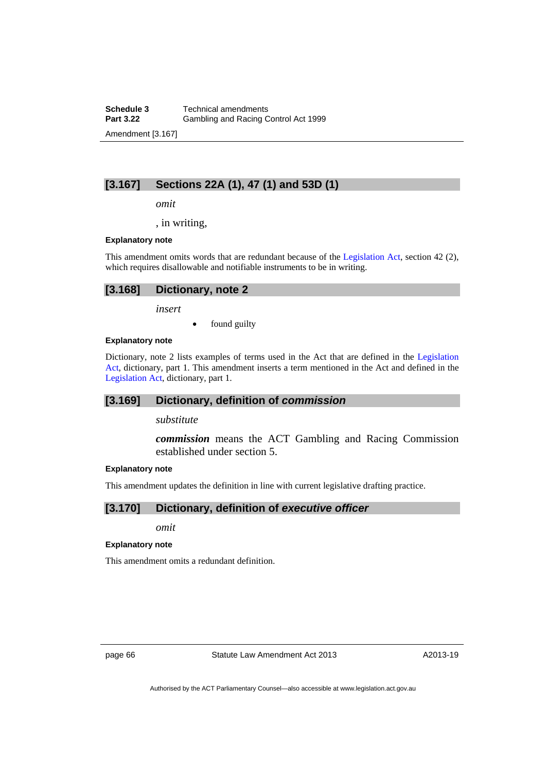**Schedule 3 Technical amendments**<br>**Part 3.22 Gambling and Racing C Part 3.22** Gambling and Racing Control Act 1999 Amendment [3.167]

# **[3.167] Sections 22A (1), 47 (1) and 53D (1)**

*omit* 

, in writing,

### **Explanatory note**

This amendment omits words that are redundant because of the [Legislation Act,](http://www.legislation.act.gov.au/a/2001-14) section 42 (2), which requires disallowable and notifiable instruments to be in writing.

| [3.168] Dictionary, note 2 |
|----------------------------|
|                            |

*insert* 

• found guilty

### **Explanatory note**

Dictionary, note 2 lists examples of terms used in the Act that are defined in the [Legislation](http://www.legislation.act.gov.au/a/2001-14)  [Act,](http://www.legislation.act.gov.au/a/2001-14) dictionary, part 1. This amendment inserts a term mentioned in the Act and defined in the [Legislation Act,](http://www.legislation.act.gov.au/a/2001-14) dictionary, part 1.

# **[3.169] Dictionary, definition of** *commission*

*substitute* 

*commission* means the ACT Gambling and Racing Commission established under section 5.

### **Explanatory note**

This amendment updates the definition in line with current legislative drafting practice.

# **[3.170] Dictionary, definition of** *executive officer*

*omit* 

### **Explanatory note**

This amendment omits a redundant definition.

page 66 Statute Law Amendment Act 2013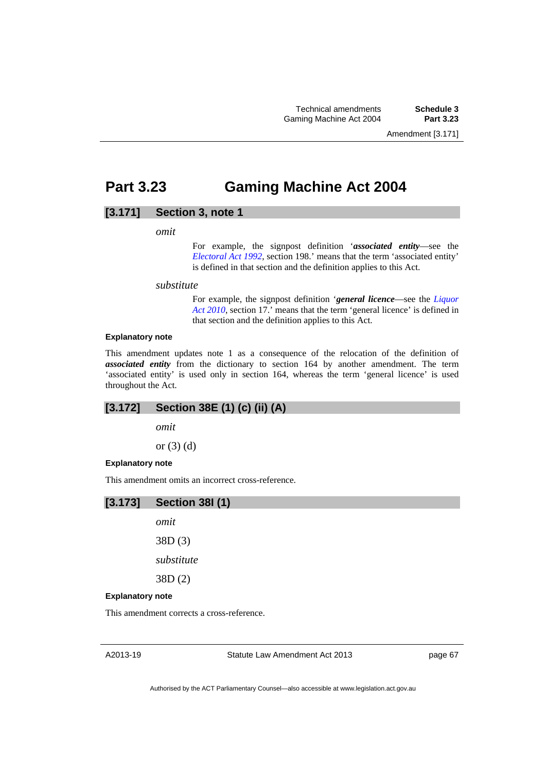Amendment [3.171]

# **Part 3.23 Gaming Machine Act 2004**

# **[3.171] Section 3, note 1**

*omit* 

For example, the signpost definition '*associated entity*—see the *[Electoral Act 1992](http://www.legislation.act.gov.au/a/1992-71)*, section 198.' means that the term 'associated entity' is defined in that section and the definition applies to this Act.

*substitute* 

For example, the signpost definition '*general licence*—see the *[Liquor](http://www.legislation.act.gov.au/a/2010-35)  [Act 2010](http://www.legislation.act.gov.au/a/2010-35)*, section 17.' means that the term 'general licence' is defined in that section and the definition applies to this Act.

## **Explanatory note**

This amendment updates note 1 as a consequence of the relocation of the definition of *associated entity* from the dictionary to section 164 by another amendment. The term 'associated entity' is used only in section 164, whereas the term 'general licence' is used throughout the Act.

# **[3.172] Section 38E (1) (c) (ii) (A)**

*omit* 

or (3) (d)

### **Explanatory note**

This amendment omits an incorrect cross-reference.



*omit*  38D (3)

*substitute* 

38D (2)

### **Explanatory note**

This amendment corrects a cross-reference.

A2013-19

Statute Law Amendment Act 2013

page 67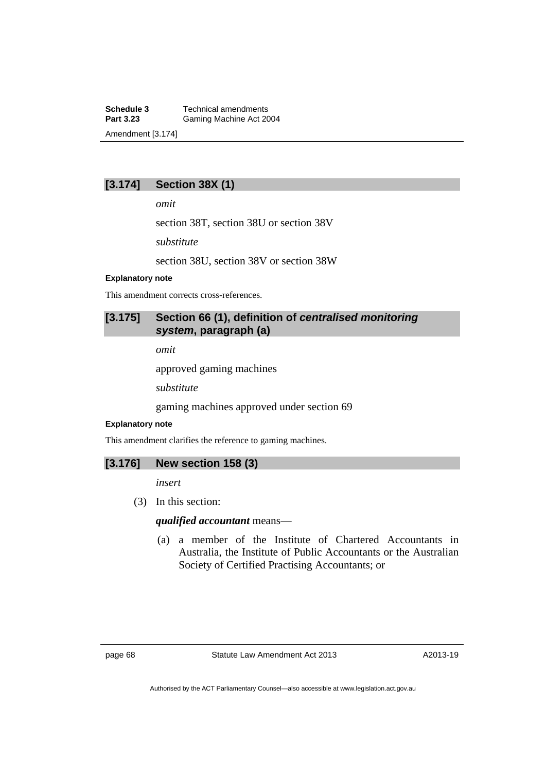**Schedule 3 Technical amendments**<br>**Part 3.23 Gaming Machine Act 20** Gaming Machine Act 2004 Amendment [3.174]

# **[3.174] Section 38X (1)**

*omit* 

section 38T, section 38U or section 38V

*substitute* 

section 38U, section 38V or section 38W

### **Explanatory note**

This amendment corrects cross-references.

# **[3.175] Section 66 (1), definition of** *centralised monitoring system***, paragraph (a)**

*omit* 

approved gaming machines

*substitute* 

gaming machines approved under section 69

### **Explanatory note**

This amendment clarifies the reference to gaming machines.

## **[3.176] New section 158 (3)**

*insert* 

(3) In this section:

*qualified accountant* means—

 (a) a member of the Institute of Chartered Accountants in Australia, the Institute of Public Accountants or the Australian Society of Certified Practising Accountants; or

A2013-19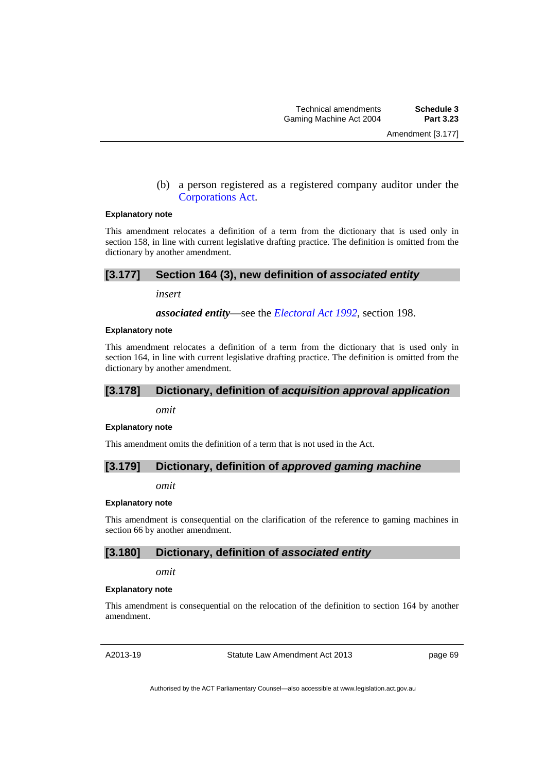(b) a person registered as a registered company auditor under the [Corporations Act.](http://www.comlaw.gov.au/Series/C2004A00818)

#### **Explanatory note**

This amendment relocates a definition of a term from the dictionary that is used only in section 158, in line with current legislative drafting practice. The definition is omitted from the dictionary by another amendment.

### **[3.177] Section 164 (3), new definition of** *associated entity*

*insert* 

*associated entity*—see the *[Electoral Act 1992](http://www.legislation.act.gov.au/a/1992-71)*, section 198.

#### **Explanatory note**

This amendment relocates a definition of a term from the dictionary that is used only in section 164, in line with current legislative drafting practice. The definition is omitted from the dictionary by another amendment.

### **[3.178] Dictionary, definition of** *acquisition approval application*

*omit* 

#### **Explanatory note**

This amendment omits the definition of a term that is not used in the Act.

### **[3.179] Dictionary, definition of** *approved gaming machine*

*omit* 

### **Explanatory note**

This amendment is consequential on the clarification of the reference to gaming machines in section 66 by another amendment.

# **[3.180] Dictionary, definition of** *associated entity*

*omit* 

### **Explanatory note**

This amendment is consequential on the relocation of the definition to section 164 by another amendment.

A2013-19

Statute Law Amendment Act 2013

page 69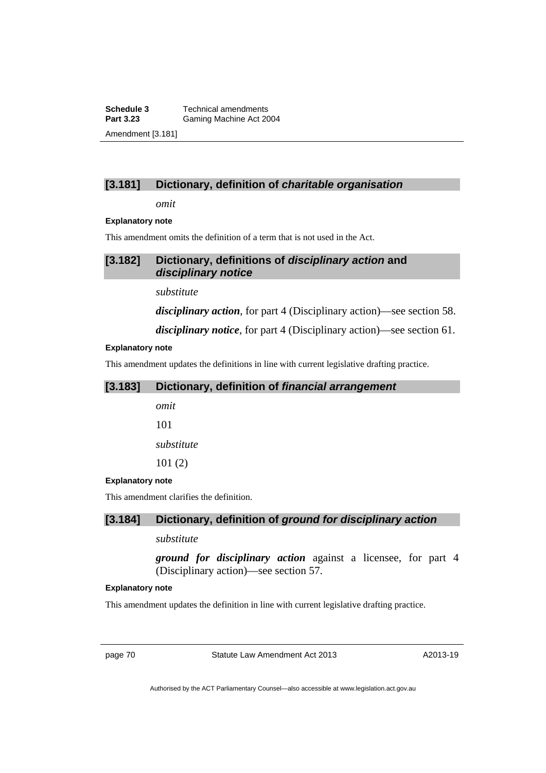**Schedule 3 Technical amendments**<br>**Part 3.23 Gaming Machine Act 20 Gaming Machine Act 2004** Amendment [3.181]

# **[3.181] Dictionary, definition of** *charitable organisation*

*omit* 

### **Explanatory note**

This amendment omits the definition of a term that is not used in the Act.

# **[3.182] Dictionary, definitions of** *disciplinary action* **and**  *disciplinary notice*

*substitute* 

*disciplinary action*, for part 4 (Disciplinary action)—see section 58.

*disciplinary notice*, for part 4 (Disciplinary action)—see section 61.

### **Explanatory note**

This amendment updates the definitions in line with current legislative drafting practice.

| [3.183]                 | Dictionary, definition of financial arrangement |
|-------------------------|-------------------------------------------------|
|                         | omit                                            |
|                         | 101                                             |
|                         | substitute                                      |
|                         | 101(2)                                          |
| <b>Explanatory note</b> |                                                 |
|                         | This amendment clarifies the definition.        |

# **[3.184] Dictionary, definition of** *ground for disciplinary action*

# *substitute*

*ground for disciplinary action* against a licensee, for part 4 (Disciplinary action)—see section 57.

### **Explanatory note**

This amendment updates the definition in line with current legislative drafting practice.

page 70 Statute Law Amendment Act 2013

A2013-19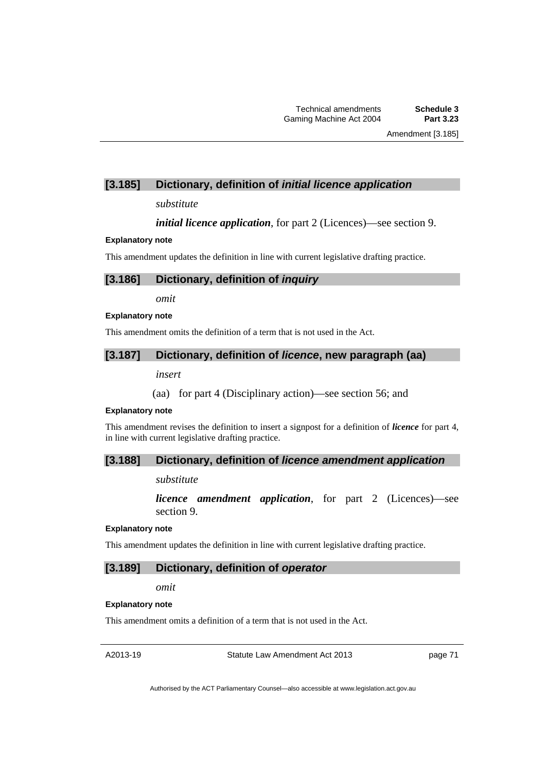## **[3.185] Dictionary, definition of** *initial licence application*

### *substitute*

*initial licence application*, for part 2 (Licences)—see section 9.

### **Explanatory note**

This amendment updates the definition in line with current legislative drafting practice.

# **[3.186] Dictionary, definition of** *inquiry*

*omit* 

#### **Explanatory note**

This amendment omits the definition of a term that is not used in the Act.

### **[3.187] Dictionary, definition of** *licence***, new paragraph (aa)**

*insert* 

(aa) for part 4 (Disciplinary action)—see section 56; and

### **Explanatory note**

This amendment revises the definition to insert a signpost for a definition of *licence* for part 4, in line with current legislative drafting practice.

### **[3.188] Dictionary, definition of** *licence amendment application*

### *substitute*

*licence amendment application*, for part 2 (Licences)—see section 9.

#### **Explanatory note**

This amendment updates the definition in line with current legislative drafting practice.

### **[3.189] Dictionary, definition of** *operator*

#### *omit*

### **Explanatory note**

This amendment omits a definition of a term that is not used in the Act.

A2013-19

Statute Law Amendment Act 2013

page 71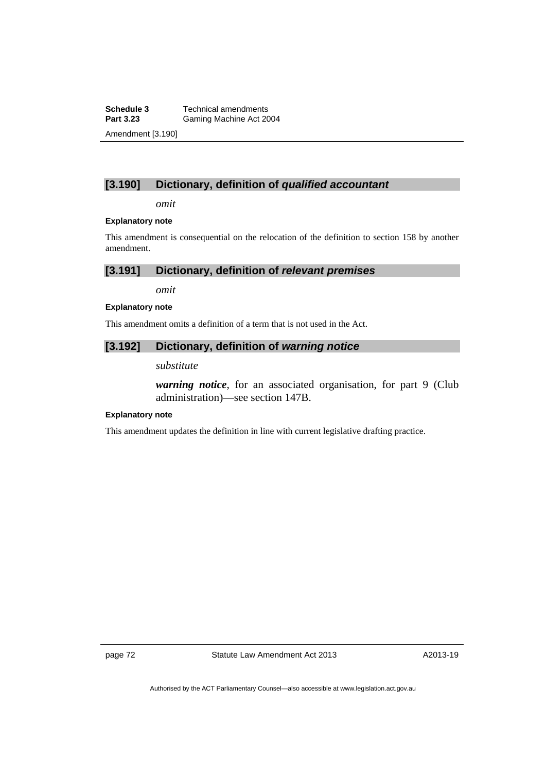**Schedule 3 Technical amendments**<br>**Part 3.23 Gaming Machine Act 20** Gaming Machine Act 2004 Amendment [3.190]

# **[3.190] Dictionary, definition of** *qualified accountant*

*omit* 

### **Explanatory note**

This amendment is consequential on the relocation of the definition to section 158 by another amendment.

**[3.191] Dictionary, definition of** *relevant premises* 

*omit* 

### **Explanatory note**

This amendment omits a definition of a term that is not used in the Act.

# **[3.192] Dictionary, definition of** *warning notice*

### *substitute*

*warning notice*, for an associated organisation, for part 9 (Club administration)—see section 147B.

### **Explanatory note**

This amendment updates the definition in line with current legislative drafting practice.

page 72 Statute Law Amendment Act 2013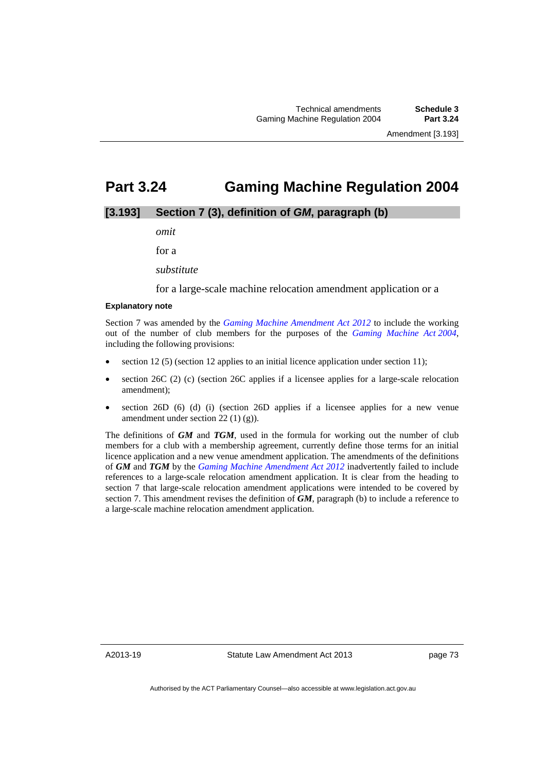# **Part 3.24 Gaming Machine Regulation 2004**

# **[3.193] Section 7 (3), definition of** *GM***, paragraph (b)**

*omit* 

for a

*substitute* 

for a large-scale machine relocation amendment application or a

### **Explanatory note**

Section 7 was amended by the *[Gaming Machine Amendment Act 2012](http://www.legislation.act.gov.au/a/2012-42/default.asp)* to include the working out of the number of club members for the purposes of the *[Gaming Machine Act 2004](http://www.legislation.act.gov.au/a/2004-34)*, including the following provisions:

- section 12 (5) (section 12 applies to an initial licence application under section 11);
- section 26C (2) (c) (section 26C applies if a licensee applies for a large-scale relocation amendment);
- section  $26D$  (6) (d) (i) (section  $26D$  applies if a licensee applies for a new venue amendment under section  $22(1)(g)$ .

The definitions of *GM* and *TGM*, used in the formula for working out the number of club members for a club with a membership agreement, currently define those terms for an initial licence application and a new venue amendment application. The amendments of the definitions of *GM* and *TGM* by the *[Gaming Machine Amendment Act 2012](http://www.legislation.act.gov.au/a/2012-42/default.asp)* inadvertently failed to include references to a large-scale relocation amendment application. It is clear from the heading to section 7 that large-scale relocation amendment applications were intended to be covered by section 7. This amendment revises the definition of *GM*, paragraph (b) to include a reference to a large-scale machine relocation amendment application.

A2013-19

Statute Law Amendment Act 2013

page 73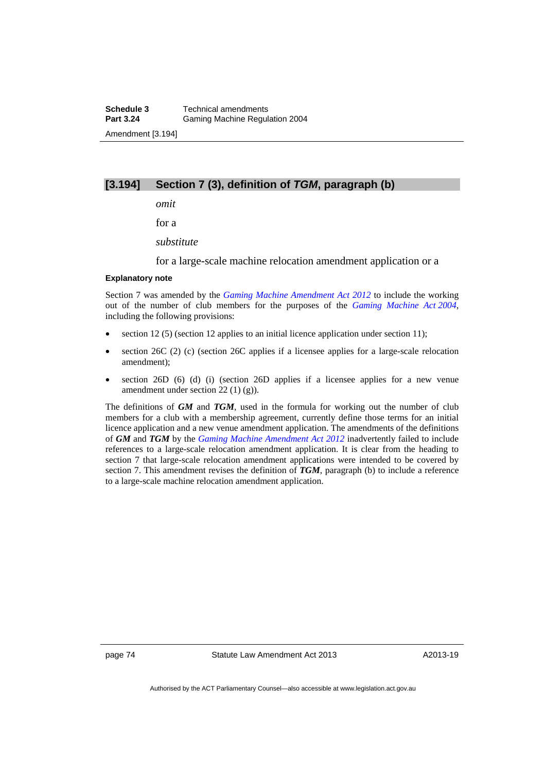## **[3.194] Section 7 (3), definition of** *TGM***, paragraph (b)**

*omit* 

for a

*substitute* 

for a large-scale machine relocation amendment application or a

### **Explanatory note**

Section 7 was amended by the *[Gaming Machine Amendment Act 2012](http://www.legislation.act.gov.au/a/2012-42/default.asp)* to include the working out of the number of club members for the purposes of the *[Gaming Machine Act 2004](http://www.legislation.act.gov.au/a/2004-34)*, including the following provisions:

- section 12 (5) (section 12 applies to an initial licence application under section 11);
- section 26C (2) (c) (section 26C applies if a licensee applies for a large-scale relocation amendment);
- section 26D (6) (d) (i) (section 26D applies if a licensee applies for a new venue amendment under section 22 (1) (g)).

The definitions of *GM* and *TGM*, used in the formula for working out the number of club members for a club with a membership agreement, currently define those terms for an initial licence application and a new venue amendment application. The amendments of the definitions of *GM* and *TGM* by the *[Gaming Machine Amendment Act 2012](http://www.legislation.act.gov.au/a/2012-42/default.asp)* inadvertently failed to include references to a large-scale relocation amendment application. It is clear from the heading to section 7 that large-scale relocation amendment applications were intended to be covered by section 7. This amendment revises the definition of *TGM*, paragraph (b) to include a reference to a large-scale machine relocation amendment application.

page 74 Statute Law Amendment Act 2013

A2013-19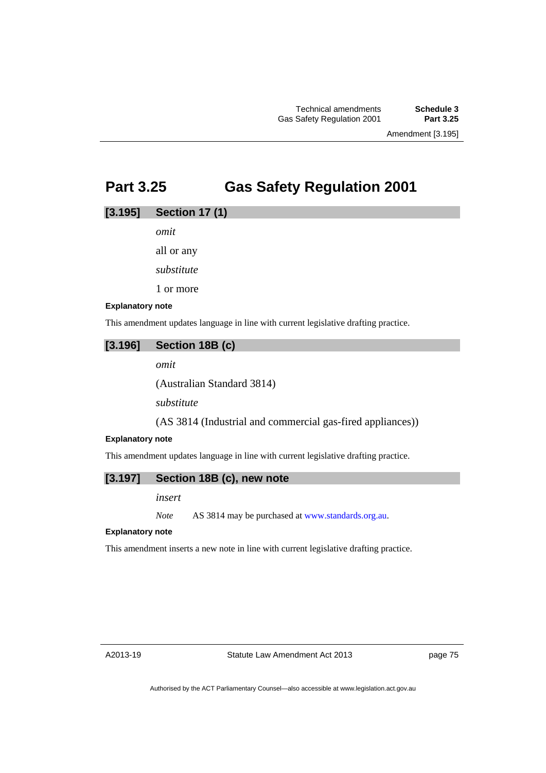Amendment [3.195]

# **Part 3.25 Gas Safety Regulation 2001**

### **[3.195] Section 17 (1)**

*omit* 

all or any

*substitute* 

1 or more

### **Explanatory note**

This amendment updates language in line with current legislative drafting practice.

# **[3.196] Section 18B (c)**

*omit* 

(Australian Standard 3814)

*substitute* 

(AS 3814 (Industrial and commercial gas-fired appliances))

## **Explanatory note**

This amendment updates language in line with current legislative drafting practice.

# **[3.197] Section 18B (c), new note**

*insert* 

*Note* AS 3814 may be purchased at [www.standards.org.au.](http://www.standards.org.au/)

### **Explanatory note**

This amendment inserts a new note in line with current legislative drafting practice.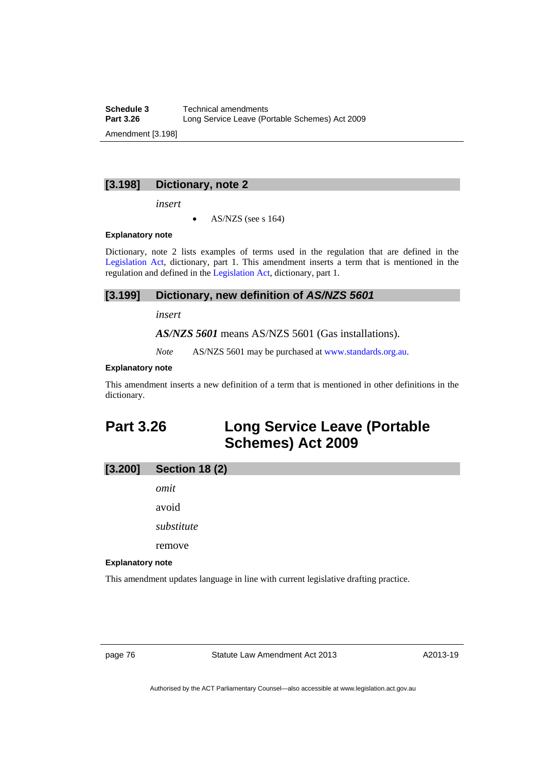**Schedule 3 Technical amendments**<br>**Part 3.26 Long Service Leave (Po** Long Service Leave (Portable Schemes) Act 2009 Amendment [3.198]

## **[3.198] Dictionary, note 2**

*insert* 

AS/NZS (see s 164)

### **Explanatory note**

Dictionary, note 2 lists examples of terms used in the regulation that are defined in the [Legislation Act,](http://www.legislation.act.gov.au/a/2001-14) dictionary, part 1. This amendment inserts a term that is mentioned in the regulation and defined in the [Legislation Act](http://www.legislation.act.gov.au/a/2001-14), dictionary, part 1.

### **[3.199] Dictionary, new definition of** *AS/NZS 5601*

*insert* 

*AS/NZS 5601* means AS/NZS 5601 (Gas installations).

*Note* AS/NZS 5601 may be purchased at [www.standards.org.au.](http://www.standards.org.au/)

#### **Explanatory note**

This amendment inserts a new definition of a term that is mentioned in other definitions in the dictionary.

# **Part 3.26 Long Service Leave (Portable Schemes) Act 2009**

# **[3.200] Section 18 (2)**

*omit* 

avoid

*substitute* 

remove

### **Explanatory note**

This amendment updates language in line with current legislative drafting practice.

page 76 Statute Law Amendment Act 2013

A2013-19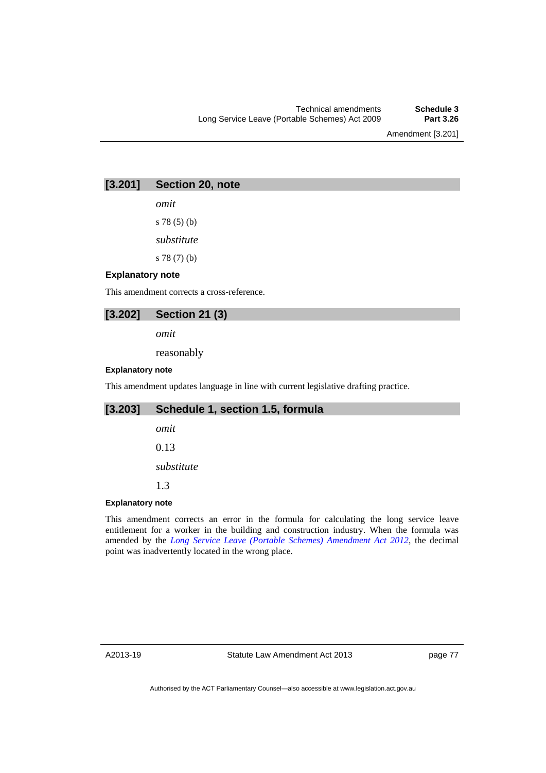Amendment [3.201]

# **[3.201] Section 20, note**

*omit* 

s 78 (5) (b)

*substitute* 

s 78 (7) (b)

### **Explanatory note**

This amendment corrects a cross-reference.

### **[3.202] Section 21 (3)**

*omit* 

reasonably

### **Explanatory note**

This amendment updates language in line with current legislative drafting practice.

# **[3.203] Schedule 1, section 1.5, formula**

*omit* 

0.13

*substitute* 

1.3

### **Explanatory note**

This amendment corrects an error in the formula for calculating the long service leave entitlement for a worker in the building and construction industry. When the formula was amended by the *[Long Service Leave \(Portable Schemes\) Amendment Act 2012](http://www.legislation.act.gov.au/a/2012-9/default.asp)*, the decimal point was inadvertently located in the wrong place.

A2013-19

page 77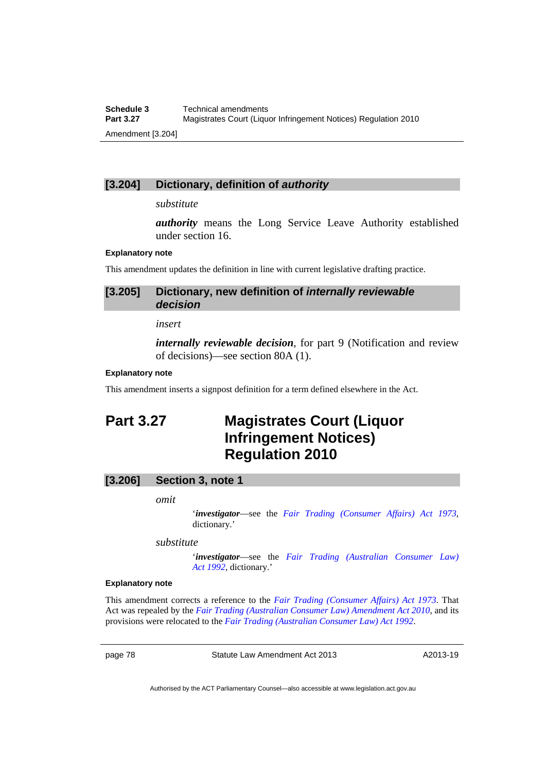# **[3.204] Dictionary, definition of** *authority*

### *substitute*

*authority* means the Long Service Leave Authority established under section 16.

### **Explanatory note**

This amendment updates the definition in line with current legislative drafting practice.

### **[3.205] Dictionary, new definition of** *internally reviewable decision*

#### *insert*

*internally reviewable decision*, for part 9 (Notification and review of decisions)—see section 80A (1).

#### **Explanatory note**

This amendment inserts a signpost definition for a term defined elsewhere in the Act.

# **Part 3.27 Magistrates Court (Liquor Infringement Notices) Regulation 2010**

# **[3.206] Section 3, note 1**

#### *omit*

'*investigator*—see the *[Fair Trading \(Consumer Affairs\) Act 1973](http://www.legislation.act.gov.au/a/1973-17/default.asp)*, dictionary.'

*substitute* 

'*investigator*—see the *[Fair Trading \(Australian Consumer Law\)](http://www.legislation.act.gov.au/a/1992-72)  [Act 1992](http://www.legislation.act.gov.au/a/1992-72)*, dictionary.'

#### **Explanatory note**

This amendment corrects a reference to the *[Fair Trading \(Consumer Affairs\) Act 1973](http://www.legislation.act.gov.au/a/1973-17/default.asp)*. That Act was repealed by the *[Fair Trading \(Australian Consumer Law\) Amendment Act 2010](http://www.legislation.act.gov.au/a/2010-54/default.asp)*, and its provisions were relocated to the *[Fair Trading \(Australian Consumer Law\) Act 1992](http://www.legislation.act.gov.au/a/1992-72)*.

page 78 Statute Law Amendment Act 2013

A2013-19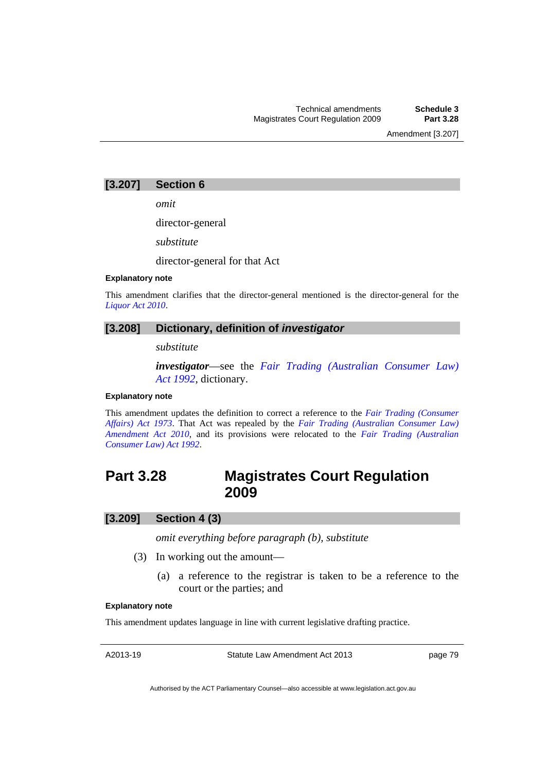Amendment [3.207]

### **[3.207] Section 6**

*omit* 

director-general

*substitute* 

director-general for that Act

### **Explanatory note**

This amendment clarifies that the director-general mentioned is the director-general for the *[Liquor Act 2010](http://www.legislation.act.gov.au/a/2010-35)*.

### **[3.208] Dictionary, definition of** *investigator*

*substitute* 

*investigator*—see the *[Fair Trading \(Australian Consumer Law\)](http://www.legislation.act.gov.au/a/1992-72)  [Act 1992](http://www.legislation.act.gov.au/a/1992-72)*, dictionary.

### **Explanatory note**

This amendment updates the definition to correct a reference to the *[Fair Trading \(Consumer](http://www.legislation.act.gov.au/a/1973-17/default.asp)  [Affairs\) Act 1973](http://www.legislation.act.gov.au/a/1973-17/default.asp)*. That Act was repealed by the *[Fair Trading \(Australian Consumer Law\)](http://www.legislation.act.gov.au/a/2010-54/default.asp)  [Amendment Act 2010](http://www.legislation.act.gov.au/a/2010-54/default.asp)*, and its provisions were relocated to the *[Fair Trading \(Australian](http://www.legislation.act.gov.au/a/1992-72)  [Consumer Law\) Act 1992](http://www.legislation.act.gov.au/a/1992-72)*.

# **Part 3.28 Magistrates Court Regulation 2009**

### **[3.209] Section 4 (3)**

*omit everything before paragraph (b), substitute* 

- (3) In working out the amount—
	- (a) a reference to the registrar is taken to be a reference to the court or the parties; and

#### **Explanatory note**

This amendment updates language in line with current legislative drafting practice.

A2013-19

Statute Law Amendment Act 2013

page 79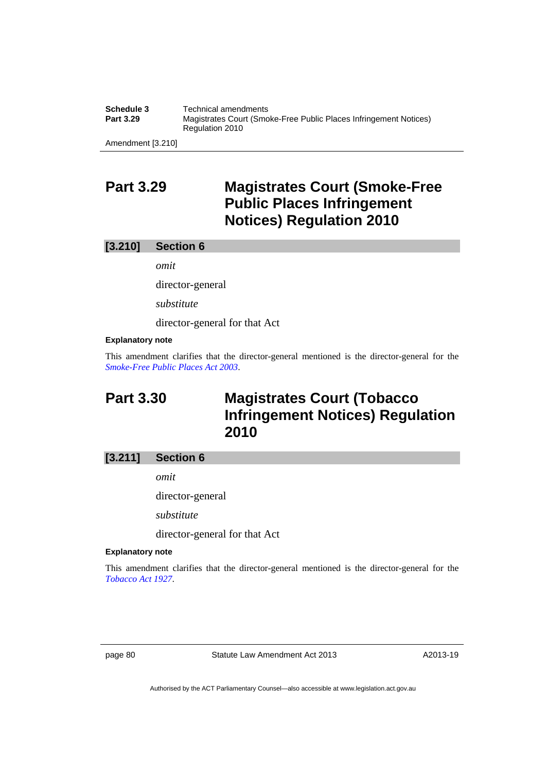**Schedule 3 Technical amendments**<br>**Part 3.29 Magistrates Court (Smo Magistrates Court (Smoke-Free Public Places Infringement Notices)** Regulation 2010

Amendment [3.210]

# **Part 3.29 Magistrates Court (Smoke-Free Public Places Infringement Notices) Regulation 2010**

### **[3.210] Section 6**

*omit* 

director-general

*substitute* 

director-general for that Act

### **Explanatory note**

This amendment clarifies that the director-general mentioned is the director-general for the *[Smoke-Free Public Places Act 2003](http://www.legislation.act.gov.au/a/2003-51)*.

# **Part 3.30 Magistrates Court (Tobacco Infringement Notices) Regulation 2010**

# **[3.211] Section 6**

*omit* 

director-general

*substitute* 

director-general for that Act

#### **Explanatory note**

This amendment clarifies that the director-general mentioned is the director-general for the *[Tobacco Act 1927](http://www.legislation.act.gov.au/a/1927-14)*.

page 80 Statute Law Amendment Act 2013

A2013-19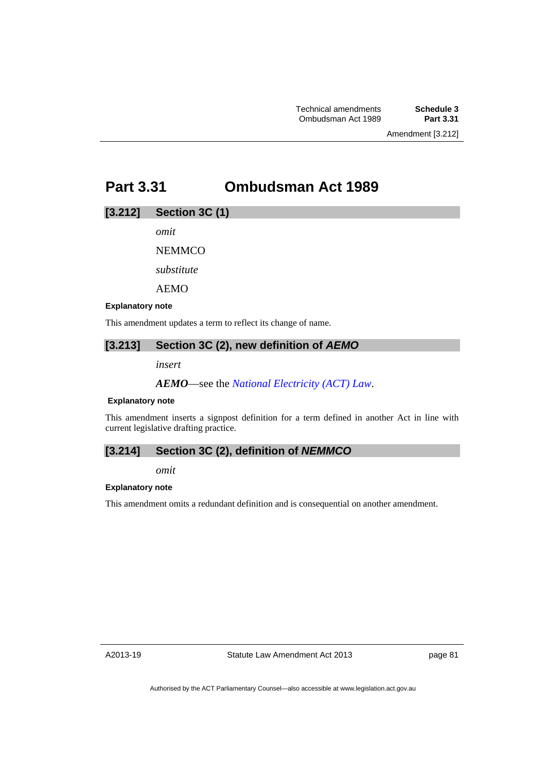# **Part 3.31 Ombudsman Act 1989**

## **[3.212] Section 3C (1)**

*omit* 

**NEMMCO** 

*substitute* 

AEMO

### **Explanatory note**

This amendment updates a term to reflect its change of name.

# **[3.213] Section 3C (2), new definition of** *AEMO*

*insert* 

*AEMO*––see the *[National Electricity \(ACT\) Law](http://www.legislation.act.gov.au/a/1997-79/default.asp)*.

### **Explanatory note**

This amendment inserts a signpost definition for a term defined in another Act in line with current legislative drafting practice.

# **[3.214] Section 3C (2), definition of** *NEMMCO*

*omit* 

#### **Explanatory note**

This amendment omits a redundant definition and is consequential on another amendment.

A2013-19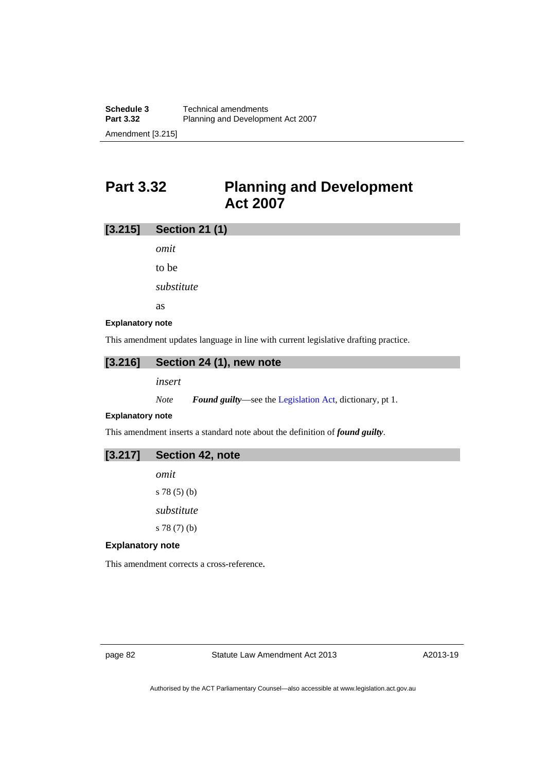# **Part 3.32 Planning and Development Act 2007**

# **[3.215] Section 21 (1)**

*omit* 

to be

*substitute* 

as

#### **Explanatory note**

This amendment updates language in line with current legislative drafting practice.

### **[3.216] Section 24 (1), new note**

*insert* 

*Note Found guilty*—see the [Legislation Act,](http://www.legislation.act.gov.au/a/2001-14) dictionary, pt 1.

### **Explanatory note**

This amendment inserts a standard note about the definition of *found guilty*.

*omit*  s 78 (5) (b)

*substitute* 

s 78 (7) (b)

### **Explanatory note**

This amendment corrects a cross-reference*.* 

page 82 Statute Law Amendment Act 2013

A2013-19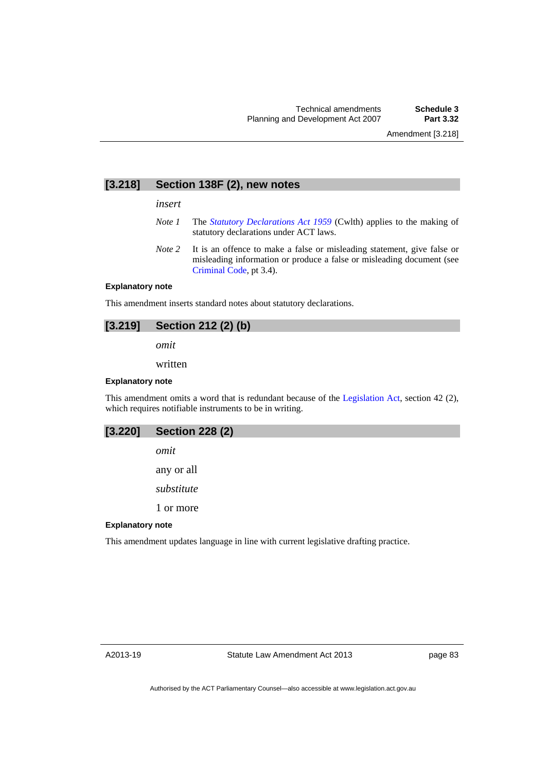# **[3.218] Section 138F (2), new notes**

*insert* 

- *Note 1* The *[Statutory Declarations Act 1959](http://www.comlaw.gov.au/Series/C2004A07365)* (Cwlth) applies to the making of statutory declarations under ACT laws.
- *Note 2* It is an offence to make a false or misleading statement, give false or misleading information or produce a false or misleading document (see [Criminal Code](http://www.legislation.act.gov.au/a/2002-51), pt 3.4).

#### **Explanatory note**

This amendment inserts standard notes about statutory declarations.

### **[3.219] Section 212 (2) (b)**

*omit* 

written

#### **Explanatory note**

This amendment omits a word that is redundant because of the [Legislation Act](http://www.legislation.act.gov.au/a/2001-14), section 42 (2), which requires notifiable instruments to be in writing.

| $[3.220]$ Section 228 (2) |
|---------------------------|
| omit                      |

any or all

*substitute* 

1 or more

#### **Explanatory note**

This amendment updates language in line with current legislative drafting practice.

page 83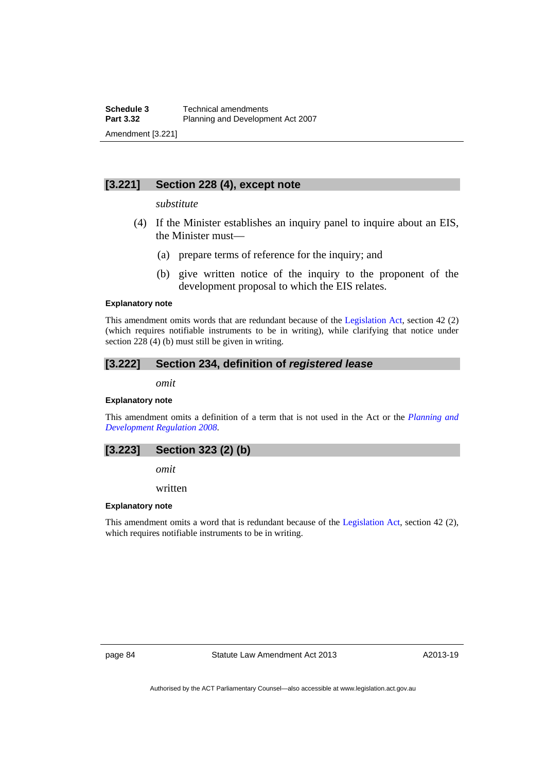# **[3.221] Section 228 (4), except note**

### *substitute*

- (4) If the Minister establishes an inquiry panel to inquire about an EIS, the Minister must—
	- (a) prepare terms of reference for the inquiry; and
	- (b) give written notice of the inquiry to the proponent of the development proposal to which the EIS relates.

#### **Explanatory note**

This amendment omits words that are redundant because of the [Legislation Act,](http://www.legislation.act.gov.au/a/2001-14) section 42 (2) (which requires notifiable instruments to be in writing), while clarifying that notice under section 228 (4) (b) must still be given in writing.

### **[3.222] Section 234, definition of** *registered lease*

*omit* 

### **Explanatory note**

This amendment omits a definition of a term that is not used in the Act or the *[Planning and](http://www.legislation.act.gov.au/sl/2008-2)  [Development Regulation 2008](http://www.legislation.act.gov.au/sl/2008-2)*.

### **[3.223] Section 323 (2) (b)**

*omit* 

written

#### **Explanatory note**

This amendment omits a word that is redundant because of the [Legislation Act](http://www.legislation.act.gov.au/a/2001-14), section 42 (2), which requires notifiable instruments to be in writing.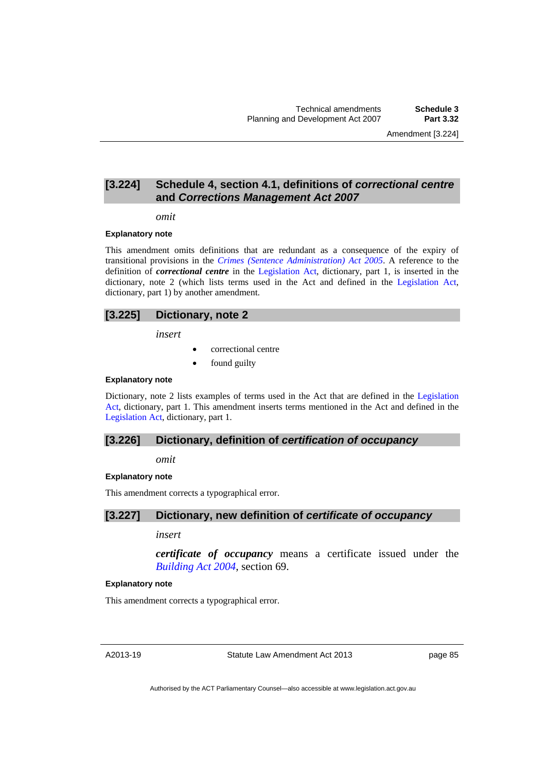Amendment [3.224]

## **[3.224] Schedule 4, section 4.1, definitions of** *correctional centre*  **and** *Corrections Management Act 2007*

#### *omit*

#### **Explanatory note**

This amendment omits definitions that are redundant as a consequence of the expiry of transitional provisions in the *[Crimes \(Sentence Administration\) Act 2005](http://www.legislation.act.gov.au/a/2005-59)*. A reference to the definition of *correctional centre* in the [Legislation Act](http://www.legislation.act.gov.au/a/2001-14), dictionary, part 1, is inserted in the dictionary, note 2 (which lists terms used in the Act and defined in the [Legislation Act,](http://www.legislation.act.gov.au/a/2001-14) dictionary, part 1) by another amendment.

### **[3.225] Dictionary, note 2**

*insert* 

- correctional centre
- found guilty

### **Explanatory note**

Dictionary, note 2 lists examples of terms used in the Act that are defined in the [Legislation](http://www.legislation.act.gov.au/a/2001-14)  [Act,](http://www.legislation.act.gov.au/a/2001-14) dictionary, part 1. This amendment inserts terms mentioned in the Act and defined in the [Legislation Act,](http://www.legislation.act.gov.au/a/2001-14) dictionary, part 1.

### **[3.226] Dictionary, definition of** *certification of occupancy*

*omit* 

#### **Explanatory note**

This amendment corrects a typographical error.

### **[3.227] Dictionary, new definition of** *certificate of occupancy*

#### *insert*

*certificate of occupancy* means a certificate issued under the *[Building Act 2004](http://www.legislation.act.gov.au/a/2004-11)*, section 69.

#### **Explanatory note**

This amendment corrects a typographical error.

A2013-19

Statute Law Amendment Act 2013

page 85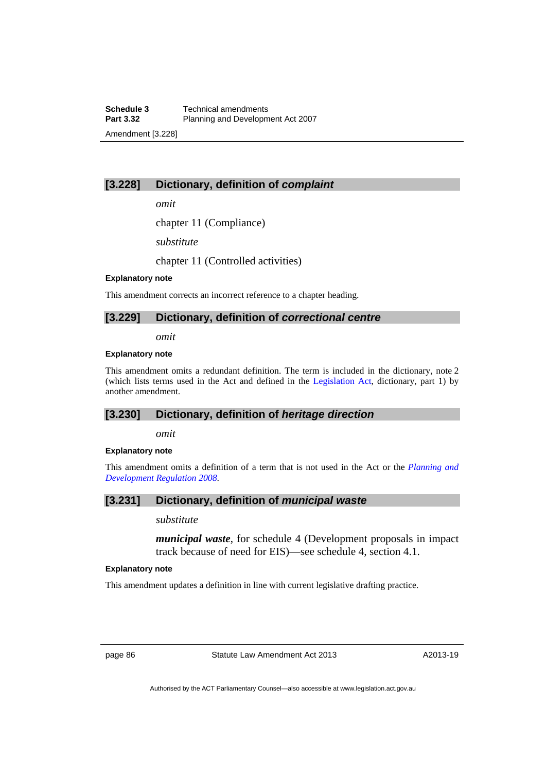# **[3.228] Dictionary, definition of** *complaint*

*omit* 

chapter 11 (Compliance)

*substitute* 

chapter 11 (Controlled activities)

### **Explanatory note**

This amendment corrects an incorrect reference to a chapter heading.

## **[3.229] Dictionary, definition of** *correctional centre*

*omit* 

### **Explanatory note**

This amendment omits a redundant definition. The term is included in the dictionary, note 2 (which lists terms used in the Act and defined in the [Legislation Act](http://www.legislation.act.gov.au/a/2001-14), dictionary, part 1) by another amendment.

### **[3.230] Dictionary, definition of** *heritage direction*

*omit* 

#### **Explanatory note**

This amendment omits a definition of a term that is not used in the Act or the *[Planning and](http://www.legislation.act.gov.au/sl/2008-2)  [Development Regulation 2008](http://www.legislation.act.gov.au/sl/2008-2)*.

## **[3.231] Dictionary, definition of** *municipal waste*

*substitute* 

*municipal waste*, for schedule 4 (Development proposals in impact track because of need for EIS)—see schedule 4, section 4.1.

### **Explanatory note**

This amendment updates a definition in line with current legislative drafting practice.

page 86 Statute Law Amendment Act 2013

A2013-19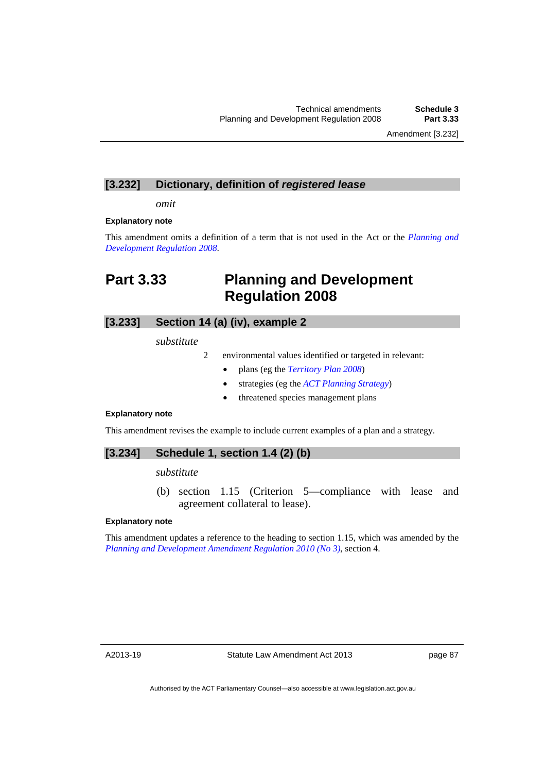Amendment [3.232]

# **[3.232] Dictionary, definition of** *registered lease*

*omit* 

#### **Explanatory note**

This amendment omits a definition of a term that is not used in the Act or the *[Planning and](http://www.legislation.act.gov.au/sl/2008-2)  [Development Regulation 2008](http://www.legislation.act.gov.au/sl/2008-2)*.

# **Part 3.33 Planning and Development Regulation 2008**

# **[3.233] Section 14 (a) (iv), example 2**

*substitute* 

- 2 environmental values identified or targeted in relevant:
	- plans (eg the *[Territory Plan 2008](http://www.legislation.act.gov.au/ni/2008-27/default.asp)*)
	- strategies (eg the *[ACT Planning Strategy](http://www.actpla.act.gov.au/tools_resources/legislation_plans_registers/plans/planning_strategy)*)
	- threatened species management plans

### **Explanatory note**

This amendment revises the example to include current examples of a plan and a strategy.

# **[3.234] Schedule 1, section 1.4 (2) (b)**

*substitute* 

 (b) section 1.15 (Criterion 5—compliance with lease and agreement collateral to lease).

### **Explanatory note**

This amendment updates a reference to the heading to section 1.15, which was amended by the *[Planning and Development Amendment Regulation 2010 \(No 3\)](http://www.legislation.act.gov.au/sl/2010-14/default.asp)*, section 4.

A2013-19

page 87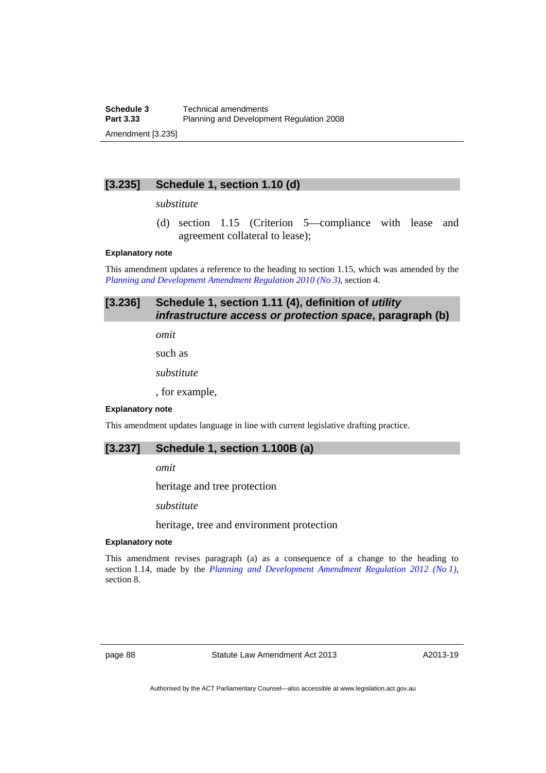# **[3.235] Schedule 1, section 1.10 (d)**

### *substitute*

 (d) section 1.15 (Criterion 5—compliance with lease and agreement collateral to lease);

#### **Explanatory note**

This amendment updates a reference to the heading to section 1.15, which was amended by the *[Planning and Development Amendment Regulation 2010 \(No 3\)](http://www.legislation.act.gov.au/sl/2010-14/default.asp)*, section 4.

# **[3.236] Schedule 1, section 1.11 (4), definition of** *utility infrastructure access or protection space***, paragraph (b)**

*omit* 

such as

*substitute* 

, for example,

### **Explanatory note**

This amendment updates language in line with current legislative drafting practice.

### **[3.237] Schedule 1, section 1.100B (a)**

*omit* 

heritage and tree protection

*substitute* 

heritage, tree and environment protection

### **Explanatory note**

This amendment revises paragraph (a) as a consequence of a change to the heading to section 1.14, made by the *[Planning and Development Amendment Regulation 2012 \(No 1\)](http://www.legislation.act.gov.au/sl/2012-18/default.asp)*, section 8.

page 88 Statute Law Amendment Act 2013

A2013-19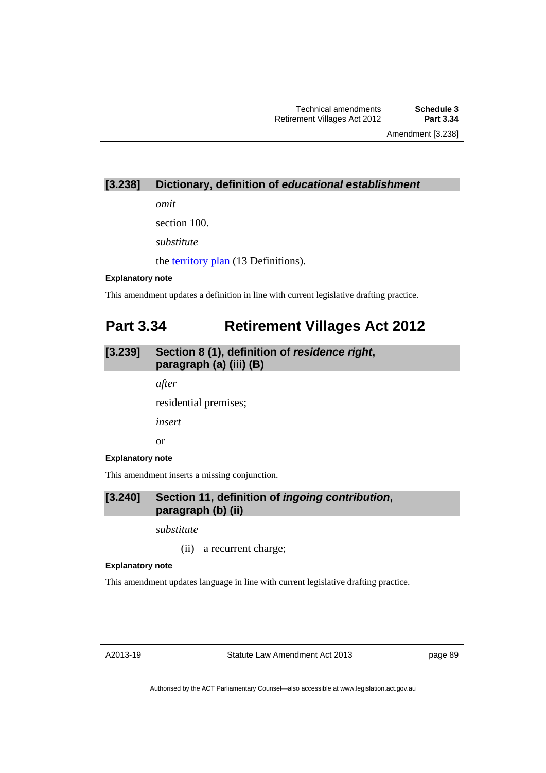Amendment [3.238]

# **[3.238] Dictionary, definition of** *educational establishment*

*omit* 

section 100.

*substitute* 

the [territory plan](http://www.legislation.act.gov.au/ni/2008-27/default.asp) (13 Definitions).

### **Explanatory note**

This amendment updates a definition in line with current legislative drafting practice.

# **Part 3.34 Retirement Villages Act 2012**

# **[3.239] Section 8 (1), definition of** *residence right***, paragraph (a) (iii) (B)**

*after* 

residential premises;

*insert* 

or

### **Explanatory note**

This amendment inserts a missing conjunction.

# **[3.240] Section 11, definition of** *ingoing contribution***, paragraph (b) (ii)**

*substitute* 

(ii) a recurrent charge;

#### **Explanatory note**

This amendment updates language in line with current legislative drafting practice.

A2013-19

Statute Law Amendment Act 2013

page 89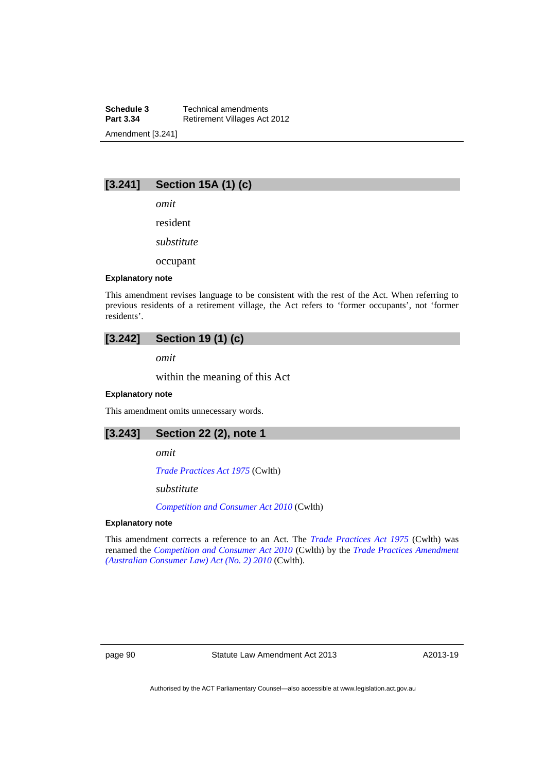**Schedule 3 Technical amendments**<br>**Part 3.34 Retirement Villages Act Retirement Villages Act 2012** Amendment [3.241]

# **[3.241] Section 15A (1) (c)**

*omit* 

resident

*substitute* 

occupant

### **Explanatory note**

This amendment revises language to be consistent with the rest of the Act. When referring to previous residents of a retirement village, the Act refers to 'former occupants', not 'former residents'.

# **[3.242] Section 19 (1) (c)**

*omit* 

within the meaning of this Act

#### **Explanatory note**

This amendment omits unnecessary words.

**[3.243] Section 22 (2), note 1** 

*omit* 

*[Trade Practices Act 1975](http://www.comlaw.gov.au/Details/C2004A00285)* (Cwlth)

*substitute* 

*[Competition and Consumer Act 2010](http://www.comlaw.gov.au/Details/C2013C00004)* (Cwlth)

#### **Explanatory note**

This amendment corrects a reference to an Act. The *[Trade Practices Act 1975](http://www.comlaw.gov.au/Details/C2004A00285)* (Cwlth) was renamed the *[Competition and Consumer Act 2010](http://www.comlaw.gov.au/Details/C2013C00004)* (Cwlth) by the *[Trade Practices Amendment](http://www.comlaw.gov.au/Details/C2010A00103)  [\(Australian Consumer Law\) Act \(No. 2\) 2010](http://www.comlaw.gov.au/Details/C2010A00103)* (Cwlth).

page 90 Statute Law Amendment Act 2013

A2013-19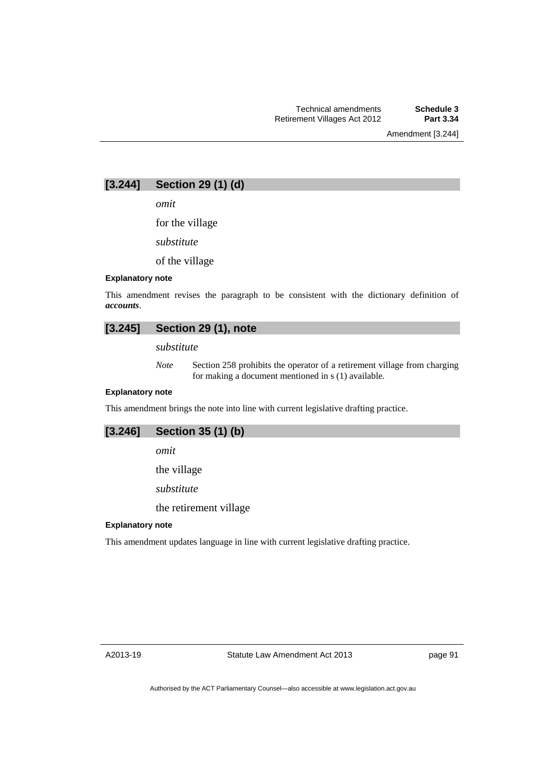Amendment [3.244]

# **[3.244] Section 29 (1) (d)**

*omit* 

for the village

*substitute* 

of the village

### **Explanatory note**

This amendment revises the paragraph to be consistent with the dictionary definition of *accounts*.

# **[3.245] Section 29 (1), note**

*substitute* 

*Note* Section 258 prohibits the operator of a retirement village from charging for making a document mentioned in s (1) available.

### **Explanatory note**

This amendment brings the note into line with current legislative drafting practice.

## **[3.246] Section 35 (1) (b)**

*omit* 

the village

*substitute* 

the retirement village

#### **Explanatory note**

This amendment updates language in line with current legislative drafting practice.

page 91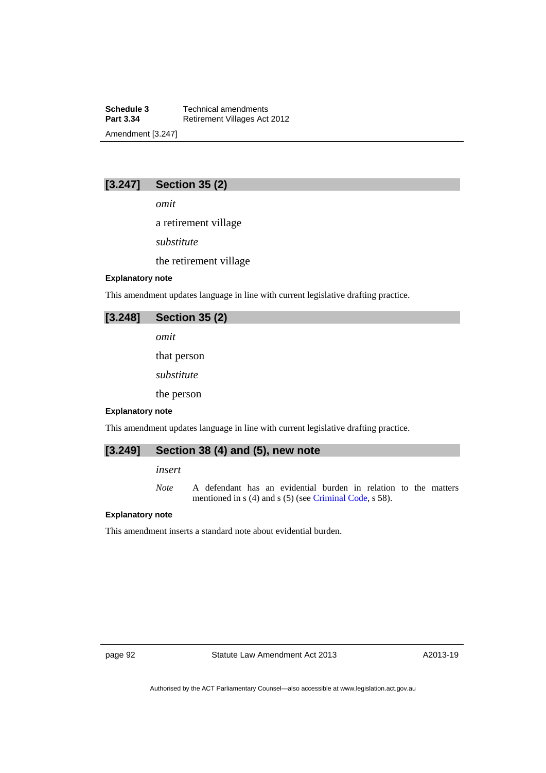**Schedule 3 Technical amendments**<br>**Part 3.34 Retirement Villages Act Retirement Villages Act 2012** Amendment [3.247]

# **[3.247] Section 35 (2)**

*omit* 

a retirement village

*substitute* 

the retirement village

### **Explanatory note**

This amendment updates language in line with current legislative drafting practice.

| [3.248] | <b>Section 35 (2)</b> |  |
|---------|-----------------------|--|
|         | omit                  |  |
|         | that person           |  |
|         | substitute            |  |
|         | the person            |  |

#### **Explanatory note**

This amendment updates language in line with current legislative drafting practice.

# **[3.249] Section 38 (4) and (5), new note**

### *insert*

*Note* A defendant has an evidential burden in relation to the matters mentioned in s (4) and s (5) (see [Criminal Code,](http://www.legislation.act.gov.au/a/2002-51) s 58).

#### **Explanatory note**

This amendment inserts a standard note about evidential burden.

page 92 Statute Law Amendment Act 2013

A2013-19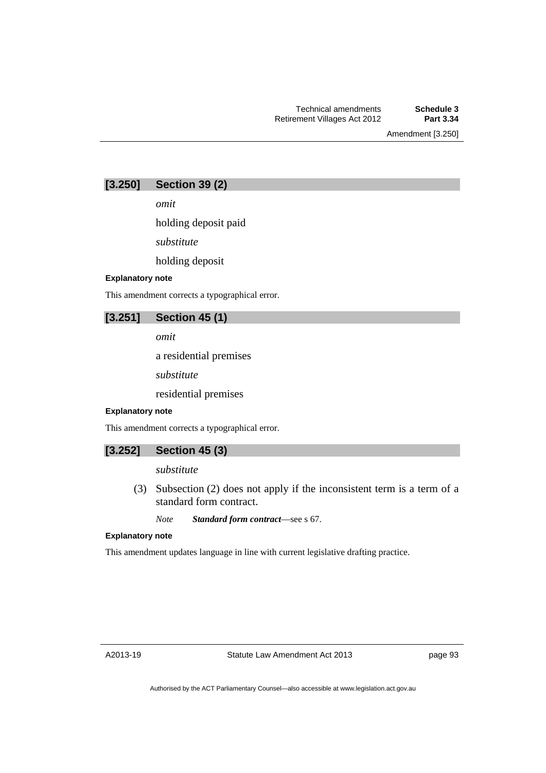Amendment [3.250]

| [3.250] | <b>Section 39 (2)</b> |  |  |
|---------|-----------------------|--|--|
|---------|-----------------------|--|--|

*omit* 

holding deposit paid

*substitute* 

holding deposit

### **Explanatory note**

This amendment corrects a typographical error.

# **[3.251] Section 45 (1)**

*omit* 

a residential premises

*substitute* 

residential premises

#### **Explanatory note**

This amendment corrects a typographical error.

| [3.252] | <b>Section 45 (3)</b> |  |  |
|---------|-----------------------|--|--|
|         |                       |  |  |

*substitute* 

 (3) Subsection (2) does not apply if the inconsistent term is a term of a standard form contract.

*Note Standard form contract*—see s 67.

#### **Explanatory note**

This amendment updates language in line with current legislative drafting practice.

A2013-19

page 93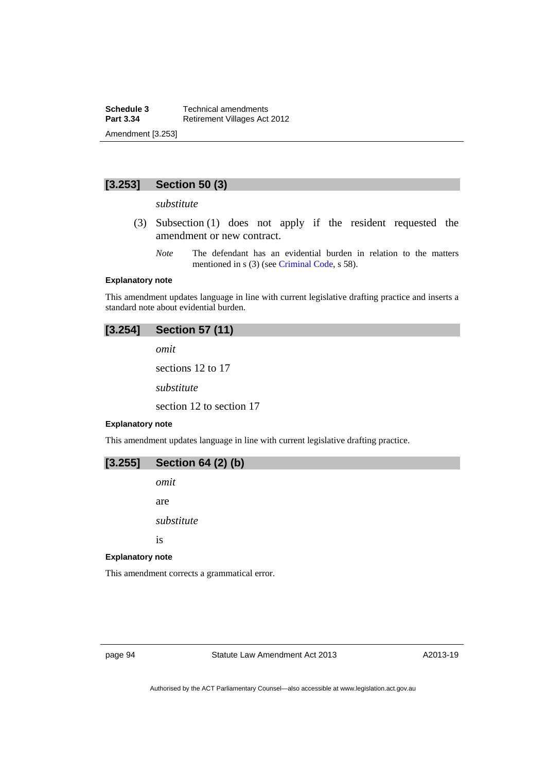# **[3.253] Section 50 (3)**

### *substitute*

- (3) Subsection (1) does not apply if the resident requested the amendment or new contract.
	- *Note* The defendant has an evidential burden in relation to the matters mentioned in s (3) (see [Criminal Code](http://www.legislation.act.gov.au/a/2002-51), s 58).

### **Explanatory note**

This amendment updates language in line with current legislative drafting practice and inserts a standard note about evidential burden.

### **[3.254] Section 57 (11)**

*omit*  sections 12 to 17 *substitute*  section 12 to section 17

#### **Explanatory note**

This amendment updates language in line with current legislative drafting practice.

| $[3.255]$ | <b>Section 64 (2) (b)</b> |  |  |  |  |
|-----------|---------------------------|--|--|--|--|
|-----------|---------------------------|--|--|--|--|

*omit* 

are

*substitute* 

is

#### **Explanatory note**

This amendment corrects a grammatical error.

page 94 Statute Law Amendment Act 2013

A2013-19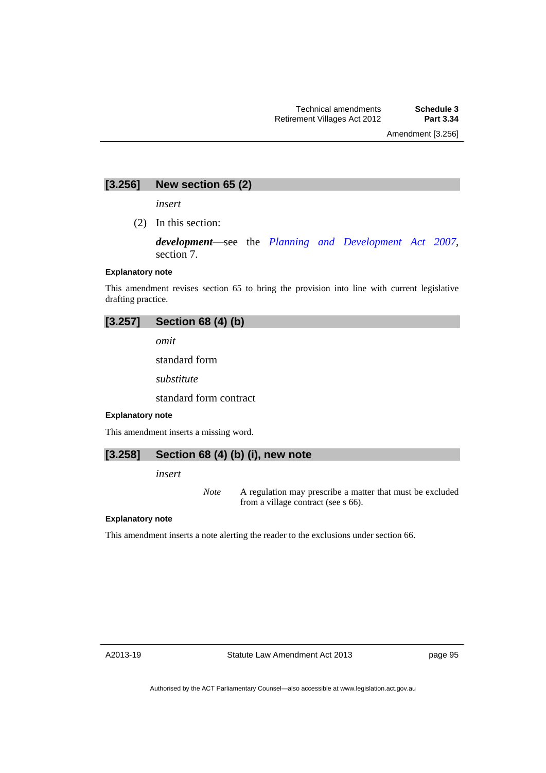# **[3.256] New section 65 (2)**

*insert* 

(2) In this section:

*development*—see the *[Planning and Development Act 2007](http://www.legislation.act.gov.au/a/2007-24)*, section 7.

### **Explanatory note**

This amendment revises section 65 to bring the provision into line with current legislative drafting practice.

### **[3.257] Section 68 (4) (b)**

*omit* 

standard form

*substitute* 

standard form contract

#### **Explanatory note**

This amendment inserts a missing word.

## **[3.258] Section 68 (4) (b) (i), new note**

*insert* 

*Note* A regulation may prescribe a matter that must be excluded from a village contract (see s 66).

### **Explanatory note**

This amendment inserts a note alerting the reader to the exclusions under section 66.

page 95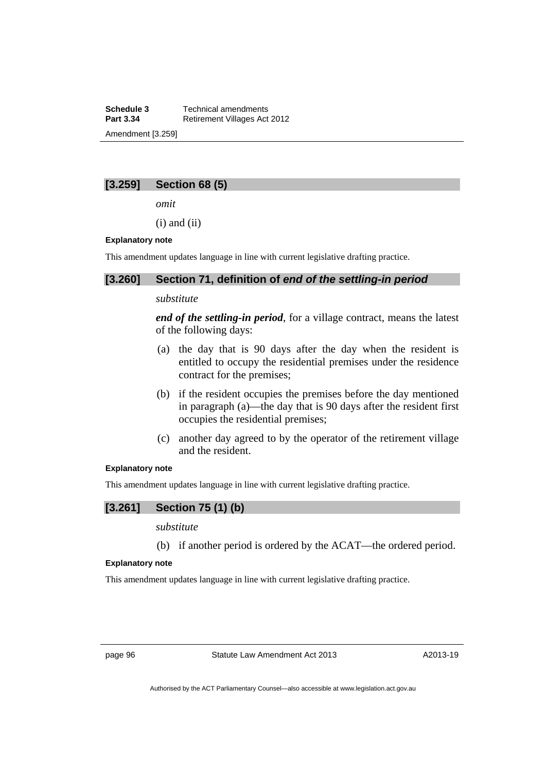**Schedule 3 Technical amendments**<br>**Part 3.34 Retirement Villages Act Retirement Villages Act 2012** Amendment [3.259]

# **[3.259] Section 68 (5)**

*omit* 

 $(i)$  and  $(ii)$ 

### **Explanatory note**

This amendment updates language in line with current legislative drafting practice.

### **[3.260] Section 71, definition of** *end of the settling-in period*

## *substitute*

*end of the settling-in period*, for a village contract, means the latest of the following days:

- (a) the day that is 90 days after the day when the resident is entitled to occupy the residential premises under the residence contract for the premises;
- (b) if the resident occupies the premises before the day mentioned in paragraph (a)—the day that is 90 days after the resident first occupies the residential premises;
- (c) another day agreed to by the operator of the retirement village and the resident.

### **Explanatory note**

This amendment updates language in line with current legislative drafting practice.

### **[3.261] Section 75 (1) (b)**

*substitute* 

(b) if another period is ordered by the ACAT—the ordered period.

### **Explanatory note**

This amendment updates language in line with current legislative drafting practice.

page 96 Statute Law Amendment Act 2013

A2013-19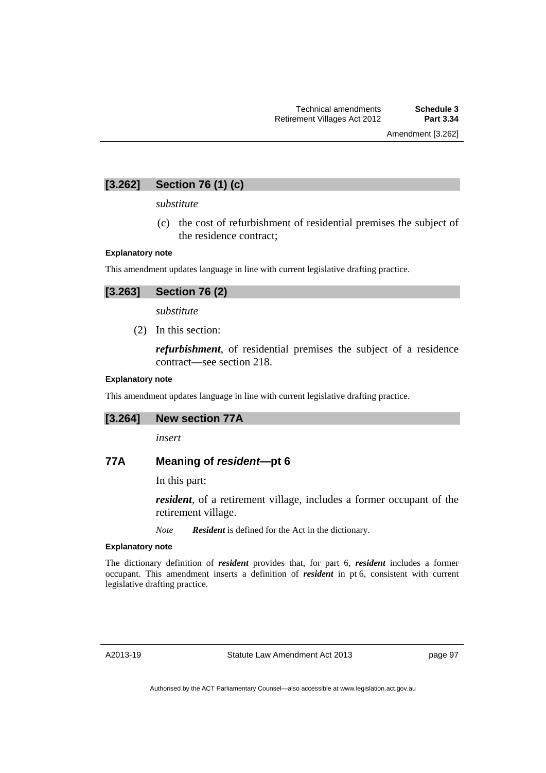# **[3.262] Section 76 (1) (c)**

### *substitute*

 (c) the cost of refurbishment of residential premises the subject of the residence contract;

#### **Explanatory note**

This amendment updates language in line with current legislative drafting practice.

*substitute* 

(2) In this section:

*refurbishment*, of residential premises the subject of a residence contract*—*see section 218.

### **Explanatory note**

This amendment updates language in line with current legislative drafting practice.

|  | [3.264] |  | <b>New section 77A</b> |  |
|--|---------|--|------------------------|--|
|--|---------|--|------------------------|--|

*insert* 

## **77A Meaning of** *resident***—pt 6**

In this part:

*resident*, of a retirement village, includes a former occupant of the retirement village.

*Note Resident* is defined for the Act in the dictionary.

### **Explanatory note**

The dictionary definition of *resident* provides that, for part 6, *resident* includes a former occupant. This amendment inserts a definition of *resident* in pt 6, consistent with current legislative drafting practice.

A2013-19

Statute Law Amendment Act 2013

page 97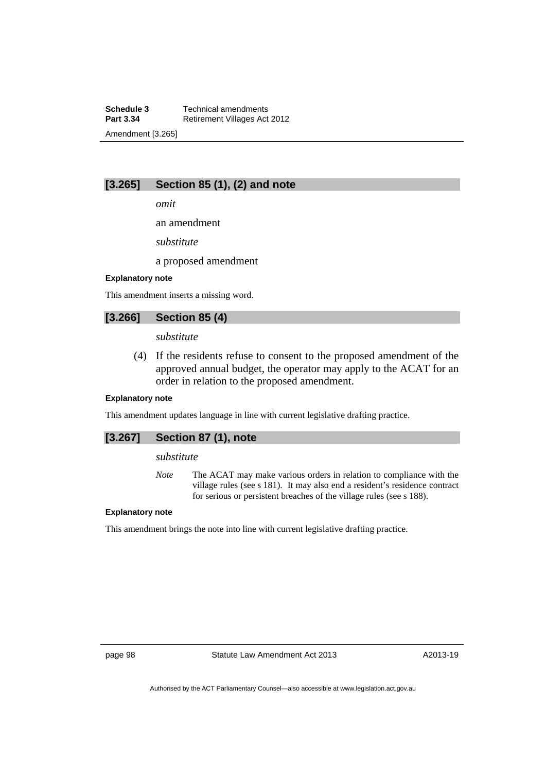**Schedule 3 Technical amendments**<br>**Part 3.34 Retirement Villages Act Retirement Villages Act 2012** Amendment [3.265]

# **[3.265] Section 85 (1), (2) and note**

*omit* 

an amendment

*substitute* 

a proposed amendment

### **Explanatory note**

This amendment inserts a missing word.

## **[3.266] Section 85 (4)**

*substitute* 

 (4) If the residents refuse to consent to the proposed amendment of the approved annual budget, the operator may apply to the ACAT for an order in relation to the proposed amendment.

### **Explanatory note**

This amendment updates language in line with current legislative drafting practice.

# **[3.267] Section 87 (1), note**

### *substitute*

*Note* The ACAT may make various orders in relation to compliance with the village rules (see s 181). It may also end a resident's residence contract for serious or persistent breaches of the village rules (see s 188).

### **Explanatory note**

This amendment brings the note into line with current legislative drafting practice.

page 98 Statute Law Amendment Act 2013

A2013-19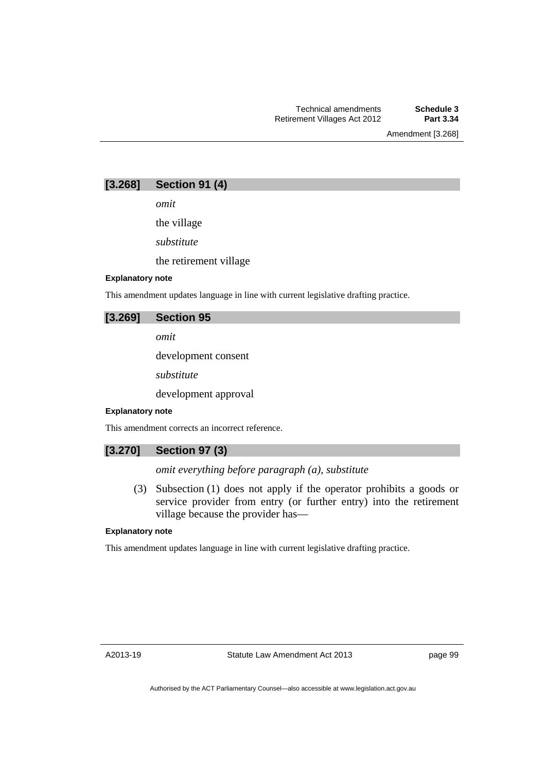Amendment [3.268]

# **[3.268] Section 91 (4)**

*omit* 

the village *substitute* 

the retirement village

### **Explanatory note**

This amendment updates language in line with current legislative drafting practice.

### **[3.269] Section 95**

*omit* 

development consent

*substitute* 

development approval

### **Explanatory note**

This amendment corrects an incorrect reference.

## **[3.270] Section 97 (3)**

*omit everything before paragraph (a), substitute* 

 (3) Subsection (1) does not apply if the operator prohibits a goods or service provider from entry (or further entry) into the retirement village because the provider has—

### **Explanatory note**

This amendment updates language in line with current legislative drafting practice.

page 99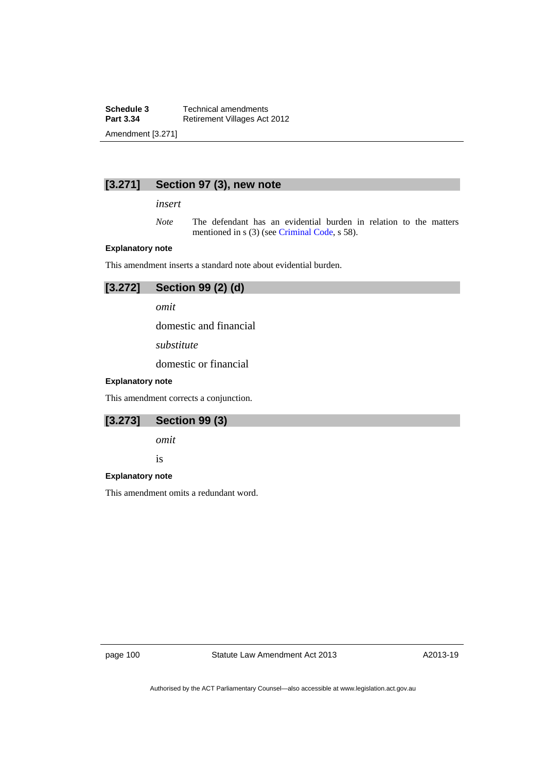**Schedule 3 Technical amendments**<br>**Part 3.34 Retirement Villages Act Retirement Villages Act 2012** Amendment [3.271]

# **[3.271] Section 97 (3), new note**

*insert* 

*Note* The defendant has an evidential burden in relation to the matters mentioned in s (3) (see [Criminal Code](http://www.legislation.act.gov.au/a/2002-51), s 58).

### **Explanatory note**

This amendment inserts a standard note about evidential burden.

| [3.272] | Section 99 (2) (d) |  |  |
|---------|--------------------|--|--|
|---------|--------------------|--|--|

*omit* 

domestic and financial

*substitute* 

domestic or financial

### **Explanatory note**

This amendment corrects a conjunction.

| [3.273] | <b>Section 99 (3)</b> |  |  |
|---------|-----------------------|--|--|
|---------|-----------------------|--|--|

*omit* 

is

#### **Explanatory note**

This amendment omits a redundant word.

page 100 Statute Law Amendment Act 2013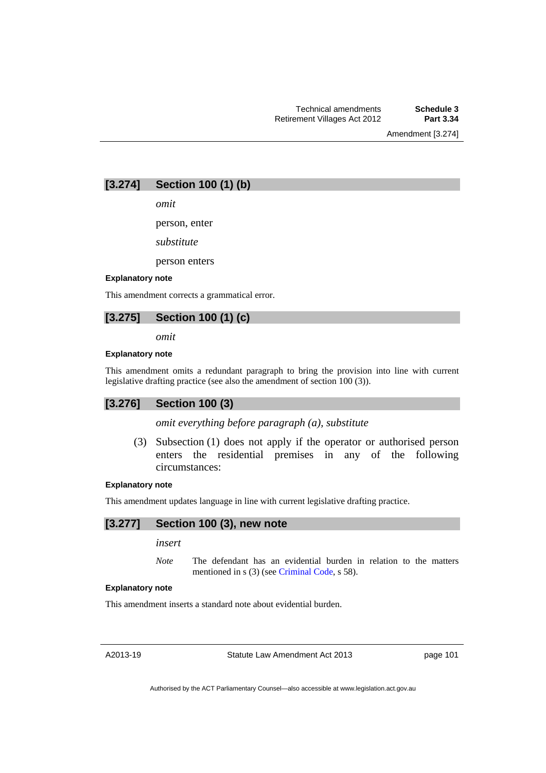Amendment [3.274]

# **[3.274] Section 100 (1) (b)**

*omit* 

person, enter

*substitute* 

person enters

### **Explanatory note**

This amendment corrects a grammatical error.

# **[3.275] Section 100 (1) (c)**

*omit* 

### **Explanatory note**

This amendment omits a redundant paragraph to bring the provision into line with current legislative drafting practice (see also the amendment of section 100 (3)).

# **[3.276] Section 100 (3)**

*omit everything before paragraph (a), substitute* 

 (3) Subsection (1) does not apply if the operator or authorised person enters the residential premises in any of the following circumstances:

#### **Explanatory note**

This amendment updates language in line with current legislative drafting practice.

# **[3.277] Section 100 (3), new note**

*insert* 

*Note* The defendant has an evidential burden in relation to the matters mentioned in s (3) (see [Criminal Code](http://www.legislation.act.gov.au/a/2002-51), s 58).

### **Explanatory note**

This amendment inserts a standard note about evidential burden.

A2013-19

Statute Law Amendment Act 2013

page 101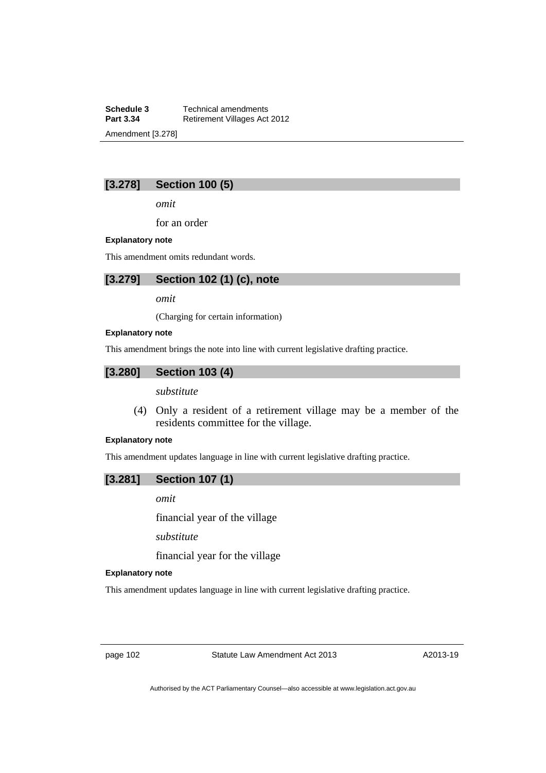**Schedule 3 Technical amendments**<br>**Part 3.34 Retirement Villages Act Retirement Villages Act 2012** Amendment [3.278]

# **[3.278] Section 100 (5)**

*omit* 

for an order

### **Explanatory note**

This amendment omits redundant words.

# **[3.279] Section 102 (1) (c), note**

*omit* 

(Charging for certain information)

#### **Explanatory note**

This amendment brings the note into line with current legislative drafting practice.

# **[3.280] Section 103 (4)**

*substitute* 

 (4) Only a resident of a retirement village may be a member of the residents committee for the village.

### **Explanatory note**

This amendment updates language in line with current legislative drafting practice.

### **[3.281] Section 107 (1)**

*omit* 

financial year of the village

*substitute* 

financial year for the village

### **Explanatory note**

This amendment updates language in line with current legislative drafting practice.

page 102 Statute Law Amendment Act 2013

A2013-19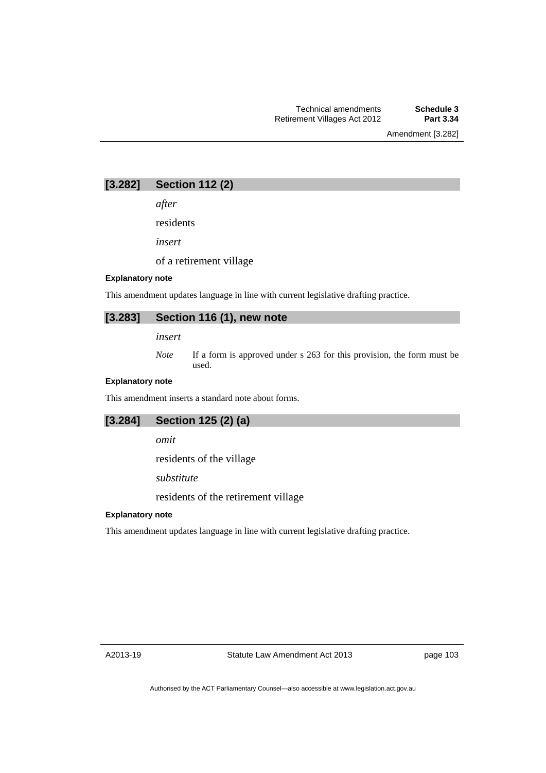Amendment [3.282]

# **[3.282] Section 112 (2)**

*after* 

residents

*insert* 

of a retirement village

### **Explanatory note**

This amendment updates language in line with current legislative drafting practice.

# **[3.283] Section 116 (1), new note**

*insert* 

*Note* If a form is approved under s 263 for this provision, the form must be used.

### **Explanatory note**

This amendment inserts a standard note about forms.

# **[3.284] Section 125 (2) (a)**

*omit* 

residents of the village

*substitute* 

residents of the retirement village

### **Explanatory note**

This amendment updates language in line with current legislative drafting practice.

A2013-19

page 103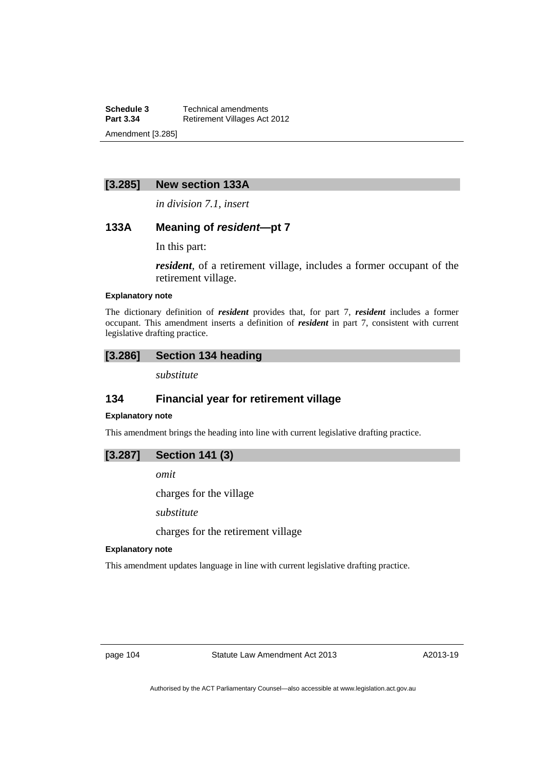**Schedule 3 Technical amendments**<br>**Part 3.34 Retirement Villages Act Retirement Villages Act 2012** Amendment [3.285]

### **[3.285] New section 133A**

*in division 7.1, insert* 

### **133A Meaning of** *resident***—pt 7**

In this part:

*resident*, of a retirement village, includes a former occupant of the retirement village.

### **Explanatory note**

The dictionary definition of *resident* provides that, for part 7, *resident* includes a former occupant. This amendment inserts a definition of *resident* in part 7, consistent with current legislative drafting practice.

# **[3.286] Section 134 heading**

*substitute* 

# **134 Financial year for retirement village**

# **Explanatory note**

This amendment brings the heading into line with current legislative drafting practice.

### **[3.287] Section 141 (3)**

*omit* 

charges for the village

*substitute* 

charges for the retirement village

#### **Explanatory note**

This amendment updates language in line with current legislative drafting practice.

page 104 Statute Law Amendment Act 2013

A2013-19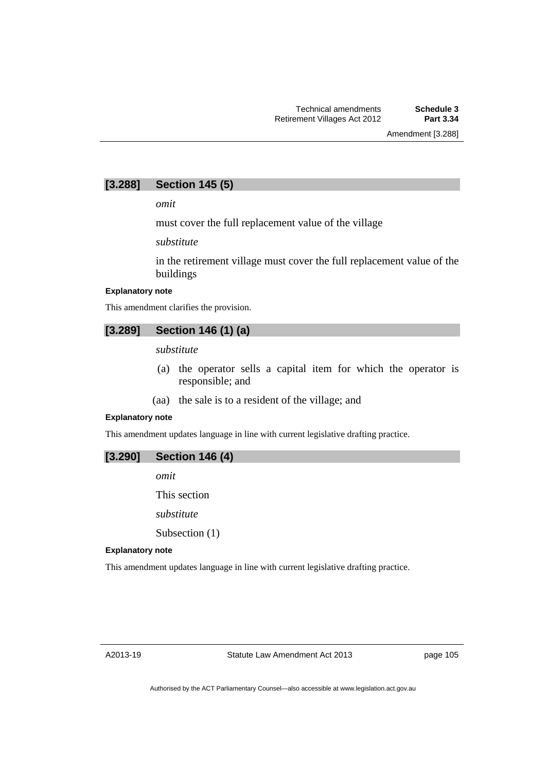Amendment [3.288]

# **[3.288] Section 145 (5)**

*omit* 

must cover the full replacement value of the village

*substitute* 

in the retirement village must cover the full replacement value of the buildings

#### **Explanatory note**

This amendment clarifies the provision.

$$
[3.289] \quad \text{Section 146 (1) (a)}
$$

*substitute* 

- (a) the operator sells a capital item for which the operator is responsible; and
- (aa) the sale is to a resident of the village; and

#### **Explanatory note**

This amendment updates language in line with current legislative drafting practice.



*omit* 

This section

*substitute* 

Subsection (1)

#### **Explanatory note**

This amendment updates language in line with current legislative drafting practice.

page 105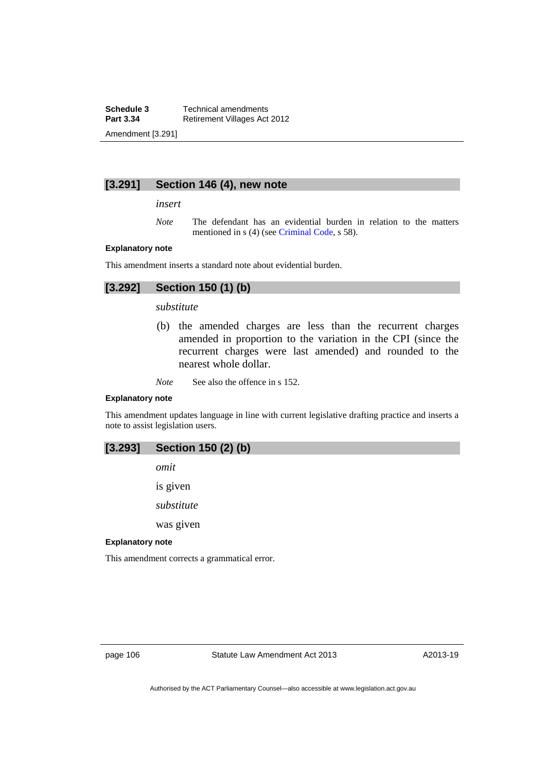**Schedule 3 Technical amendments**<br>**Part 3.34 Retirement Villages Act Retirement Villages Act 2012** Amendment [3.291]

### **[3.291] Section 146 (4), new note**

*insert* 

*Note* The defendant has an evidential burden in relation to the matters mentioned in s (4) (see [Criminal Code](http://www.legislation.act.gov.au/a/2002-51), s 58).

#### **Explanatory note**

This amendment inserts a standard note about evidential burden.

# **[3.292] Section 150 (1) (b)**

### *substitute*

 (b) the amended charges are less than the recurrent charges amended in proportion to the variation in the CPI (since the recurrent charges were last amended) and rounded to the nearest whole dollar.

*Note* See also the offence in s 152.

#### **Explanatory note**

This amendment updates language in line with current legislative drafting practice and inserts a note to assist legislation users.

### **[3.293] Section 150 (2) (b)**

*omit* 

is given

*substitute* 

was given

#### **Explanatory note**

This amendment corrects a grammatical error.

page 106 Statute Law Amendment Act 2013

A2013-19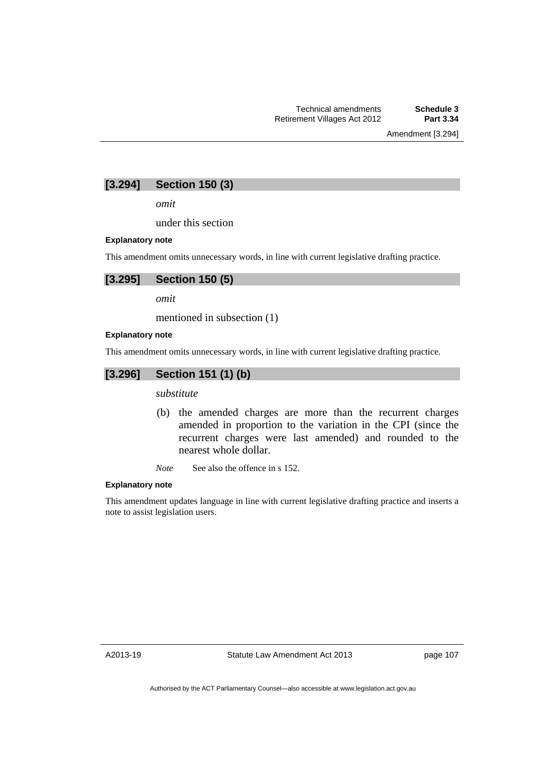Amendment [3.294]

# **[3.294] Section 150 (3)**

*omit* 

under this section

### **Explanatory note**

This amendment omits unnecessary words, in line with current legislative drafting practice.

# **[3.295] Section 150 (5)**

*omit* 

mentioned in subsection (1)

#### **Explanatory note**

This amendment omits unnecessary words, in line with current legislative drafting practice.

### **[3.296] Section 151 (1) (b)**

*substitute* 

- (b) the amended charges are more than the recurrent charges amended in proportion to the variation in the CPI (since the recurrent charges were last amended) and rounded to the nearest whole dollar.
- *Note* See also the offence in s 152.

#### **Explanatory note**

This amendment updates language in line with current legislative drafting practice and inserts a note to assist legislation users.

A2013-19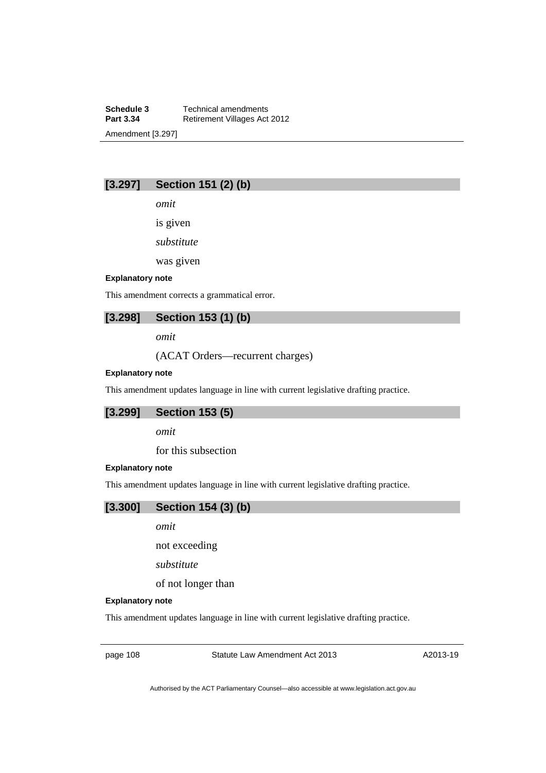**Schedule 3 Technical amendments**<br>**Part 3.34 Retirement Villages Act Retirement Villages Act 2012** Amendment [3.297]

# **[3.297] Section 151 (2) (b)**

*omit* 

is given

*substitute* 

was given

#### **Explanatory note**

This amendment corrects a grammatical error.

# **[3.298] Section 153 (1) (b)**

*omit* 

(ACAT Orders—recurrent charges)

#### **Explanatory note**

This amendment updates language in line with current legislative drafting practice.

### **[3.299] Section 153 (5)**

*omit* 

for this subsection

#### **Explanatory note**

This amendment updates language in line with current legislative drafting practice.

**[3.300] Section 154 (3) (b)** 

*omit* 

not exceeding

*substitute* 

of not longer than

#### **Explanatory note**

This amendment updates language in line with current legislative drafting practice.

page 108 Statute Law Amendment Act 2013

A2013-19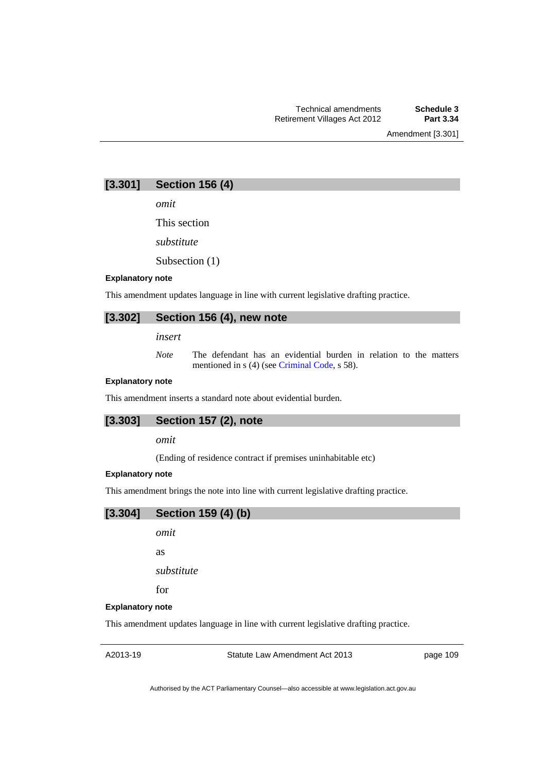Amendment [3.301]

# **[3.301] Section 156 (4)**

*omit* 

This section

*substitute* 

Subsection (1)

#### **Explanatory note**

This amendment updates language in line with current legislative drafting practice.

# **[3.302] Section 156 (4), new note**

*insert* 

*Note* The defendant has an evidential burden in relation to the matters mentioned in s (4) (see [Criminal Code](http://www.legislation.act.gov.au/a/2002-51), s 58).

### **Explanatory note**

This amendment inserts a standard note about evidential burden.

## **[3.303] Section 157 (2), note**

*omit* 

(Ending of residence contract if premises uninhabitable etc)

#### **Explanatory note**

This amendment brings the note into line with current legislative drafting practice.



*omit* 

as

*substitute* 

for

#### **Explanatory note**

This amendment updates language in line with current legislative drafting practice.

A2013-19

Statute Law Amendment Act 2013

page 109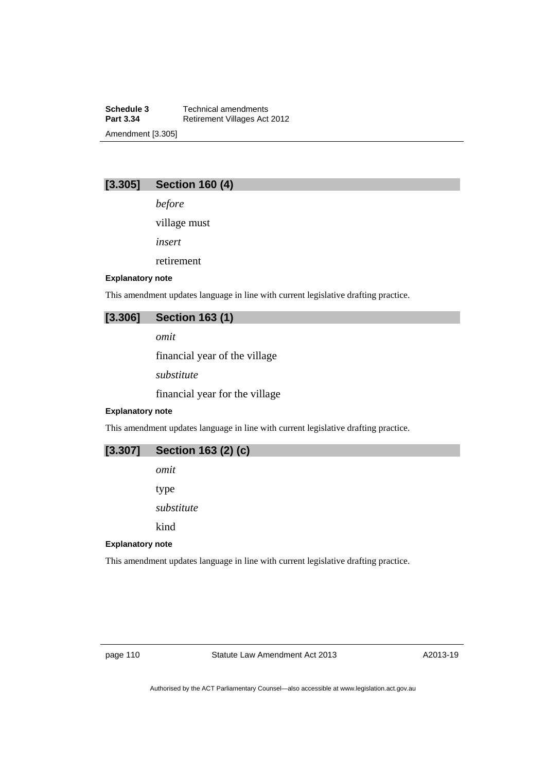**Schedule 3 Technical amendments**<br>**Part 3.34 Retirement Villages Act Retirement Villages Act 2012** Amendment [3.305]

# **[3.305] Section 160 (4)**

*before* 

village must

*insert* 

retirement

#### **Explanatory note**

This amendment updates language in line with current legislative drafting practice.

# **[3.306] Section 163 (1)**

*omit* 

financial year of the village

*substitute* 

financial year for the village

#### **Explanatory note**

This amendment updates language in line with current legislative drafting practice.

| $[3.307]$ Section 163 (2) (c) |  |
|-------------------------------|--|
|-------------------------------|--|

*omit* 

type

*substitute* 

kind

#### **Explanatory note**

This amendment updates language in line with current legislative drafting practice.

page 110 Statute Law Amendment Act 2013

A2013-19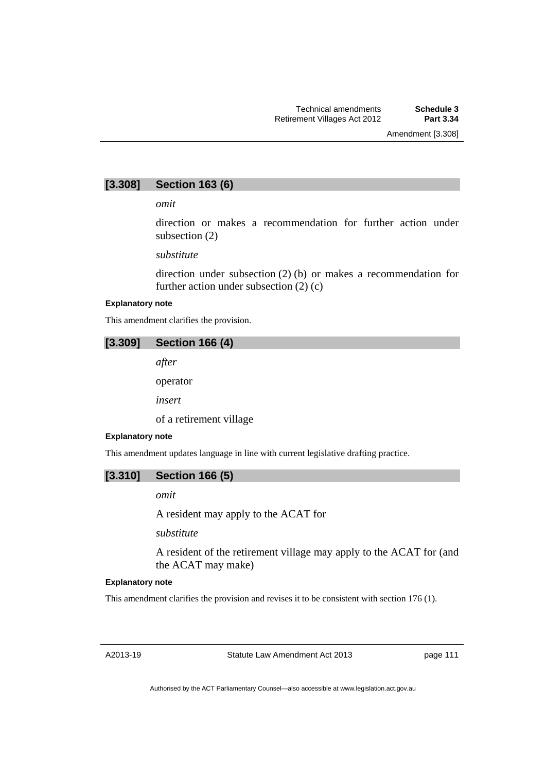Amendment [3.308]

## **[3.308] Section 163 (6)**

*omit* 

direction or makes a recommendation for further action under subsection (2)

*substitute* 

direction under subsection (2) (b) or makes a recommendation for further action under subsection (2) (c)

#### **Explanatory note**

This amendment clarifies the provision.

## **[3.309] Section 166 (4)**

*after* 

operator

*insert* 

of a retirement village

#### **Explanatory note**

This amendment updates language in line with current legislative drafting practice.

### **[3.310] Section 166 (5)**

*omit* 

A resident may apply to the ACAT for

*substitute* 

A resident of the retirement village may apply to the ACAT for (and the ACAT may make)

#### **Explanatory note**

This amendment clarifies the provision and revises it to be consistent with section 176 (1).

A2013-19

Statute Law Amendment Act 2013

page 111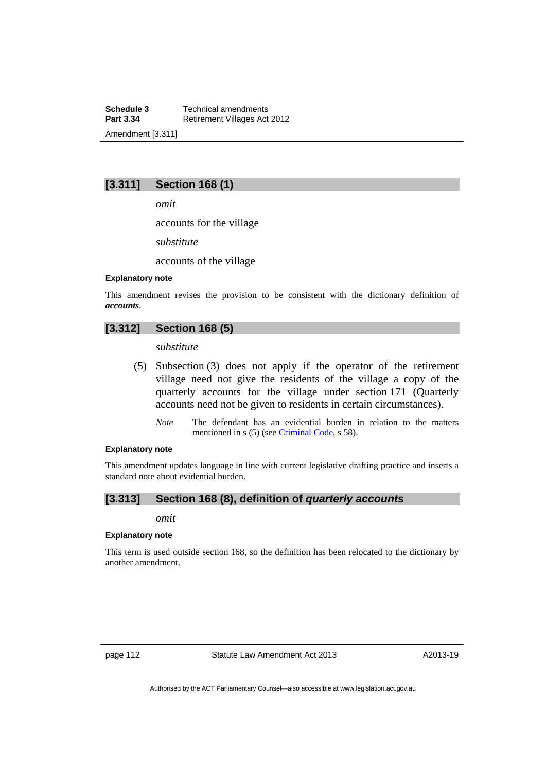**Schedule 3 Technical amendments**<br>**Part 3.34 Retirement Villages Act Retirement Villages Act 2012** Amendment [3.311]

# **[3.311] Section 168 (1)**

*omit* 

accounts for the village

*substitute* 

accounts of the village

#### **Explanatory note**

This amendment revises the provision to be consistent with the dictionary definition of *accounts*.

## **[3.312] Section 168 (5)**

*substitute* 

- (5) Subsection (3) does not apply if the operator of the retirement village need not give the residents of the village a copy of the quarterly accounts for the village under section 171 (Quarterly accounts need not be given to residents in certain circumstances).
	- *Note* The defendant has an evidential burden in relation to the matters mentioned in s (5) (see [Criminal Code](http://www.legislation.act.gov.au/a/2002-51), s 58).

#### **Explanatory note**

This amendment updates language in line with current legislative drafting practice and inserts a standard note about evidential burden.

## **[3.313] Section 168 (8), definition of** *quarterly accounts*

*omit* 

#### **Explanatory note**

This term is used outside section 168, so the definition has been relocated to the dictionary by another amendment.

page 112 Statute Law Amendment Act 2013

A2013-19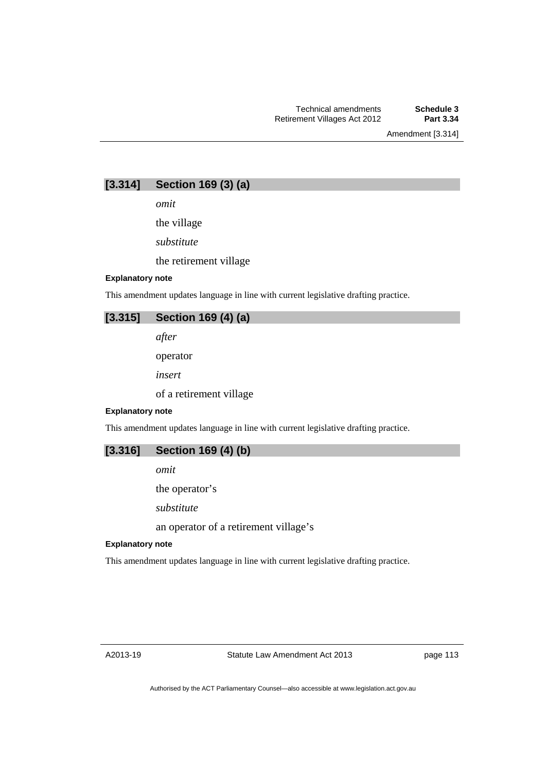Amendment [3.314]

# **[3.314] Section 169 (3) (a)**

*omit* 

the village *substitute*  the retirement village

#### **Explanatory note**

This amendment updates language in line with current legislative drafting practice.

# **[3.315] Section 169 (4) (a)**

*after* 

operator

*insert* 

of a retirement village

#### **Explanatory note**

This amendment updates language in line with current legislative drafting practice.

| [3.316]<br>Section 169 (4) (b) |  |
|--------------------------------|--|
|--------------------------------|--|

*omit* 

the operator's

*substitute* 

an operator of a retirement village's

#### **Explanatory note**

This amendment updates language in line with current legislative drafting practice.

A2013-19

page 113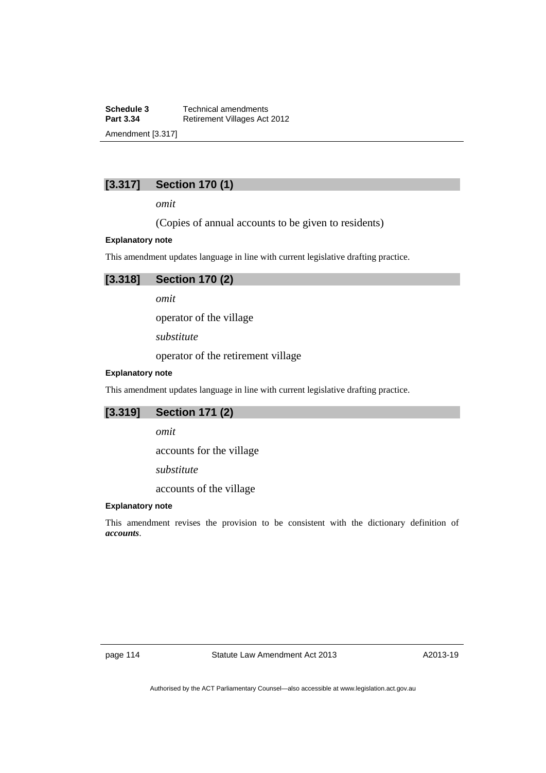**Schedule 3 Technical amendments**<br>**Part 3.34 Retirement Villages Act Retirement Villages Act 2012** Amendment [3.317]

# **[3.317] Section 170 (1)**

*omit* 

(Copies of annual accounts to be given to residents)

#### **Explanatory note**

This amendment updates language in line with current legislative drafting practice.

# **[3.318] Section 170 (2)**

*omit* 

operator of the village

*substitute* 

operator of the retirement village

### **Explanatory note**

This amendment updates language in line with current legislative drafting practice.

### **[3.319] Section 171 (2)**

*omit* 

accounts for the village

*substitute* 

accounts of the village

### **Explanatory note**

This amendment revises the provision to be consistent with the dictionary definition of *accounts*.

page 114 Statute Law Amendment Act 2013

A2013-19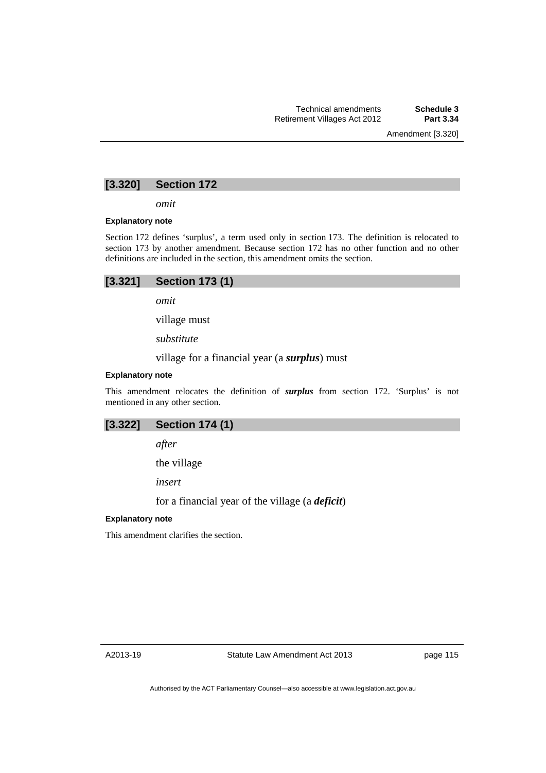Amendment [3.320]

# **[3.320] Section 172**

*omit* 

#### **Explanatory note**

Section 172 defines 'surplus', a term used only in section 173. The definition is relocated to section 173 by another amendment. Because section 172 has no other function and no other definitions are included in the section, this amendment omits the section.

| [3.321] | <b>Section 173 (1)</b> |  |
|---------|------------------------|--|
|---------|------------------------|--|

*omit* 

village must

*substitute* 

village for a financial year (a *surplus*) must

#### **Explanatory note**

This amendment relocates the definition of *surplus* from section 172. 'Surplus' is not mentioned in any other section.

## **[3.322] Section 174 (1)**

*after* 

the village

*insert* 

for a financial year of the village (a *deficit*)

### **Explanatory note**

This amendment clarifies the section.

page 115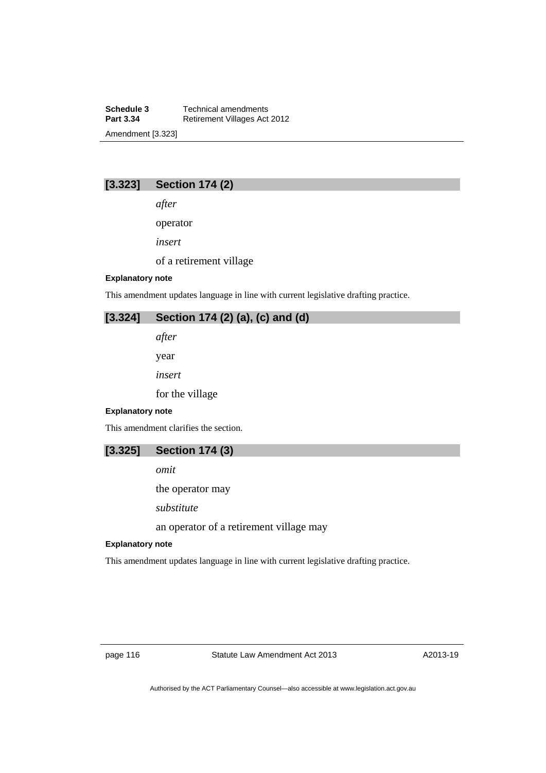**Schedule 3 Technical amendments**<br>**Part 3.34 Retirement Villages Act Retirement Villages Act 2012** Amendment [3.323]

# **[3.323] Section 174 (2)**

*after* 

operator

*insert* 

of a retirement village

#### **Explanatory note**

This amendment updates language in line with current legislative drafting practice.

# **[3.324] Section 174 (2) (a), (c) and (d)**

*after* 

year

*insert* 

for the village

#### **Explanatory note**

This amendment clarifies the section.

*omit* 

the operator may

*substitute* 

an operator of a retirement village may

#### **Explanatory note**

This amendment updates language in line with current legislative drafting practice.

page 116 Statute Law Amendment Act 2013

A2013-19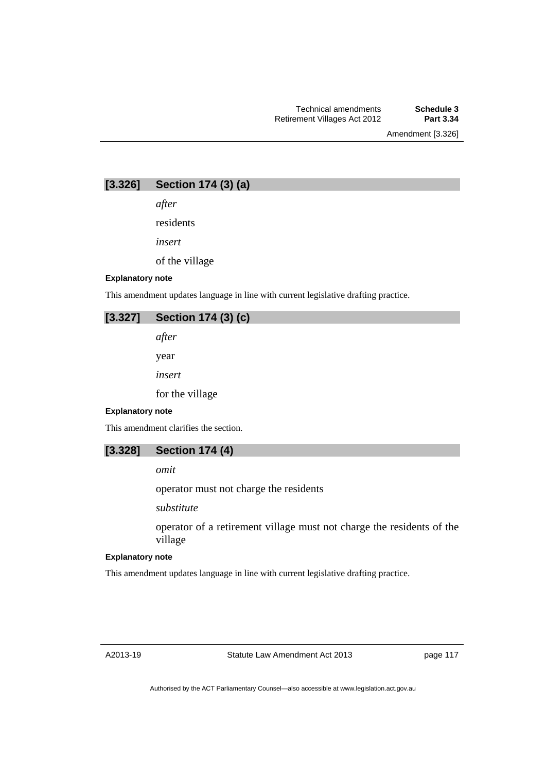Amendment [3.326]

# **[3.326] Section 174 (3) (a)**

*after* 

residents

*insert* 

of the village

#### **Explanatory note**

This amendment updates language in line with current legislative drafting practice.

| $[3.327]$ Section 174 (3) (c) |  |  |  |
|-------------------------------|--|--|--|
| after                         |  |  |  |
| vear                          |  |  |  |

*insert* 

for the village

#### **Explanatory note**

This amendment clarifies the section.

# **[3.328] Section 174 (4)**

*omit* 

operator must not charge the residents

*substitute* 

operator of a retirement village must not charge the residents of the village

#### **Explanatory note**

This amendment updates language in line with current legislative drafting practice.

A2013-19

Statute Law Amendment Act 2013

page 117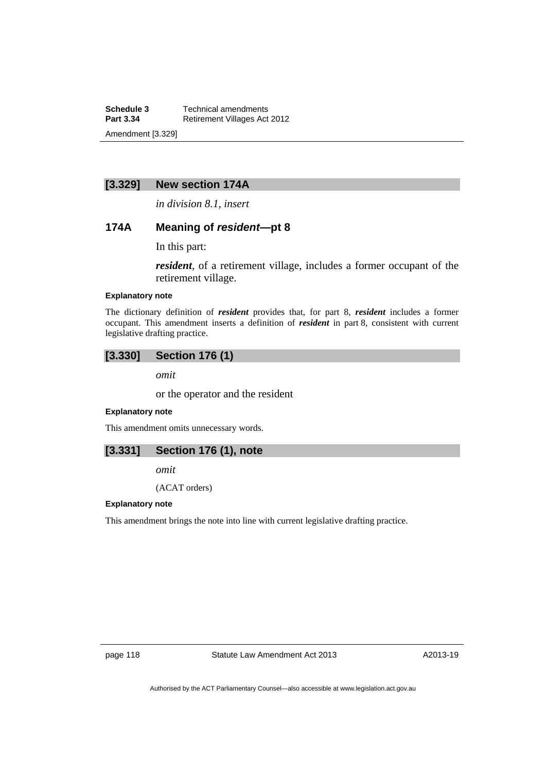**Schedule 3 Technical amendments**<br>**Part 3.34 Retirement Villages Act Retirement Villages Act 2012** Amendment [3.329]

## **[3.329] New section 174A**

*in division 8.1, insert* 

### **174A Meaning of** *resident***—pt 8**

In this part:

*resident*, of a retirement village, includes a former occupant of the retirement village.

### **Explanatory note**

The dictionary definition of *resident* provides that, for part 8, *resident* includes a former occupant. This amendment inserts a definition of *resident* in part 8, consistent with current legislative drafting practice.

# **[3.330] Section 176 (1)**

*omit* 

or the operator and the resident

#### **Explanatory note**

This amendment omits unnecessary words.

# **[3.331] Section 176 (1), note**

*omit* 

(ACAT orders)

#### **Explanatory note**

This amendment brings the note into line with current legislative drafting practice.

page 118 Statute Law Amendment Act 2013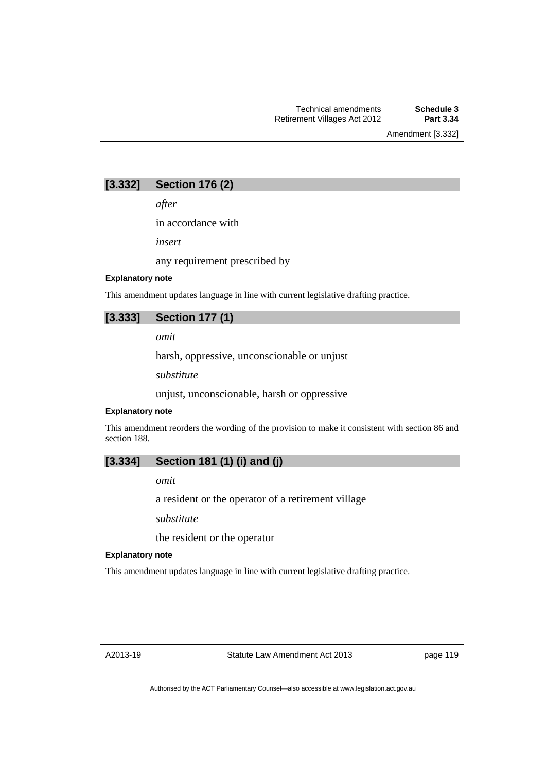Amendment [3.332]

# **[3.332] Section 176 (2)**

*after* 

in accordance with

*insert* 

any requirement prescribed by

### **Explanatory note**

This amendment updates language in line with current legislative drafting practice.

# **[3.333] Section 177 (1)**

*omit* 

harsh, oppressive, unconscionable or unjust

*substitute* 

unjust, unconscionable, harsh or oppressive

#### **Explanatory note**

This amendment reorders the wording of the provision to make it consistent with section 86 and section 188.

# **[3.334] Section 181 (1) (i) and (j)**

*omit* 

a resident or the operator of a retirement village

*substitute* 

the resident or the operator

#### **Explanatory note**

This amendment updates language in line with current legislative drafting practice.

page 119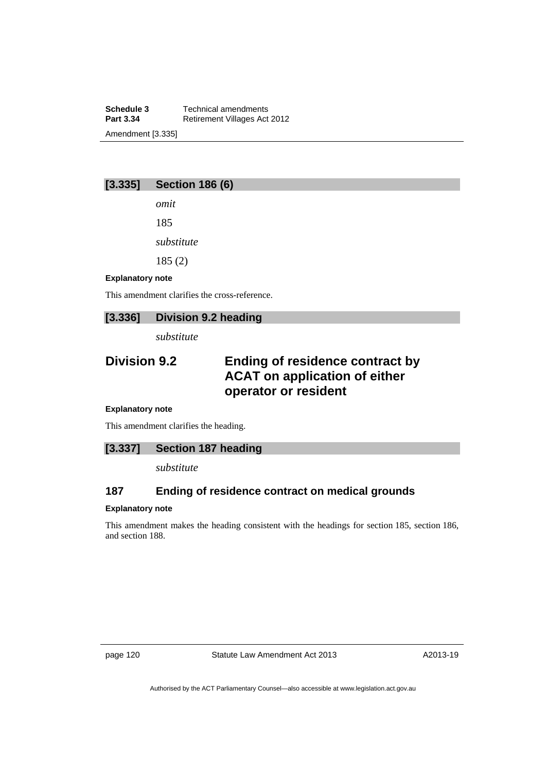**Schedule 3 Technical amendments**<br>**Part 3.34 Retirement Villages Act Retirement Villages Act 2012** Amendment [3.335]

# **[3.335] Section 186 (6)**

*omit*  185

*substitute* 

185 (2)

#### **Explanatory note**

This amendment clarifies the cross-reference.

# **[3.336] Division 9.2 heading**

*substitute* 

# **Division 9.2 Ending of residence contract by ACAT on application of either operator or resident**

#### **Explanatory note**

This amendment clarifies the heading.

### **[3.337] Section 187 heading**

*substitute* 

# **187 Ending of residence contract on medical grounds**

#### **Explanatory note**

This amendment makes the heading consistent with the headings for section 185, section 186, and section 188.

page 120 Statute Law Amendment Act 2013

A2013-19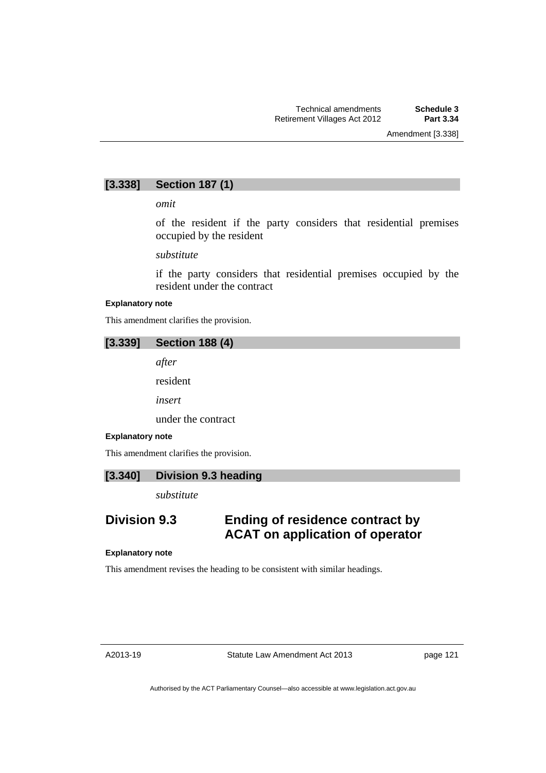# **[3.338] Section 187 (1)**

*omit* 

of the resident if the party considers that residential premises occupied by the resident

*substitute* 

if the party considers that residential premises occupied by the resident under the contract

#### **Explanatory note**

This amendment clarifies the provision.

### **[3.339] Section 188 (4)**

*after* 

resident

*insert* 

under the contract

#### **Explanatory note**

This amendment clarifies the provision.

### **[3.340] Division 9.3 heading**

*substitute* 

# **Division 9.3 Ending of residence contract by ACAT on application of operator**

#### **Explanatory note**

This amendment revises the heading to be consistent with similar headings.

page 121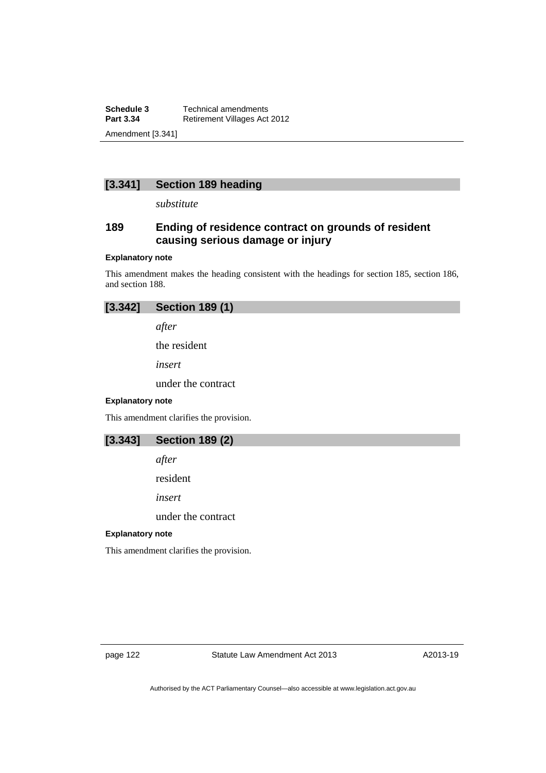**Schedule 3 Technical amendments**<br>**Part 3.34 Retirement Villages Act Retirement Villages Act 2012** Amendment [3.341]

# **[3.341] Section 189 heading**

*substitute* 

# **189 Ending of residence contract on grounds of resident causing serious damage or injury**

#### **Explanatory note**

This amendment makes the heading consistent with the headings for section 185, section 186, and section 188.



*after* 

the resident

*insert* 

under the contract

### **Explanatory note**

This amendment clarifies the provision.

# **[3.343] Section 189 (2)**

*after* 

resident

*insert* 

under the contract

#### **Explanatory note**

This amendment clarifies the provision.

page 122 Statute Law Amendment Act 2013

A2013-19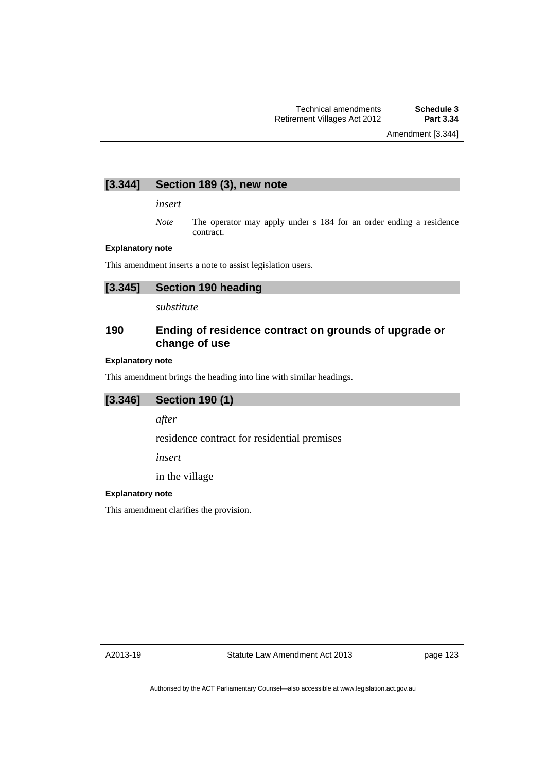# **[3.344] Section 189 (3), new note**

*insert* 

*Note* The operator may apply under s 184 for an order ending a residence contract.

#### **Explanatory note**

This amendment inserts a note to assist legislation users.

# **[3.345] Section 190 heading**

*substitute* 

# **190 Ending of residence contract on grounds of upgrade or change of use**

#### **Explanatory note**

This amendment brings the heading into line with similar headings.

# **[3.346] Section 190 (1)**

*after* 

residence contract for residential premises

*insert* 

in the village

#### **Explanatory note**

This amendment clarifies the provision.

A2013-19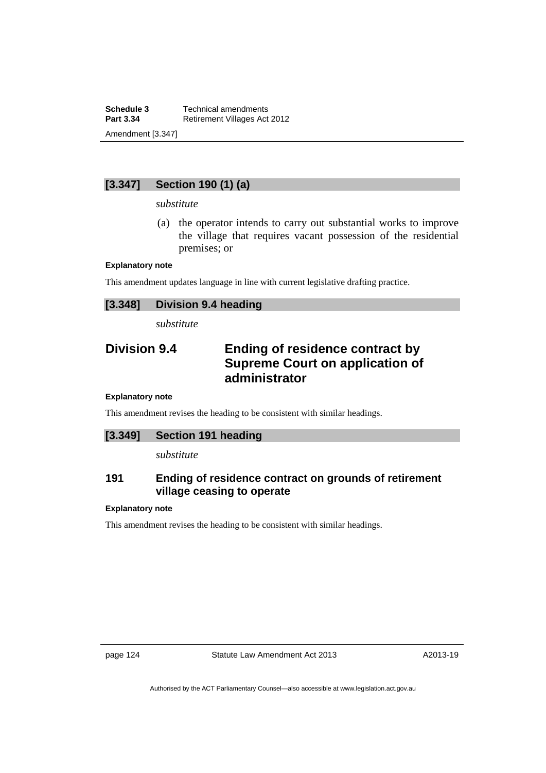**Schedule 3 Technical amendments**<br>**Part 3.34 Retirement Villages Act Retirement Villages Act 2012** Amendment [3.347]

# **[3.347] Section 190 (1) (a)**

#### *substitute*

 (a) the operator intends to carry out substantial works to improve the village that requires vacant possession of the residential premises; or

#### **Explanatory note**

This amendment updates language in line with current legislative drafting practice.

| [3.348] | <b>Division 9.4 heading</b> |
|---------|-----------------------------|
|---------|-----------------------------|

*substitute* 

# **Division 9.4 Ending of residence contract by Supreme Court on application of administrator**

#### **Explanatory note**

This amendment revises the heading to be consistent with similar headings.

# **[3.349] Section 191 heading**

*substitute* 

# **191 Ending of residence contract on grounds of retirement village ceasing to operate**

#### **Explanatory note**

This amendment revises the heading to be consistent with similar headings.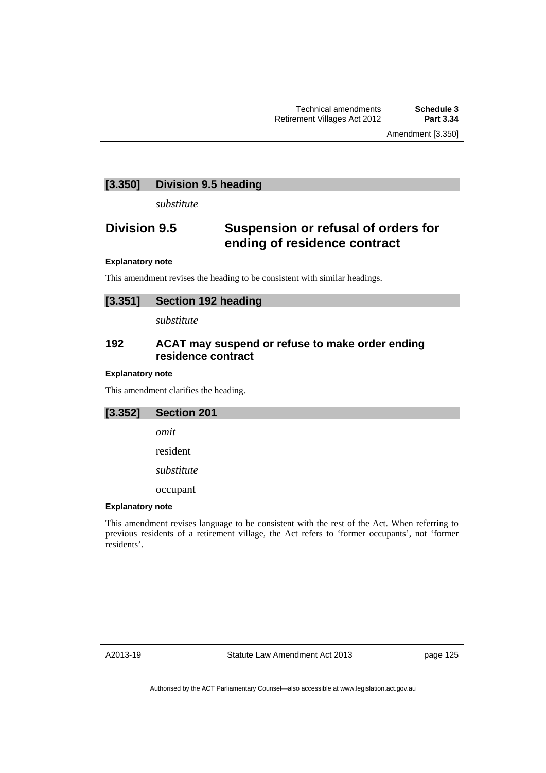Amendment [3.350]

### **[3.350] Division 9.5 heading**

*substitute* 

# **Division 9.5 Suspension or refusal of orders for ending of residence contract**

#### **Explanatory note**

This amendment revises the heading to be consistent with similar headings.

| [3.351] | <b>Section 192 heading</b> |  |
|---------|----------------------------|--|
|---------|----------------------------|--|

*substitute* 

## **192 ACAT may suspend or refuse to make order ending residence contract**

#### **Explanatory note**

This amendment clarifies the heading.

**[3.352] Section 201**  *omit*  resident *substitute* 

occupant

#### **Explanatory note**

This amendment revises language to be consistent with the rest of the Act. When referring to previous residents of a retirement village, the Act refers to 'former occupants', not 'former residents'.

A2013-19

Statute Law Amendment Act 2013

page 125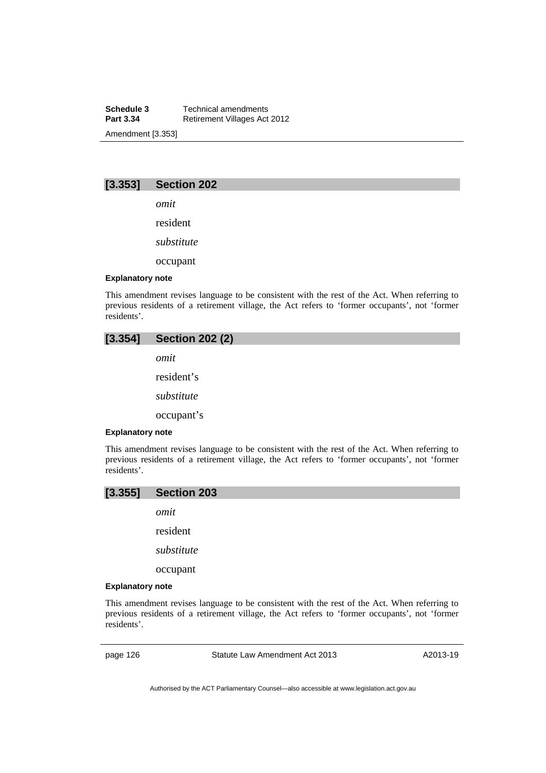**Schedule 3 Technical amendments**<br>**Part 3.34 Retirement Villages Act Retirement Villages Act 2012** Amendment [3.353]

# **[3.353] Section 202**

*omit* 

resident

*substitute* 

occupant

#### **Explanatory note**

This amendment revises language to be consistent with the rest of the Act. When referring to previous residents of a retirement village, the Act refers to 'former occupants', not 'former residents'.



This amendment revises language to be consistent with the rest of the Act. When referring to previous residents of a retirement village, the Act refers to 'former occupants', not 'former residents'.

## **[3.355] Section 203**

*omit* 

resident

*substitute* 

occupant

#### **Explanatory note**

This amendment revises language to be consistent with the rest of the Act. When referring to previous residents of a retirement village, the Act refers to 'former occupants', not 'former residents'.

page 126 Statute Law Amendment Act 2013

A2013-19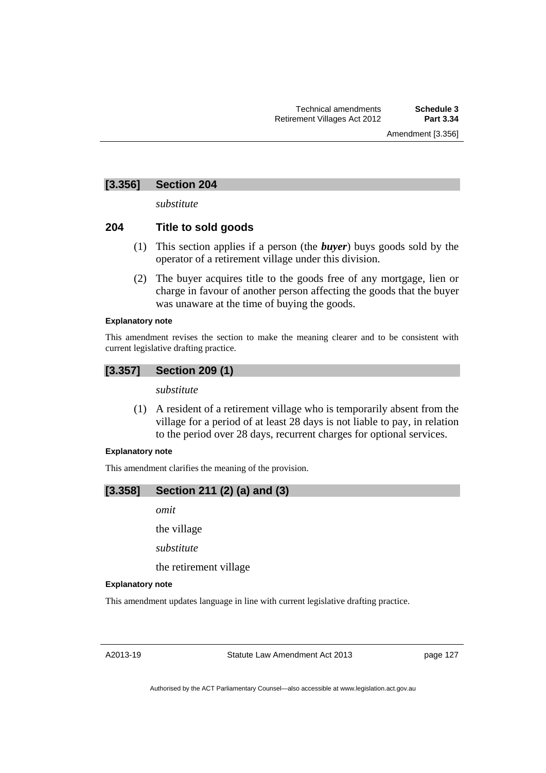# **[3.356] Section 204**

*substitute* 

# **204 Title to sold goods**

- (1) This section applies if a person (the *buyer*) buys goods sold by the operator of a retirement village under this division.
- (2) The buyer acquires title to the goods free of any mortgage, lien or charge in favour of another person affecting the goods that the buyer was unaware at the time of buying the goods.

### **Explanatory note**

This amendment revises the section to make the meaning clearer and to be consistent with current legislative drafting practice.

# **[3.357] Section 209 (1)**

*substitute* 

 (1) A resident of a retirement village who is temporarily absent from the village for a period of at least 28 days is not liable to pay, in relation to the period over 28 days, recurrent charges for optional services.

### **Explanatory note**

This amendment clarifies the meaning of the provision.

# **[3.358] Section 211 (2) (a) and (3)**

*omit* 

the village

*substitute* 

the retirement village

#### **Explanatory note**

This amendment updates language in line with current legislative drafting practice.

A2013-19

Statute Law Amendment Act 2013

page 127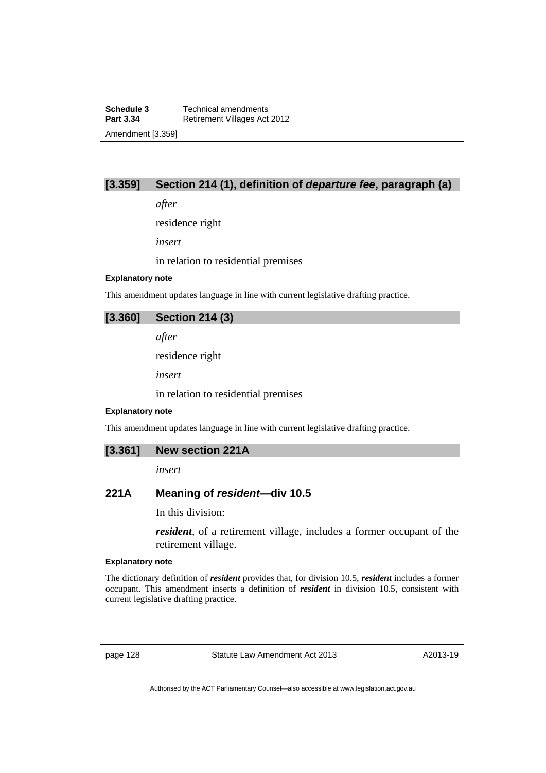# **[3.359] Section 214 (1), definition of** *departure fee***, paragraph (a)**

*after* 

residence right

*insert* 

in relation to residential premises

### **Explanatory note**

This amendment updates language in line with current legislative drafting practice.

### **[3.360] Section 214 (3)**

*after* 

residence right

*insert* 

in relation to residential premises

#### **Explanatory note**

This amendment updates language in line with current legislative drafting practice.

### **[3.361] New section 221A**

*insert* 

# **221A Meaning of** *resident***—div 10.5**

In this division:

*resident*, of a retirement village, includes a former occupant of the retirement village.

#### **Explanatory note**

The dictionary definition of *resident* provides that, for division 10.5, *resident* includes a former occupant. This amendment inserts a definition of *resident* in division 10.5, consistent with current legislative drafting practice.

page 128 Statute Law Amendment Act 2013

A2013-19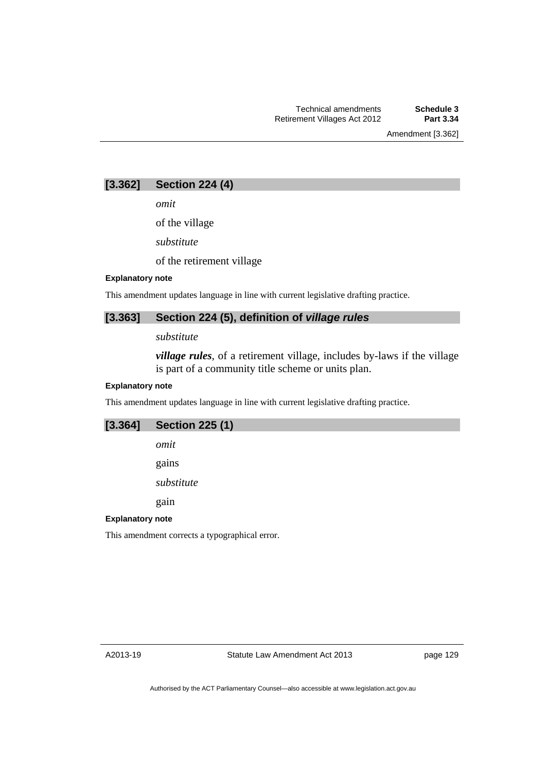Amendment [3.362]

# **[3.362] Section 224 (4)**

*omit* 

of the village

*substitute* 

of the retirement village

#### **Explanatory note**

This amendment updates language in line with current legislative drafting practice.

# **[3.363] Section 224 (5), definition of** *village rules*

*substitute* 

*village rules*, of a retirement village, includes by-laws if the village is part of a community title scheme or units plan.

### **Explanatory note**

This amendment updates language in line with current legislative drafting practice.

| [3.364] | <b>Section 225 (1)</b> |
|---------|------------------------|
|         | omit                   |
|         | gains                  |
|         | substitute             |
|         | gain                   |

### **Explanatory note**

This amendment corrects a typographical error.

page 129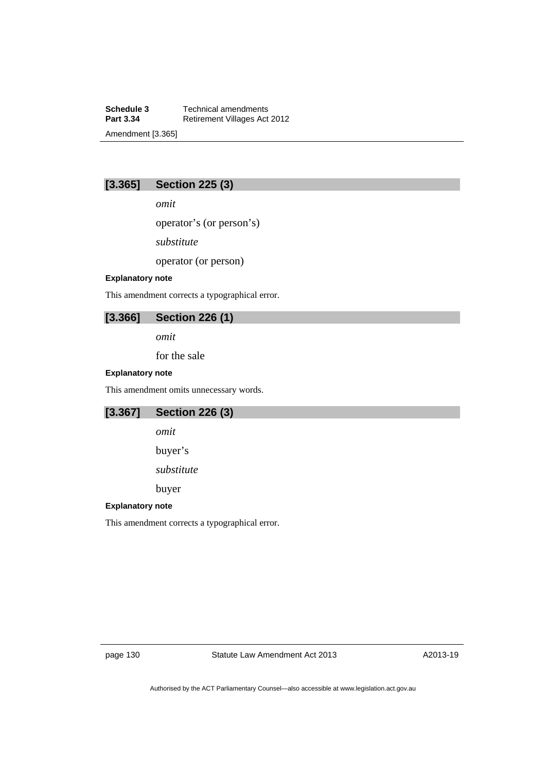**Schedule 3 Technical amendments**<br>**Part 3.34 Retirement Villages Act Retirement Villages Act 2012** Amendment [3.365]

# **[3.365] Section 225 (3)**

*omit* 

operator's (or person's)

*substitute* 

operator (or person)

### **Explanatory note**

This amendment corrects a typographical error.

# **[3.366] Section 226 (1)**

*omit* 

for the sale

### **Explanatory note**

This amendment omits unnecessary words.

# **[3.367] Section 226 (3)**

*omit* 

buyer's

*substitute* 

buyer

### **Explanatory note**

This amendment corrects a typographical error.

page 130 Statute Law Amendment Act 2013

A2013-19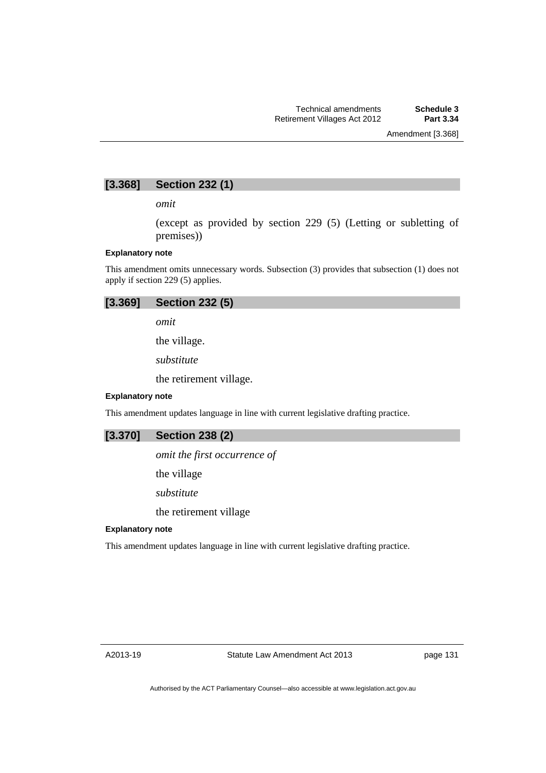# **[3.368] Section 232 (1)**

*omit* 

(except as provided by section 229 (5) (Letting or subletting of premises))

#### **Explanatory note**

This amendment omits unnecessary words. Subsection (3) provides that subsection (1) does not apply if section 229 (5) applies.

|  | $[3.369]$ Section 232 $(5)$ |  |
|--|-----------------------------|--|
|--|-----------------------------|--|

*omit* 

the village.

*substitute* 

the retirement village.

### **Explanatory note**

This amendment updates language in line with current legislative drafting practice.

*omit the first occurrence of* 

the village

*substitute* 

the retirement village

### **Explanatory note**

This amendment updates language in line with current legislative drafting practice.

page 131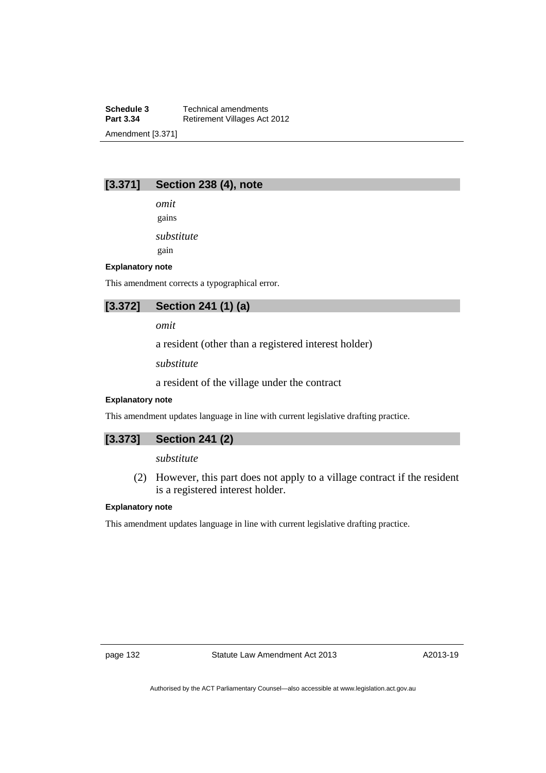**Schedule 3 Technical amendments**<br>**Part 3.34 Retirement Villages Act Retirement Villages Act 2012** Amendment [3.371]

# **[3.371] Section 238 (4), note**

*omit*  gains

*substitute* 

gain

#### **Explanatory note**

This amendment corrects a typographical error.

**[3.372] Section 241 (1) (a)** 

*omit* 

a resident (other than a registered interest holder)

*substitute* 

a resident of the village under the contract

#### **Explanatory note**

This amendment updates language in line with current legislative drafting practice.

# **[3.373] Section 241 (2)**

#### *substitute*

 (2) However, this part does not apply to a village contract if the resident is a registered interest holder.

### **Explanatory note**

This amendment updates language in line with current legislative drafting practice.

page 132 Statute Law Amendment Act 2013

A2013-19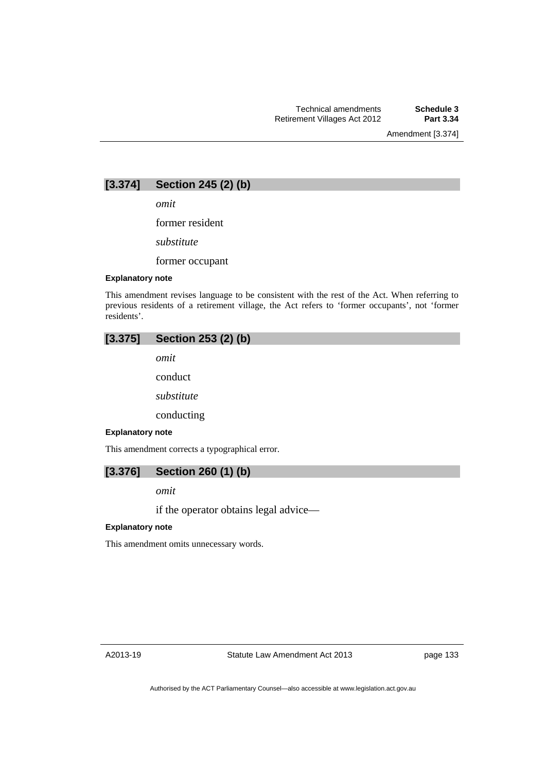Amendment [3.374]



*omit* 

former resident

*substitute* 

former occupant

#### **Explanatory note**

This amendment revises language to be consistent with the rest of the Act. When referring to previous residents of a retirement village, the Act refers to 'former occupants', not 'former residents'.

| $[3.375]$ Section 253 (2) (b) |  |
|-------------------------------|--|
| omit                          |  |

conduct

*substitute* 

conducting

#### **Explanatory note**

This amendment corrects a typographical error.

### **[3.376] Section 260 (1) (b)**

*omit* 

if the operator obtains legal advice—

### **Explanatory note**

This amendment omits unnecessary words.

page 133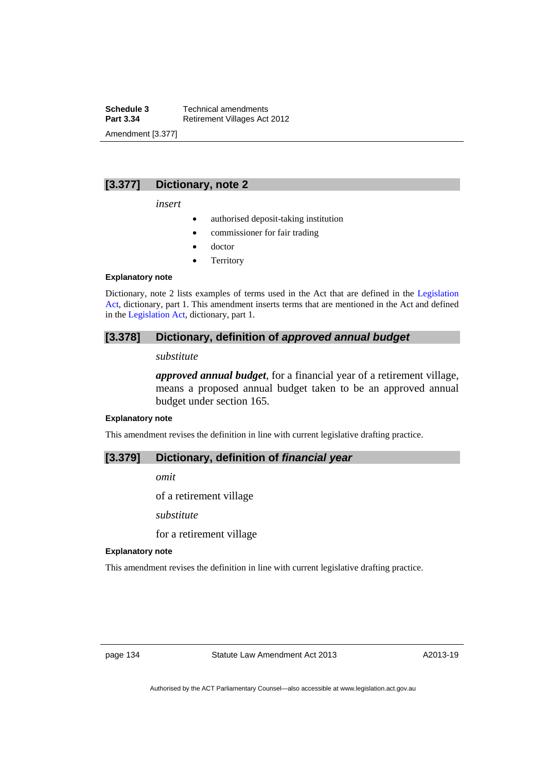**Schedule 3 Technical amendments**<br>**Part 3.34 Retirement Villages Act Retirement Villages Act 2012** Amendment [3.377]

# **[3.377] Dictionary, note 2**

*insert* 

- authorised deposit-taking institution
- commissioner for fair trading
- doctor
- **Territory**

#### **Explanatory note**

Dictionary, note 2 lists examples of terms used in the Act that are defined in the [Legislation](http://www.legislation.act.gov.au/a/2001-14)  [Act,](http://www.legislation.act.gov.au/a/2001-14) dictionary, part 1. This amendment inserts terms that are mentioned in the Act and defined in the [Legislation Act](http://www.legislation.act.gov.au/a/2001-14), dictionary, part 1.

### **[3.378] Dictionary, definition of** *approved annual budget*

# *substitute*

*approved annual budget*, for a financial year of a retirement village, means a proposed annual budget taken to be an approved annual budget under section 165.

#### **Explanatory note**

This amendment revises the definition in line with current legislative drafting practice.

### **[3.379] Dictionary, definition of** *financial year*

*omit* 

of a retirement village

*substitute* 

for a retirement village

#### **Explanatory note**

This amendment revises the definition in line with current legislative drafting practice.

page 134 Statute Law Amendment Act 2013

A2013-19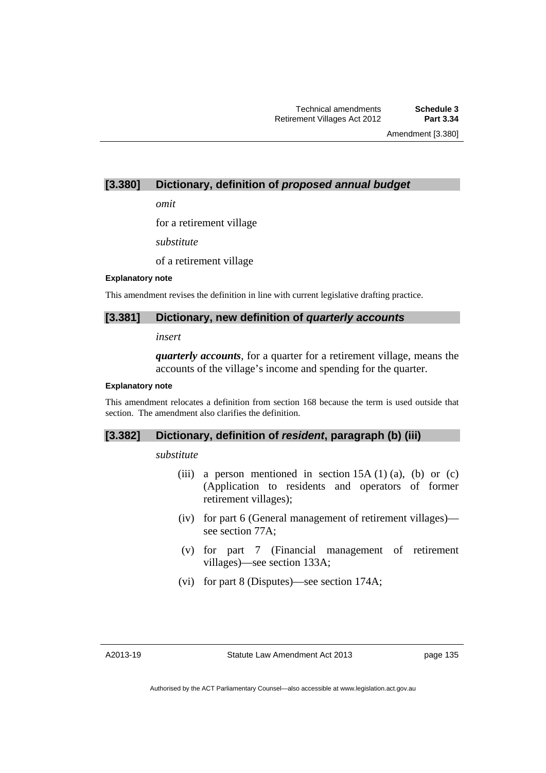Amendment [3.380]

## **[3.380] Dictionary, definition of** *proposed annual budget*

*omit* 

for a retirement village

*substitute* 

of a retirement village

#### **Explanatory note**

This amendment revises the definition in line with current legislative drafting practice.

### **[3.381] Dictionary, new definition of** *quarterly accounts*

*insert* 

*quarterly accounts*, for a quarter for a retirement village, means the accounts of the village's income and spending for the quarter.

#### **Explanatory note**

This amendment relocates a definition from section 168 because the term is used outside that section. The amendment also clarifies the definition.

### **[3.382] Dictionary, definition of** *resident***, paragraph (b) (iii)**

#### *substitute*

- (iii) a person mentioned in section  $15A(1)(a)$ , (b) or (c) (Application to residents and operators of former retirement villages);
- (iv) for part 6 (General management of retirement villages) see section 77A;
- (v) for part 7 (Financial management of retirement villages)—see section 133A;
- (vi) for part 8 (Disputes)—see section 174A;

page 135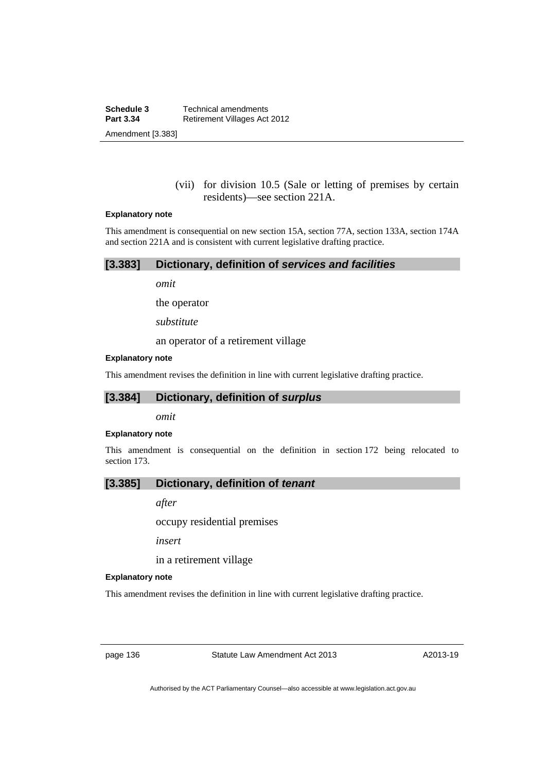(vii) for division 10.5 (Sale or letting of premises by certain residents)—see section 221A.

#### **Explanatory note**

This amendment is consequential on new section 15A, section 77A, section 133A, section 174A and section 221A and is consistent with current legislative drafting practice.

| [3.383]<br>Dictionary, definition of services and facilities |  |  |
|--------------------------------------------------------------|--|--|
|--------------------------------------------------------------|--|--|

*omit* 

the operator

*substitute* 

an operator of a retirement village

#### **Explanatory note**

This amendment revises the definition in line with current legislative drafting practice.

## **[3.384] Dictionary, definition of** *surplus*

*omit* 

#### **Explanatory note**

This amendment is consequential on the definition in section 172 being relocated to section 173.

## **[3.385] Dictionary, definition of** *tenant*

*after* 

occupy residential premises

*insert* 

in a retirement village

#### **Explanatory note**

This amendment revises the definition in line with current legislative drafting practice.

page 136 Statute Law Amendment Act 2013

A2013-19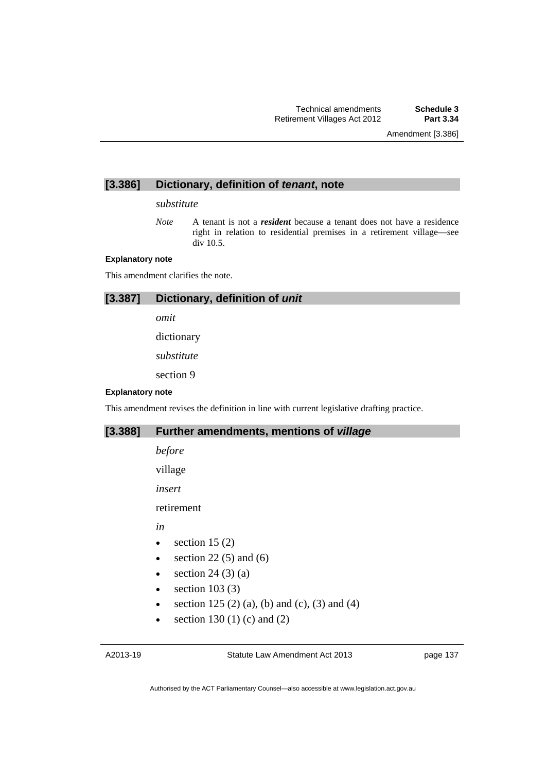Amendment [3.386]

## **[3.386] Dictionary, definition of** *tenant***, note**

#### *substitute*

*Note* A tenant is not a *resident* because a tenant does not have a residence right in relation to residential premises in a retirement village—see div 10.5.

#### **Explanatory note**

This amendment clarifies the note.

# **[3.387] Dictionary, definition of** *unit*

*omit*  dictionary

*substitute* 

section 9

#### **Explanatory note**

This amendment revises the definition in line with current legislative drafting practice.

### **[3.388] Further amendments, mentions of** *village*

*before* 

village

*insert* 

retirement

*in* 

- $\bullet$  section 15 (2)
- $\bullet$  section 22(5) and (6)
- $\bullet$  section 24 (3) (a)
- $\bullet$  section 103 (3)
- section 125 (2) (a), (b) and (c), (3) and (4)
- section 130 (1) (c) and (2)

page 137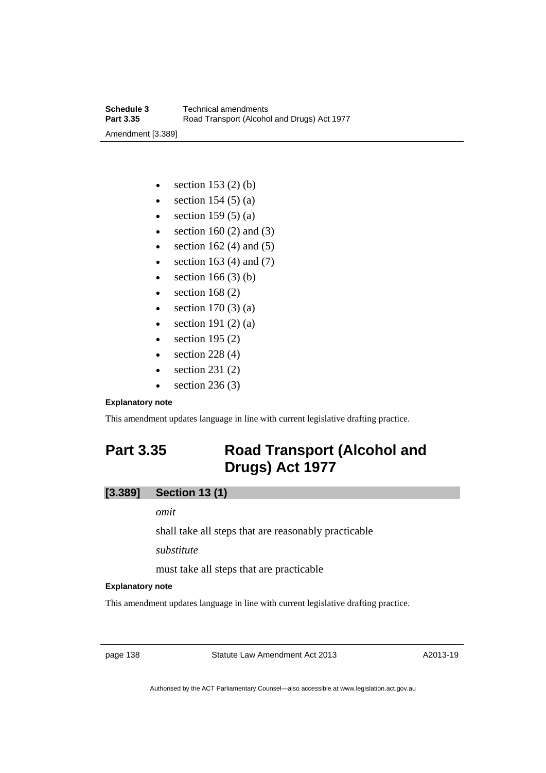- $\bullet$  section 153 (2) (b)
- $\bullet$  section 154 (5) (a)
- $\bullet$  section 159 (5) (a)
- $\bullet$  section 160 (2) and (3)
- $\bullet$  section 162 (4) and (5)
- $\bullet$  section 163 (4) and (7)
- $\bullet$  section 166 (3) (b)
- $\bullet$  section 168 (2)
- $\bullet$  section 170 (3) (a)
- $\bullet$  section 191 (2) (a)
- $\bullet$  section 195 (2)
- $\bullet$  section 228 (4)
- section 231 (2)
- $\bullet$  section 236 (3)

#### **Explanatory note**

This amendment updates language in line with current legislative drafting practice.

# **Part 3.35 Road Transport (Alcohol and Drugs) Act 1977**

# **[3.389] Section 13 (1)**

#### *omit*

shall take all steps that are reasonably practicable

*substitute* 

must take all steps that are practicable

### **Explanatory note**

This amendment updates language in line with current legislative drafting practice.

page 138 Statute Law Amendment Act 2013

A2013-19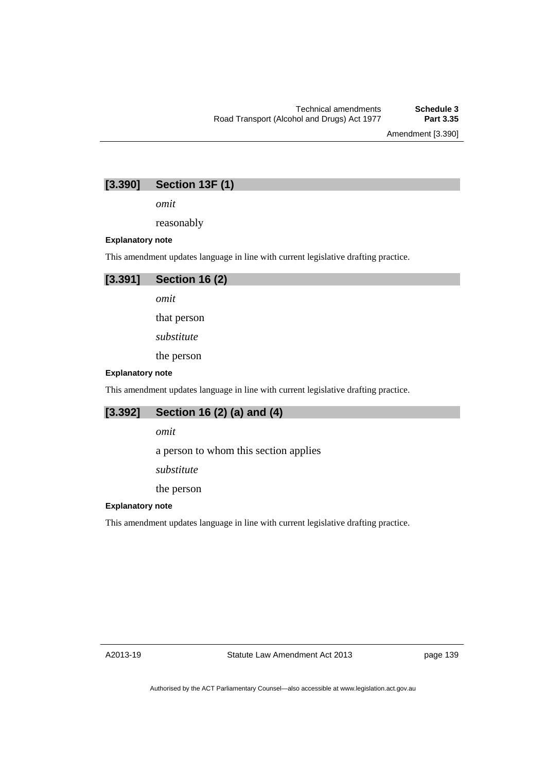Amendment [3.390]

# **[3.390] Section 13F (1)**

*omit* 

reasonably

#### **Explanatory note**

This amendment updates language in line with current legislative drafting practice.



*omit* 

that person

*substitute* 

the person

#### **Explanatory note**

This amendment updates language in line with current legislative drafting practice.

# **[3.392] Section 16 (2) (a) and (4)**

*omit* 

a person to whom this section applies

*substitute* 

the person

#### **Explanatory note**

This amendment updates language in line with current legislative drafting practice.

A2013-19

page 139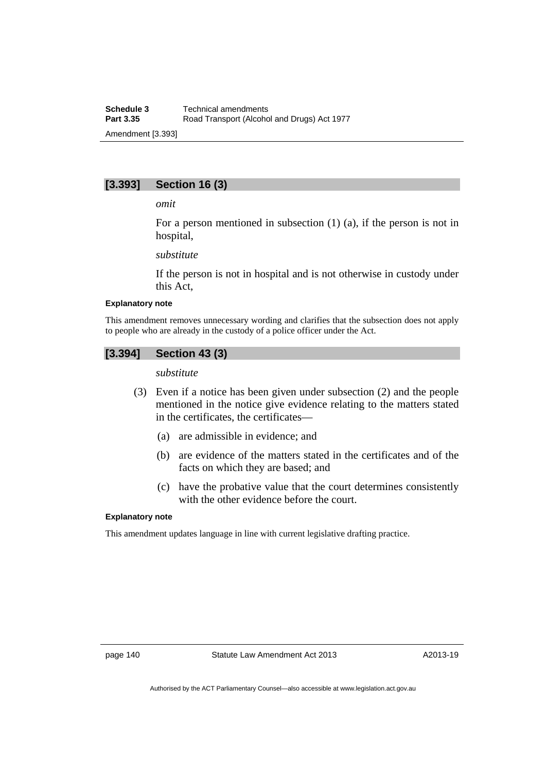# **[3.393] Section 16 (3)**

#### *omit*

For a person mentioned in subsection (1) (a), if the person is not in hospital,

#### *substitute*

If the person is not in hospital and is not otherwise in custody under this Act,

#### **Explanatory note**

This amendment removes unnecessary wording and clarifies that the subsection does not apply to people who are already in the custody of a police officer under the Act.

### **[3.394] Section 43 (3)**

#### *substitute*

- (3) Even if a notice has been given under subsection (2) and the people mentioned in the notice give evidence relating to the matters stated in the certificates, the certificates—
	- (a) are admissible in evidence; and
	- (b) are evidence of the matters stated in the certificates and of the facts on which they are based; and
	- (c) have the probative value that the court determines consistently with the other evidence before the court.

#### **Explanatory note**

This amendment updates language in line with current legislative drafting practice.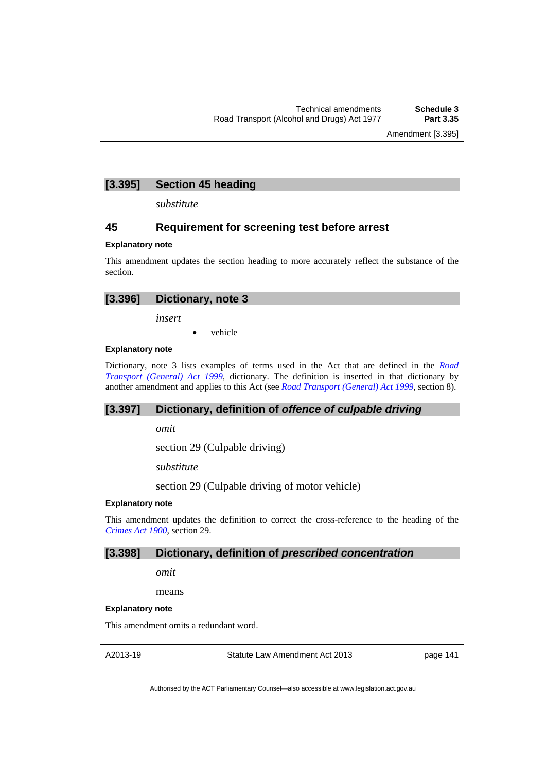Amendment [3.395]

## **[3.395] Section 45 heading**

*substitute* 

### **45 Requirement for screening test before arrest**

#### **Explanatory note**

This amendment updates the section heading to more accurately reflect the substance of the section.

| [3.396] Dictionary, note 3 |  |
|----------------------------|--|
|                            |  |
|                            |  |

*insert* 

vehicle

### **Explanatory note**

Dictionary, note 3 lists examples of terms used in the Act that are defined in the *[Road](http://www.legislation.act.gov.au/a/1999-77)  [Transport \(General\) Act 1999](http://www.legislation.act.gov.au/a/1999-77)*, dictionary. The definition is inserted in that dictionary by another amendment and applies to this Act (see *[Road Transport \(General\) Act 1999](http://www.legislation.act.gov.au/a/1999-77)*, section 8).

## **[3.397] Dictionary, definition of** *offence of culpable driving*

*omit* 

section 29 (Culpable driving)

*substitute* 

section 29 (Culpable driving of motor vehicle)

### **Explanatory note**

This amendment updates the definition to correct the cross-reference to the heading of the *[Crimes Act 1900](http://www.legislation.act.gov.au/a/1900-40),* section 29.

### **[3.398] Dictionary, definition of** *prescribed concentration*

*omit* 

means

### **Explanatory note**

This amendment omits a redundant word.

A2013-19

Statute Law Amendment Act 2013

page 141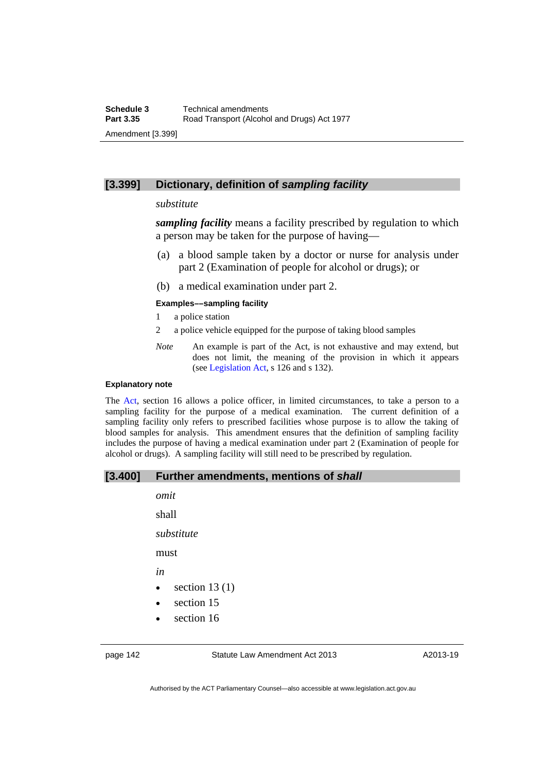### **[3.399] Dictionary, definition of** *sampling facility*

### *substitute*

*sampling facility* means a facility prescribed by regulation to which a person may be taken for the purpose of having—

- (a) a blood sample taken by a doctor or nurse for analysis under part 2 (Examination of people for alcohol or drugs); or
- (b) a medical examination under part 2.

#### **Examples––sampling facility**

- 1 a police station
- 2 a police vehicle equipped for the purpose of taking blood samples
- *Note* An example is part of the Act, is not exhaustive and may extend, but does not limit, the meaning of the provision in which it appears (see [Legislation Act,](http://www.legislation.act.gov.au/a/2001-14) s 126 and s 132).

#### **Explanatory note**

The [Act](http://www.legislation.act.gov.au/a/1977-17/default.asp), section 16 allows a police officer, in limited circumstances, to take a person to a sampling facility for the purpose of a medical examination. The current definition of a sampling facility only refers to prescribed facilities whose purpose is to allow the taking of blood samples for analysis. This amendment ensures that the definition of sampling facility includes the purpose of having a medical examination under part 2 (Examination of people for alcohol or drugs). A sampling facility will still need to be prescribed by regulation.

### **[3.400] Further amendments, mentions of** *shall*

| omit       |                 |
|------------|-----------------|
| shall      |                 |
| substitute |                 |
| must       |                 |
| in         |                 |
|            | section $13(1)$ |
|            | section 15      |

section 16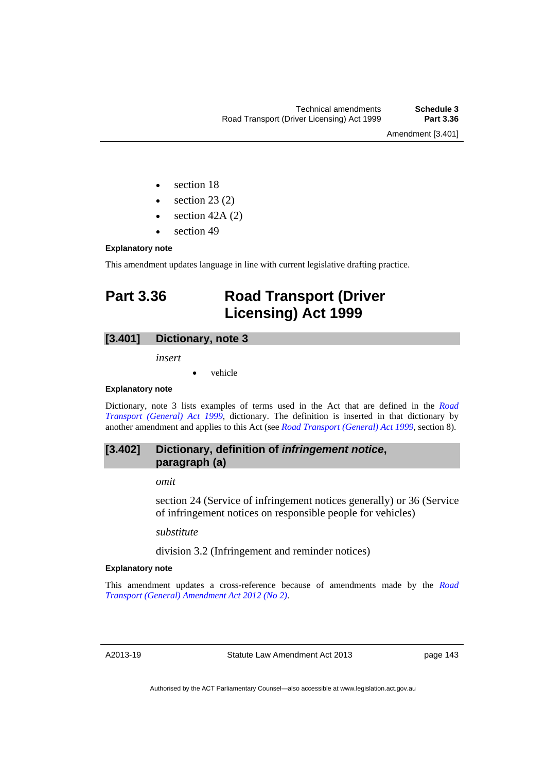Amendment [3.401]

- section 18
- $\bullet$  section 23 (2)
- section 42A (2)
- section 49

### **Explanatory note**

This amendment updates language in line with current legislative drafting practice.

# **Part 3.36 Road Transport (Driver Licensing) Act 1999**

# **[3.401] Dictionary, note 3**

*insert* 

vehicle

### **Explanatory note**

Dictionary, note 3 lists examples of terms used in the Act that are defined in the *[Road](http://www.legislation.act.gov.au/a/1999-77)  [Transport \(General\) Act 1999](http://www.legislation.act.gov.au/a/1999-77)*, dictionary. The definition is inserted in that dictionary by another amendment and applies to this Act (see *[Road Transport \(General\) Act 1999](http://www.legislation.act.gov.au/a/1999-77)*, section 8).

# **[3.402] Dictionary, definition of** *infringement notice***, paragraph (a)**

*omit* 

section 24 (Service of infringement notices generally) or 36 (Service of infringement notices on responsible people for vehicles)

*substitute*

division 3.2 (Infringement and reminder notices)

### **Explanatory note**

This amendment updates a cross-reference because of amendments made by the *[Road](http://www.legislation.act.gov.au/a/2012-16/default.asp)  [Transport \(General\) Amendment Act 2012 \(No 2\)](http://www.legislation.act.gov.au/a/2012-16/default.asp)*.

A2013-19

Statute Law Amendment Act 2013

page 143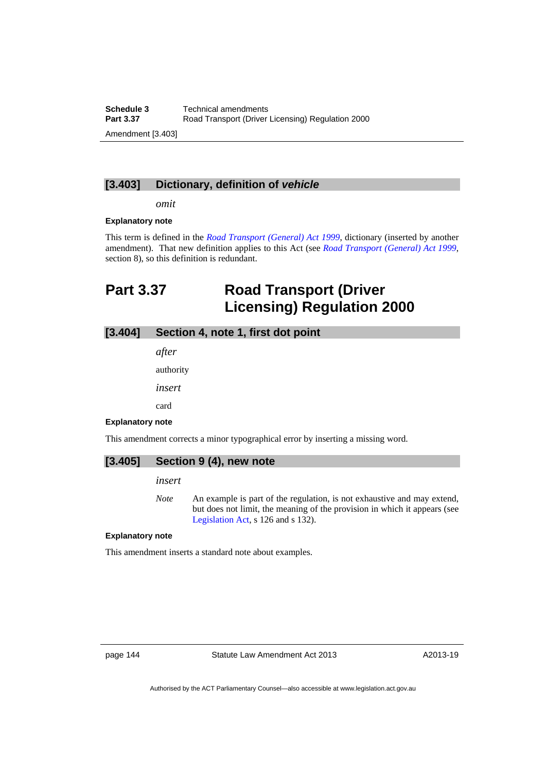**Schedule 3 Technical amendments**<br>**Part 3.37 Road Transport (Driver) Road Transport (Driver Licensing) Regulation 2000** Amendment [3.403]

### **[3.403] Dictionary, definition of** *vehicle*

*omit* 

#### **Explanatory note**

This term is defined in the *[Road Transport \(General\) Act 1999](http://www.legislation.act.gov.au/a/1999-77)*, dictionary (inserted by another amendment). That new definition applies to this Act (see *[Road Transport \(General\) Act 1999](http://www.legislation.act.gov.au/a/1999-77)*, section 8), so this definition is redundant.

# **Part 3.37 Road Transport (Driver Licensing) Regulation 2000**

# **[3.404] Section 4, note 1, first dot point**

*after* 

authority

*insert* 

card

#### **Explanatory note**

This amendment corrects a minor typographical error by inserting a missing word.

| $[3.405]$ Section 9 (4), new note |
|-----------------------------------|
|                                   |

# *insert*

*Note* An example is part of the regulation, is not exhaustive and may extend, but does not limit, the meaning of the provision in which it appears (see [Legislation Act,](http://www.legislation.act.gov.au/a/2001-14) s 126 and s 132).

#### **Explanatory note**

This amendment inserts a standard note about examples.

page 144 Statute Law Amendment Act 2013

A2013-19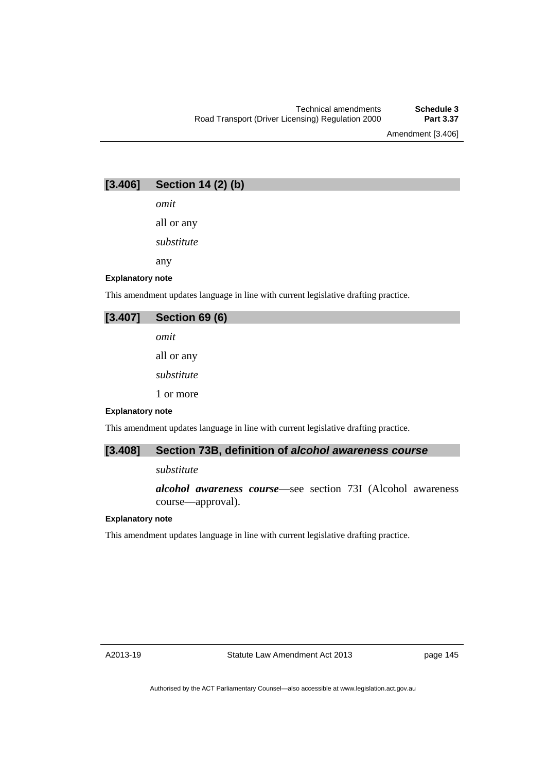Amendment [3.406]

# **[3.406] Section 14 (2) (b)**

*omit* 

all or any

*substitute* 

any

#### **Explanatory note**

This amendment updates language in line with current legislative drafting practice.

# **[3.407] Section 69 (6)**  *omit*  all or any

*substitute* 

1 or more

#### **Explanatory note**

This amendment updates language in line with current legislative drafting practice.

# **[3.408] Section 73B, definition of** *alcohol awareness course*

### *substitute*

*alcohol awareness course*—see section 73I (Alcohol awareness course—approval).

### **Explanatory note**

This amendment updates language in line with current legislative drafting practice.

page 145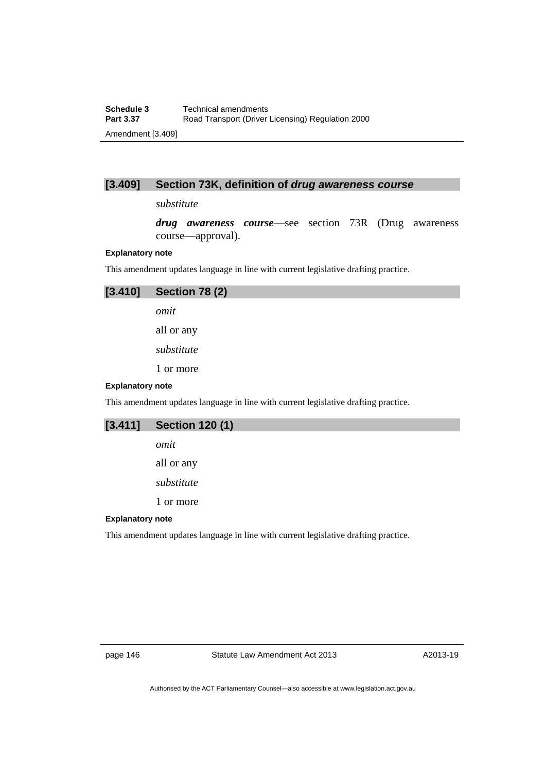# **[3.409] Section 73K, definition of** *drug awareness course*

### *substitute*

*drug awareness course*—see section 73R (Drug awareness course—approval).

### **Explanatory note**

This amendment updates language in line with current legislative drafting practice.

| [3.410]                 | <b>Section 78 (2)</b>                                                               |
|-------------------------|-------------------------------------------------------------------------------------|
|                         | omit                                                                                |
|                         | all or any                                                                          |
|                         | substitute                                                                          |
|                         | 1 or more                                                                           |
| <b>Explanatory note</b> |                                                                                     |
|                         | This amendment updates language in line with current legislative drafting practice. |
| <b>FA 4445</b>          | <b>A. 400 /41</b>                                                                   |

| [3.411]                 | <b>Section 120 (1)</b>                                                              |
|-------------------------|-------------------------------------------------------------------------------------|
|                         | omit                                                                                |
|                         | all or any                                                                          |
|                         | substitute                                                                          |
|                         | 1 or more                                                                           |
| <b>Explanatory note</b> |                                                                                     |
|                         | This amendment updates language in line with current legislative drafting practice. |

page 146 Statute Law Amendment Act 2013

A2013-19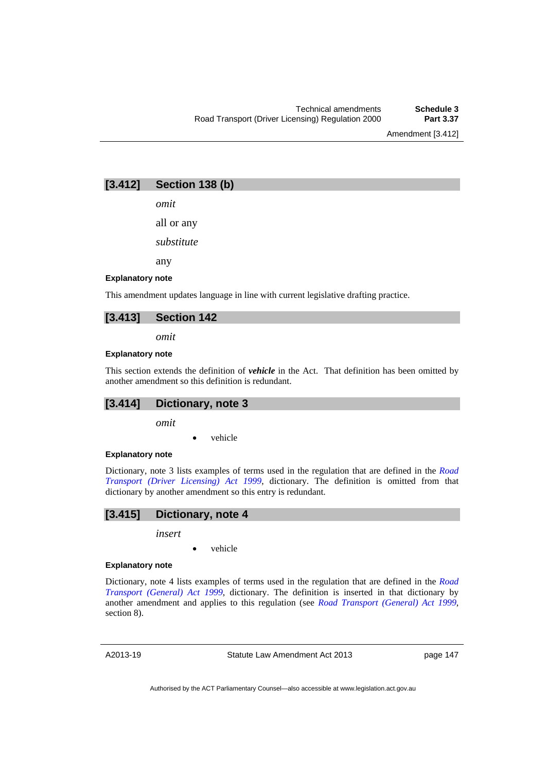Amendment [3.412]

# **[3.412] Section 138 (b)**

*omit* 

all or any

*substitute* 

any

#### **Explanatory note**

This amendment updates language in line with current legislative drafting practice.

### **[3.413] Section 142**

*omit* 

#### **Explanatory note**

This section extends the definition of *vehicle* in the Act. That definition has been omitted by another amendment so this definition is redundant.

# **[3.414] Dictionary, note 3**

*omit* 

vehicle

#### **Explanatory note**

Dictionary, note 3 lists examples of terms used in the regulation that are defined in the *[Road](http://www.legislation.act.gov.au/a/1999-78)  [Transport \(Driver Licensing\) Act 1999](http://www.legislation.act.gov.au/a/1999-78)*, dictionary. The definition is omitted from that dictionary by another amendment so this entry is redundant.

### **[3.415] Dictionary, note 4**

*insert* 

vehicle

#### **Explanatory note**

Dictionary, note 4 lists examples of terms used in the regulation that are defined in the *[Road](http://www.legislation.act.gov.au/a/1999-77)  [Transport \(General\) Act 1999](http://www.legislation.act.gov.au/a/1999-77)*, dictionary. The definition is inserted in that dictionary by another amendment and applies to this regulation (see *[Road Transport \(General\) Act 1999](http://www.legislation.act.gov.au/a/1999-77)*, section 8).

A2013-19

Statute Law Amendment Act 2013

page 147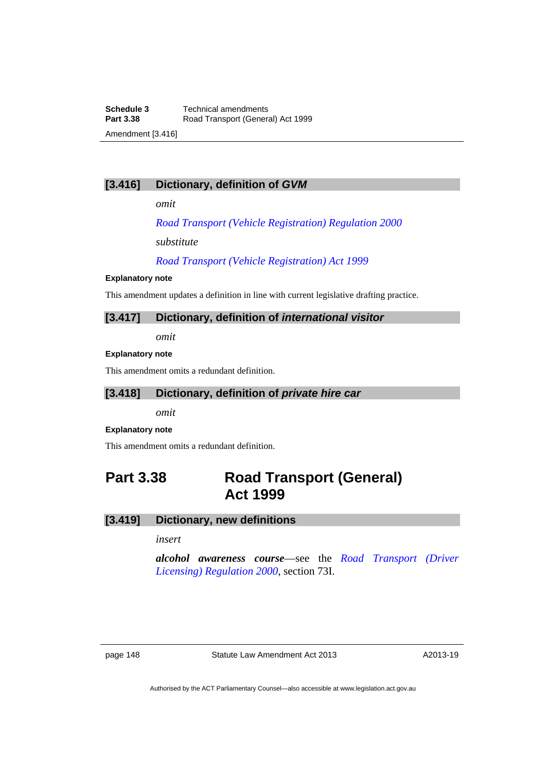# **[3.416] Dictionary, definition of** *GVM*

*omit* 

*[Road Transport \(Vehicle Registration\) Regulation 2000](http://www.legislation.act.gov.au/sl/2000-12)*

*substitute*

*[Road Transport \(Vehicle Registration\) Act 1999](http://www.legislation.act.gov.au/a/1999-81)*

#### **Explanatory note**

This amendment updates a definition in line with current legislative drafting practice.

### **[3.417] Dictionary, definition of** *international visitor*

*omit* 

### **Explanatory note**

This amendment omits a redundant definition.

## **[3.418] Dictionary, definition of** *private hire car*

*omit* 

### **Explanatory note**

This amendment omits a redundant definition.

# **Part 3.38 Road Transport (General) Act 1999**

### **[3.419] Dictionary, new definitions**

## *insert*

*alcohol awareness course*—see the *[Road Transport \(Driver](http://www.legislation.act.gov.au/sl/2000-14)  [Licensing\) Regulation 2000](http://www.legislation.act.gov.au/sl/2000-14)*, section 73I.

page 148 Statute Law Amendment Act 2013

A2013-19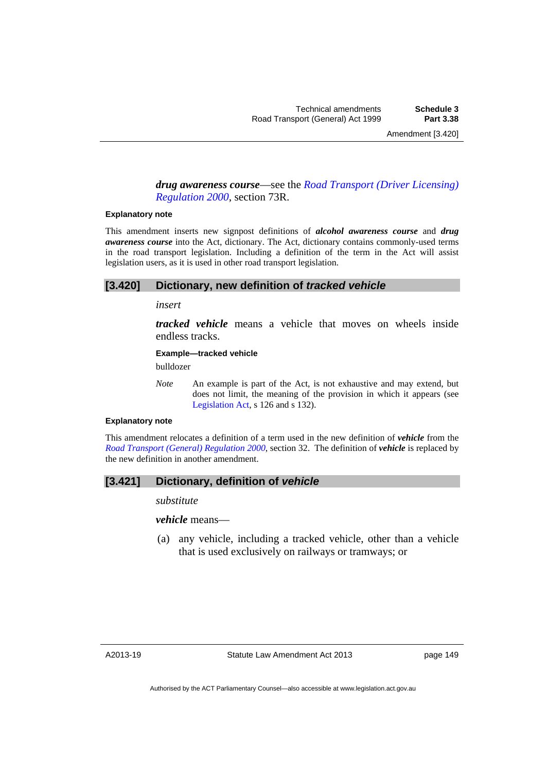### *drug awareness course*—see the *[Road Transport \(Driver Licensing\)](http://www.legislation.act.gov.au/sl/2000-14)  [Regulation 2000](http://www.legislation.act.gov.au/sl/2000-14)*, section 73R.

#### **Explanatory note**

This amendment inserts new signpost definitions of *alcohol awareness course* and *drug awareness course* into the Act, dictionary. The Act, dictionary contains commonly-used terms in the road transport legislation. Including a definition of the term in the Act will assist legislation users, as it is used in other road transport legislation.

### **[3.420] Dictionary, new definition of** *tracked vehicle*

#### *insert*

*tracked vehicle* means a vehicle that moves on wheels inside endless tracks.

### **Example—tracked vehicle**

bulldozer

*Note* An example is part of the Act, is not exhaustive and may extend, but does not limit, the meaning of the provision in which it appears (see [Legislation Act,](http://www.legislation.act.gov.au/a/2001-14) s 126 and s 132).

#### **Explanatory note**

This amendment relocates a definition of a term used in the new definition of *vehicle* from the *[Road Transport \(General\) Regulation 2000](http://www.legislation.act.gov.au/sl/2000-13)*, section 32. The definition of *vehicle* is replaced by the new definition in another amendment.

### **[3.421] Dictionary, definition of** *vehicle*

*substitute* 

*vehicle* means—

 (a) any vehicle, including a tracked vehicle, other than a vehicle that is used exclusively on railways or tramways; or

page 149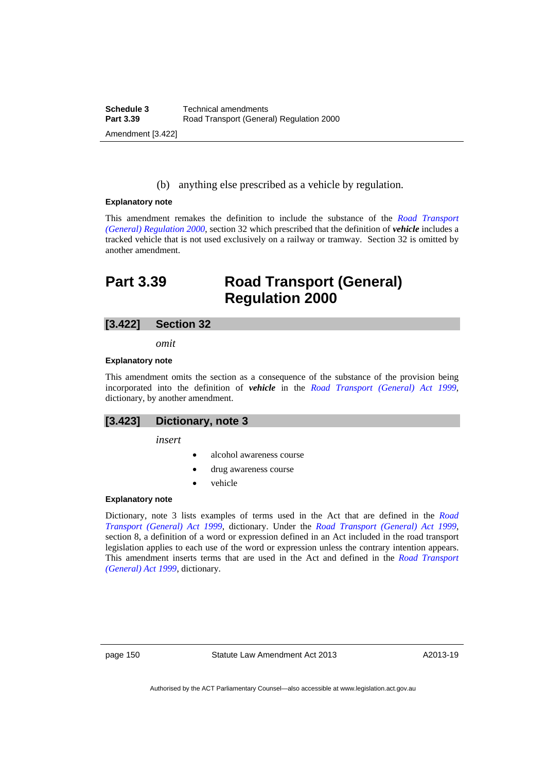(b) anything else prescribed as a vehicle by regulation.

#### **Explanatory note**

This amendment remakes the definition to include the substance of the *[Road Transport](http://www.legislation.act.gov.au/sl/2000-13)  [\(General\) Regulation 2000](http://www.legislation.act.gov.au/sl/2000-13)*, section 32 which prescribed that the definition of *vehicle* includes a tracked vehicle that is not used exclusively on a railway or tramway. Section 32 is omitted by another amendment.

# **Part 3.39 Road Transport (General) Regulation 2000**

### **[3.422] Section 32**

*omit* 

#### **Explanatory note**

This amendment omits the section as a consequence of the substance of the provision being incorporated into the definition of *vehicle* in the *[Road Transport \(General\) Act 1999](http://www.legislation.act.gov.au/a/1999-77)*, dictionary, by another amendment.

### **[3.423] Dictionary, note 3**

*insert* 

- alcohol awareness course
- drug awareness course
- vehicle

### **Explanatory note**

Dictionary, note 3 lists examples of terms used in the Act that are defined in the *[Road](http://www.legislation.act.gov.au/a/1999-77)  [Transport \(General\) Act 1999](http://www.legislation.act.gov.au/a/1999-77)*, dictionary. Under the *[Road Transport \(General\) Act 1999](http://www.legislation.act.gov.au/a/1999-77)*, section 8, a definition of a word or expression defined in an Act included in the road transport legislation applies to each use of the word or expression unless the contrary intention appears. This amendment inserts terms that are used in the Act and defined in the *[Road Transport](http://www.legislation.act.gov.au/a/1999-77)  [\(General\) Act 1999](http://www.legislation.act.gov.au/a/1999-77)*, dictionary.

page 150 Statute Law Amendment Act 2013

A2013-19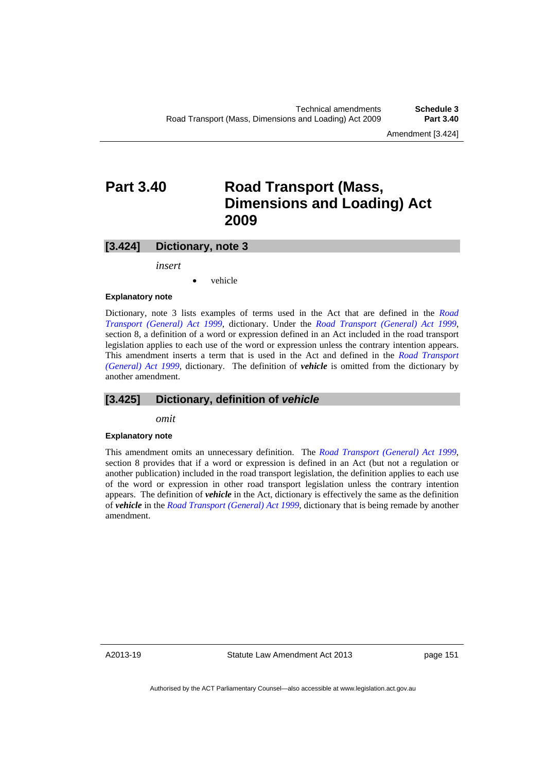Amendment [3.424]

# **Part 3.40 Road Transport (Mass, Dimensions and Loading) Act 2009**

### **[3.424] Dictionary, note 3**

*insert* 

vehicle

### **Explanatory note**

Dictionary, note 3 lists examples of terms used in the Act that are defined in the *[Road](http://www.legislation.act.gov.au/a/1999-77)  [Transport \(General\) Act 1999](http://www.legislation.act.gov.au/a/1999-77)*, dictionary. Under the *[Road Transport \(General\) Act 1999](http://www.legislation.act.gov.au/a/1999-77)*, section 8, a definition of a word or expression defined in an Act included in the road transport legislation applies to each use of the word or expression unless the contrary intention appears. This amendment inserts a term that is used in the Act and defined in the *[Road Transport](http://www.legislation.act.gov.au/a/1999-77)  [\(General\) Act 1999](http://www.legislation.act.gov.au/a/1999-77)*, dictionary. The definition of *vehicle* is omitted from the dictionary by another amendment.

## **[3.425] Dictionary, definition of** *vehicle*

*omit* 

#### **Explanatory note**

This amendment omits an unnecessary definition. The *[Road Transport \(General\) Act 1999](http://www.legislation.act.gov.au/a/1999-77)*, section 8 provides that if a word or expression is defined in an Act (but not a regulation or another publication) included in the road transport legislation, the definition applies to each use of the word or expression in other road transport legislation unless the contrary intention appears. The definition of *vehicle* in the Act, dictionary is effectively the same as the definition of *vehicle* in the *[Road Transport \(General\) Act 1999](http://www.legislation.act.gov.au/a/1999-77)*, dictionary that is being remade by another amendment.

A2013-19

Statute Law Amendment Act 2013

page 151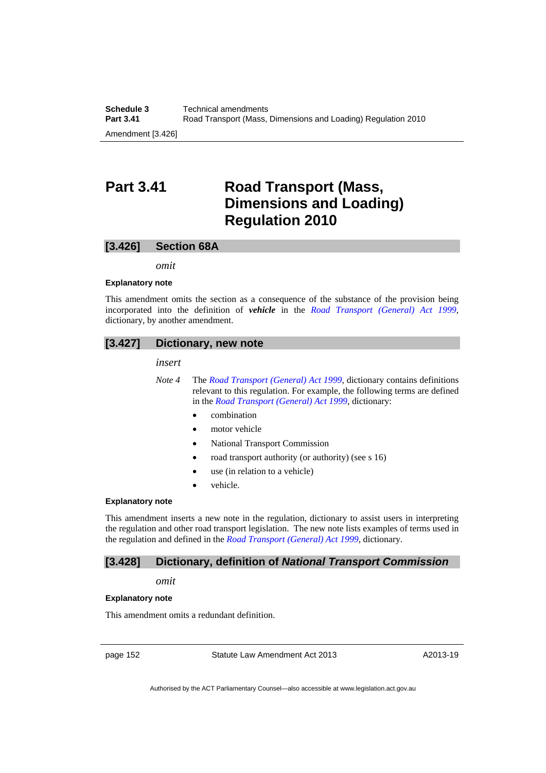# **Part 3.41 Road Transport (Mass, Dimensions and Loading) Regulation 2010**

### **[3.426] Section 68A**

*omit* 

#### **Explanatory note**

This amendment omits the section as a consequence of the substance of the provision being incorporated into the definition of *vehicle* in the *[Road Transport \(General\) Act 1999](http://www.legislation.act.gov.au/a/1999-77)*, dictionary, by another amendment.

### **[3.427] Dictionary, new note**

*insert* 

- *Note 4* The *[Road Transport \(General\) Act 1999](http://www.legislation.act.gov.au/a/1999-77)*, dictionary contains definitions relevant to this regulation. For example, the following terms are defined in the *[Road Transport \(General\) Act 1999](http://www.legislation.act.gov.au/a/1999-77/default.asp)*, dictionary:
	- combination
	- motor vehicle
	- National Transport Commission
	- road transport authority (or authority) (see s 16)
	- use (in relation to a vehicle)
	- vehicle.

### **Explanatory note**

This amendment inserts a new note in the regulation, dictionary to assist users in interpreting the regulation and other road transport legislation. The new note lists examples of terms used in the regulation and defined in the *[Road Transport \(General\) Act 1999](http://www.legislation.act.gov.au/a/1999-77)*, dictionary.

**[3.428] Dictionary, definition of** *National Transport Commission* 

### *omit*

#### **Explanatory note**

This amendment omits a redundant definition.

page 152 Statute Law Amendment Act 2013

A2013-19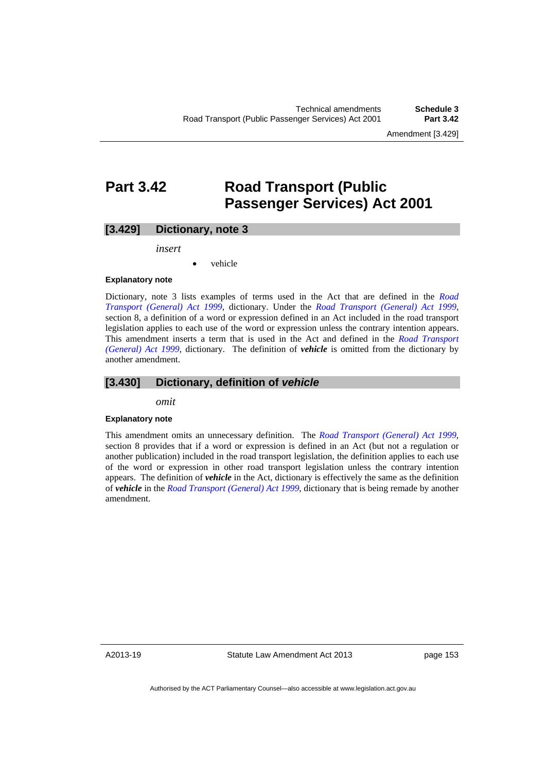# **Part 3.42 Road Transport (Public Passenger Services) Act 2001**

### **[3.429] Dictionary, note 3**

*insert* 

vehicle

#### **Explanatory note**

Dictionary, note 3 lists examples of terms used in the Act that are defined in the *[Road](http://www.legislation.act.gov.au/a/1999-77)  [Transport \(General\) Act 1999](http://www.legislation.act.gov.au/a/1999-77)*, dictionary. Under the *[Road Transport \(General\) Act 1999](http://www.legislation.act.gov.au/a/1999-77)*, section 8, a definition of a word or expression defined in an Act included in the road transport legislation applies to each use of the word or expression unless the contrary intention appears. This amendment inserts a term that is used in the Act and defined in the *[Road Transport](http://www.legislation.act.gov.au/a/1999-77)  [\(General\) Act 1999](http://www.legislation.act.gov.au/a/1999-77)*, dictionary. The definition of *vehicle* is omitted from the dictionary by another amendment.

### **[3.430] Dictionary, definition of** *vehicle*

*omit* 

#### **Explanatory note**

This amendment omits an unnecessary definition. The *[Road Transport \(General\) Act 1999](http://www.legislation.act.gov.au/a/1999-77)*, section 8 provides that if a word or expression is defined in an Act (but not a regulation or another publication) included in the road transport legislation, the definition applies to each use of the word or expression in other road transport legislation unless the contrary intention appears. The definition of *vehicle* in the Act, dictionary is effectively the same as the definition of *vehicle* in the *[Road Transport \(General\) Act 1999](http://www.legislation.act.gov.au/a/1999-77)*, dictionary that is being remade by another amendment.

A2013-19

Statute Law Amendment Act 2013

page 153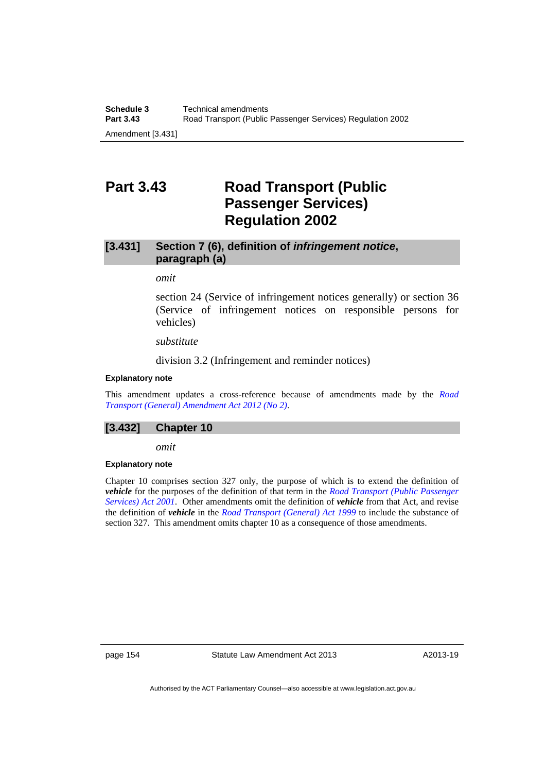# **Part 3.43 Road Transport (Public Passenger Services) Regulation 2002**

# **[3.431] Section 7 (6), definition of** *infringement notice***, paragraph (a)**

## *omit*

section 24 (Service of infringement notices generally) or section 36 (Service of infringement notices on responsible persons for vehicles)

### *substitute*

division 3.2 (Infringement and reminder notices)

### **Explanatory note**

This amendment updates a cross-reference because of amendments made by the *[Road](http://www.legislation.act.gov.au/a/2012-16/default.asp)  [Transport \(General\) Amendment Act 2012 \(No 2\)](http://www.legislation.act.gov.au/a/2012-16/default.asp)*.

### **[3.432] Chapter 10**

*omit* 

### **Explanatory note**

Chapter 10 comprises section 327 only, the purpose of which is to extend the definition of *vehicle* for the purposes of the definition of that term in the *[Road Transport \(Public Passenger](http://www.legislation.act.gov.au/a/2001-62/default.asp)  [Services\) Act 2001](http://www.legislation.act.gov.au/a/2001-62/default.asp)*. Other amendments omit the definition of *vehicle* from that Act, and revise the definition of *vehicle* in the *[Road Transport \(General\) Act 1999](http://www.legislation.act.gov.au/a/1999-77)* to include the substance of section 327. This amendment omits chapter 10 as a consequence of those amendments.

page 154 Statute Law Amendment Act 2013

A2013-19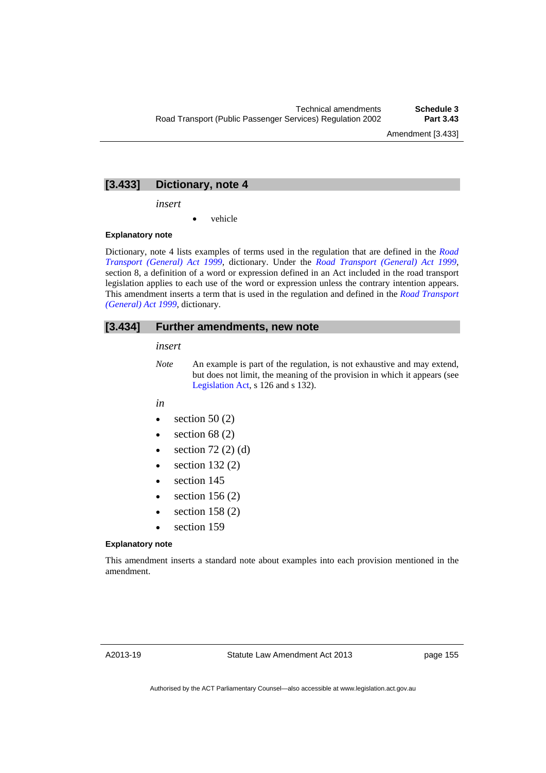Amendment [3.433]

### **[3.433] Dictionary, note 4**

*insert* 

vehicle

### **Explanatory note**

Dictionary, note 4 lists examples of terms used in the regulation that are defined in the *[Road](http://www.legislation.act.gov.au/a/1999-77)  [Transport \(General\) Act 1999](http://www.legislation.act.gov.au/a/1999-77)*, dictionary. Under the *[Road Transport \(General\) Act 1999](http://www.legislation.act.gov.au/a/1999-77)*, section 8, a definition of a word or expression defined in an Act included in the road transport legislation applies to each use of the word or expression unless the contrary intention appears. This amendment inserts a term that is used in the regulation and defined in the *[Road Transport](http://www.legislation.act.gov.au/a/1999-77)  [\(General\) Act 1999](http://www.legislation.act.gov.au/a/1999-77)*, dictionary.

### **[3.434] Further amendments, new note**

*insert* 

- *Note* An example is part of the regulation, is not exhaustive and may extend, but does not limit, the meaning of the provision in which it appears (see [Legislation Act,](http://www.legislation.act.gov.au/a/2001-14) s 126 and s 132).
- *in*
- $\bullet$  section 50 (2)
- $\bullet$  section 68 (2)
- $\bullet$  section 72 (2) (d)
- $\bullet$  section 132 $(2)$
- section 145
- $\bullet$  section 156 (2)
- $\bullet$  section 158 (2)
- section 159

#### **Explanatory note**

This amendment inserts a standard note about examples into each provision mentioned in the amendment.

page 155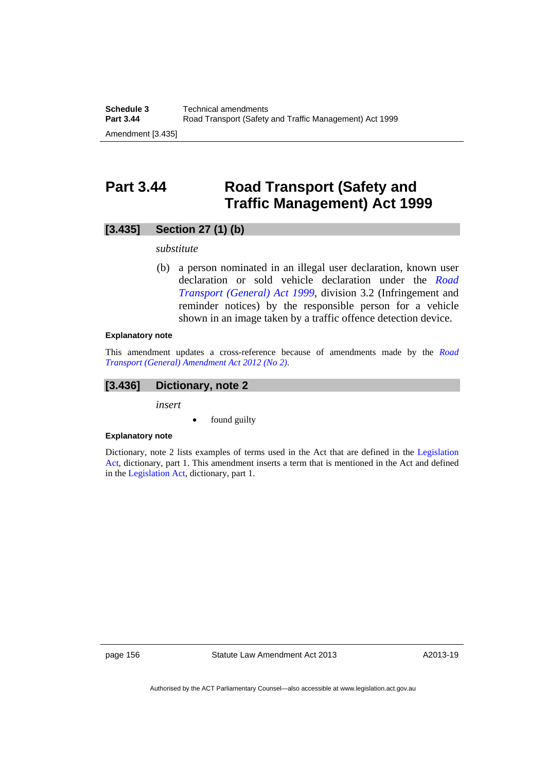# **Part 3.44 Road Transport (Safety and Traffic Management) Act 1999**

# **[3.435] Section 27 (1) (b)**

### *substitute*

 (b) a person nominated in an illegal user declaration, known user declaration or sold vehicle declaration under the *[Road](http://www.legislation.act.gov.au/a/1999-77)  [Transport \(General\) Act 1999](http://www.legislation.act.gov.au/a/1999-77)*, division 3.2 (Infringement and reminder notices) by the responsible person for a vehicle shown in an image taken by a traffic offence detection device.

### **Explanatory note**

This amendment updates a cross-reference because of amendments made by the *[Road](http://www.legislation.act.gov.au/a/2012-16/default.asp)  [Transport \(General\) Amendment Act 2012 \(No 2\)](http://www.legislation.act.gov.au/a/2012-16/default.asp)*.

# **[3.436] Dictionary, note 2**

*insert* 

found guilty

### **Explanatory note**

Dictionary, note 2 lists examples of terms used in the Act that are defined in the [Legislation](http://www.legislation.act.gov.au/a/2001-14)  [Act,](http://www.legislation.act.gov.au/a/2001-14) dictionary, part 1. This amendment inserts a term that is mentioned in the Act and defined in the [Legislation Act](http://www.legislation.act.gov.au/a/2001-14), dictionary, part 1.

page 156 Statute Law Amendment Act 2013

A2013-19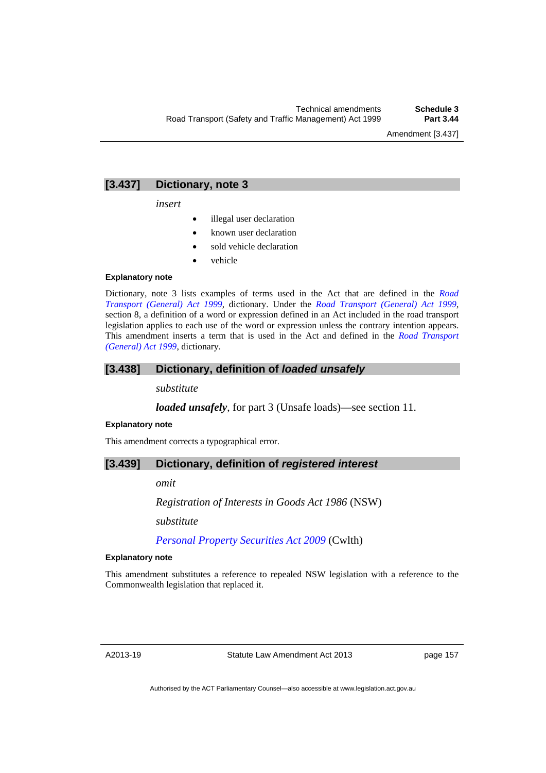## **[3.437] Dictionary, note 3**

*insert* 

- illegal user declaration
- known user declaration
- sold vehicle declaration
- vehicle

#### **Explanatory note**

Dictionary, note 3 lists examples of terms used in the Act that are defined in the *[Road](http://www.legislation.act.gov.au/a/1999-77)  [Transport \(General\) Act 1999](http://www.legislation.act.gov.au/a/1999-77)*, dictionary. Under the *[Road Transport \(General\) Act 1999](http://www.legislation.act.gov.au/a/1999-77)*, section 8, a definition of a word or expression defined in an Act included in the road transport legislation applies to each use of the word or expression unless the contrary intention appears. This amendment inserts a term that is used in the Act and defined in the *[Road Transport](http://www.legislation.act.gov.au/a/1999-77)  [\(General\) Act 1999](http://www.legislation.act.gov.au/a/1999-77)*, dictionary.

### **[3.438] Dictionary, definition of** *loaded unsafely*

*substitute* 

*loaded unsafely*, for part 3 (Unsafe loads)—see section 11.

#### **Explanatory note**

This amendment corrects a typographical error.

### **[3.439] Dictionary, definition of** *registered interest*

*omit* 

*Registration of Interests in Goods Act 1986* (NSW)

*substitute* 

*[Personal Property Securities Act 2009](http://www.comlaw.gov.au/Details/C2012C00151)* (Cwlth)

### **Explanatory note**

This amendment substitutes a reference to repealed NSW legislation with a reference to the Commonwealth legislation that replaced it.

page 157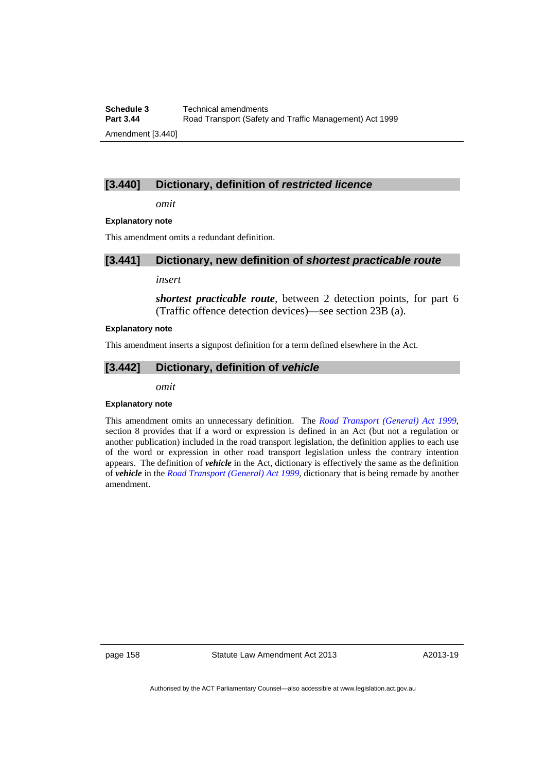**Schedule 3 Technical amendments**<br>**Part 3.44 Road Transport (Safety) Part 3.44** Road Transport (Safety and Traffic Management) Act 1999 Amendment [3.440]

### **[3.440] Dictionary, definition of** *restricted licence*

*omit* 

#### **Explanatory note**

This amendment omits a redundant definition.

### **[3.441] Dictionary, new definition of** *shortest practicable route*

#### *insert*

*shortest practicable route*, between 2 detection points, for part 6 (Traffic offence detection devices)—see section 23B (a).

#### **Explanatory note**

This amendment inserts a signpost definition for a term defined elsewhere in the Act.

### **[3.442] Dictionary, definition of** *vehicle*

*omit* 

#### **Explanatory note**

This amendment omits an unnecessary definition. The *[Road Transport \(General\) Act 1999](http://www.legislation.act.gov.au/a/1999-77)*, section 8 provides that if a word or expression is defined in an Act (but not a regulation or another publication) included in the road transport legislation, the definition applies to each use of the word or expression in other road transport legislation unless the contrary intention appears. The definition of *vehicle* in the Act, dictionary is effectively the same as the definition of *vehicle* in the *[Road Transport \(General\) Act 1999](http://www.legislation.act.gov.au/a/1999-77)*, dictionary that is being remade by another amendment.

page 158 Statute Law Amendment Act 2013

A2013-19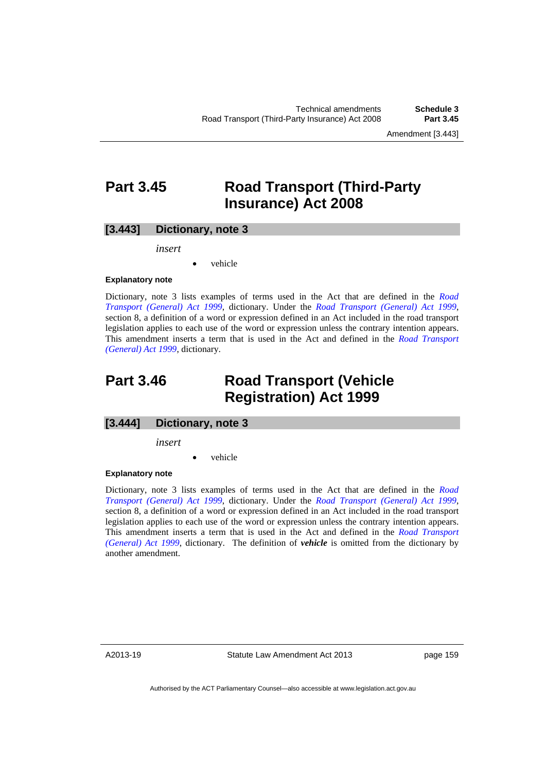Amendment [3.443]

# **Part 3.45 Road Transport (Third-Party Insurance) Act 2008**

### **[3.443] Dictionary, note 3**

*insert* 

vehicle

#### **Explanatory note**

Dictionary, note 3 lists examples of terms used in the Act that are defined in the *[Road](http://www.legislation.act.gov.au/a/1999-77)  [Transport \(General\) Act 1999](http://www.legislation.act.gov.au/a/1999-77)*, dictionary. Under the *[Road Transport \(General\) Act 1999](http://www.legislation.act.gov.au/a/1999-77)*, section 8, a definition of a word or expression defined in an Act included in the road transport legislation applies to each use of the word or expression unless the contrary intention appears. This amendment inserts a term that is used in the Act and defined in the *[Road Transport](http://www.legislation.act.gov.au/a/1999-77)  [\(General\) Act 1999](http://www.legislation.act.gov.au/a/1999-77)*, dictionary.

# **Part 3.46 Road Transport (Vehicle Registration) Act 1999**

### **[3.444] Dictionary, note 3**

*insert* 

vehicle

#### **Explanatory note**

Dictionary, note 3 lists examples of terms used in the Act that are defined in the *[Road](http://www.legislation.act.gov.au/a/1999-77)  [Transport \(General\) Act 1999](http://www.legislation.act.gov.au/a/1999-77)*, dictionary. Under the *[Road Transport \(General\) Act 1999](http://www.legislation.act.gov.au/a/1999-77)*, section 8, a definition of a word or expression defined in an Act included in the road transport legislation applies to each use of the word or expression unless the contrary intention appears. This amendment inserts a term that is used in the Act and defined in the *[Road Transport](http://www.legislation.act.gov.au/a/1999-77)  [\(General\) Act 1999](http://www.legislation.act.gov.au/a/1999-77)*, dictionary. The definition of *vehicle* is omitted from the dictionary by another amendment.

A2013-19

Statute Law Amendment Act 2013

page 159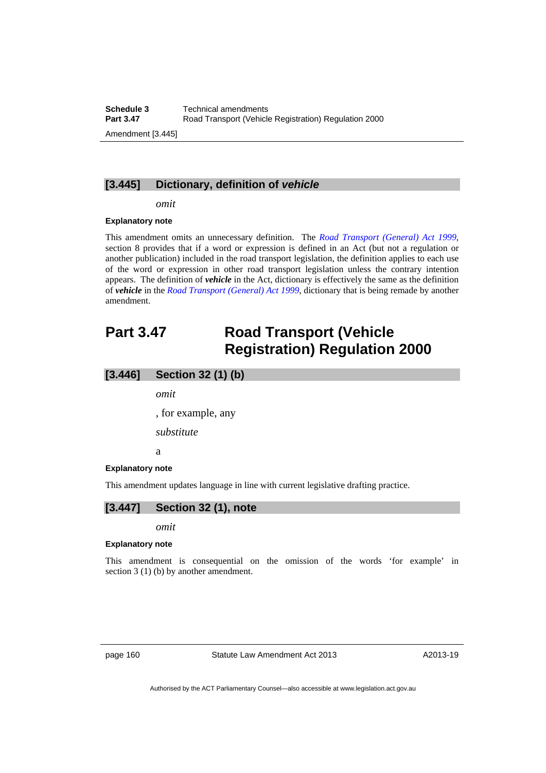## **[3.445] Dictionary, definition of** *vehicle*

*omit* 

#### **Explanatory note**

This amendment omits an unnecessary definition. The *[Road Transport \(General\) Act 1999](http://www.legislation.act.gov.au/a/1999-77)*, section 8 provides that if a word or expression is defined in an Act (but not a regulation or another publication) included in the road transport legislation, the definition applies to each use of the word or expression in other road transport legislation unless the contrary intention appears. The definition of *vehicle* in the Act, dictionary is effectively the same as the definition of *vehicle* in the *[Road Transport \(General\) Act 1999](http://www.legislation.act.gov.au/a/1999-77)*, dictionary that is being remade by another amendment.

# **Part 3.47 Road Transport (Vehicle Registration) Regulation 2000**

### **[3.446] Section 32 (1) (b)**

*omit* 

, for example, any

*substitute* 

a

#### **Explanatory note**

This amendment updates language in line with current legislative drafting practice.

### **[3.447] Section 32 (1), note**

*omit* 

#### **Explanatory note**

This amendment is consequential on the omission of the words 'for example' in section 3 (1) (b) by another amendment.

page 160 Statute Law Amendment Act 2013

A2013-19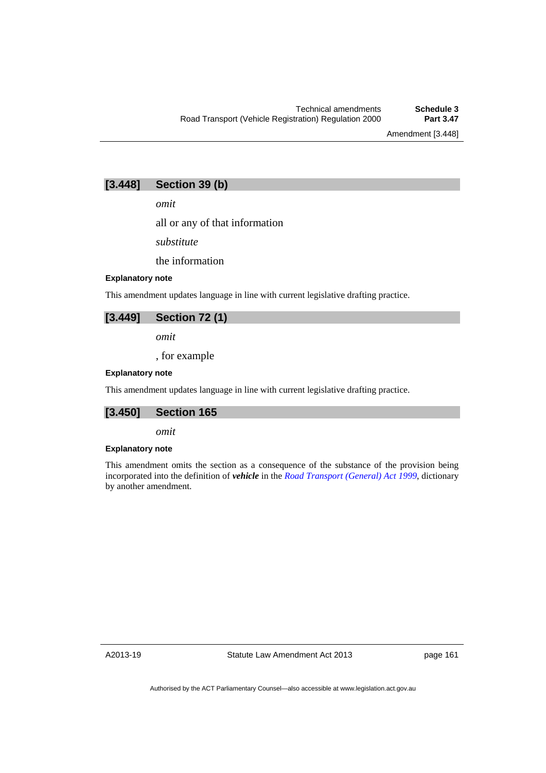Amendment [3.448]

# **[3.448] Section 39 (b)**

*omit* 

all or any of that information

*substitute* 

the information

### **Explanatory note**

This amendment updates language in line with current legislative drafting practice.

# **[3.449] Section 72 (1)**

*omit* 

, for example

#### **Explanatory note**

This amendment updates language in line with current legislative drafting practice.

## **[3.450] Section 165**

*omit* 

#### **Explanatory note**

This amendment omits the section as a consequence of the substance of the provision being incorporated into the definition of *vehicle* in the *[Road Transport \(General\) Act 1999](http://www.legislation.act.gov.au/a/1999-77)*, dictionary by another amendment.

A2013-19

page 161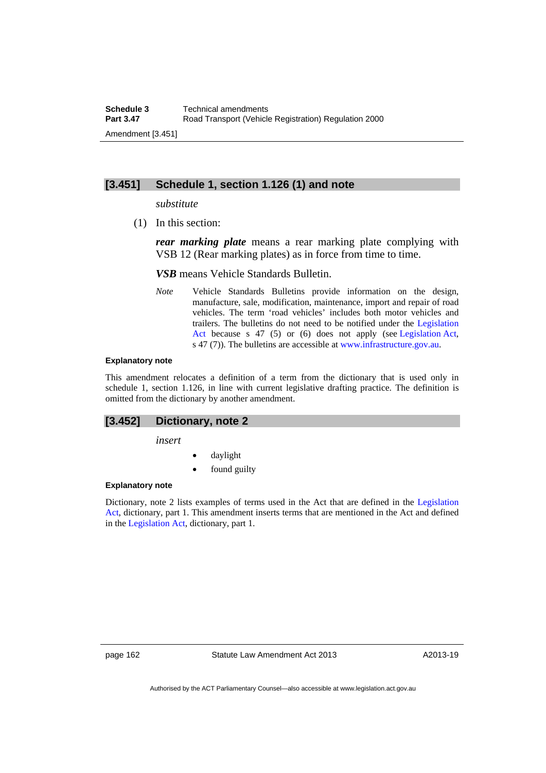### **[3.451] Schedule 1, section 1.126 (1) and note**

#### *substitute*

(1) In this section:

*rear marking plate* means a rear marking plate complying with VSB 12 (Rear marking plates) as in force from time to time.

*VSB* means Vehicle Standards Bulletin.

*Note* Vehicle Standards Bulletins provide information on the design, manufacture, sale, modification, maintenance, import and repair of road vehicles. The term 'road vehicles' includes both motor vehicles and trailers. The bulletins do not need to be notified under the [Legislation](http://www.legislation.act.gov.au/a/2001-14)  [Act](http://www.legislation.act.gov.au/a/2001-14) because s 47 (5) or (6) does not apply (see [Legislation Act,](http://www.legislation.act.gov.au/a/2001-14) s 47 (7)). The bulletins are accessible at [www.infrastructure.gov.au.](http://www.infrastructure.gov.au/)

#### **Explanatory note**

This amendment relocates a definition of a term from the dictionary that is used only in schedule 1, section 1.126, in line with current legislative drafting practice. The definition is omitted from the dictionary by another amendment.

### **[3.452] Dictionary, note 2**

*insert* 

- daylight
- found guilty

### **Explanatory note**

Dictionary, note 2 lists examples of terms used in the Act that are defined in the [Legislation](http://www.legislation.act.gov.au/a/2001-14)  [Act,](http://www.legislation.act.gov.au/a/2001-14) dictionary, part 1. This amendment inserts terms that are mentioned in the Act and defined in the [Legislation Act](http://www.legislation.act.gov.au/a/2001-14), dictionary, part 1.

page 162 Statute Law Amendment Act 2013

A2013-19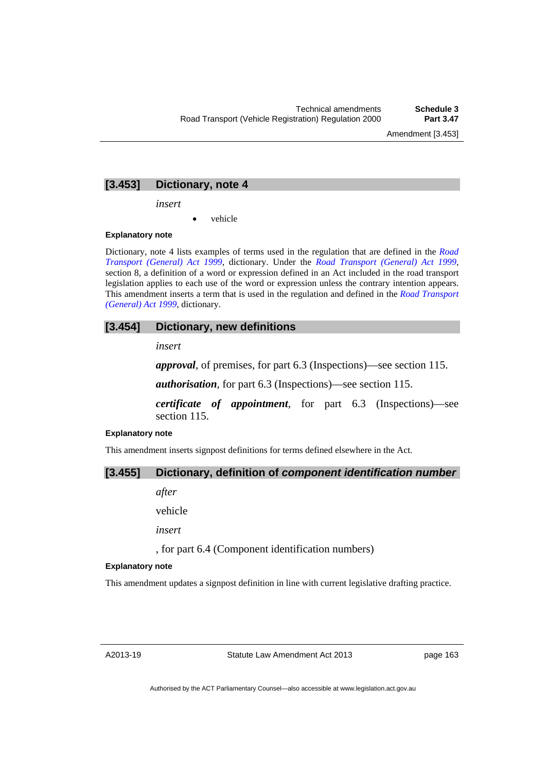Amendment [3.453]

### **[3.453] Dictionary, note 4**

*insert* 

vehicle

### **Explanatory note**

Dictionary, note 4 lists examples of terms used in the regulation that are defined in the *[Road](http://www.legislation.act.gov.au/a/1999-77)  [Transport \(General\) Act 1999](http://www.legislation.act.gov.au/a/1999-77)*, dictionary. Under the *[Road Transport \(General\) Act 1999](http://www.legislation.act.gov.au/a/1999-77)*, section 8, a definition of a word or expression defined in an Act included in the road transport legislation applies to each use of the word or expression unless the contrary intention appears. This amendment inserts a term that is used in the regulation and defined in the *[Road Transport](http://www.legislation.act.gov.au/a/1999-77)  [\(General\) Act 1999](http://www.legislation.act.gov.au/a/1999-77)*, dictionary.

### **[3.454] Dictionary, new definitions**

*insert* 

*approval*, of premises, for part 6.3 (Inspections)—see section 115.

*authorisation*, for part 6.3 (Inspections)—see section 115.

*certificate of appointment*, for part 6.3 (Inspections)—see section 115.

## **Explanatory note**

This amendment inserts signpost definitions for terms defined elsewhere in the Act.

## **[3.455] Dictionary, definition of** *component identification number*

*after* 

vehicle

*insert* 

, for part 6.4 (Component identification numbers)

#### **Explanatory note**

This amendment updates a signpost definition in line with current legislative drafting practice.

page 163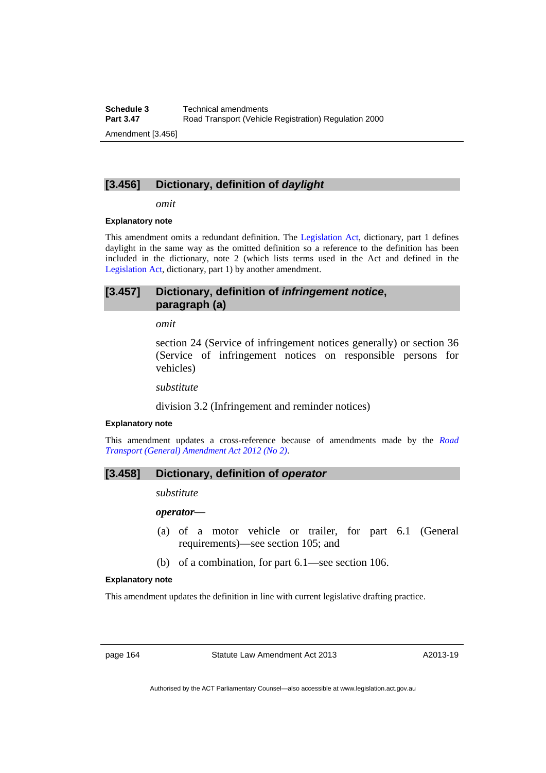# **[3.456] Dictionary, definition of** *daylight*

*omit* 

#### **Explanatory note**

This amendment omits a redundant definition. The [Legislation Act](http://www.legislation.act.gov.au/a/2001-14), dictionary, part 1 defines daylight in the same way as the omitted definition so a reference to the definition has been included in the dictionary, note 2 (which lists terms used in the Act and defined in the [Legislation Act,](http://www.legislation.act.gov.au/a/2001-14) dictionary, part 1) by another amendment.

# **[3.457] Dictionary, definition of** *infringement notice***, paragraph (a)**

#### *omit*

section 24 (Service of infringement notices generally) or section 36 (Service of infringement notices on responsible persons for vehicles)

*substitute*

division 3.2 (Infringement and reminder notices)

### **Explanatory note**

This amendment updates a cross-reference because of amendments made by the *[Road](http://www.legislation.act.gov.au/a/2012-16/default.asp)  [Transport \(General\) Amendment Act 2012 \(No 2\)](http://www.legislation.act.gov.au/a/2012-16/default.asp)*.

## **[3.458] Dictionary, definition of** *operator*

*substitute* 

*operator—*

- (a) of a motor vehicle or trailer, for part 6.1 (General requirements)—see section 105; and
- (b) of a combination, for part 6.1—see section 106.

### **Explanatory note**

This amendment updates the definition in line with current legislative drafting practice.

page 164 Statute Law Amendment Act 2013

A2013-19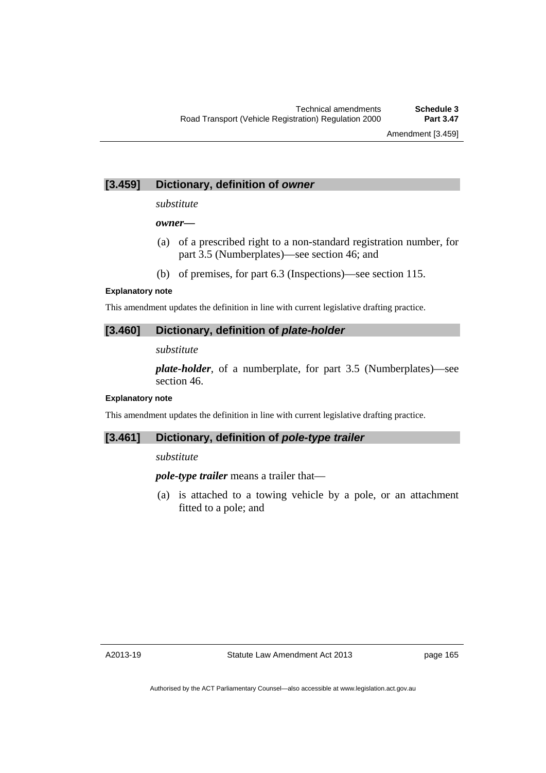# **[3.459] Dictionary, definition of** *owner*

### *substitute*

### *owner—*

- (a) of a prescribed right to a non-standard registration number, for part 3.5 (Numberplates)—see section 46; and
- (b) of premises, for part 6.3 (Inspections)—see section 115.

### **Explanatory note**

This amendment updates the definition in line with current legislative drafting practice.

# **[3.460] Dictionary, definition of** *plate-holder*

*substitute* 

*plate-holder*, of a numberplate, for part 3.5 (Numberplates)—see section 46.

## **Explanatory note**

This amendment updates the definition in line with current legislative drafting practice.

# **[3.461] Dictionary, definition of** *pole-type trailer*

## *substitute*

*pole-type trailer* means a trailer that—

 (a) is attached to a towing vehicle by a pole, or an attachment fitted to a pole; and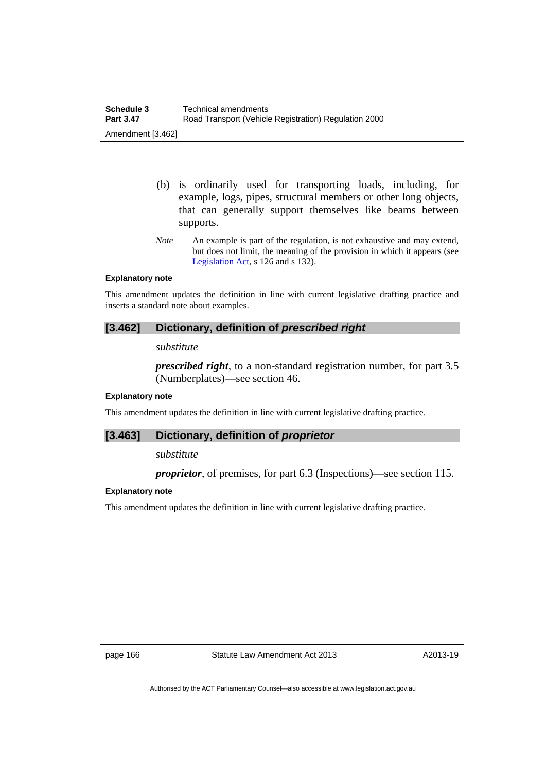- (b) is ordinarily used for transporting loads, including, for example, logs, pipes, structural members or other long objects, that can generally support themselves like beams between supports.
- *Note* An example is part of the regulation, is not exhaustive and may extend, but does not limit, the meaning of the provision in which it appears (see [Legislation Act,](http://www.legislation.act.gov.au/a/2001-14) s 126 and s 132).

### **Explanatory note**

This amendment updates the definition in line with current legislative drafting practice and inserts a standard note about examples.

## **[3.462] Dictionary, definition of** *prescribed right*

### *substitute*

*prescribed right*, to a non-standard registration number, for part 3.5 (Numberplates)—see section 46.

### **Explanatory note**

This amendment updates the definition in line with current legislative drafting practice.

### **[3.463] Dictionary, definition of** *proprietor*

*substitute* 

*proprietor*, of premises, for part 6.3 (Inspections)—see section 115.

### **Explanatory note**

This amendment updates the definition in line with current legislative drafting practice.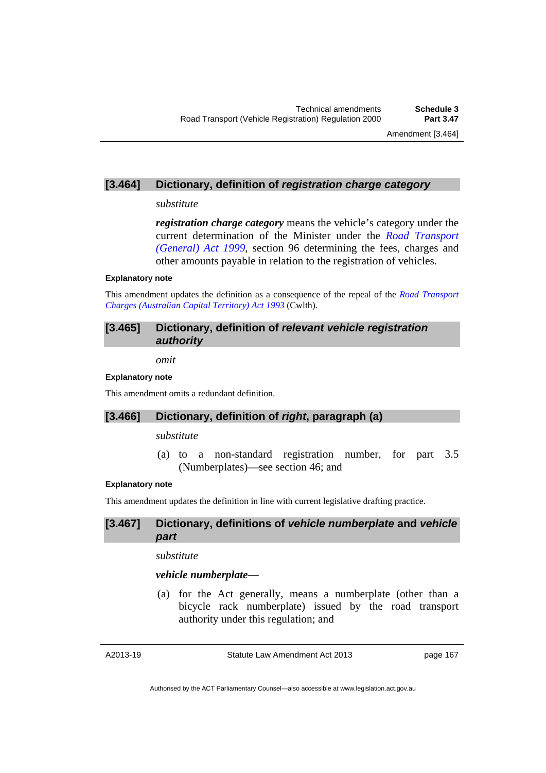### **[3.464] Dictionary, definition of** *registration charge category*

### *substitute*

*registration charge category* means the vehicle's category under the current determination of the Minister under the *[Road Transport](http://www.legislation.act.gov.au/a/1999-77)  [\(General\) Act 1999](http://www.legislation.act.gov.au/a/1999-77)*, section 96 determining the fees, charges and other amounts payable in relation to the registration of vehicles.

### **Explanatory note**

This amendment updates the definition as a consequence of the repeal of the *[Road Transport](http://www.comlaw.gov.au/Details/C2004C00783)  [Charges \(Australian Capital Territory\) Act 1993](http://www.comlaw.gov.au/Details/C2004C00783)* (Cwlth).

## **[3.465] Dictionary, definition of** *relevant vehicle registration authority*

*omit* 

#### **Explanatory note**

This amendment omits a redundant definition.

# **[3.466] Dictionary, definition of** *right***, paragraph (a)**

*substitute* 

 (a) to a non-standard registration number, for part 3.5 (Numberplates)—see section 46; and

### **Explanatory note**

This amendment updates the definition in line with current legislative drafting practice.

### **[3.467] Dictionary, definitions of** *vehicle numberplate* **and** *vehicle part*

*substitute* 

### *vehicle numberplate—*

 (a) for the Act generally, means a numberplate (other than a bicycle rack numberplate) issued by the road transport authority under this regulation; and

A2013-19

Statute Law Amendment Act 2013

page 167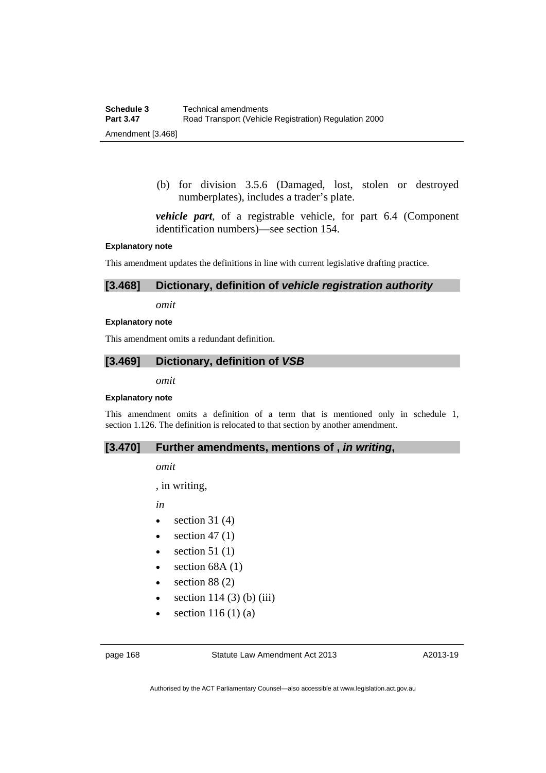(b) for division 3.5.6 (Damaged, lost, stolen or destroyed numberplates), includes a trader's plate.

*vehicle part*, of a registrable vehicle, for part 6.4 (Component identification numbers)—see section 154.

#### **Explanatory note**

This amendment updates the definitions in line with current legislative drafting practice.

### **[3.468] Dictionary, definition of** *vehicle registration authority*

*omit* 

#### **Explanatory note**

This amendment omits a redundant definition.

### **[3.469] Dictionary, definition of** *VSB*

*omit* 

### **Explanatory note**

This amendment omits a definition of a term that is mentioned only in schedule 1, section 1.126. The definition is relocated to that section by another amendment.

### **[3.470] Further amendments, mentions of ,** *in writing***,**

*omit* 

, in writing,

*in* 

- $\bullet$  section 31 (4)
- $\bullet$  section 47 (1)
- $\bullet$  section 51 (1)
- $\bullet$  section 68A (1)
- $\bullet$  section 88 (2)
- $\bullet$  section 114 (3) (b) (iii)
- $\bullet$  section 116 (1) (a)

A2013-19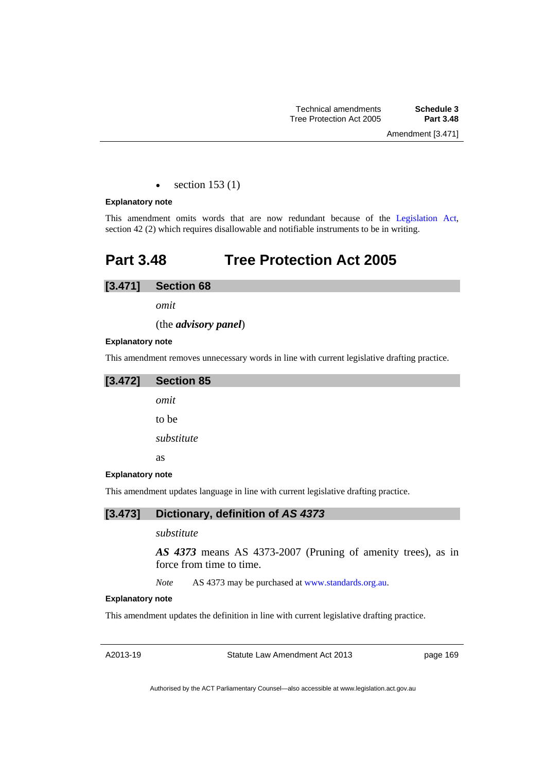$\bullet$  section 153 (1)

#### **Explanatory note**

This amendment omits words that are now redundant because of the [Legislation Act,](http://www.legislation.act.gov.au/a/2001-14) section 42 (2) which requires disallowable and notifiable instruments to be in writing.

# **Part 3.48 Tree Protection Act 2005**

# **[3.471] Section 68**

*omit* 

(the *advisory panel*)

#### **Explanatory note**

This amendment removes unnecessary words in line with current legislative drafting practice.

| [3.472]                 | <b>Section 85</b> |
|-------------------------|-------------------|
|                         | omit              |
|                         | to be             |
|                         | substitute        |
|                         | <b>as</b>         |
| <b>Explanatory note</b> |                   |
| $-1$                    | $\cdot$ .         |

This amendment updates language in line with current legislative drafting practice.

### **[3.473] Dictionary, definition of** *AS 4373*

### *substitute*

*AS 4373* means AS 4373-2007 (Pruning of amenity trees), as in force from time to time.

*Note* AS 4373 may be purchased at [www.standards.org.au.](http://www.standards.org.au/)

### **Explanatory note**

This amendment updates the definition in line with current legislative drafting practice.

A2013-19

Statute Law Amendment Act 2013

page 169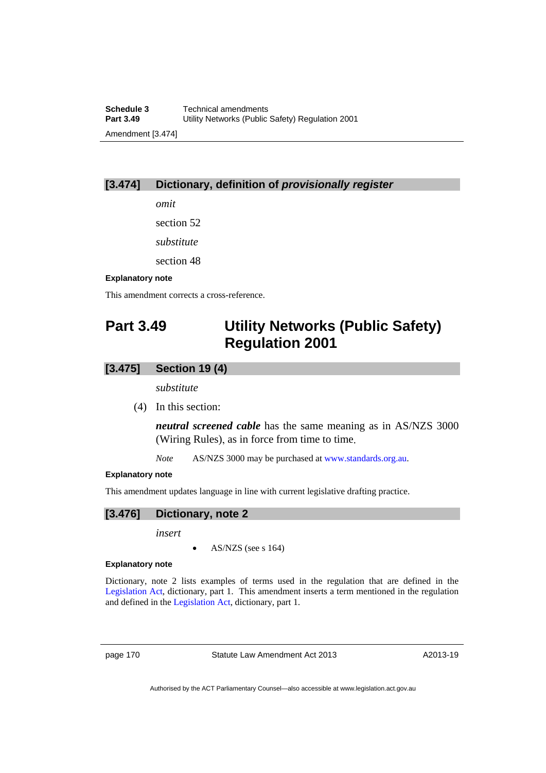# **[3.474] Dictionary, definition of** *provisionally register*

*omit* 

section 52

*substitute* 

section 48

### **Explanatory note**

This amendment corrects a cross-reference.

# **Part 3.49 Utility Networks (Public Safety) Regulation 2001**

# **[3.475] Section 19 (4)**

*substitute* 

(4) In this section:

*neutral screened cable* has the same meaning as in AS/NZS 3000 (Wiring Rules), as in force from time to time.

*Note* AS/NZS 3000 may be purchased at [www.standards.org.au.](http://www.standards.org.au/)

### **Explanatory note**

This amendment updates language in line with current legislative drafting practice.

## **[3.476] Dictionary, note 2**

*insert* 

AS/NZS (see s 164)

#### **Explanatory note**

Dictionary, note 2 lists examples of terms used in the regulation that are defined in the [Legislation Act](http://www.legislation.act.gov.au/a/2001-14), dictionary, part 1. This amendment inserts a term mentioned in the regulation and defined in the [Legislation Act](http://www.legislation.act.gov.au/a/2001-14), dictionary, part 1.

page 170 Statute Law Amendment Act 2013

A2013-19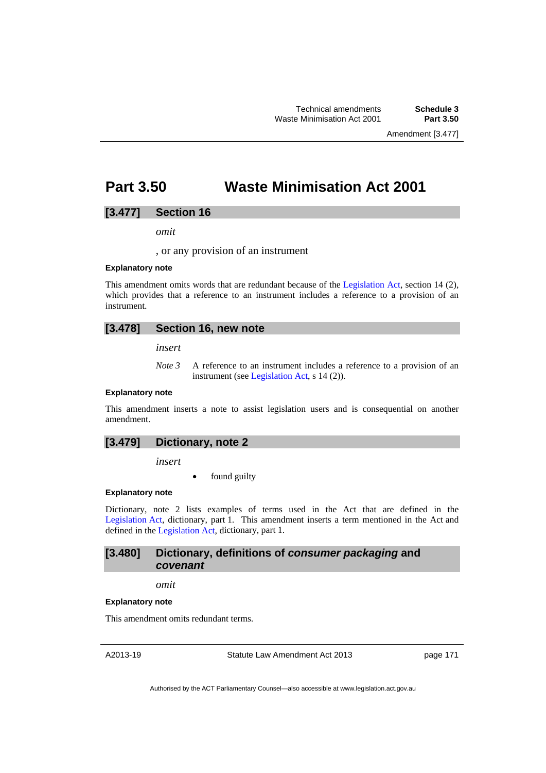Amendment [3.477]

# **Part 3.50 Waste Minimisation Act 2001**

### **[3.477] Section 16**

*omit* 

, or any provision of an instrument

#### **Explanatory note**

This amendment omits words that are redundant because of the [Legislation Act,](http://www.legislation.act.gov.au/a/2001-14) section 14 (2), which provides that a reference to an instrument includes a reference to a provision of an instrument.

### **[3.478] Section 16, new note**

*insert* 

*Note 3* A reference to an instrument includes a reference to a provision of an instrument (see [Legislation Act,](http://www.legislation.act.gov.au/a/2001-14) s 14 (2)).

#### **Explanatory note**

This amendment inserts a note to assist legislation users and is consequential on another amendment.

| [3.479]<br>Dictionary, note 2 |
|-------------------------------|
|-------------------------------|

*insert* 

found guilty

#### **Explanatory note**

Dictionary, note 2 lists examples of terms used in the Act that are defined in the [Legislation Act,](http://www.legislation.act.gov.au/a/2001-14) dictionary, part 1. This amendment inserts a term mentioned in the Act and defined in the [Legislation Act](http://www.legislation.act.gov.au/a/2001-14), dictionary, part 1.

### **[3.480] Dictionary, definitions of** *consumer packaging* **and**  *covenant*

### *omit*

#### **Explanatory note**

This amendment omits redundant terms.

A2013-19

Statute Law Amendment Act 2013

page 171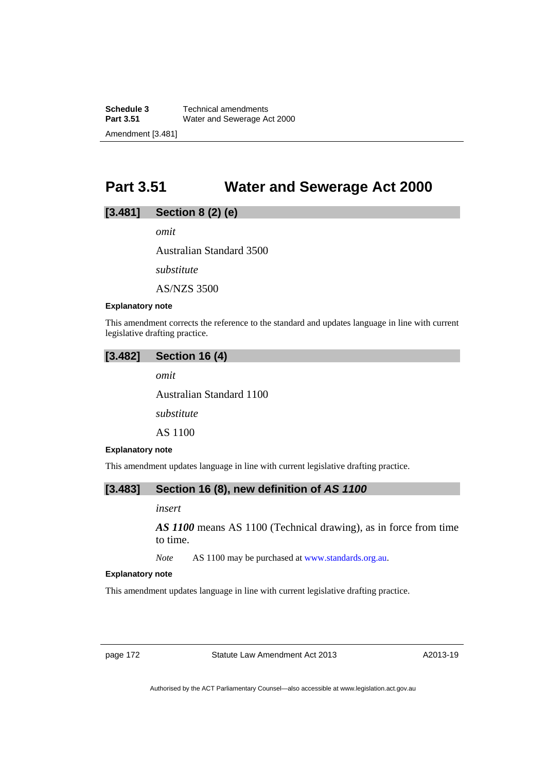**Schedule 3 Technical amendments**<br>**Part 3.51 Water and Sewerage Advised Advisory Water and Sewerage Act 2000** Amendment [3.481]

# **Part 3.51 Water and Sewerage Act 2000**

# **[3.481] Section 8 (2) (e)**

*omit* 

Australian Standard 3500

*substitute* 

AS/NZS 3500

### **Explanatory note**

This amendment corrects the reference to the standard and updates language in line with current legislative drafting practice.

| [3.482] | <b>Section 16 (4)</b> |  |
|---------|-----------------------|--|
|---------|-----------------------|--|

*omit* 

Australian Standard 1100

*substitute* 

AS 1100

### **Explanatory note**

This amendment updates language in line with current legislative drafting practice.

## **[3.483] Section 16 (8), new definition of** *AS 1100*

### *insert*

*AS 1100* means AS 1100 (Technical drawing), as in force from time to time.

*Note* AS 1100 may be purchased at [www.standards.org.au.](http://www.standards.org.au/)

#### **Explanatory note**

This amendment updates language in line with current legislative drafting practice.

page 172 Statute Law Amendment Act 2013

A2013-19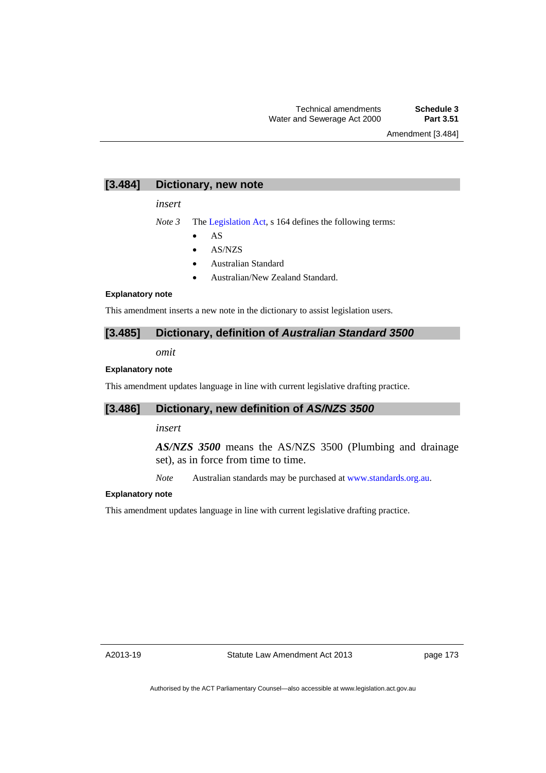Amendment [3.484]

### **[3.484] Dictionary, new note**

*insert* 

*Note 3* The [Legislation Act,](http://www.legislation.act.gov.au/a/2001-14) s 164 defines the following terms:

- $\bullet$  AS
- AS/NZS
- Australian Standard
- Australian/New Zealand Standard.

### **Explanatory note**

This amendment inserts a new note in the dictionary to assist legislation users.

### **[3.485] Dictionary, definition of** *Australian Standard 3500*

*omit* 

#### **Explanatory note**

This amendment updates language in line with current legislative drafting practice.

### **[3.486] Dictionary, new definition of** *AS/NZS 3500*

### *insert*

*AS/NZS 3500* means the AS/NZS 3500 (Plumbing and drainage set), as in force from time to time.

*Note* Australian standards may be purchased at [www.standards.org.au.](http://www.standards.org.au/)

#### **Explanatory note**

This amendment updates language in line with current legislative drafting practice.

A2013-19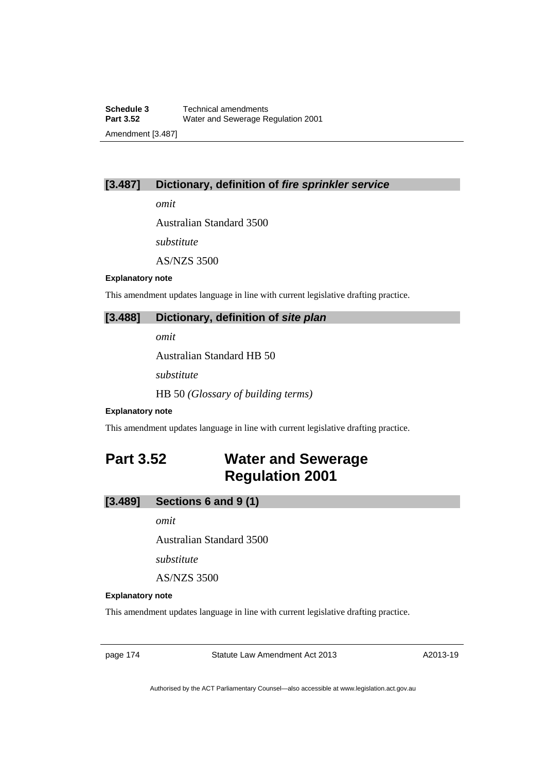### **[3.487] Dictionary, definition of** *fire sprinkler service*

*omit* 

Australian Standard 3500

*substitute* 

AS/NZS 3500

### **Explanatory note**

This amendment updates language in line with current legislative drafting practice.

### **[3.488] Dictionary, definition of** *site plan*

*omit* 

Australian Standard HB 50

*substitute* 

HB 50 *(Glossary of building terms)* 

#### **Explanatory note**

This amendment updates language in line with current legislative drafting practice.

# **Part 3.52 Water and Sewerage Regulation 2001**

### **[3.489] Sections 6 and 9 (1)**

*omit* 

Australian Standard 3500

*substitute* 

AS/NZS 3500

#### **Explanatory note**

This amendment updates language in line with current legislative drafting practice.

page 174 Statute Law Amendment Act 2013

A2013-19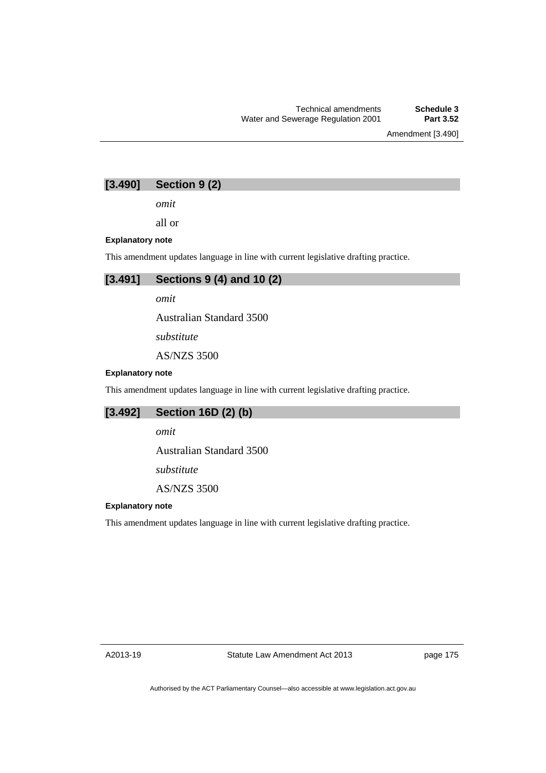Amendment [3.490]

# **[3.490] Section 9 (2)**

*omit* 

all or

### **Explanatory note**

This amendment updates language in line with current legislative drafting practice.



*omit* 

Australian Standard 3500

*substitute* 

AS/NZS 3500

### **Explanatory note**

This amendment updates language in line with current legislative drafting practice.

# **[3.492] Section 16D (2) (b)**

*omit* 

Australian Standard 3500

*substitute* 

AS/NZS 3500

### **Explanatory note**

This amendment updates language in line with current legislative drafting practice.

A2013-19

page 175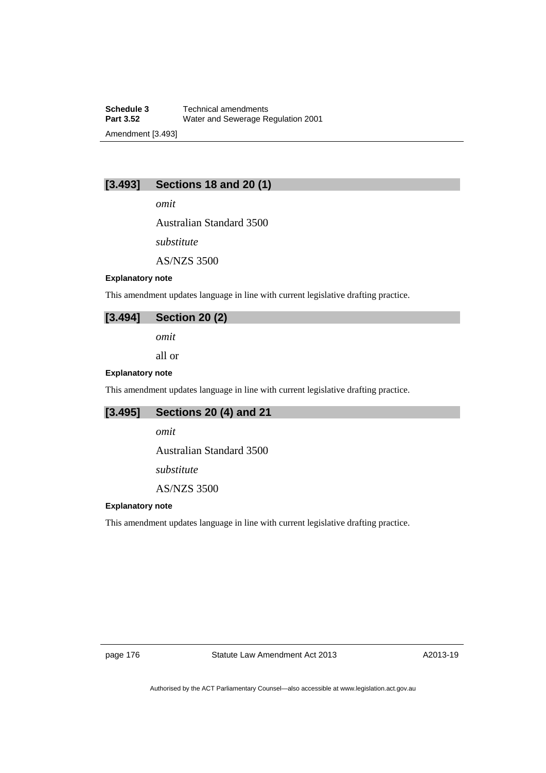**Schedule 3 Technical amendments**<br>**Part 3.52 Water and Sewerage Re Part 3.52** Water and Sewerage Regulation 2001 Amendment [3.493]

# **[3.493] Sections 18 and 20 (1)**

*omit* 

Australian Standard 3500

*substitute* 

AS/NZS 3500

#### **Explanatory note**

This amendment updates language in line with current legislative drafting practice.

## **[3.494] Section 20 (2)**

*omit* 

all or

#### **Explanatory note**

This amendment updates language in line with current legislative drafting practice.

## **[3.495] Sections 20 (4) and 21**

*omit* 

Australian Standard 3500

*substitute* 

AS/NZS 3500

### **Explanatory note**

This amendment updates language in line with current legislative drafting practice.

page 176 Statute Law Amendment Act 2013

A2013-19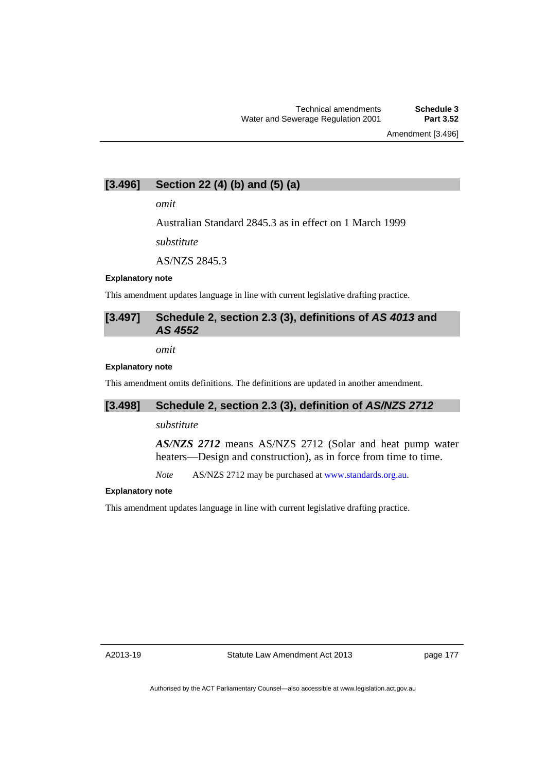# **[3.496] Section 22 (4) (b) and (5) (a)**

*omit* 

Australian Standard 2845.3 as in effect on 1 March 1999

*substitute* 

AS/NZS 2845.3

## **Explanatory note**

This amendment updates language in line with current legislative drafting practice.

# **[3.497] Schedule 2, section 2.3 (3), definitions of** *AS 4013* **and**  *AS 4552*

*omit* 

### **Explanatory note**

This amendment omits definitions. The definitions are updated in another amendment.

# **[3.498] Schedule 2, section 2.3 (3), definition of** *AS/NZS 2712*

### *substitute*

*AS/NZS 2712* means AS/NZS 2712 (Solar and heat pump water heaters—Design and construction), as in force from time to time.

*Note* AS/NZS 2712 may be purchased at [www.standards.org.au.](http://www.standards.org.au/)

## **Explanatory note**

This amendment updates language in line with current legislative drafting practice.

A2013-19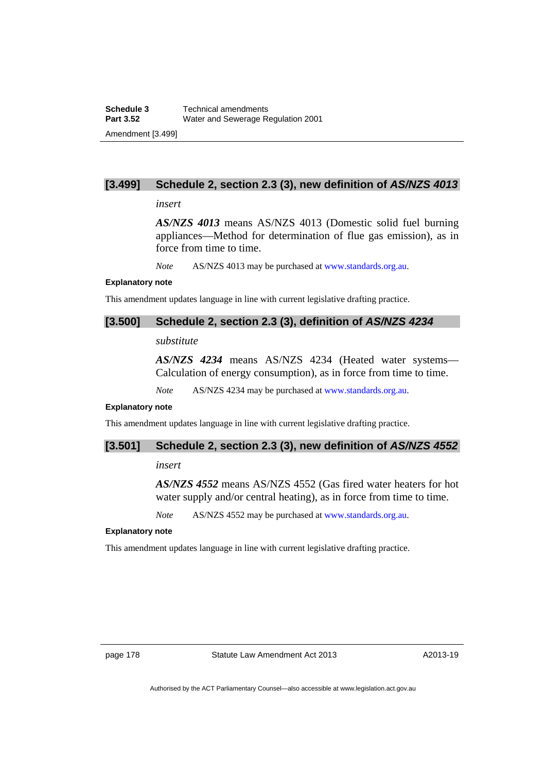# **[3.499] Schedule 2, section 2.3 (3), new definition of** *AS/NZS 4013*

## *insert*

*AS/NZS 4013* means AS/NZS 4013 (Domestic solid fuel burning appliances—Method for determination of flue gas emission), as in force from time to time.

*Note* AS/NZS 4013 may be purchased at [www.standards.org.au.](http://www.standards.org.au/)

### **Explanatory note**

This amendment updates language in line with current legislative drafting practice.

## **[3.500] Schedule 2, section 2.3 (3), definition of** *AS/NZS 4234*

# *substitute*

*AS/NZS 4234* means AS/NZS 4234 (Heated water systems— Calculation of energy consumption), as in force from time to time.

*Note* AS/NZS 4234 may be purchased at [www.standards.org.au.](http://www.standards.org.au/)

## **Explanatory note**

This amendment updates language in line with current legislative drafting practice.

## **[3.501] Schedule 2, section 2.3 (3), new definition of** *AS/NZS 4552*

## *insert*

*AS/NZS 4552* means AS/NZS 4552 (Gas fired water heaters for hot water supply and/or central heating), as in force from time to time.

*Note* AS/NZS 4552 may be purchased at [www.standards.org.au.](http://www.standards.org.au/)

### **Explanatory note**

This amendment updates language in line with current legislative drafting practice.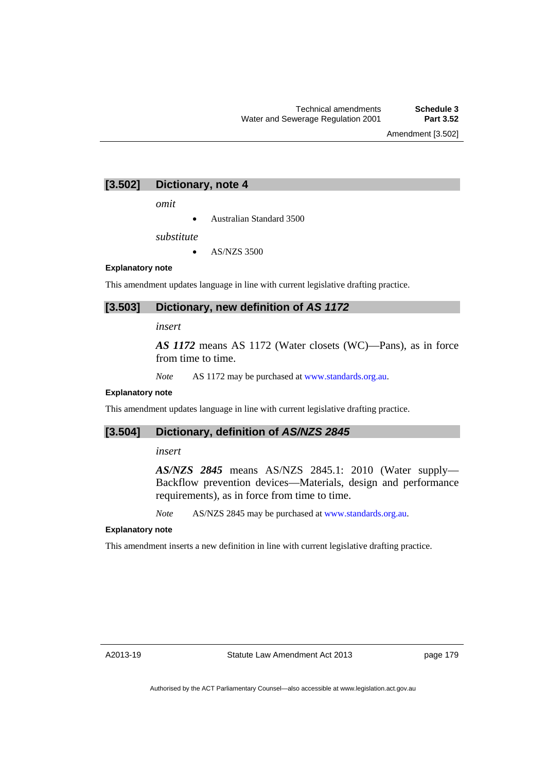Amendment [3.502]

# **[3.502] Dictionary, note 4**

*omit* 

Australian Standard 3500

*substitute* 

 $\bullet$  AS/NZS 3500

#### **Explanatory note**

This amendment updates language in line with current legislative drafting practice.

# **[3.503] Dictionary, new definition of** *AS 1172*

## *insert*

*AS 1172* means AS 1172 (Water closets (WC)—Pans), as in force from time to time.

*Note* AS 1172 may be purchased at [www.standards.org.au.](http://www.standards.org.au/)

## **Explanatory note**

This amendment updates language in line with current legislative drafting practice.

## **[3.504] Dictionary, definition of** *AS/NZS 2845*

## *insert*

*AS/NZS 2845* means AS/NZS 2845.1: 2010 (Water supply— Backflow prevention devices—Materials, design and performance requirements), as in force from time to time.

*Note* AS/NZS 2845 may be purchased at [www.standards.org.au.](http://www.standards.org.au/)

## **Explanatory note**

This amendment inserts a new definition in line with current legislative drafting practice.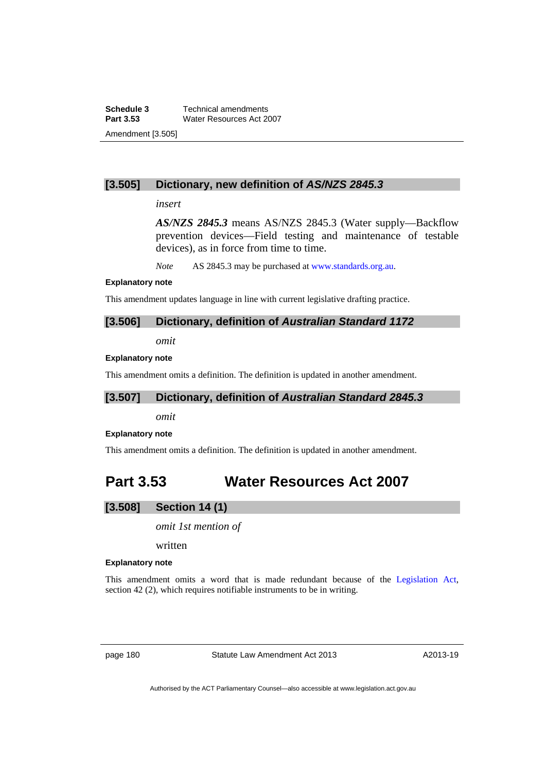**Schedule 3 Technical amendments**<br>**Part 3.53 Water Resources Act 20 Water Resources Act 2007** Amendment [3.505]

# **[3.505] Dictionary, new definition of** *AS/NZS 2845.3*

## *insert*

*AS/NZS 2845.3* means AS/NZS 2845.3 (Water supply—Backflow prevention devices—Field testing and maintenance of testable devices), as in force from time to time.

*Note* AS 2845.3 may be purchased at [www.standards.org.au](http://www.standards.org.au/).

#### **Explanatory note**

This amendment updates language in line with current legislative drafting practice.

# **[3.506] Dictionary, definition of** *Australian Standard 1172*

*omit* 

## **Explanatory note**

This amendment omits a definition. The definition is updated in another amendment.

# **[3.507] Dictionary, definition of** *Australian Standard 2845.3*

*omit* 

## **Explanatory note**

This amendment omits a definition. The definition is updated in another amendment.

# **Part 3.53 Water Resources Act 2007**

# **[3.508] Section 14 (1)**

*omit 1st mention of* 

written

## **Explanatory note**

This amendment omits a word that is made redundant because of the [Legislation Act,](http://www.legislation.act.gov.au/a/2001-14) section 42 (2), which requires notifiable instruments to be in writing.

page 180 Statute Law Amendment Act 2013

A2013-19

Authorised by the ACT Parliamentary Counsel—also accessible at www.legislation.act.gov.au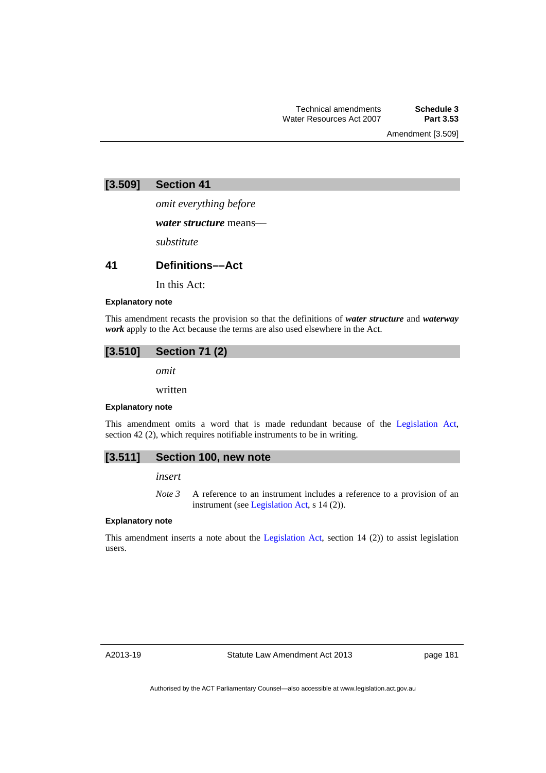Amendment [3.509]

# **[3.509] Section 41**

*omit everything before* 

*water structure* means––

*substitute* 

## **41 Definitions––Act**

In this Act:

## **Explanatory note**

This amendment recasts the provision so that the definitions of *water structure* and *waterway work* apply to the Act because the terms are also used elsewhere in the Act.

# **[3.510] Section 71 (2)**

*omit* 

written

### **Explanatory note**

This amendment omits a word that is made redundant because of the [Legislation Act,](http://www.legislation.act.gov.au/a/2001-14) section 42 (2), which requires notifiable instruments to be in writing.

## **[3.511] Section 100, new note**

## *insert*

*Note 3* A reference to an instrument includes a reference to a provision of an instrument (see [Legislation Act,](http://www.legislation.act.gov.au/a/2001-14) s 14 (2)).

## **Explanatory note**

This amendment inserts a note about the [Legislation Act](http://www.legislation.act.gov.au/a/2001-14), section 14 (2)) to assist legislation users.

A2013-19

page 181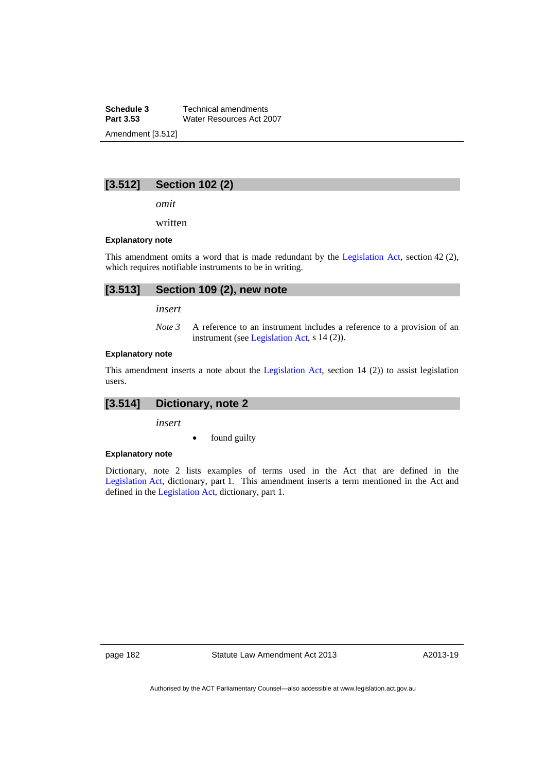**Schedule 3 Technical amendments**<br>**Part 3.53 Water Resources Act 20 Water Resources Act 2007** Amendment [3.512]

# **[3.512] Section 102 (2)**

*omit* 

written

### **Explanatory note**

This amendment omits a word that is made redundant by the [Legislation Act,](http://www.legislation.act.gov.au/a/2001-14) section 42 (2), which requires notifiable instruments to be in writing.

# **[3.513] Section 109 (2), new note**

*insert* 

*Note 3* A reference to an instrument includes a reference to a provision of an instrument (see [Legislation Act,](http://www.legislation.act.gov.au/a/2001-14) s 14 (2)).

#### **Explanatory note**

This amendment inserts a note about the [Legislation Act](http://www.legislation.act.gov.au/a/2001-14), section 14 (2)) to assist legislation users.

# **[3.514] Dictionary, note 2**

*insert* 

• found guilty

#### **Explanatory note**

Dictionary, note 2 lists examples of terms used in the Act that are defined in the [Legislation Act,](http://www.legislation.act.gov.au/a/2001-14) dictionary, part 1. This amendment inserts a term mentioned in the Act and defined in the [Legislation Act](http://www.legislation.act.gov.au/a/2001-14), dictionary, part 1.

page 182 Statute Law Amendment Act 2013

A2013-19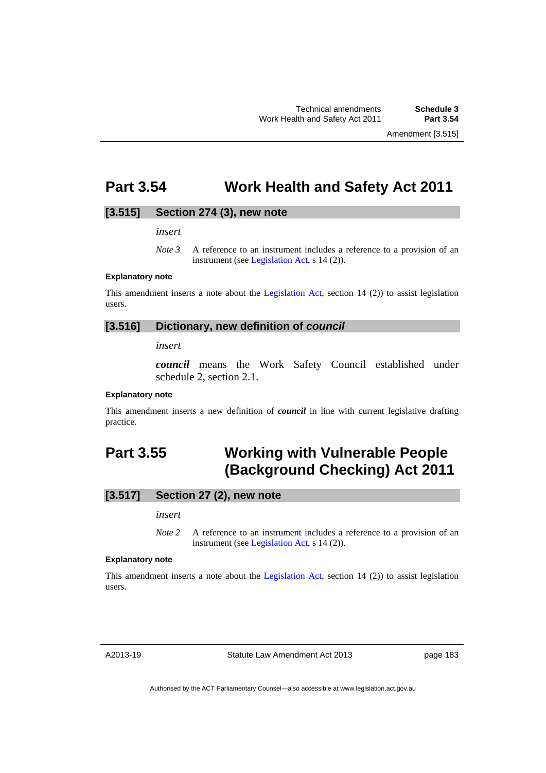# **Part 3.54 Work Health and Safety Act 2011**

## **[3.515] Section 274 (3), new note**

*insert* 

## **Explanatory note**

This amendment inserts a note about the [Legislation Act](http://www.legislation.act.gov.au/a/2001-14), section 14 (2)) to assist legislation users.

## **[3.516] Dictionary, new definition of** *council*

*insert* 

*council* means the Work Safety Council established under schedule 2, section 2.1.

### **Explanatory note**

This amendment inserts a new definition of *council* in line with current legislative drafting practice.

# **Part 3.55 Working with Vulnerable People (Background Checking) Act 2011**

# **[3.517] Section 27 (2), new note**

### *insert*

*Note* 2 A reference to an instrument includes a reference to a provision of an instrument (see [Legislation Act,](http://www.legislation.act.gov.au/a/2001-14) s 14 (2)).

### **Explanatory note**

This amendment inserts a note about the [Legislation Act](http://www.legislation.act.gov.au/a/2001-14), section 14 (2)) to assist legislation users.

A2013-19

Statute Law Amendment Act 2013

page 183

Authorised by the ACT Parliamentary Counsel—also accessible at www.legislation.act.gov.au

*Note 3* A reference to an instrument includes a reference to a provision of an instrument (see [Legislation Act,](http://www.legislation.act.gov.au/a/2001-14) s 14 (2)).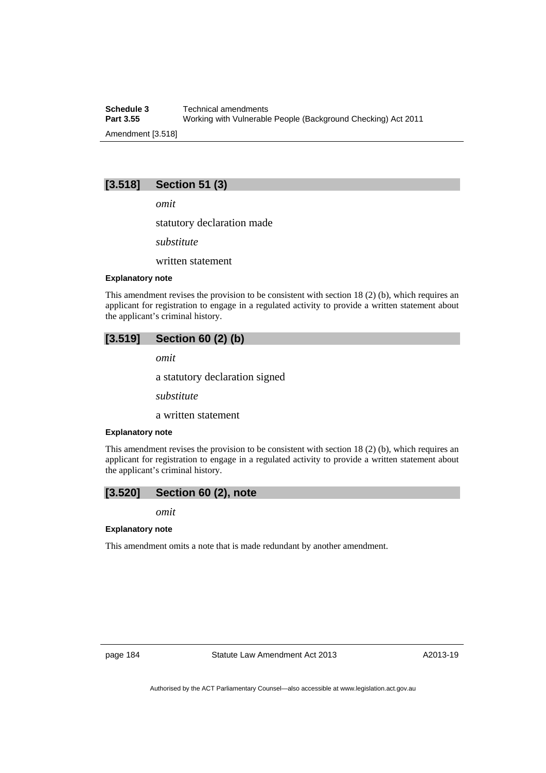**Schedule 3 Technical amendments**<br>**Part 3.55 Working with Vulnerable Part 3.55** Working with Vulnerable People (Background Checking) Act 2011 Amendment [3.518]

# **[3.518] Section 51 (3)**

*omit* 

statutory declaration made

*substitute* 

written statement

## **Explanatory note**

This amendment revises the provision to be consistent with section 18 (2) (b), which requires an applicant for registration to engage in a regulated activity to provide a written statement about the applicant's criminal history.

# **[3.519] Section 60 (2) (b)**

*omit* 

a statutory declaration signed

*substitute* 

a written statement

#### **Explanatory note**

This amendment revises the provision to be consistent with section 18 (2) (b), which requires an applicant for registration to engage in a regulated activity to provide a written statement about the applicant's criminal history.

# **[3.520] Section 60 (2), note**

*omit* 

## **Explanatory note**

This amendment omits a note that is made redundant by another amendment.

A2013-19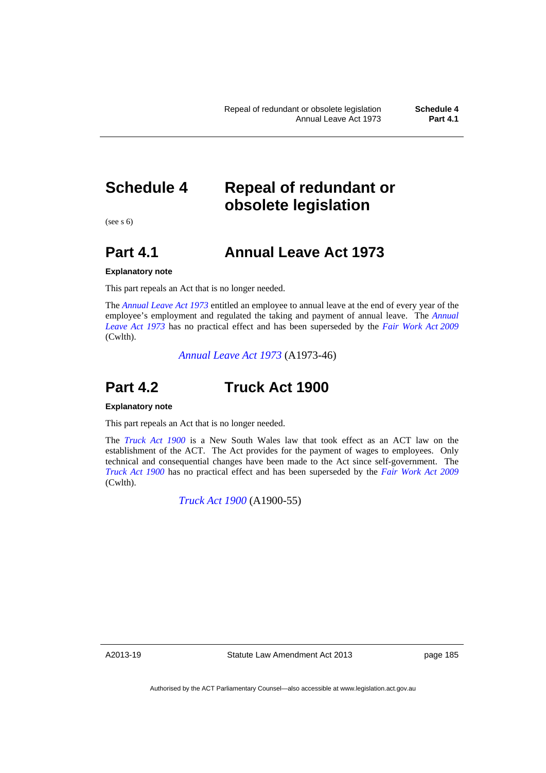# **Schedule 4 Repeal of redundant or obsolete legislation**

 $(see s 6)$ 

# **Part 4.1 Annual Leave Act 1973**

## **Explanatory note**

This part repeals an Act that is no longer needed.

The *[Annual Leave Act 1973](http://www.legislation.act.gov.au/a/1973-46)* entitled an employee to annual leave at the end of every year of the employee's employment and regulated the taking and payment of annual leave. The *[Annual](http://www.legislation.act.gov.au/a/1973-46)  [Leave Act 1973](http://www.legislation.act.gov.au/a/1973-46)* has no practical effect and has been superseded by the *[Fair Work Act 2009](http://www.comlaw.gov.au/Details/C2013C00070)* (Cwlth).

*[Annual Leave Act 1973](http://www.legislation.act.gov.au/a/1973-46)* (A1973-46)

# **Part 4.2 Truck Act 1900**

#### **Explanatory note**

This part repeals an Act that is no longer needed.

The *[Truck Act 1900](http://www.legislation.act.gov.au/a/1900-55)* is a New South Wales law that took effect as an ACT law on the establishment of the ACT. The Act provides for the payment of wages to employees. Only technical and consequential changes have been made to the Act since self-government. The *[Truck Act 1900](http://www.legislation.act.gov.au/a/1900-55)* has no practical effect and has been superseded by the *[Fair Work Act 2009](http://www.comlaw.gov.au/Details/C2013C00070)* (Cwlth).

*[Truck Act 1900](http://www.legislation.act.gov.au/a/1900-55)* (A1900-55)

A2013-19

Statute Law Amendment Act 2013

page 185